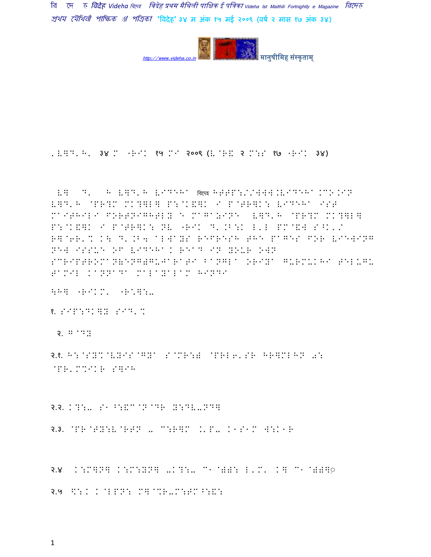

### . E.H.T. 8. 38 M (RIK 19 M) १९ M २००९ (E. TRE २ M:S १७ (RIK २४)

VER HA VIDEO VER HETTER HETTER HETTER HETTER HETTER HAD A COLLECTED AND LOCAL LANDING HTTP://WWW.VIDEO.IND.VID BURGA VIRUD OLUBER IN VIDE AVIVEREN BARANG ANG Maithili Forthwall School Billi (1995) (1995) (1997) (1998) P:@K&]K I P@TR]K: NV "RIK D'.B:K L'L PM@&W S^K'/ R]@6R'% K\ D'.B4 aLWaYS REFRESH THE PaGES FOR VIEWING NEW ISSUE OF VIDEHa. REaD IN YOUR OWN SCRIPT REGIONAL SERIKA DI SERIKA DI BANGLA DI SERIKA DI SERIKA DI SERIKA DI SERIKA DI SERIKA DI SERIKA DI SERI TaMIL KaNNaDa MaLaYaLaM HINDI

\H] "RIKM' "R\*]:-

8. SIP:DHI SIDY, T

२. G@DY

२.१. H:@SY%@VYIS@GYa S@MR:) @PRL6'SR HR]MLHN 0: MIKROWSKI SIH

## २.२. K?:- S1^:&C@N@DR Y:DV-ND]

२.३. @PR@TY:REPARTY:V@RTN 1. PLANCER C:REPARTY: #1100 P

२.४ (२:सम्मा (२:स२मा ..:स). "- अंस: (२.स. (स. "- अंसम्) २.५ \$:. K@LPN: M]@%R-M:TM^:&: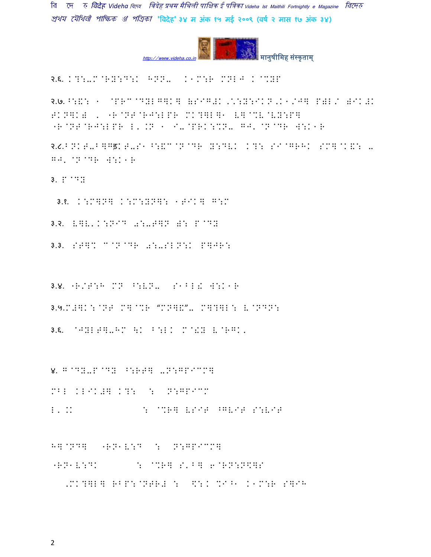

२.६. MORY: HENRI HAND- KIR MARY: DIRECTOR RESERVE

२.७.^:&: 1 @PRC@DYLG]K] (SIG#K,\*:Y:IKN,K1/J] P)L/ )IK#K TKN]K) , "R@NT@RJ:LPR MK?]L]1 V]@%V@VY:P] "R@NT@RJ:LPR L'.N 1 I-@PRK:%N- GJ'@N@DR W:K1R

२.८.FNN #..FRHMSN #...P+ FREM YF YR: SINREL SORE (FROM PRESS) SORE NORTH SM GJ'@N@DR W:K1R

 $3.$  P $\ddots$  P

३.१. K:M]N] K:M:YN]: 1TIK] G:M

३.२. EALLIERT SILAR 3.2. ETTE

३.३. START (112119) START PRODUCER PROPERTY

३.४. "R/T:H MN FRENC " FREE STEEPS

३.५.M#!K: Y.DE WESTER "MORE MAY WE HERE YOU ALL VEREYS

3.6. @JYLTHE #HWAY (AI) #1111 CONGRESS HARD.

 $8.$  Gamble of the Construction of the DV of the Construction of the DV of the Construction of the Construction of the Construction of the Construction of the Construction of the Construction of the Construction of the Con MBL KLIKA KRISTING KOMBONIS L'anno 1988, a contra la contra la contra la contra la contra la contra la contra la contra la contra la contra<br>L'anno 1988, a contra la contra la contra la contra la contra la contra la contra la contra la contra la contr

HEOPH (REPORTS) NO SERVICE  $R$  (RN1V:DK :  $R$  =  $R$  ,  $R$  ,  $R$  ,  $R$  ,  $R$  ,  $R$  ,  $R$  ,  $R$  ,  $R$  ,  $R$  ,  $R$  ,  $R$  ,  $R$  ,  $R$  ,  $R$  ,  $R$  ,  $R$  ,  $R$  ,  $R$  ,  $R$  ,  $R$  ,  $R$  ,  $R$  ,  $R$  ,  $R$  ,  $R$  ,  $R$  ,  $R$  ,  $R$  ,  $R$  ,  $R$  ,  $R$  ,  $R$  ,  $R$ ,MK?]L] RBP:@NTR# : \$:. %I^1 K1M:R S]IH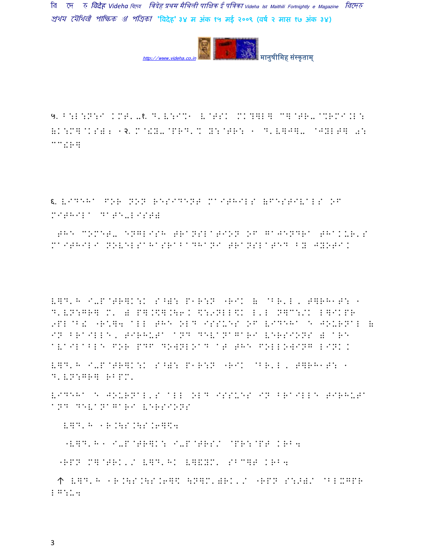

५. B:L:N:I KMT'-१. D'V:I%1 V@TSK MK?]L] C]@TR-@%RMI.L:  $K$  (K)  $K$  and  $K$  (  $K$  );  $K$  and  $K$   $K$   $\mathbb{R}$  is the probability  $\mathbb{R}$  of  $\mathbb{R}$  ,  $K$  and  $\mathbb{R}$  are probability  $\mathbb{R}$  and  $\mathbb{R}$  are probability  $\mathbb{R}$  and  $\mathbb{R}$  are probability  $\mathbb{R}$  and  $\math$  $\cdots$  : : : : :

६. VIDEHa FOR NON RESIDENT MaITHILS (FESTIVaLS OF MITHILa DaTE-LIST)

 THE COMET- ENGLISH TRaNSLaTION OF GaJENDRa THaKUR'S Maithili Novelsahas Rabadhani terbagai terbagai terbagai terbagai terbagai terbagai terbagai terbagai terbagai

V]D'H I-P@TR]K:K S^): P1R:N "RIK ( @BR'L, T]RH1T: 1

D'VE L'ORIERE D'ON D'AILLE D'ATHLE D'AILLE D'AILLE AU D'AILLE D'ORIERE D'AILLE AUTOIRE D'AILLE AUTOIRE D'AILL 9PL@B! "R\*]4 aLL THE OLD ISSUES OF VIDEHa E JOURNaL ( IN BRaILLE, TIRHUTa aND DEVaNaGaRI VERSIONS ) aRE aVaILaBLE FOR PDF DOWNLOaD aT THE FOLLOWING LINK.

D'VN:GR] RBPM'

 $\bigwedge$   $\bigwedge$   $\bigwedge$   $\bigwedge$   $\bigwedge$   $\bigwedge$   $\bigwedge$   $\bigwedge$   $\bigwedge$   $\bigwedge$   $\bigwedge$   $\bigwedge$   $\bigwedge$   $\bigwedge$   $\bigwedge$   $\bigwedge$   $\bigwedge$   $\bigwedge$   $\bigwedge$   $\bigwedge$   $\bigwedge$   $\bigwedge$   $\bigwedge$   $\bigwedge$   $\bigwedge$   $\bigwedge$   $\bigwedge$   $\bigwedge$   $\bigwedge$   $\bigwedge$   $\bigwedge$   $\bigw$ 

V]D'H I-P@TR]K:K S^): P1R:N "RIK @BR'L, T]RH1T: 1

aND DEVaNaGaRI VERSIONS

"V]D'H" I-P@TR]K: I-P@TRS/ @PR:@PT KRB4

"RPN M]@TRK'/ V]D'HK V]&YM' SBC]T KRB4

VIDEHa E JOURNaL'S aLL OLD ISSUES IN BRaILLE TIRHUTa

 $\blacksquare$ 

3

 $E:U_1\rightarrow U_2$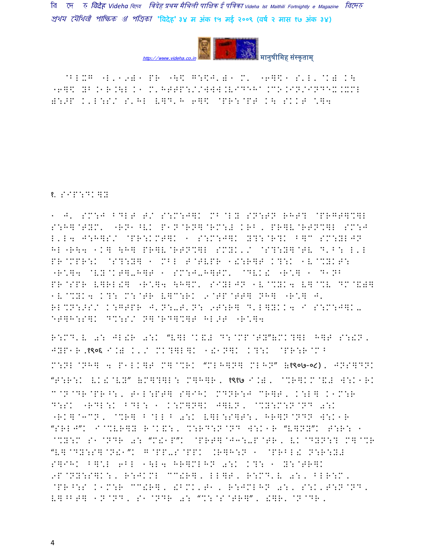

 $\mathcal{D}$  (  $\mathcal{D}$  )  $\mathcal{D}$  (  $\mathcal{D}$  )  $\mathcal{D}$  (  $\mathcal{D}$  ) and  $\mathcal{D}$  (  $\mathcal{D}$  )  $\mathcal{D}$  (  $\mathcal{D}$  )  $\mathcal{D}$  (  $\mathcal{D}$  )  $\mathcal{D}$  (  $\mathcal{D}$  )  $\mathcal{D}$  (  $\mathcal{D}$  )  $\mathcal{D}$  (  $\mathcal{D}$  )  $\mathcal{D}$  (  $\mathcal{D}$ "6]\$ YB.1R.\L." M'HTTP://WWW.VIDEHa.CO.IN/INDEX.XML ):>P K'L:S/ S'HL V]D'H 6]\$ @PR:@PT K\ SKKT \*]4

# १. SIP:DK]Y

1 J' SM:J BDLT T/ S:M:J]K MB@LY SN:TN RHT? @PRGT]%]L S:S:HISMO "REPORT "ROND" "ROND "ROND" "ROND " REPORT " ROND " ROND " L'L4 J:HISPARIZ (MERIE) S: MISZIENARI (BAI SPAC) FAM: VINEBPAR HE RAAN ROOM AAM SEAME DADOOM SOON DOOR DOOR DAG DAG EEN L PROMPRS: @S?:Y39: YOU MALE TO PRESS THE SESSION OF THE UNIVERSE "R\*]4 @VY@KT]-H]T 1 SM:J-H]TM' @DVK! "R\*] 1 D1NB PR@SPR VERPENDE (PRIDH) SPROV NYDEPPO (PECIDINA VERSION) POCHOR 1V@%YK4 K?: M:@TR V]C:RK 9@TP@TT] NH] "R\*] J' RL NORREAT D'INSPERSIE (PRINCE), D'ANGERE D'AN ESCOLO AN PORTUGAIE (L' ET]H:S]K D%:S/ N]@RD]%]T HL>T "R\*]4

R:MD'V 0: JL!R 0:K "V]L@K&# D:@MP@TY"(MK?]L H]T S:!N,  $\mathcal{A}$ GP1R, P. (1986)  $\mathcal{A}$  (1986)  $\mathcal{A}$  (10)  $\mathcal{A}$  (10)  $\mathcal{A}$  (10)  $\mathcal{A}$  (10)  $\mathcal{A}$  (10)  $\mathcal{A}$  (10)  $\mathcal{A}$  (10)  $\mathcal{A}$  (10)  $\mathcal{A}$  (10)  $\mathcal{A}$  (10)  $\mathcal{A}$  (10)  $\mathcal{A}$  (10)  $\mathcal{A}$  (10) MINE MORE A PHILER MENTED "MERHINE MIRE" (1990-02), JURINER "FIRIC ELEMIN" ECTTER'S CTREE, 8800 CIR, MIRTICIRE ENVIR CONDITIONS, PRINTED PROVIDENT CREEK CREEK CRITICS D:SK "RDL:K BDL: 1 K:M:N:N:N | NDREBRO | ARE BL:K | MOBILMEN 0:K | WIND 0: "RED ROMA TO BOOK ON THE RELEASED ON HE REPORTED HE RED TO THE VEHICLE HE RED WILL "SRL, 200 (199 (199 ), 199 (199 ), 199 (199 ), 199 (199 ), 199 (199 ), 199 (199 ), 199 (199 ), 199 (199 ), 199 (199 ), 199 (199 ), 199 (199 ), 199 (199 ), 199 (199 ), 199 (199 ), 199 (199 ), 199 (199 ), 199 (199 ), 199 (19 @%Y:M S1@NDR 0: "M!1P"K @PRT]@J3:-P@TR, VK@DYN:? M]@%R "V]@DY:S]@N!1"K G@PP-S@PPK .R]H:N 1 @PRBL! N:R:Y# SUIHK BUL 6BL 10:H 10:HTML 0:K KIRS 10: 9P@NY:S]K:, R:JKML CC!R], LL]T, R:MD'V 0:, BLR:M, @PR^:S K1M:R CC!R], !BMK'T1, R:JMLHN 0:, S:K'T:N@ND, V]^BT] 1N@ND, S1@NDR 0: "%:@S@TR]", !]R'@N@DR,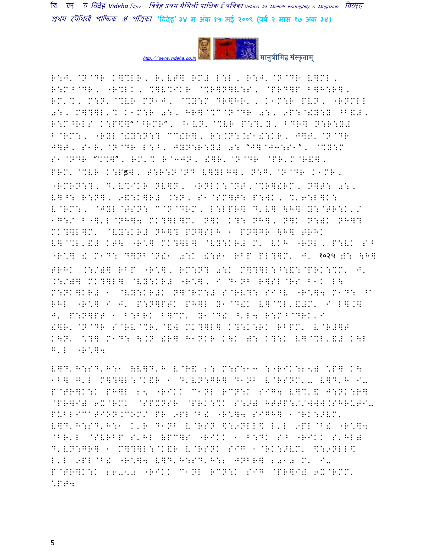

R:J'@N@DR K]%LR, R'VT] RM# L:L, R:J'@N@DR V]ML, R:M^@DR, "R%LK, %]V%IKR @%R]N]V:S, @PRD]P B]H:R], RM'%, M:N'@%VR MN1J, @%Y:M DR]HR', K1M:R PVN, "RNMLL 0:, M]?]L'% K1M:R 0:, HR]@%C@N@DR 0:, 9P:@!Y:Y ^B&#, RYMARI K:RTS KORMAN P: MARLS KI: PHILS KOR P: B@RM:, "RYL@!Y:N:? CC!R], R:.N:.S1!:KR, J]T'@N@DR J]T, S1R'@N@DR L:^, JYN:R:Y# 0: "J]@J3:S1", @%Y:M SN 1979 "WWW", RM, TOR NAP, 298, 1979 TH, MER MORE. PRM, MMB (1975), PHRMY VR KENEWA, MHR, NORMA (1976) "RMRN:?, D'V%IKR NV]N, "RNLK:@NT,@%R]!RM, N]T: 0:, V]^: R:N], 9&:K]R# .:N, S1@SM]T: P:WK, %'6:L]K: V@RM:, @JYL@TSN: C@N@DRM, L:LPR] D'V] \H] Y:@TR:K'/ 1G:/ B"]'L@NH]4 MK?]L]M' N]K K?: NH], N]K N:)K NH]? MK?]L]M' @VY:KR# NH]? PN]SLH 1 PN]GR \H] TRHK BACTELED CAR SATE TITHE CERIAL MY EIG SARE WERE PRO  $R^2 + 1$  is the property of the set of the plane plane  $\mathbb{R}^2$  ,  $\mathbb{R}^2$  ,  $\mathbb{R}^2$  ,  $\mathbb{R}^2$  ,  $\mathbb{R}^2$  ,  $\mathbb{R}^2$ TRHA .:/) DE ZIBRE "RHAT "PRESIDENT" (PRESIDENT DE TERRES ANT DE TERRES MODEL I PRESIDENT DE TERRES MESSINGER .:/)] MK?]L] @VY:KR# "R\*], I D1NB R]SL@RS B1K L\ M:NK]KR# 1 @VY:KR#K N]@RM:# S@RV?: SI^V "R\*]4 M1D: ^a RHL "R\*] I J' P:N]PTK PH]L Y1@D!K V]@%L'&#M' I L].] J' PYPERA A BYBK BETT, BASTE BILLA BYBK PRESS !]R'@N@DR S@RV@%R'@&W MK?]L] K?:K:RK RBPM' V@R#]T KAD: N' TARIER MANGERA KADI EN DI TAIS NOMING KOMINIS KOMINIS ANG KA  $H_1$   $\uparrow$   $H_2$   $\uparrow$   $\uparrow$   $H_3$ 

GLACK, POSCAL (POS) (GLACK, POG) (SERVER 2: DOSCAL) \*POG) (SERVER 2: METHOD (POSCAL) \*P 18 F. H. G. MARAH NINI DE 1991 P. G. MAREAH (PHIPP) G. GERDON, L. G. H. P. L. G. V. L. P@TRECH: PHE 25 SHOI TORE ROOM: SONG LET.E SHOIGHE @PR]I) 6X@RMK @SPXNSR @PRK:%K S:>) HTTP://WWW.SHRUTI-PUBLICATION.COM/ PROVIDED THE 14 SIGHT PROPERTY TO THE SIGHLIC V]D'H:SD'H:1 K'R D1NB V@RSN \$:9NLL\$ L'L 9PL@B! "R\*]4 @BR'L @SVRBP S'HL (PC]S "RIKK 1 B:DK S^ "RIKK S'HL) D'VN:GR] 1 M]?]L:@K&R V@RSNK SIG 1@RK:>VM' \$:9NLL\$ L'L 9PL@B! "R\*]4 V]D'H:SD'H:2 JNBR] 2010 M' I-P@TR]K:K 26-50 "RIKK C1NL RCN:K SIG @PR]I) 6X@RMM'  $\mathcal{L}(\mathcal{V},\mathcal{V})$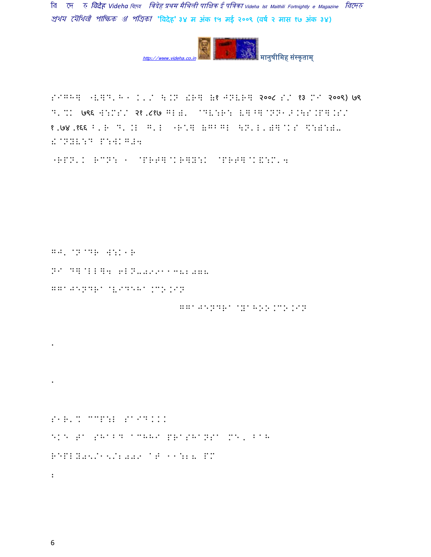

 $S^2$  ,  $S^2$  ,  $S^2$  ,  $S^2$  ,  $S^2$  ,  $S^2$  ,  $S^2$  ,  $S^2$  ,  $S^2$  ,  $S^2$  ,  $S^2$  ,  $S^2$  ,  $S^2$  ,  $S^2$  ,  $S^2$  ,  $S^2$  ,  $S^2$  ,  $S^2$  ,  $S^2$  ,  $S^2$  ,  $S^2$  ,  $S^2$  ,  $S^2$  ,  $S^2$  ,  $S^2$  ,  $S^2$  ,  $S^2$  ,  $S^2$  $D^*$  Description  $D^*$  .  $D^*$  or  $D^*$  is equal to  $D^*$  . The  $D^*$  or  $D^*$  is equal to  $D^*$ . १,७४,१६६ B'E P. H B'R B'E HILE GROUPS \$: 2010 CENTRAL !@NYV:D P:WKG#4

"RPN'K RCN: 1 @PRT]@KR]Y:K @PRT]@K&:M'4

GJ'@N@DR W:K1R

NI DA DI DI DAN DI DAN 1991

GGALENDRA CO.INDUCTOR

GGALENDRAGHENDRAGHENDRAGHENDRAGHENDRAGHENDRAGHENDRAGHENDRAGHENDRAGHENDRAGHENDRAGHENDRAGHENDRAGHENDRAGHENDRAGHE

SHE COPEN STATIS EKE Ta SHaBD aCHHI PRaSHaNSa ME, BaH REPLY SERVICE AT 11:28 PM

 $\ddot{\cdot}$ 

 $\ddot{\phantom{0}}$ 

 $\bullet$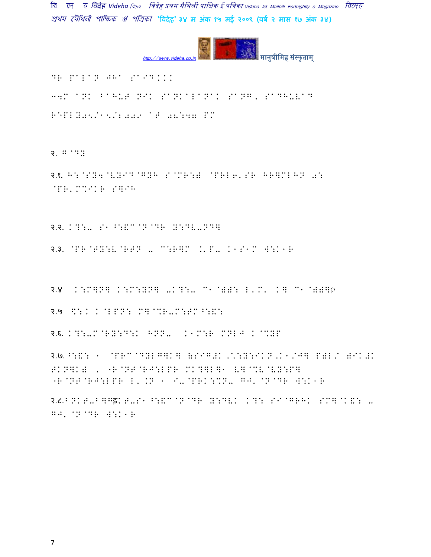

DR PaLaN JHa SaID... 34M ANK BAHUT NIK SANKALAN SANKA SANKA SANG, SANG REPRESENT FOR AT 1899 BM

## २.  $\cdots$  :

२.१. H:@SY4@VYID@GYH S@MR:) @PRL6'SR HR]MLHN 0: MERIC TO SHOW

२.२. ( The Si-Pig" TF THE GREEN FER

२.३. @PR@TYERTN & CONFER ON FACIST CONTRIGUE

२.४ K:M]N] K:M:YN] -K?:- C1@)): L'M' K] C1@))]◌़

२.५ \$:. K@LPN: M]@%R-M:TM^:&:

२.६. MORY: MORY AND HOME REPORT OF THE REPORT OF THE REPORT OF THE REPORT OF THE REPORT OF THE REPORT OF THE R

२.७.^:&: 1 @PRC@DYLG]K] (SIG#K,\*:Y:IKN,K1/J] P)L/ )IK#K TKN]K) , "R@NT@RJ:LPR MK?]L]1 V]@%V@VY:P] "R@NT@RJ:LPR L'.N 1 I-@PRK:%N- GJ'@N@DR W:K1R

२.८.FNN BLF BR\$1 BLF FRED YR 198 (BRPEL) (198 (FROPPEL) (198 (198 ): 2) GJ'@N@DR W:K1R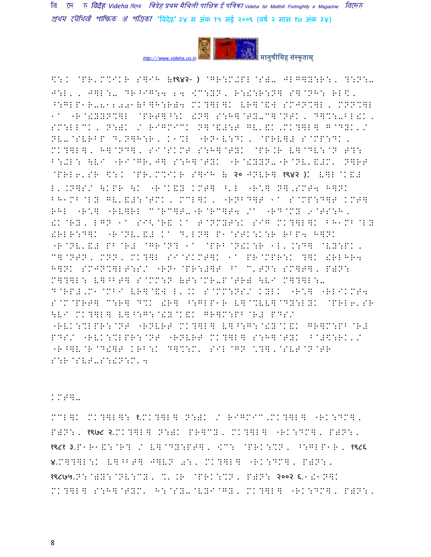

\$:. @PR'M%IKR S]IH (१९४२- ) @GR:M+PL@S)- JLG]Y:R:, ?:N:- J:L', J]L:- DR^IG:4 24 [C:YN, R:!:R:N] S]@NH: RL\$, ^:GLP1R-812001(B]H:R)4 MK?]L]K VR]@&W SMJN%]L, MNN%]L 1a "R@!YYN%]L @PRT]^:K !N] S:H]@TY-C]@NTK, D]%:-BL!K, SM:LLCK, N:)K / RIGMICK N]@&#:T GV'&K,MK?]L] G@DYK'/ NV-@SVRBP D'N]H:R, K1%L "RN1V:DK, @PRV]# S@MP:DK, MK?]L], H]@ND], SI@SKMT S:H]@TYK @PR.R V]@DV:@N T?: B:+L: \VI "RI@GR'J] S:H]@TYK "R@!YYN-"R@NV'&#M' N]RT WHERE SHE AND INTERNATIONAL STATE OF A PROPERTY RARNALLY COMPANY L'.N]S/ \KPR \K "R@K&Y KMT] ^'L "R\*] N],SMT4 H]NK BH) MACH THE BELVE GOVE OF THE VIOLENCE OF THE SAME CONTROL CONTROL CONTROL OF THE SAME  $\mathcal{L}$ RHL "R\*] "RV]RL C@RC]T-"R@RC]T4 /a "RD@MY 9@TS:H, ! K@RY, LGN 1a SIG MARY, LGN 1a SIG MARY AND A SIGN 1a SIGN 1a SIGN 1a SIGN 1a SIGN 1a SIGN 1a SIGN 1a SIGN 1a<br>Long 1a Sign 1a Sign 1a Sign 1a Sign 1a Sign 1a Sign 1a Sign 1a Sign 1a Sign 1a Sign 1a Sign 1a Sign 1a Sign 1 !RLR:D]K "R@NV'&# Ka D'LN] P1@STK:K:R RBP4 H]NK "RANC'A BOLE BERGHA DE MERC'A TA DI MERENI DA DI SELIMENE DI DI DI BISETO LI. C]@NTN, MNN, MK?]L SI@SKMT]K 1a PR@MPR:K ?]K !RLHR4 HAN SMARTAE BAY, "PERSONEALARE" PO TUBER (P)NARRE, PERSO MARSHIR: VI MARSHIR: VI MARA MARA (TENGHAM: PORTROWN) AND MELODO AN ARRAY OF MELODO AND MARKET MARKET MARKET M DORP#,M1@MI VRI VRI VRI VRI SOM NORTH TANKS "RELIGION "RELIGION" SMOMPRER MARE POLICER (PARTIER ROLLING) COLLEGION CONTRESSOR  $\overline{\mathcal{H}}$  ,  $\overline{\mathcal{H}}$  ,  $\overline{\mathcal{H}}$  ,  $\overline{\mathcal{H}}$  ,  $\overline{\mathcal{H}}$  ,  $\overline{\mathcal{H}}$  ,  $\overline{\mathcal{H}}$  ,  $\overline{\mathcal{H}}$  ,  $\overline{\mathcal{H}}$  ,  $\overline{\mathcal{H}}$  ,  $\overline{\mathcal{H}}$  ,  $\overline{\mathcal{H}}$  ,  $\overline{\mathcal{H}}$  ,  $\overline{\mathcal{H}}$  ,  $\overline{\mathcal{H}}$  ,  $\overline{\mathcal{H}}$  $R$  . Reconstruction  $R$  . The control mass of the control  $R$  and  $R$  are  $\mathcal{R}$  and  $\mathcal{R}$  are  $\mathcal{R}$ PDS/ "RVK:%LPR:@NT "RNVRT MK?]L] S:H]@TYK ^@#\$:RK'/ "VE FREDTE TRARKE (1953)" STRING "PATION" (1979) "NORD "DIG "SILMO" SILMO S:R@SVT-S:!N:M'4

 $I:FFH$ 

MCL]K MK?]L]: १.MK?]L] N:)K / RIGMIC,MK?]L] "RK:DM], PAPS, RNG R.M. THE RUPSEN PRATH, MKRTHR (PRISTING PAPS)  $8$ ९८१ ३.PH  $P$ + ENTERT (1) ERP TRINFPRI, [CITE], TEPINE, [FIRE: PHETHE,  $8$ ९८६) ४.M]?]L:K V]^BT] J]VN 0:, MK?]L] "RK:DM], P)N:, १९८७५.N: 18001.N: NR 2002 6.1 (NR 2002) 12: NOISE (NR 2010) 12: NOISE (NR 2010) 12: NR 2010 MK?]L] S:H]@TYM' H:@SY-@VYI@GY, MK?]L] "RK:DM], P)N:,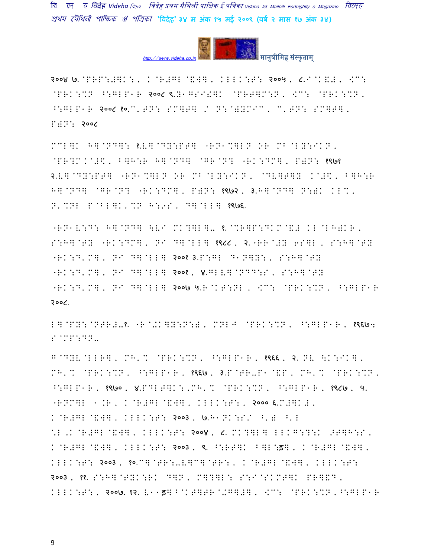िव दिप रू विदेह Videha <sub>विषय</sub> विदेह प्रथम मैथिली पाक्षिक ई पत्रिका <sub>Videha</sub> Ist Maithili Fortnightly e Magazine *विC*परु õथम मैिथली पािक्षक ई पिñका **'**िवदेह**'** ३४ म अंक १५ मई २००९ (वष र् २ मास १७ अंक ३४)



२००४ ७. TERPISEN YORK: WEBER TERRITORIES IN STREAM COMPANY OF TERRITORIES @PRK:%N ^:GLP1R २००८ ९.Y1GSI!]K @PRT]M:N, [C: @PRK:%N,  $C_1$ :Glp  $C_2$  )  $C_3$  (  $C_4$  )  $C_5$  ,  $C_6$  (  $C_7$  )  $C_7$  (  $C_7$  )  $C_7$  )  $C_7$  (  $C_7$  ),  $C_7$  (  $C_7$  ),  $C_7$  (  $C_7$  ),  $C_7$  (  $C_7$  ),  $C_7$  (  $C_7$  ),  $C_7$  (  $C_7$  ),  $C_7$  (  $C_7$  ),  $C_7$  (  $C_7$  ),  $C_$  $P: P: P: \mathbb{R} \to \mathbb{R}$ 

MCLAR HIGHES (1898) "ROOM HE WISCONSING TO DELIGIOUS ( @PR?M.@#\$, B]H:R H]@ND] @GR@N? "RK:DM], P)N: १९७१ २.V]@DY:PT] "RN1%]LN OR MB@LY:IKN, @DV]T]Y .@#\$, B]H:R H]@ND] @GR@N? "RK:DM], P)N: १९७२, ३.H]@ND] N:)K KL%, N'%NL P@BL]K'%N H:9S, D]@LL] १९७६.

"RND" BIGTS" PRODUCER "REAL" DOCRRERL "RUNDERBESTON ODE OF TE RED BY. STEPH TRID (EN EPITH), IP OF THIS EN RACC, RUSHE THIS BEFORE IN STEPH TRID "RK:D'M], NI D]@LL] २००१ ३.P:GL D1N]Y:, S:H]@TY "RK:D'M], NI D]@LL] २००१, ४.GLV]@NDD:S, S:H]@TY "RK:D'M], NI D]@LL] २००७ ५.R@KT:NL, [C: @PRK:%N, ^:GLP1R २००८.

LA TENTETURIAL PETAIAN PERTENTAN TURIT MENINDIRI PERTENTAN REGE S@MP:DN-

GEORGE GEERS, MAY, MOOTER, AND AND INSIGHT ROLL, 1988, 2. DEVELOPING, MH'S MERCHIN, PHREE R. 800, 3.P. FRAIN ARE SCHOOL MERCHIN, ^:GLP1R, १९७०, ४.PDLT]K:,MH'% @PRK:%N, ^:GLP1R, १९८७, ५.  $R$  . Recently that the control of the control  $R$  . The control  $R$  and  $R$  are controlled to  $R$  . The control  $R$  $K^2$  (  $K^2$  )  $K^2$  )  $K^2$  (  $K^2$  )  $K^2$  )  $K^2$  (  $K^2$  )  $K^2$  (  $K^2$  )  $K^2$  (  $K^2$  )  $K^2$  (  $K^2$  )  $K^2$  (  $K^2$  )  $K^2$  (  $K^2$  )  $K^2$  (  $K^2$  )  $K^2$  (  $K^2$  )  $K^2$  (  $K^2$  )  $K^2$  (  $K^2$  )  $K^2$  (  $K^2$ \*L,K@R#GL@&W], KLLK:T: २००४, ८. MK?]L] LLKG:?:K >T]H:S, K@R#GL@&WI, KLLK:T: 2003, S. PIEFFE, PHETSH, K. TEGHE TEGH, KLLK:T: 2003, 10.TH: MENLEMAN MENT, KOREAM: TEAM: KILLK:T: २००३, ११. S:H]@TYK:RK D]N, M]?]L: S:I@SKMT]K PR]&D,  $K: \{1,2,3,4\}$  ,  $\{2000, 32, 4.44$  ,  $\overline{50}$  for  $\overline{10}$   $\overline{10}$  for  $\overline{10}$   $\overline{10}$  for  $\overline{10}$  ,  $\overline{10}$  for  $\overline{10}$   $\overline{10}$   $\overline{10}$  for  $\overline{10}$   $\overline{10}$  for  $\overline{10}$   $\overline{10}$  for  $\overline{10}$   $\$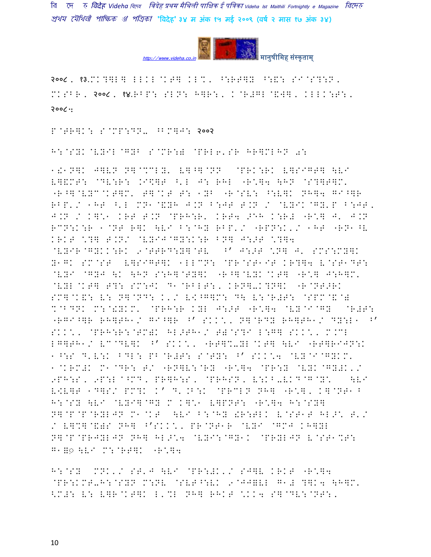

२००८, १३.MM समाप्त EEEE MURH (EN. PARRHE PARK PRINCER) MKSBR, 2006, 18.RBP: SLPN: HARM: CORABIOGRA, CELCARY, २००८ ..

PATRENT ROOM POST RIVER ON THE POOR

H:@SYK@VYIL@GYB S@MR:) @PRL6'SR HR]MLHN 0:

11.98 ABC 2810 SECRET CONTROL CONTROL CONTROL V]&MT: @DV:R: .I\$]T ^'L J: RHL "R\*]4 \HN @S?]T]M' "ROUGE" CAUSE AUTOR AN "ROUGH" THE SVILL AND THE SVILL RBP'/ 1HT ^'L MN1@&YH J.N B:JT T.N / @VYIK@GY'P B:JT, J.N / K]\*1 KRT T.N @PRH:R' KRT4 >EH K:R# "R\*] J' J.N RCON:K:R 100 PORT REPORT REPORT TO A REPORT TO A REPORT TO A REPORT TO A RANGE THAT IT IS NOT TO A RANGE TO A KRKT \*?) T.N. BN 1989 - ARKEN AND AN DER HANDLING AN DER HANDLING AN DER HANDLING AN ARCHIVER AND THE STATE OF<br>The state of the state of the state of the state of the state of the state of the state of the state of the st @VYIR@GYKK:RK 9@TTRD:Y]@TV ^' J:>T \*N] J' SMS:MY]K BRANC SMOTH SMOTHER RINGS THROUGH CHANGE ENDER THE DYI @GYT POST AND THA SY GYD AGYT "REFERING " REFERING "RENE "REFERING @VYL@KT] T?: SM:JK D1@RBLT:, KRN]-K?N]K "R@NT>RK SM]@K&: V: N]@ND: K'/ V[^G]M: D\ V:@R#T: @SPM@&@) %@BDNK M:@!YKM' @PRH:R KYL J:>T "R\*]4 @VY@I@GY @R#T: "REPAIRE "BREAK"," PAIRE "PAIR","," NE "BREAK" BREAKY," "BBEA" ("PA SKK KAR, MONTEN SKRIVER SKRIVER I DET SKRIVER SKRIVER I DET SKRIVER I DET SKRIVER SKRIVER I DET SKRIVER SKRIVE LAGARY CONDUCTS ON STRIDG AND CAN ALSO REGENERATE 1^:S D'V:K BDL: PB@R#T: S@TY: ^' SKK\*4 @VY@I@GYKM' 1@KRM#K M1@DR: T/ "RN]V:@RY "R\*]4 @PR:Y @VYK@GY#K'/ 9PH:S, 9P:L@^MD, PR]H:S, @PRHSN, V:KB-VKD@G@Y\* \VI RANDER VAN DIT DIE SOMEIGE WAARDER DIE VAN DIE DIE VAN DIE VAN DIE VAN DIE VAN DIE VAN DIE VAN DIE VAN DIE VAN H: SY YOUR CHERN ARE THE SY ONE OF THE HISPANES CHANGE AND SYSTEM N]@P@P@RYLJN M1@KT \VI B:@HY !R:TLK V@ST1T HL>\* T'/ / V]%]@&)S NH] ^'SKK\*, PR@NT1R @VYI @GMJ KH]YL N]@P@PRJYLJN NH] HL>\*4 @VYI:@GY1K @PRYLJN V@ST1%T:  $H:$   $\mathbb{H} \otimes \mathbb{H}$   $\mathbb{H} \otimes \mathbb{H} \otimes \mathbb{H}$   $\mathbb{H} \otimes \mathbb{H} \otimes \mathbb{H}$   $\mathbb{H} \otimes \mathbb{H} \otimes \mathbb{H}$ 

H: SY MONKY/ STEAT THE STYLE OF AN AFAIR @PR:KMT-H:@SYN M:NV @SVT^:VK 9@JJ=VL G1# ?]K4 \H]M' <M#: V: V]R@KT]K L'%L NH] RHKT \*KK4 S]@DV:@NT:,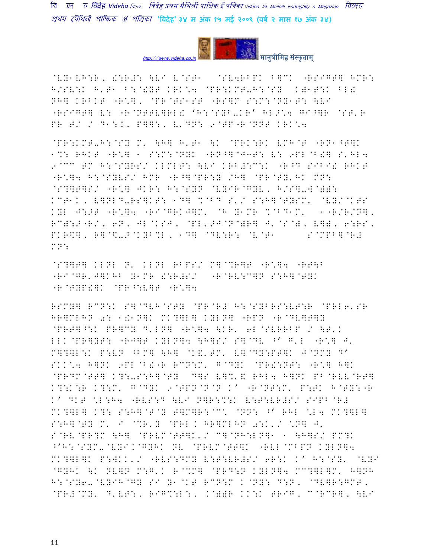

YES ERNE, SNESK BEK ENDER (VELGRING BUNG GENUALD BYR) H/SV:K H'THI B: FAIR SY KORA A SY KORA ME SY KORA AT SY KORA AT SY KORA BE SY KORA BE SY NHE CRPCR "REGEL" TRANSPORTS "REGEL" REGELERATION  $R$  . The contract of the contract  $R$  is the contract of the contract  $R$  and  $R$  as the contract of the contract of the contract of the contract of the contract of the contract of the contract of the contract of the cont PR TR T/ DIN THE ROOM OF THE REPORT OF THE REPORT

@PR:KMT-H:@SY M' \H] H'T1 \K @PRK:RK VMH@T "RN1^T]K 1%: RHKT "R\*] 1 S:M:@NYK "RN^]@J3T: V: 9PL@B!] S'HL4 9@CC TM H:@SYRS/ KLMLT: \VI KRB#:C:K "R^D SIBI! RHKT "RENDRA "PROTOCLED" (HIMR) RECEPTED IN STRAIN OUTLINE THAT WE CAN ARREST @S?]T]S/ "R\*] JKR: H:@SYN @VYIR@GYV, H/S]-W@)): KCT 1 ST PORT OF BELIEVE PRODUCED AND DESCRIPTION OF BELIEVE PRODUCED AND DESCRIPTION OF BELIEVE PRODUCED AND<br>The state of the state of the state of the state of the state of the state of the state of the state of the st KYL JOHN HAND GRYDDAU MYN DYD Y RIW "RYN" ALDEID RC):>"R/, 6N, JL@KSJ, @PL'>J@N@)R] J'@S@), V]), 6:RS, PKR\$], R]@\$->@KYB%L, 1D] @DV:R: @V@T1 S@MPB]@R#  $\mathbb{C} \mathbb{C}$ 

MSTARBAR (1979) (D. 1992) BRIEG (MAINTRAPA) (PRINA "REBRA  $R$  . The contribution is the contribution of the contribution of  $R$  is the contribution of  $R$ "R@TYP!]K @PR^:V]T "R\*]4

RSMY] RCN:K S]@DVH@STY @PR@R# H:@SYBRS:VT:R @PRL6'SR HANDLAN ON NATHER MANUEL IN THE SAME OF THE MANUEL @PRT]^:K PR]CY D'LN] "R\*]4 \KR' 6L@SVRRBP / \T'K LLK@PR]YT: "RJ]T KYLN]4 \H]S/ S]@DV ^' G'L "R\*] J' M]?]L:K P:VN ^BM] \H] @K&'TM' V]@DY:PT]K J@NMY D' SKK\*4 H]NK 9PL@B!"R RCN:M' G@DYK @PR!:NT: "R\*] H]K @PRDM@TT] K?:-S:H]@TY D]S V]%'& RHL4 H]NK PB@RVV@RT] K:GA: G&OYCH:R TRONG A TAER TROP (MONANTIE) PART : RAEI "ROBANA K' DKT #L' NE SAN "RESTERT" ARIS (DABA SISTE SIPA SIPA SI SIPE OPIE OPIE MK?]L] K?: S:H]@T@Y T]M]R:@C\* @NN: ^' RHL \*L4 MK?]L] S: S:H' B' I GENER, MORE OF THE DERIVE HIS LOCAL DATE (MARINE AR) SMPREST PROPORTING THE MONTH OF CONTRACTORS ON THE SAME CONTRACTOR CONTROL IN THE CONTROL IN THE SAME CONTROL ^'H:@SYM-@VYI.@GYHK NV @PRVM@TT]K "RVL@MBPN KYLN]4 MK?]L]K P:WKK'/ "RVS:DMY V:T:VR#S/ 6R:K K' H:@SY' @VYI @GYHK \K NV]N M:G'K R@%M] @PRD:N KYLN]4 MC?]L]M' H]NH H:@SY6-@VYIH@GY SI Y1@KT RCN:M K@NY: D:N, @DV]R:GMT, @PR#@MY' D'VT:, RIG%:L:, .@))R KK:K TRIG, C@RCR], \VI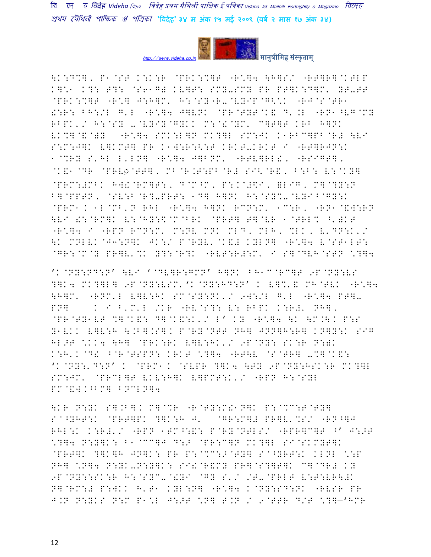

 $R: D \to D$  . Particle of the state of the state  $\mathcal{L}$  are  $\mathcal{L}$  . And  $\mathcal{L}$ K]\*1 K?: T?: @S61G) KV]T: SMY-SMY PR PT]K:D]M' YT-TT @PRK:%]T "R\*] J:H]M' H:@SY"R-@VYIP@G<\*K "RJ@S@TR1 !:R: BH:/L G'L "R\*]4 J]VNK @PR@TYT@K& D'.L "RN1^VG@MY RBPK'/ H: SY - MINT - HI: O YI ANG - HI KRB ANG H BOON THE THE SOURCE SMALL SMALL SMALL SOURCE IS A REPORTED THE HEAT AND THE SMALL SAME  $\overline{X}$ S:M:JH: LUTAU CH (FRUNKI) II TALIKI "RING" 1@%RY S'HL L'LN] "R\*]4 J]BNM' "RTV]RL!, "RSIGT], @K&1@DR @PRV◌़@TT], MB@R.T:PB@R# SI<@R&, B:B: V:@KY] @PRM:#MBK HW!@RM]T:, D@M^M, P:.@#\$I, =LIG, M]@?Y:N B]@PPTN, @SV:B@R?-PRT: 1D] H]NK H:@SY%-@VYI^@GY:K @PRM1. 1L@MB'N RHL "R\*]4 H]NK RCN:M' 1C:R, "RN1@&W:RN  $\Pi$ k: "Brand and the second of the problem of the second second  $\Gamma$ "R\*]4 I "RPN RCN:M' M:NV MNK MLD, MLH, %LK, V'DN:K'/ \K MNLVK@J3:N]K JK:/ P@RYV'@K&# KYLN] "R\*]4 V@ST1LT: @GR:@M@Y PR]V'%K Y?:@R?K "RVT:R#:M' I S]@DVH@STN \*?]4

'K@NY:ND:N' \VI '@DV]R:GMN' H]NK BH1C@RC]T 9P@NY:VS ?]K4 MK?]L] 9P@NY:VSM''K@NY:HD:N' K V]%'& MH@TVK "R\*]4 \H]M' "RNM'L V]V:HK SM@SY:NK'/ 9W:/L G'L "R\*]4 PT]- PPROVINCE ARE REPORTED AN EXPOSURE REPORT @PR@TY1VT %]@K&: D]@K&:K'/ L' KY "R\*]4 \K \M.\. P:S YEK BOOK VIR BENEDER IN DIE SOME DIE SOME DIE SOME DIE SOME DIE SOME DIE SOMETIGE DIE SOMETIGE DIE SOMETIGE DI HL>T \*KK4 \H] @PRK:RK V]V:HK'/ 9P@NY: SK:R N:)K K:HYA: TRE FOR PERTY CORDE ATHA (PEPHA) 'PAPER WAR A COR 'Y 'PHE TEN' ( THE CONFIDENT REPORT ) SM:JAM, MTRCERE ELEGARI ERPMANIS MORPOR ANCHOR PM@&W.^BM] BNCLN]4

\KR N:YK S].B]. M]@%R "R@TY:M!1N]K P:@%C:T@TY]  $S$  . The second property  $\mathbb{R}^n$  is the second property of  $\mathbb{R}^n$  and  $\mathbb{R}^n$ RHL:K K:R#'/ "RPN 1TM^:&: P@RY@NTLS/ "RPR]C]T ^' J:>T \*?]4 N:Y]K: B1@CC]J D:> @PR:C]N MK?]L SI@SKMYT]K @PRT]K ?]K]H JN]K: PR P:@%C:>@TY] S@^YRT:K KLNL \*:P NHA "NDAH" DEBI WOREAN E BRETHON BEAT ERANG MAN TAHUN 1982. 9P@NY::SK:R H:@SYC-@!YI @GY S'/ /T-@PRLT V:T:VR\#K DA MEDGE PGALI "ALBA" LIBEGDA "ARNAH I MDIGGORGDI" (ARLEN PR J.N N:YKS N:M P1\*L J:>T \*N] T.N / 9@TTR D/T \*?]—'HMR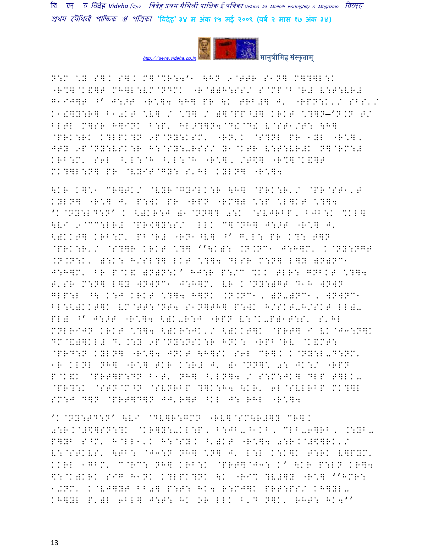

N:M \*Y SI. SHI SARA MATING SINA SINA MARAKAT SINA SINA MARAKAT SINA MARAKAT SINA MARAKAT SINA MARAKAT SINA MAR "R# TO BOOK "THO SALT SET THAT IN A SALE SAN SAN IN THE SALE SAN BALLER. G1) STARE A THE START OF TRANSPORTED HIS SERIES AND START TRANSPORTED IT IS A TRANSPORTED TO K1988199 B10KT \* NORTH \* 1990 PORTH \*\*\* (1990) BLTL MINI-DIRICH MINI-DIRICH B:P' HL-@PRK:RK K?LPK?N 9P@NY:KSM' "RN'K @S?NL PR 1YL "R\*], JTY 9P@NY:VSK:R H:@SY:-RSS/ Y1@KTR V:T:VR#K N]@RM:# KRB:MONI STARE TO RIJE NORMAL AR DARIJE IN ONE RANGE TO BREAK MK?]L:N] PR @VYIT@GY: S'HL KYLN] "R\*]4

 $K$  K)  $\Phi$  (  $\Gamma$  critically  $\Gamma$  of  $\Gamma$  and  $\Gamma$  are  $\Gamma$  . Then  $\Gamma$  are  $\Gamma$  are  $\Gamma$  are  $\Gamma$  are  $\Gamma$  are  $\Gamma$  are  $\Gamma$  are  $\Gamma$  are  $\Gamma$  are  $\Gamma$  are  $\Gamma$  are  $\Gamma$  are  $\Gamma$  are  $\Gamma$  are  $\Gamma$  are  $\Gamma$  are  $\Gamma$  are KORNJ "RANA" (P. 1994) (P. 1987) (P. 1924) NYA NI ANG "LITA" (NYA NO SPORT PARK OF REDEVERENCE PREPERDING HE SOVIETING STATISTICS.  $\Pi$ i 9 december - Antonio III december 2009 - Antonio III december 2009 - Antonio III december 2009 - Antonio KHI CARB: CARPAIN (IPP) TAUR (PARP) PER (PR KOR HAR GER KRA GER KRA GER KRA KRA GER KRA KRA GER KRA GER KRA GE @PRK:R'/ @S?]R KRKT \*?] ''\K): .N.NC1 J:H]M' K@NY:NGT .N.N:K' ):K: H/SL?] LKT \*?]4 DLSR M:N] L]Y )N)NC1 J:H]M' BR P@K& )N)N:K' HJ:R P:/C %KK TLR: GNBKT \*?]4 TOR MYST LAN APARTY SYNAPI LE I MANAGER TYN APAR GEPSE (FR) CAR C'ECH (1984) ABRIC (DECRITA), BRUBBIA , BRBBIA R: SKBI I BAT, "KIMISES (IBA "P: PAPPA" (PSHI) (HIST) B.P. PI B: B.L. PL) F J: P Y: F A REAL (F A ROSE) RAIL (F A ROSE) RAILY (R A ROSE) SYNCHESIS (F A ROSE) MNLRIJN KRKT \*?]4 <)KR:JK'/ <)KKT]K @PRT] I VK@J3:N]K DO TEARDE ACTA DE DAN DROEDERDED HAC'H ARD HOCHEN TA ECONOMIA @PRD:N KYLN] "R\*]4 JNKT \H]SK S6L CR]. K@NY:L-D:NM' 1R KLNL NH] "R\*] TKR K:R# J' )1@NN]\* 0: JK:/ "RPN P@K&K @PRT]P:DN B1T' NH] ^'LN]4 / S:M:JK] DLP T]LK- @PR?:K @STN@M^N @SVNRBP ?]K:H4 \KR' 6L@SVLRBP MK?]L SM:J DH! MPRTH! AA.BHR SI AN BHL ARIH.

'K@NY:TO:N' GOVERNMENT "ROWLEDGE "ROWLEDGE" 0:R.@#\$]SN:?K @KR]Y:-KL:P, B:JB-^1KB, CLB-6]RB, .:YB-PAYS SOME HOLL SYN SYN SYN HI: REAL AND CONDUCT K: NY NORO KYO ARAKA YAHAN DINA MARAKA YA MARI YA NA HAI YA KE KIRIN KUNA MARI YA MARI YA MARI YA MARI YA MARI KKRL 1GBM ING THE CARRI THAN MANY KRACHER WARD  $355.01 \pm 0.01$  Kr. Signal and  $35.01 \pm 0.01$  and  $35.01 \pm 0.01$  . The signal  $35.01 \pm 0.01$  is a set of  $35.01 \pm 0.01$ 1+NORT. INTERFORM PIGHT BAFA PIG BADYRHI BERAHEN IPPOHEN. KHAGE (B), BEC (B) EGE (HABYE) HIS NIGHT: HK OR LIGHT: HK BYD HYM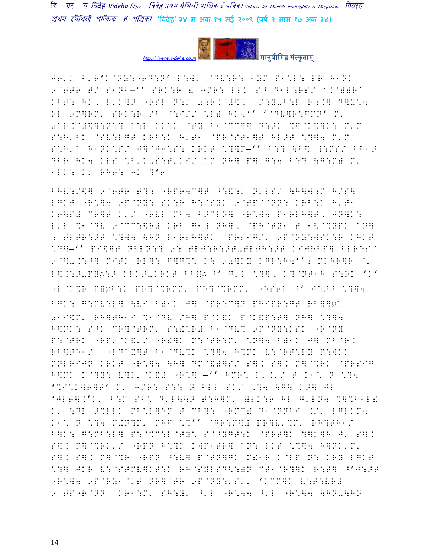

JTE, DO PO, BYD (1985-PPS) PO PSHDOON PRESENT PICTURE PROPERTY. 9@TTR T/ S1NB—'' SRK:R ! HMR: LLK S^ D1L:RS/ '.@))R' KHT: HK, L'K]N "RSL N:M 0:R.@#\$] M:Y-B:P R:.] D]Y:4 OR 9M]RM' SRK:R SB ^:IS/ \*L) HK4'' '@DV]R:GMN' M' 0:R.@#\$]:N:? L:L KK:K /TY B1@CC]] D:>K %]@K&]K: M'M STANDER STILLEN DER STERN MITTEL TER HER HER STING TO T S:H'B H1NK:S/ J]@J3:S: KRKT \*?]N—'' B:? \H] W:MS/ BH1T DBR HK4 KLS \*B'K-S:T'KS/ KM NH] P]'G:4 B:? (G:M) M' 1PK: K' RHT: HK ?'6

BHV://\$PROGLAMA PROTECT TRANSPORTATION TO THE TRANSPORTATION TO THE TRANSPORTATION TO THE TRANSPORTATION TO TH LGKT "R\*]4 9P@NY: SK:R H:@SYK 9@TP/@NN: KRB:K H'T1 KTATER (MBHA) (1991) "PB12 MDF AT FORME PHOTOGRAPH BY BE RHAT, JOHREN A L'L %1@DV 9@CC:\$R# KRB G1# NH], @PR@TY1 T 1V@%YPK \*N]  $\overline{1}$  : The  $\overline{1}$  state  $\overline{1}$  and  $\overline{1}$  and  $\overline{1}$  and  $\overline{1}$  and  $\overline{1}$  and  $\overline{1}$  and  $\overline{1}$  and  $\overline{1}$  and  $\overline{1}$  and  $\overline{1}$  and  $\overline{1}$  and  $\overline{1}$  and  $\overline{1}$  and  $\overline{1}$  and  $\overline{1}$  \*?]—'' PI\$]T NVLN:? 0: TLT:R:>T-TLTR:>T KIWRBP] BLR:S/  $9$  FB 2019 FB (1998) (GB) BECK REPRISE ON SUGGIO GREEN SMALL IN PERFECT (G), LA DELLEBOEL CIEDELLIEDE FARBO FM ALI (NAAR), DA DELH A GEED (NDM)  $R$  -points are presented in the property  $R$  -particle  $R$  ,  $R$  and  $R$  . The set  $R$ BEC: G:MY:L] BOOK: BINK HEN: MONTH: HENTENHEN BREEQ! 01I\$M' RHEAL & MOVING /HE POINT POINT REPORT OF HARIS FR TRANSPIRE S: SANDA PROTHER SECRETIS SPORE P:@TRK "RP'@K&'/ "R!]K M:@TR:M' \*N]4 B)1K J] MB@R. RH]TH1/ "RDB&]T B1@DV]K \*?]4 H]NK V:@RT:LY P:WKK MNLRIJN KRATIJN KRATIJN KRATIJN KRATIJN KRATIJN KRATIJN KRATIJN KRATIJN KRATIJN KRATIJN KRATIJN KRATIJN KRATIJ HARD O TAGG EARD TOEL (ARSA) —MY HORG ED IDD A CHIN O NIGGA  $N$  The Theory of the state  $\mathbb{R}^n$  is the second second second second second second second second second second second second second second second second second second second second second second second second second  $\lambda$ Hielenski, Frijlens, M. Pener, Hielens, Historie, Hellens, Den sterre i K' L' SAN EN L'ANNE EN L'ANNE EN L'ANNE EN L'ANNE EN L'ANNE EN L'ANNE EN L'ANNE EN L'ANNE EN L'ANNE EN L'ANNE K1\* N \*?4 MHG \*\*\* N \*\*\* N \*\*\* N \*\*\* N \*\*\* N \*\*\* N \*\*\* N \*\*\* N \*\*\* N \*\*\* N \*\*\* BAK: G:MB:LA: B:MB:LI PERS (P:MB-PH) (PEPH) (BH) BE (S). (BE) STRIC DRIMES LICH (PRIP) HISRO CHER BRROT PINTRI BICHTRICHTRICO S]. S]. M]@%R "RPN ^:V] P@TN]GK M!1R K@LP N: KRY LGKT  $\Lambda$  TH  $\sim$  PF is the state of the sylvanic continuity and  $\Lambda$  . The symmetry is the sylvanic continuity of  $\Lambda$ "R\*QRA" (SPOTEGE OD 80 GERMANY: SPOTGE SOM 'KOMITAN' 'KOMITAN' 'KONG 9@TP"R@NN KRB:M' SH:YK ^'L "R\*]4 ^'L "R\*]4 \HN-\HN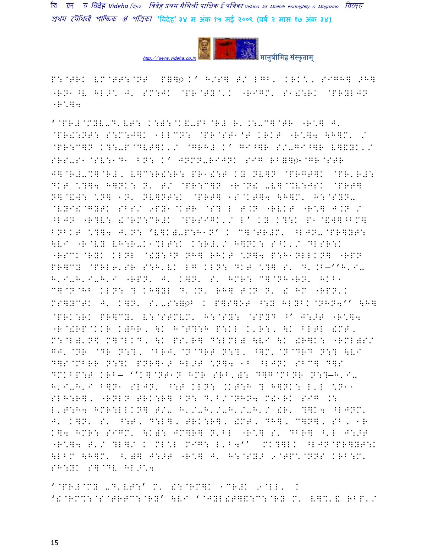

PS:@HI:BM YEAR VME PEBROOK HOSE AO EPP. IECO. SYPPH OPE  $R$  , and the state of the state of the state  $R$  smaller  $R$  . The state  $R$  is a state  $R$  of the state  $R$  of the state  $R$  of the state  $R$  of the state  $R$  of the state  $R$  of the state  $R$  of the state  $R$  of the sta  $\cdot \vdots \cdot \vdots \cdot \cdot$ 

'@PR#@MYV-D'VT: K:):@K&-PB@R# R'.:-C]@TR "R\*] J' @PR!:NT: S:M:J]K 1LLCN: @PR@ST1'T KRKT "R\*]4 \H]M' / @PR:C]N K?:-P@DVT]K'/ @GRH# K' GI^]R S/-GI^]R V]&YK'/ SRSLEY SELGYTY FOR CY AOODLEYAOO SYT RIHO-THESERR J]@R#-%]@R#, V]C:R!:R: PR1!:T KY NV]N @PRGT]K @PR'R#: DKT \*?]4 H]NK: N' T/ @PR:C]N "R@N! -V]@%V:JSK @PRT] N]@&W: \*N] 1N' NV]NT:K @PRT] 1S@KT]4 \H]M' H:@SYN- @VYI!@GYTK SBS/ 9PY1@KTR @S? L T.N "RVKT "R\*] J.N / ^LJN "R?V: !@RM:CR#K @PRSIGK'/ L' KY K?:K P1@&W]^BM] BNBKT AFREST FOR THE MERIC ALLEGATION OF THE GARACTED OF A PULSE A RANGERS.  $\overline{A}$  is the value of  $R$  is equal to the interpretation of  $R$  is the state  $\overline{A}$ "RSCK@RYK KLNL @!Y:^N NH] RHKT \*N]4 P:H1NLLKN] "RPN PR]CY @PRL6'SR S:H'VK LG KLN: DKT \*?] S' D'.B—''H'I-H'I-H'I-H'I "RPN' J' K]N' S' HMR: C]@NH"RN' HKB1 MB MATTA KLOSE REGIONALE D'ALL D'AN D'E REGION DE L'AN D'ABERLO MSBOTAD (A) CHO, S.LENBOR D PHERNA (AST-AEOR) OPPORA'Y HRH @PRK:RK PR]CY' V:@STMVM' H:@SY: @SPYD ^' J:>T "R\*]4 HR, MORE MONEY CORRECT AND REPORT RESIDENCE AND RECORDED AND RECORDED AND RELEASED AND RELEASED AND RELEASED AND RELEASED AND RELEASED AND RELEASED AND RELEASED AND RELEASED AND RELEASED AND RELEASED AND RELEASED AND RELEA M: MOB, DRI MAL PI, SE CORE, BRI PAR MED SERI SOCIEREN SI (SPARE BRI) GJ'@NR @DR N:?, @BRJ'@N@DRT N:?, ^]M'@N@DRD N:? \VI DECOVER SITE TRANS ALSA NRAA (F. H.AR. SPOR DAY DMKBP:T KRB— ''K]@NT1N HMR SRB'): D]G@MBNR N:?—H'I-HI, PUAL POSTEREN STERRE OSTAR DE PACIDADES DE SERVE EL ECONOMIA SLH:R], "RNLN TRK:R] BN: D'B/@NHN4 M!1RK SIG .: EL'ESPA (POBSEE) DE GELLANIZIANIZIANIZIANIZ ERI (SEN ALADDI J' K]N' S' ^:T, D:L], TRK:R], !MT, DH], C]N], SB, 1R KAA HOOR: SIGM' ALAGE ALAGE DIE SANDE SI DAGE DIE SANDA "AND AN ACTEUR IS THE RACE OF A MARINE OF A MARINE OF \LBM \H]M' ^')] J:>T "R\*] J' H:@SY> 9@TP\*@NNS KRB:M' SH:YK SH:YK SH:YK SH:YK SH:YK SH:YK

'@PR#@MY -D'VT:' M' !:@RM]K 1CR#K 9@LL' . '!@RM%:@S@TRTC:@RY' \VI '@JYL!T]&:C:@RY M' V]%'& RBP'/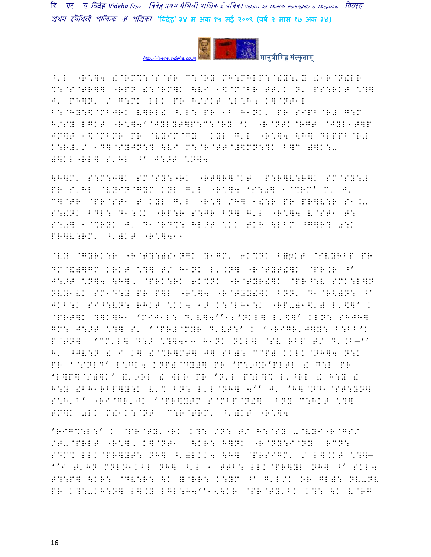

^'L "R\*]4 !@RM%:@S@TR C:@RY MH:MHLP:@!Y:'Y !1R@N!LR %:@S@TR]] "RPN !:@RM]K \VI 1\$@M@BR TT'K N' PS:RKT \*?] J' PH]N' / G:MK LLK PR H/SKT \*L:H; K]@NT1L B:@HY:\$@MBJRK V]RL! ^'L: PR 1B H1NK' PR SIPB@R# G:M H/SY LGKT P: PHILAY TAGE GARENTY THO IN LIFE THAT THREE TAGE PARE JN]T 1\$@MBNR PR @VYIM@GY KYL G'L "R\*]4 \H] DLPPB@R# K:R#'A:VI OF 'Y ME 'Y BHY'/ HE 'Y DI MINI' ME 'Y BHY DI BIT OF 'Y HI' O 'HE 'Y GHY 'Y ALL )]KL"RL] S'HL ^' J:>T \*N]4

\H]M' S:M:J]K SM@SY:"RK "RT]R]@KT P:R]V:R]K SM@SY:# PR S'HL @VYIN@GYM KYL G'L "R\*]4 'S:0] 1@%RM' M' J' CA CAR COTA CARA CAR COTA CARDO PROTECTA A CAR CAR PROTECTA A COLL S::NK BOL: DI: PHONO COMPANY SIGNED AND DISPOSITION OF THE SECOND AND DISPOSITION OF THE SECOND DISPOSITION OF S:0] 1@%RYK J' D1@RD%: HL>T \*KK TKR \LBM ^G]R? 0:K PR:RM' <sup>2</sup> (2001) 2003 2004

@VY @GYRK:R "R@TY:)!1N]K Y1GM' 6K%NK B=◌़KT @SVYRBP PR DOM GREEV (BIG NIE BIG PYRI BIGIE 'BNEGEIN' TRIE BNF J:>T \*N]4 \H], @PRK:RK 6K%NK "R@TYR!]K @PR^:V SMK:L]N NVY1VK SM1D:Y PR P]L "R\*]4 "R@TYY!]K BNN' D1@R<)N: ^' JKB:K SI^:VN: RHKT \*KK4 1> K:@LH1:K "RP-)1\$') L'\$]' K MPRARIK (BRIJRA) (MITAP): D'VI, ERAMA EMIJI ER (E), KRA (I): D'D'E (PAPAR) BM: J:B: MYR (S'Y:B:MWR B:B:B') SHARR JHE: B:B'K P@TN] 'CM'L] D:> \*?]413 H1NK NKL] @SV RBP T/ D'.B—'' H' ^GV:N ! I K] !@%R]MT] J] SB): CCP) KKLK@NH]4 N:K PR '@SNLP' L:GREG (PPECHER) PR '@PG'PLFLE E 'PG' PH' 'LE ARTA "COURDE" (COURDE) COURDE IN PERSONALE IN POSSIBLE DE LES PROPOSES LOCAL POSSIBLE CO H:Y !BH1RBP]Y:K V'% BN: L'L@NH] 4'' J' 'H]@ND1@ST:YN] SSH.FY "BRIME.HI" NIDBHORI SIM BIOREN FIRO TSHI BIORE TN]K 0LK M!1K:@NT C:R@TRM' ^')KT "R\*]4

'YER ARE TO YOU TO FREE THE WORLD ON THE LOOP OF HIS CHOICE. IN THE RECORD ON THE TOP AND A STREET /T-@PRLT "R\*], K]@NT1 \KR: H]NK "R@NY:I@NY RCN: SOM LEX SPRING PHI (LALKA HHI SPRING) / LINK (SIL-'''' I HAN MALAS I THE SEE 'N HIN LEE' THAN SAAR YN I LL T?:P] \KR: @DV:R: \K =@RR: K:YM ^' G'L/K OR GL): NV-NV PR KI?: TANI PASPE KERISI LEHEN PRANYA KAI BUNYER MERIPI KI NITA KE KARA KEPA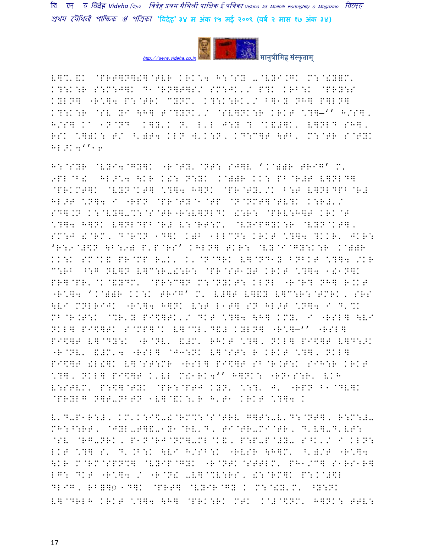

V]%'&K @PRT]N]!]@TVR KRK\*4 H:@SY -@VYI.GK M:@!Y=M' K?:K:R S:M:J]K D1@RN]T]S/ SM:JK'/ P?K KRB:K @PRY:S KYLN] "R\*]4 P:@TRK CYNM' K?:K:RK'/ B]1Y NH] P]LN] K?:K:R @SV YI \H] T@?YNK'/ @SV]NK:R KRKT \*?]—'' H/S], H/S] Ka 1N@ND K]Y'K N' L'L J:Y ? @K&#]K' V]NLD SH], RSK \* NJERO STANO (TV. RAPA) (DE DITBER OG DITBER SOM MED KOM MED SØDS SØDS  $H_1, H_2, H_3, H_4, H_5$ 

H: SYR @VI4@GYPIH: (R@TYPI) YPP: SAPE (NICHH) PRYP/ T. 9PL@B! HL>\*4 \KR K!: N:YK .@))R KK: PB@R#T V]NLD] @PRKMT]K @VYN@KT] \*?]4 H]NK @PR@TY'/K B:T V]NLDPB@R# HEVE APRAISE FROM THE MEANS OF THE MONTHE MEANS OF A HEAD. SOF ROOMS IN A CONSIDERATION IN THE RELATIONSHIP IN A RELATION IN THE CONTINUES. THE CONTINUES IN A RELATION I \*?]4 H]NK V]NLDPB@R# V:@RT:M' @VYIPGYK:R @VYN@KT], SM:J !@RM, D@R%N 1D]K K)B 1LLCN: KRKT \*?]4 ?KKR' JKR: 'Y:9) Particle of the Sound Theory of the Paris of the Control of the Paris of the Paris of the Experiment Con KK:K SMOKB PROTES KAN VIROUED ANDERS FRANK VIR VIR C:RB ^:G NV]N V]C:R-!:R: @PR@ST1YT KRKT \*?]4 1!1N]K PR]@PR'@K@&YDM' @PR:C]N M:@NYKT: KLNL "R@R? NH] R.KT "R\*]4 '.@))R KK:K TRIG' M' V#]T V]&Y V]C:R:@TMRK, SRS \VI MNLRIJK "R\*]4 H]NK V:T L1T] SN HL>T \*N]4 I D'%K MB@R.T:K @%R'Y PI\$]TK'/ DKT \*?]4 \H] KMY' I "RSL] \VI NKLA PI\$PIBLO PI\$PI\$ (ARTIO PIA KALPA (ANA-'' "RSLA PI\$]T V]@DY:K "R@NV' &#M' RHKT \*?], NKL] PI\$]T V]D:>K  $R$  (RONOr and Robert Fields and Robert and Robert and Robert and Robert and Robert and Robert and Robert and Robert and Robert and Robert and Robert and Robert and Robert and Robert and Robert and Robert and Robert and Ro PI\$T "TE IS IN SECTION" (PIST SECTION) PI\$P SAME TO A CONTROL PI\$P SAME TO A CARD \*?], NKL] PI\$]T K'VL M!1RK4'' H]NK: "RN1S:R' VKH K:STRACT, P:SRRIPAGO (PERSIPARA DGR) (1981) RI "RPPLAR" (PAPER) @PRYLG N]T-NBTN 1V]@&K:'R H'T1 KRKT \*?]4 K

V'D-P1R:#, KM'K:I\$-!@RM%:@S@TRV G]T:-V'D:@NT], R:M:#- MH:^:RT, @JYL-TH:RT, ORIGINAL PROFILIATION OF THE MANUFACTION @SV @RG-NRK, P1N@RJ@NM]-ML@K&, P:P-P@#Y- S^K'/ I KLN: LIA NTO KI TIIK HIK BIRTI (BEKA BADI) KALA (BNOB  $\mathcal{H}$  and  $\mathcal{H}$  are the state of the state of the state  $\mathcal{H}$  and  $\mathcal{H}$  are the state  $\mathcal{H}$ LAG: DKT "R\*DKT" AFTER "LEG" DEGEN I EN DE DE DE LOGIS DESCRIPS 1999 ON THE MERTING CONSTRUCT MEET V]@DRLH KRKT \*?]4 \H] @PRK:RK MTK .@#@\$NM' H]NK: TTV: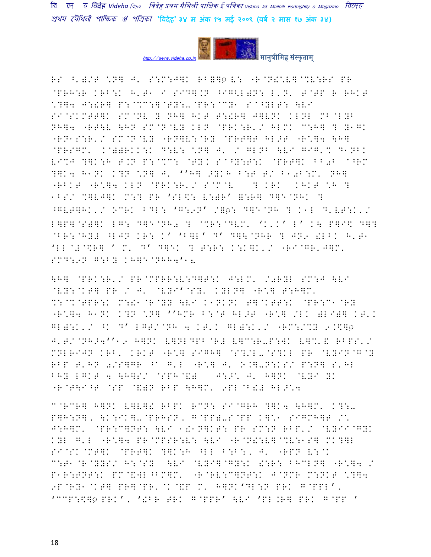

RS ^'), BIJE ^'), PRO SIGINERI ^'RP BRO EN ^'-RONICER'INEN FRO PR @PRH:R KRB:K H'T1 I SID].N ^IG<L)N: L'N' T@TP R RHKT \*?]4 J:!R] P:@%C:]@TY:-@PR:@CY1 S@^YLT: \VI SIMTED SIMPLE RANGER SHARE AND IS NO CONSIDER NH]4 "RT\V \HN SM@N@VY KLN @PRK:R'/ HLMK C:H] ? Y1GK "RNIS:R'/ SMOND "ROOM" "RNIS:R'/ SMOND "REPAIR" "RECEPT" "RNIS "RNIS "RNIS "RNIS " @PRSGM' .@))RKK:K D:V: \*N] J' / GLNB \VI GIG'% D1NBK BYIM THE YACKER TO THE SANDARY SOMETIME OF A COUNTY ?]K4 H1NK K?N \*N] J' ''H] >YKH B:T T/ B10B:M' NH] "RBKT "R\*DRA" (FRK:R') SAME "R\*DRA" (FRK) & CHKT "R\*DRA" (FRK) \*H ? KRK KHKT \*H ? KRK KHKT \*H ? KRK KHKT \*H ? KRK KH 1BS/ %]VJ]K M:? PR 'SL\$: V:)R' =:R] D]E@NHK ? ^GVT]HK'/ OCRK BDL: 'G:9N' /=◌़: D]E@NH ? K1L D'VT:K'/ LAPA MARI (ERS) PAS MALI A CONFIDITION ON LOCK EXCITE PARK PAR @BR:@HY# ^LJN KR: K' 'B]L' D' D]\@NHR ? JN9 !LBK H'T1 'LL@#@\$R] ' M' D' D]EK ? T:R: K:K]K'/ "RI@GR'J]M' SMD:9N G:BY KH]E@NHH4'18

\H] @PRK:R'/ PR@MPRR:V:D]T:K J:LM' /0RYL SM:J \VI MARK Y: PR / JONES Y: ROOM REPORTS THE PROPERTY %:@%@TPR:K M:!1@R@YY \VI K1NKNK T]@KTT:K @PR:C1@RY "R\*]4 H1NK K?N \*N] ''HMR B:@T HL>T "R\*] /LK )LI)] KT'K GLAN:K' C'A' D' LATIN 4 MEDI GLANE GENEVIE 2008 J'T/@NH>4''19 H]NK V]NLDPB@R# V]C:R-P:WK V]%'& RBPS'/ MNLRIDGE SIGHT SIGHT TO THE SIGNED OF STREET SIGHT TO SALE OF THE SIGNED OF THE SIGHT OF THE SIGHT OF THE SIGHT OF THE SIGHT OF THE SIGHT OF THE SIGHT OF THE SIGHT OF THE SIGHT OF THE SIGHT OF THE SIGHT OF THE SIGHT OF THE RBP TEND TENDEN POLITIKE OP DE STRIKE SOM DE GREEF STAR BHY LAGKT 4 SPHEN MEDICAL AND AN AGO MEDICAL  $R$  . The species of  $R$  and  $R$  are the species of  $R$  and  $R$  and  $R$  . The species  $R$ 

C@RCR] H]NK V]V]! RBPK RCN: SI@GRH ?]K4 \H]M' K?:- PAHANA, K:AKIA, PRHHSN, G.PRESN, PP, SPP, SAPPHAR // J:H]M' @PR:C]NT: \VI 1!1N]KT: PR SM:N RBP'/ @VYII@GYK KYL G'L "R\*]4 PR@MPSR:V: \VI "R@N!:V]@%V:1S] MK?]L SIA ASTORO ARTICO PROVINCI DELL'INDIA NON L'INLIANO ILLO DI ROMANO I PORTA I L'INLIANO ILLO DI PORTA I L'INLIA C:T1@R@YYS/ H:@SY \VI @VYI]@GY:K !:R: BHCLN] "R\*]4 / P1R:TNT:K PM@&WL^BM]M' "R@RV:C]NT:K J@NMR M:NKT \*?]4 9P@RY1@KT] PR]@PR'@K@&P M' H]NK'DL:N PRK G@PPL',  $'$ CCP:\$PREQUESTY, '\CPE FRK' GOPPRY SENTING TREADED FOR  $'$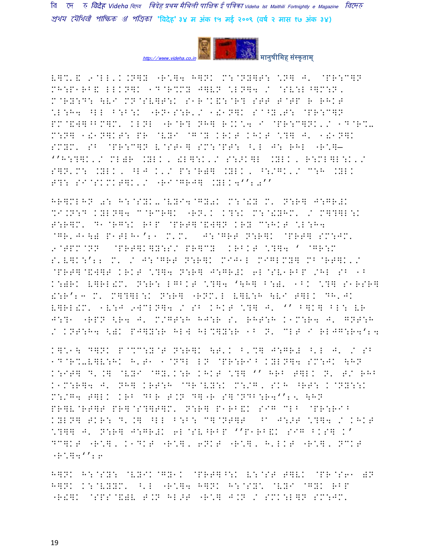$\begin{bmatrix} 1 & 1 \end{bmatrix}$  मानुषीमिह संस्कृताम्

V]%'& 9@LL'K.N]Y "R\*]4 H]NK M:@NY]T: \*N] J' @PR:C]N MH:PH:P1RB& LAND:PH:P1RB& LAND:PH:P1RB& LAND:PH:P1RB& LAND:PH:P1RB& LAND:PH:P1RB& LAND:PH:P1RB& LAND:PH:P1RB& LAND:PH:P1RB& LAND:PH:P1RB& LAND:PH:P1RB& LAND:PH:P1RB& LAND:PH:P1RB& LAND:PH:P1RB& LAND:PH:P1RB& LAND:PH:P1RB& M@RY:D: \VI MN@SV]T:K S1R@K&:@R? STT T@TP R RHKT \*L:H4 ^LL B:B:K "RN1S:R'/ 1!1N]K S@^Y,T: @PR:C]N PM@&W]^BM]M' KLNL "R@R? NH] R.K\*4 I @PR:C]NK'/ 1D@R%- M:NE ABANDIN ME MUNA MUNI DI DI NAJA KHKAT KA SI 1 SMYMON' SP @PRESTRIK SMYSHE SMYSHERS (PLE) AS PHE @PENR+ ''H:?]K'/ ML)R .YLK, !L]:K'/ S:>K]L .YLK, R:ML]L:K'/ S]N'M: .YLK, ^LJ K'/ P:@R)] .YLK, ^:/GK'/ C:H .YLK T?: SI@SKMKT]K'/ "RI@GRJ] .YLK4''20''

HR]MLHN 0: H:@SYK-@VYI4@GY0K M:@!Y M' N:R] J:GR#K %I.N:D KYLN]4 C@RCR]K "RN'K K?:K M:@!YHM' / M]?]L:K T:R]M' D1@RG:K RBP @PRT]@&W]N KRY C:HKT \*L:H4 @GR'J1\) P1TLH1'21 M'M' J:@GRT N:R]K @PRT] SM:JM' 9@TPM@NN @PRT]K]Y:S/ PR]CY KRBKT \*?]4 ' @GR:M S'V]K:'22 M' / J:@GRT N:R]K MIJ1L MIGLMY] MB@RT]K'/ @PRT]@&W]T KRKT \*?]4 N:R] J:GR#K 6L@SV1RBP /HL SB 1B  $\mathcal{L}$  . The contribution of  $\mathcal{L}$  is the contribution of  $\mathcal{L}$  . The contribution of  $\mathcal{L}$  is the contribution of  $\mathcal{L}$ !:R'23 M' M]?]L:K N:R] "RNM'L V]V:H \VI T]LK DH'JK RAN RAN VII SA KAMA YANG KANG YANG KANADA SA SA SA SA SA SA SA KA J:?1 "RPN <R4 J' M/GT:H HJ:R S' RHT:H K1M:R4 J' GNT:H / KORAGAH (KAD) (PARGGA (AEH) AECROSA (P)Y: R. CHA P. A. HEARGAHNEH

K]\*1\ D]NK P@%C:Y@T N:R]K \T'K B'%] J:GR# ^'L J' / SB 100 - Particular Radio Hotel Hotel Land Library (100 - 100 SM) - Small Small (100 SM) - Small Small (100 SM) -K:ITAN MUNISIPARA NG KALIMATAN NG KATIBALAN NG KATIBALAN NA MARANG KATIBALAN NA MARANG KATIBALAN NA MARANG KAT K1M:RI4 JA, PAB CREIN (1981), RIGH, SKIH & CROW: KRIG; KORDIN M:/G4 THILK IS ONE THE SIME DUE TO SHIMP IS SEEN AT A GAD PR]V@RT]T PR]@S?]T]M' N:R] P1RB&K SIG CLB @PR:RI^ KYLN] TKR: D'.] ^LL B:B: C]@NT]T ^a J:>T \*?]4 / KHKT  $\Lambda$ der (4) Johann Garmal (1981) the Summer Signal Signal Signal Signal Signal Signal Signal Signal Signal Signal Signal Signal Signal Signal Signal Signal Signal Signal Signal Signal Signal Signal Signal Signal Signal Si DO KT "RT "R\*JAT "R\*JA", HE "R\*JAT "R\*JAT "R\*JAT "R\*JAT "R\*JAT "R\*JAT "R\*JAT "R\*J  $R^2$  and  $R^2$  . Hence  $R^2$  and  $R^2$  and  $R^2$ 

HHING HS SYDES (TEDES THIS CONTRACT PSOCES SECTION ARE CONTRACTORS) OF H]NK K:@VYYM' ^'L "R\*]4 H]NK H:@SY\* @VYI @GYK RBP  $R$  . The space of the state of the state of the state of the state  $\mathbb{R}^n$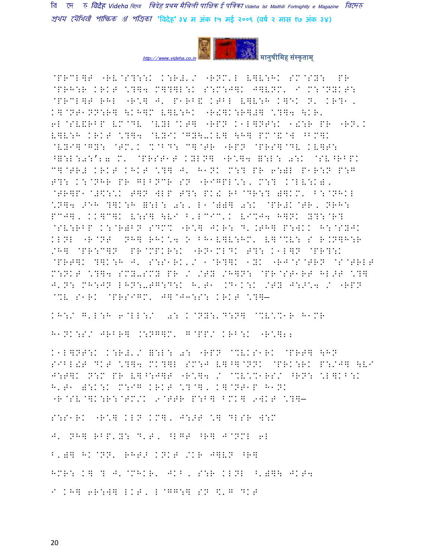

@PRCL]T "RV@S?::K K:R#'/ "RNM'L V]V:HK SM@SY: PR @PRH:R KRKT \*?]4 M]?]L:K S:M:J]K J]VNM' I M:@NYKT: @PRCL]T RHL "R\*] J' P1RB& KTBL V]V:H K]EK N' KR?1, K]@NT1NN:R] \KH]M V]V:HK "R!]K:R]#] \*?]4 \KR'  $\overline{B}$  (starbed averaged with  $\overline{C}$  )  $\overline{C}$  . The starb  $\overline{C}$  is the starb  $\overline{C}$ V]V:H KRKT \*?]4 @VYIK@GY\-KV] \H] PM@&@W ^BM]K @VYI]@GY: @TM'K %@BD: C]@TR "RPN @PRS]@DV KV]T: ^=:L:0:'27 M' @PRST1T KYLN] "R\*]4 =:L: 0:K @SV^RBPK CONTRACT A RELEASE OF THE KRACT CONTRACT OF THE CONTRACT OF THE GRAPH  $\sim$ T?: K:@NHR PR GLBNCR SN "RIGPL\*:, M:? .@LV:K), @TR]P1@#\$:\*K T]N WLP T?: PK! RB@DR:? )]KM' B:@NHKL \*N]4 >EH ?]K:H =:L: 0:, L1@))] 0:K @PR#K@TR, NRH: PCJ], KK]C]K V:S] \VI B'LCIC'K VI%J4 H]NK Y?:@R? @SV:RBP K:@R)BN SDM% "R\*] JKR: D'.TH] P:WKK H:@SYJK KLAL "RESTA "DHE BHISA" O BH' LALIANI, LASTLIN Y BIDAHIR /H] @PR:C]N PR@MPKR:K "RN1MLDK T?: K1L]N @PR?:K @PRT]K ?]K:H J' S:S1RK'/ 1@R?]K 1YK "RJ@S@TRN @S@TRLT M:NKT \*?]4 SMY-SMY PR / /TY /H]N: @PR@ST1RT HL>T \*?] J'N: MH:JN LHN:-TG:D:K H'T1 .D1K:K /TY J:>\*4 / "RPN  $\mathbb{C}^n$  . The state  $\mathbb{C}^n$  is the state  $\mathbb{C}^n$  is the state  $\mathbb{C}^n$  in  $\mathbb{C}^n$  . The state  $\mathbb{C}^n$ 

KH:/ G.ESP 691121 0: KONY: YHE.999 (NEVS 6 P.M.

HANK:SAME .:NG]MY G@PP/ KRB:K "R\*ING"

K:PROBLEM BERGHED MAN THIS MODEL SIBLET DKT FOR THE SIDE OF THE PERSON WITH THE SERIES OF THE PERSON  $R$ JOGAN START PR VAN VAN VAN DE STONE STAAT DE STAAT DE STAAT DE STAAT DE STAAT DE STAAT DE STAAT DE STAAT DE ST H'T1 ):K:K M:IG KRKT \*?@], K]@NT1P H1NK  $\mathcal{R}$  . The state of the state of the state of the state of the state of the state of the state of the state of the state of the state of the state of the state of the state of the state of the state of the state of th

S:S1RK "R\*] KLN KM; J:: T \*] DLSR W:M (1991) J' NH] RBP'Y: D'T, ^LGT ^R] J@NML 6L B', HH & NNH , HHE , HHE , HHE , HHE , HHE , HHE HMR: K] ? J'@MHKR' JKB, S:R KLNL ^')]\ JKT4 I KH] 6R:W] LKT, L@GG:] SN \$'G DKT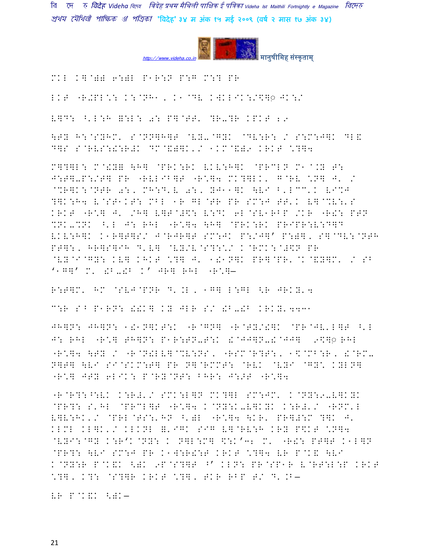

MKL KORT KALL KAN BERGELARI

 $\mathcal{L}(\mathcal{L}(\mathcal{L}(\mathcal{L}(\mathcal{L}(\mathcal{L}(\mathcal{L}(\mathcal{L}(\mathcal{L}(\mathcal{L}(\mathcal{L}(\mathcal{L}(\mathcal{L}(\mathcal{L}(\mathcal{L}(\mathcal{L}(\mathcal{L}(\mathcal{L}(\mathcal{L}(\mathcal{L}(\mathcal{L}(\mathcal{L}(\mathcal{L}(\mathcal{L}(\mathcal{L}(\mathcal{L}(\mathcal{L}(\mathcal{L}(\mathcal{L}(\mathcal{L}(\mathcal{L}(\mathcal{L}(\mathcal{L}(\mathcal{L}(\mathcal{L}(\mathcal{L}(\mathcal{L$ 

BARY VIEW AND AN PACHE CARD IN POST

\TY H:@SYHM' S@NN]H]T @VY-@GYK @DV:R: / S:M:J]K DL& D]S S@RVS:!:R#K DM@&)]K'/ 1KM@&)9 KRKT \*?]4

MARINE MORE ARE SERIER BIBARO SERMEN MASSES J:T]-P:/T] PR "RVLIB]T "R\*]4 MK?]LK' G@RV \*N] J' / @%R]K:@NTR 0:, MH:D'V 0:, YJ11]K \VI B'LCC'K VI%J ?]K:H4 V@ST1KT: MBL 1R GL@TR PR SM:J TT'K V]@%V:'S KRKT "RENGT" AL " J' PA " LABE MENN" (LAB' MI) " PENTHER "R' PTN' PTA "R'ESP" (PT %NK-%NRL "PRIPAR: RHL" (RHL "RHL "PRIPRE") PRIPREESS VKV:H]K K1R]T]S/ J@RJR]T SM:JK P:/J]' P:)], S]@DV:@NTH PT]:, HR]S]IH D'V] @VY/V@S?:\*/ K@RMK:@#\$N PR @VY@I@GY: KV] KHKT \*?] J' 1!1N]K PR]@PR'@K@&Y]M' / SB '1G]' M' !B-!B K' JR] RHL "R\*]—

R:T]M' HM @SVJ@PNR D'.L, 1G] L:GL <R JRKY'4

T:R ST P1RN: EEN CH HE EN BLEEN CHILAAN

JH]N: JH]N: 1!1N]KT:K "R@GN] "R@TY/!]K @PR@JV'L]T ^'L J: RHL "R\*] TH]N: P1R:TN-T:K !@JJ]N-!@JJ] 9\$]◌़ RHL  $R$  . The results of the results of the results of  $R$  is a set  $R$  of  $R$  . In the results of  $R$  is  $R$  is  $R$  is  $R$  is  $R$  is  $R$  is  $R$  is  $R$  is  $R$  is  $R$  is  $R$  is  $R$  is  $R$  is  $R$  is  $R$  is  $R$  is  $R$  is  $R$  is N]T] \VI SI@SKM:T] PR N]@RMMT: @RVK @VYI @GY\* KYLN] "RENT ARD REPORTED MAN FARY AND SPORT

"R@R?:^:VK K:R#'/ SMK:L]N MK?]L SM:JM' K@NY:9-V]KYK @PR?: S'HL @PRCL]T "R\*]4 K@NY:K-V]KYK K:R#'/ "RNM'L  $V$ : HE NATIONAL MARKET AND THE CONTRATION OF PROPERTY AND THE UNIT PROPERTY AND  $V$ KLANDER SOM ER SOM SOM EN STRUKT EN STRUKT STILLE EN STRUKT EN STRUKT EN STRUKT EN STRUKT EN STRUKT EN STRUKT MUSIC: THIS CONFINITION OF THE GON AND MOLING THAT IN THE CONFINE @PR?: \VI SM:J PR K1W:R!:T KRKT \*?]4 VR P@K& \VI KONY:R POSES (PARTICLE OF THORSE AND CONTROL PROTECTIVE ASSOCIATED AT A PROPERTY PROPERTY PROPERTY. \*?], K?: @S?]R KRKT \*?], TKR RBP T/ D'.B—

 $\begin{array}{ccc} \ldots & \ldots & \ldots & \ldots & \ldots \end{array}$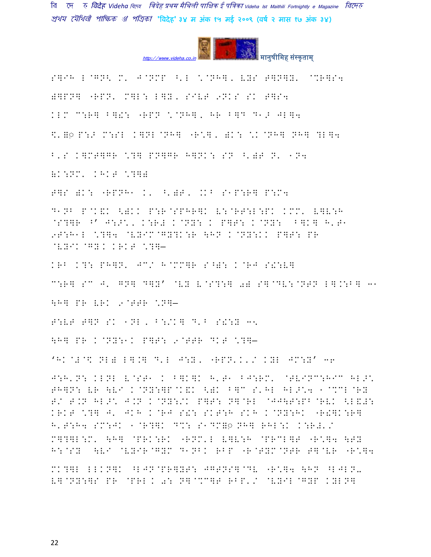

 $S$ IH LAGNER S $S$  ,  $S$  is the mass  $S$   $\mathbb{R}$  . The same  $S$  is the state  $S$ )]PN] "RPN' M]L: L]Y, SIVT 9NKS SK T]S4 KLM C:R] B]!: "RPN \*@NH], HR B]D D1> JL]4 \$'=◌़ P:> M:SL K]NL@NH] "R\*], )K: \*K@NH] NH] ?L]4 B'S KINGHA SH FRAH HEN SY KI NAF R (194  $\mathbb{R}$ :  $\mathbb{R}$   $\mathbb{R}$   $\mathbb{R}$   $\mathbb{R}$   $\mathbb{R}$   $\mathbb{R}$   $\mathbb{R}$   $\mathbb{R}$   $\mathbb{R}$   $\mathbb{R}$   $\mathbb{R}$   $\mathbb{R}$   $\mathbb{R}$   $\mathbb{R}$   $\mathbb{R}$   $\mathbb{R}$   $\mathbb{R}$   $\mathbb{R}$   $\mathbb{R}$   $\mathbb{R}$   $\mathbb{R}$   $\mathbb{R}$   $\mathbb{R}$   $\mathbb$ THE SINGLE PROPERTY OF STREET IN THE REPORT OF THE STREET IN THE REPORT OF THE REPORT OF THE REPORT OF THE REPORT OF THE REPORT OF THE REPORT OF THE REPORT OF THE REPORT OF THE REPORT OF THE REPORT OF THE REPORT OF THE REP D-P: POR KEI (PH-SPHR) KY PRHINI (PT) KMKA @S?]R ^' J:>\*, K:R# K@NY: K P]T: K@NY: B]K] H'T1 9T:H1L \*?]4 @VYIM@GY?K:R \HN K@NY:KK P]T: PR  $\frac{1}{2}$  . And  $\frac{1}{2}$  ,  $\frac{1}{2}$  ,  $\frac{1}{2}$  ,  $\frac{1}{2}$  ,  $\frac{1}{2}$  ,  $\frac{1}{2}$  ,  $\frac{1}{2}$  ,  $\frac{1}{2}$  ,  $\frac{1}{2}$  ,  $\frac{1}{2}$  ,  $\frac{1}{2}$  ,  $\frac{1}{2}$  ,  $\frac{1}{2}$  ,  $\frac{1}{2}$  ,  $\frac{1}{2}$  ,  $\frac{1}{2}$  ,  $\frac{1}{2}$  , KRB K?: PHIN' JC/ HONGHE K?: HANGHE! C:R] SC J' GN] DIY GND DIY GND DIY GND DIY GND DIY GND DIY GND DIY GND DIY GND DIY GND DIY GND DIY GND DIY GND  $\frac{1}{2}$  PR VRK 90TR  $\frac{1}{2}$  PR VRK 90TR  $\frac{1}{2}$ T:VT T]N SK 1NL, B:/K] D'B S!:Y 35  $\pm$  0.000  $\pm$  0.0000  $\pm$  0.0000  $\pm$  0.0000  $\pm$  0.0000  $\pm$  0.0000  $\pm$ YA: MOR DE BERNE TA PORTH, SHIRALAY DHE SUNHY SA J:H'N: KLNL V@ST1 K B]K]K H'T1 BJ:RM' @TVINC:HIC HL>\* TH]N: VR \VI K@NY:]P@K&K <)K B]C S'HL HL>\*4 1@%CL@RY T/ T.N HL>\* J.N K@NY:/K P]T: N]@RL @JJ\T:PB@RVK <L&#: KRKT ART ALL ANN IN MAN SKIN SKINN SKIN I SMINH KOMISHING S H.#GH4 SMG#: KTB9H: 976 SK9MBp PH9 BH10: CGB1.K MARABAY, ARAB (PRESARS) (RAMS, ECLARIAR (PRESAR) (RESAR) ARD H:@SY \VI @VYIR@GYM D1NBK RBP "R@TYM@NTR T]@VR "R\*]4 MK?]L LEKTORE COMPARTIE REGISTER PROPERTY TO DURING A REPORT AND PLO

V]@NY:]S PR @PRL. 0: N]@%C]T RBP'/ @VYIL@GYP KYLN]

22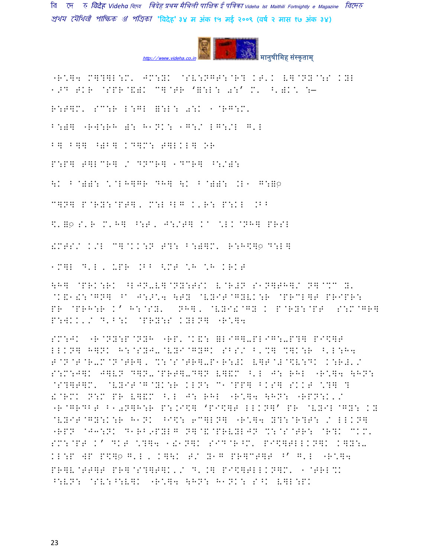

 $H^1$  And the control of the state of the control of the control of the control of the control of the control of the control of the control of the control of the control of the control of the control of the control of the 1>D TKR @SPR@&)K C]@TR '=:L: 0:' M' ^')K\* :— RYAND, STYL 1981 BYLY AND RIGHT. B:000 "RANGER": H1NK: 1G://LG://LG://LG:// BB BB BBB (9821 BBI) BB CB P:P] T]LCR] / DNCR] 1DCR] ^:/):  $\kappa$ ) : \*dan C B R B B DH DH B G D C Man C B C B DH  $\wp$ C]N] P@RY:@PT], M:L^LG K'R: P:KL .BB **T. HO ST. B'T, HE (THE FAILER STATE STATE PROPERTY)** EDEC CON TANCING AND PRANCH PRANAD THA 1M]L D'L, UPR .BB <MT \*H \*H KRKT

\H] @PRK:RK ^LJN-V]@NY:TSK V@R#N S1N]TH]/ N]@%C Y' @K&1!:@GN] ^a J:>\*4 \TY @VYIT@GYVK:R @PRCL]T PRIPR: PR @PRH:R K' H:@SY' NH], @VYI!@GY K P@RY:@PT S:M@GR] P:WKK'/ D'B:K @PRY:S KYLN] "R\*]4

SM:JK "RONDER" RONDER "RED TO DE RUIS AN ELIGIE DATER LLKN] H]NK H:@SYJ-@VYI@GYGK SBS/ B'%] %]K:R ^'L:H4 T@N@T@R-M@N@TR], %:@S@TR]-P1R:#K V]T@#@\$V:DK K:R#'/  $S\sim$  The probability of the property  $\mathbb{R}$  and  $\mathbb{R}$  are  $\mathbb{R}$  the property  $\mathbb{R}$  and  $\mathbb{R}$  are  $\mathbb{R}$  the property  $\mathbb{R}$ @S?]T]M' @VYIT@G@YK:R KLN: C1@PP] BKS] SKKT \*?] ? !@RMK N:M PR V]&M ^'L J: RHL "R\*]4 \HN: "RPN:K'/ "RECORD BOOK AN ADONE BIS DONNO "PISON BIS DONNO BIS CONDITATION" ON A @VYIT@GY:K:R H1NK ^I\$: 6C]LN] "R\*]4 Y?:@R?T: / LLKN]  $R$ PRO @J3:NK D1RB9PXPHD & PRODUCED NO D18: @R?K CRID \$ SM: PT ACT AT DEVICE HIS SIDE OF A REPORT FOR THE PIST AND RELEASED TO A BIS 2011 KL:P WP P\$]◌़ G'L, K]\K T/ Y1G PR]CT]T ^' G'L "R\*]4 PRAGA PROVINCE PROVINCE PROVINCE PROVINCE PROVINCE PROVINCE PROVINCE PROVINCE PROVINCE PROVINCE PROVINCE PROVINCE PROVINCE PROVINCE PROVINCE PROVINCE PROVINCE PROVINCE PROVINCE PROVINCE PROVINCE PROVINCE PROVINCE PROVINCE ^:VN: @SV:^:V]K "R\*]4 \HN: H1NK: S^K V]L:PK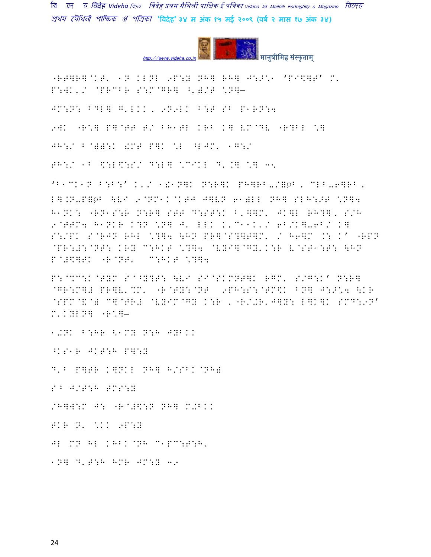

"REPORT TO BUILTH, TO DO THE DEPARTMENT OF A TEACH IN NEW YORK ON THE THIRD AND THE THIRD AT  $\mathcal{D}_\mathcal{A}$ PYRKY/ MPCBR SYCHER SYNCHER JM:N: BDL] G'LKK, 9N9LK B:T SB P1RN:4 9WK "R\*] P]@TT T/ BH1TL KRB K] VM@DV "R?BL \*] JH:/ B@)):K !MT P]K \*L ^LJM' 1G:/ TH:/ 1B \$:L\$:S/ D:L] \*CIKL D'.] \*] 35 'B' KIMI KID' (BIG) YOU IN IN BELED (BIGHE) CLEARER LINED (IN THE LIKEBEL I LA DELEBOR (ALA CHIDERIC DI BACHALE CHA BELO DARE SERVICE AND SUPER H1NK: "RN1S:R N:R] STT D:ST:K B']]M' JK]L RH?], S/H 9@TTM4 H1NKR K?N \*N] J' LLK K'C11K'/ 6B/K]-6B/ K]  $S:U$  and  $S:U$  and  $A:U$  is the set of  $A:U$  is the  $A:U$  -set  $V$  . Then  $V$  is the  $A:U$  is the  $A:U$ @PR:#:@NT: KRY C:HKT \*?]4 @VYI]@GY'K:R V@ST1:T: \HN POBRED (RONTE, CONTROL CIBE

P:@%C:K@TYM S@^Y?T: \VI SI@SKMNT]K RGM' S/G:K' N:R] @GR:M]# PR]V'%M' "R@TY:@NT 9PH:S:@TM\$K BN] J:>\*4 \KR @SPM@&@) C]@TR# @VYIM@GY K:R '"R/+R'J]Y: L]K]K SMD:9N' M'KYLN] "R\*]—

1+NK B:HR + NK B:HR + NH + N ^KS1R JKT:H P]:Y D'B P]TR K]NKL NH] H/SBK@NH) S^ J/T:H TMS:Y /H]W:M J: "R@#\$:N NH] M+BKK THR N' \*K' \*K' \* JL MN HL KHBK@NH C1PC:T:H' 1991 D.H. H. H. H. H. H. H.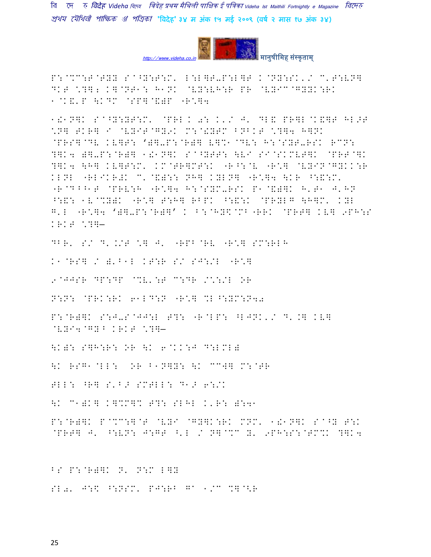

P: MYSE VEN POSIBER, PRESIDENT SONG LINE DKT \*?]; K]@NT1: H1NK @VY:VH:R PR @VYIC@GYYK:RK 1@K&'P \KDM @SP]@&)P "R\*]4

1!1N]K S@^Y:YT:M' @PRL. 0: K'/ J' DL& PR]L@K&]T HL>T \*N] TKR] I @VYIT@GY9K M:@!YTM BNBKT \*?]4 H]NK @PRS]@DV KV]T: ')]-P:@R)] V]%1@DV: H:@SYT-RSK RCN: ?]K4 )]-P:@R)] 1!1N]K S@^YTT: \VI SI@SKMVT]K @PRT@]K ?]K4 \H] KV]T:M' KM@TR]MT:K "R^:@V "R\*] @VYIN@GYKK:R KLAR SALIKRAK C'ASHAN RAHA KALAHAN "RAHA AKA PINGAK". "REDUCED BY TERRITH "REDUCED BROWNED" PROBABLE PROFESSION ^:&: 1V@%Y)K "R\*] T:H] RBPK ^:&:K @PRYLG \H]M' KYL G'L "R\*!# 'A#L" (R#P#T) KRKT \*?]—

DBR' S/ D'./T \*] J' "RPB@RV "R\*] SM:RLH

K1 (B28) / B1L KT:R SH:R S/ SH:R SH:R SH:

9@JJSR DP:DP @%V':T C:DR /\*:/L OR

N:N: @PRK:RK 61LD:N "R\*] %L^:YM:N40

P:@R)]K S:J-S@JJ:L T?: "R@LP: ^LJNK'/ D'.] KV]  $\frac{1}{2}$  .  $\frac{1}{2}$  .  $\frac{1}{2}$  .  $\frac{1}{2}$  .  $\frac{1}{2}$  .  $\frac{1}{2}$  .  $\frac{1}{2}$  .  $\frac{1}{2}$  .  $\frac{1}{2}$  .  $\frac{1}{2}$  .  $\frac{1}{2}$ 

\K): S]H:R: OR \K 6@KK:J D:LML)

 $K$  RSG100 MINI-DIRECTION MINI-DIRECTION

THE STRIP STRIP STATE OF STRIP

 $\frac{1}{2}$  K,  $\frac{1}{2}$  K,  $\frac{1}{2}$  K,  $\frac{1}{2}$  (  $\frac{1}{2}$  K,  $\frac{1}{2}$  (  $\frac{1}{2}$  (  $\frac{1}{2}$  (  $\frac{1}{2}$  (  $\frac{1}{2}$  (  $\frac{1}{2}$  (  $\frac{1}{2}$  (  $\frac{1}{2}$  (  $\frac{1}{2}$  (  $\frac{1}{2}$  (  $\frac{1}{2}$  (  $\frac{1}{2}$  (  $\frac{1}{2}$  (

P:@R)]K P@%C:]@T @VYI @GY]K:RK MNM' 1!1N]K S@^Y T:K @PRT] J' ^:VN: J:GT ^'L / N]@%C Y' 9PH:S:@TM%K ?]K4

BS P: NHO N: N:M LO SELO ANT PHRIT, PANGE AT PIT THING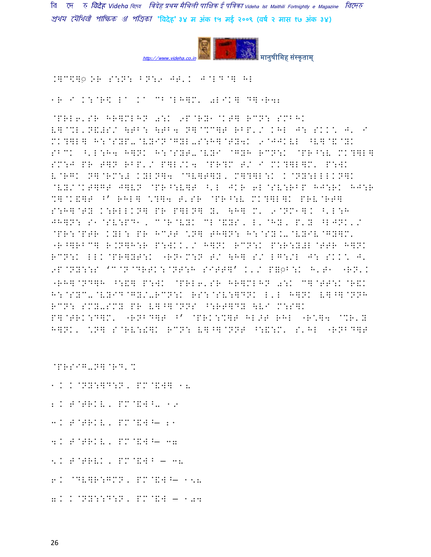

.]C\$]◌़ OR S:N: BN:9 JT'K J@LD@] HL

1R I K: CA CHA LE K: CA COM CE HEZ, CAE COB (ME 1891)

@PRL6'SR HR]MLHN 0:K 9P@RY1@KT] RCN: SMBHK V]@%L'N&#S/ \TB: \TB4 N]@%C]T RBP'/ KHL J: SKK\* J' I MK?) HERE HI: "HIS ING MANG AT HIS HIS ING THE THE TYANG ON THE TYANG ON THE TYPE THAT HIS ING TO DISCUSS THE T SBCK ^ L:H4 HH: HHINK H: H4 HORN: VI BAC (VHI BH: H2 MYI ACH) PRO VYI DHE H SM:J PR TREP' PIL/K BREWLA MERRY PAN Y MKRREPY, TEGE VAC NIME NI KORA NJE NA MARAO NA MARAO NA MARAO NA MARAO NA MARAO NA MARAO NA MARAO NA MARAO NA MARAO NA MARAO MYLO ZO JERRE JARDOV MORISTE POLER AL DIJAVE HEJ MEDER POLERED HANDE %]@K&]T ^' RHL] \*?]4 T'SR @PR^:V MK?]L]K PRV@RT] STAND SON REPORT ON THE PROCHO HANDLEY CONTRIGHT OF ESTA JH]N: S1@SV:PD1, C@R@VYK CL@&YS, L'@HY, P'Y ^LJNK'/ @PR:@PTR KYL: PR HC>T \*N] TH]N: H:@SY.-@VYIV@GY]M' "R^]RBC] R.N]H:R P:WKK'/ H]NK RCN:K P:R:Y#L@TTR H]NK RCN:K LLK@PRHINI (ANVOINGEN APROXIMATION) AI SILK A. 9P@NY::S 'C@N@DRTK:@NT:H SITT]' K'/ P=◌़B:K H'T1 "RN'K "RHAND"DRIN MARKET PRAIS TERE BIJ PERSONA HROMANIS TER MARKIS MARIS H:@SYC-@VYID@GY/-RCN:K RS:@SV:]DNK L'L H]NK V]^]@NNH RCN: SMY-SMY PR V]^]@NNS ^:RT]DY \VI M:S]K P)#TRE:DIGHED, ORBIECHER (FK) TPRIOGDART REURE BRE ORBIDAL TOBLIE, B HARD IS NO REPORTED THAT A RAINT OF THE SANDLED IN THE SANDLED STATE OF THE SANDLED STATES.

@PRSIG-N]@RD'%

- 1. K@NY: POWER PRODUCED PRODUCED PRODUCED PRODUCED PRODUCED PRODUCED PRODUCED PRODUCED PRODUCED PRODUCED PRODUCED PRODUCED PRODUCED PRODUCED PRODUCED PRODUCED PRODUCED PRODUCED PRODUCED PRODUCED PRODUCED PRODUCED PRODUCED
- 
- 2. T@TRKV, PM@&W^- 19
- 
- $3.5$  PM  $3.5$  Table ,  $3.5$  PM  $3.5$  Table ,  $3.5$
- 4. T@TRKV, PM@&W^— 37
- 
- 5. T@TRVK, PM@&W^ 38
- $\mathcal{L}=\mathcal{L}=\mathcal{L}=\mathcal{L}=\mathcal{L}=\mathcal{L}=\mathcal{L}=\mathcal{L}=\mathcal{L}=\mathcal{L}=\mathcal{L}=\mathcal{L}=\mathcal{L}=\mathcal{L}=\mathcal{L}=\mathcal{L}=\mathcal{L}=\mathcal{L}=\mathcal{L}=\mathcal{L}=\mathcal{L}=\mathcal{L}=\mathcal{L}=\mathcal{L}=\mathcal{L}=\mathcal{L}=\mathcal{L}=\mathcal{L}=\mathcal{L}=\mathcal{L}=\mathcal{L}=\mathcal{L}=\mathcal{L}=\mathcal{L}=\mathcal{L}=\mathcal{L}=\mathcal{$
- 7. K@NY::D:N, PM@&W 104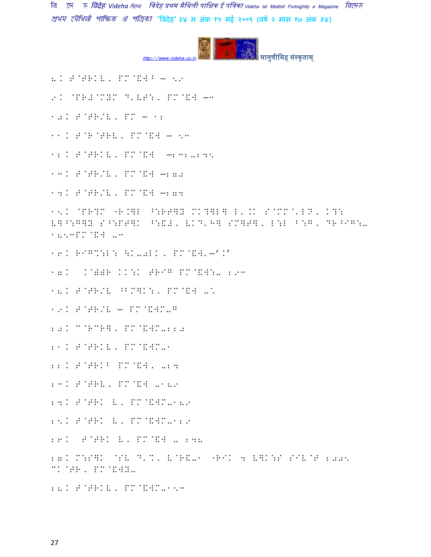

8. TO REPORT TO THE REAL PROPERTY OF A SERVICE OF A SERVICE OF A SERVICE OF A SERVICE OF A SERVICE OF A SERVICE 9. @PR#@MYM D'VT:, PM@&W —3 10. TO PUT AND THE PAIR PARTIES AT A 2007 POINT  $11.7$  PM  $P$  and  $P$  and  $P$  and  $P$  and  $P$  and  $P$ 12. Tanzania 12. Tanzania 12. Tanzania 12. Tanzania 12. Tanzania 12. Tanzania 12. Tanzania 12. Tanzania 12. Ta  $13.7$  PM  $\mu$  PM  $\mu$  PM  $\mu$  and  $\mu$  and  $\mu$ 14. TO PROVIDE A PROVIDE A PROVIDE 15. DOPRYM "R. PROVINCE ON THE ROLE OF CONTROL CONTROL V]^:G]Y S^:PT]K ^:&#, VKD'H] SM]T], L:L B:G, DR^IG:- 1853PM@&W -3  $16.16$  RIGHTLE SUBMARY DOMESTIC POST  $7.87 \times 10^{10}$ R Korea Particle PM (Research PM)  $18.1$  PMP  $18.1$  PM  $18.1$  TM  $18.1$  TM  $18.1$ 19. T@TR/V — PM@&WM-G 20. C@RCR], PM@&WM-220 21. T@TRKV, PM@&WM-1 22. T@TRKB PM@&W, -24 23. T@TRV, PM@&W -189 24. T@TRK V, PM@&WM-189 25. T@TRK V, PM@&WM-129 26. T@TRK V, PM@&W - 248 27. M:S]K @SV D'%, V@R&-1 "RIK 4 V]K:S SIV@T 2005 COMPANY COMPANY OF PROPERTY 28. T@TRKV, PM@&WM-153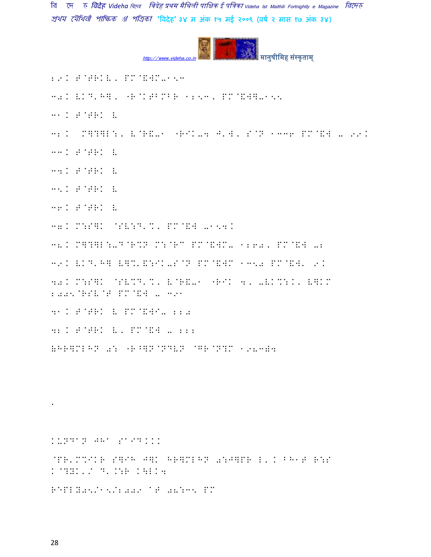

29. T@TRKV, PM@&WM-153

30. VKD'H], "R@KTBMBR 1253, PM@&W]-155

**31. TO TRACK VIOLET** 

32. M]?]L:, V@R&-1 "RIK-4 J'W, S@N 1336 PM@&W - 99.

33. TO THE VIOLENCE OF THE VIOLENCE OF THE VIOLENCE OF THE VIOLENCE OF THE VIOLENCE OF THE VIOLENCE OF THE VIO

**34. TO TRACK VIOLENCE** 

35. TO THE VALUE

36. T@TRK V

37. M:S]K @SV:D'%, PM@&W -154.

38. M]?]L:-D@R%N M:@RC PM@&WM- 1260, PM@&W -2

39. VKD'H] V]%'&:IK-S@N PM@&WM 1350 PM@&W' 9.

40. M:SA @SV; Maria 20. Minister Maria 20. Minister Maria 20. Minister Maria 20. Minister Maria 20. Minister M 2005@RSV@T PM@&W - 391

41. TO REPORT OF THE PARTNERS OF THE RESIDENCE OF THE PARTNERS OF THE REPORT OF THE REPORT OF THE REPORT OF TH

42. T@TRK V, PM@&W - 222

(HR)MORE CONDUCTS OF THE CONDUCTS  $\mathcal{L}_{\text{max}}$ 

 $\bullet$ 

KUNDAN JANGGUNI

@PR'M%IKR S]IH J]K HR]MLHN 0:J]PR L'. BH1T R:S K@?HE.LACS.CHP (981)4

REPLYNS AT 08:35 PM AND 100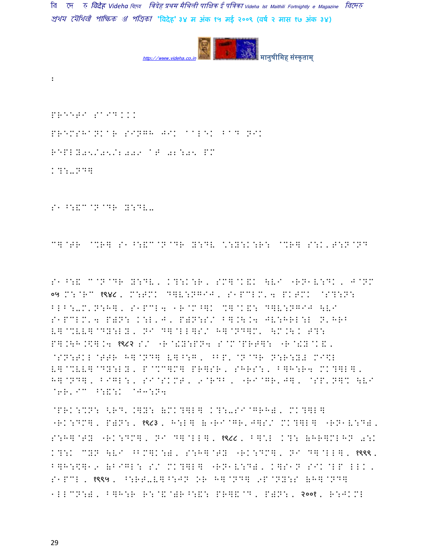ৱি দে <sup>হ</sup> <mark>विदेह Videha</mark> <sub>বিদেহ</sub> ৰিবলৈ *प्रथम मैथिली पाक्षिक ई पत्रिका Videha Ist Maithili Fortnightly e Magazine बिদে*হ õथम मैिथली पािक्षक ई पिñका **'**िवदेह**'** ३४ म अंक १५ मई २००९ (वष र् २ मास १७ अंक ३४)



PREETING STATISTICS. PREMSHaNKaR SINGH JIK aaLEK BaD NIK REPLYNS AT 02:05 PM 20:05 PM 20:05 PM 20:05 PM 20:05 PM 20:05 PM 20:05 PM 20:05 PM 20:05 PM 20:05 PM 20:05 PM **MONEY** 

 $\mathcal{S}_1$ :  $\mathcal{S}_2$ :  $\mathcal{S}_3$ :  $\mathcal{S}_4$   $\mathcal{S}_5$   $\mathcal{S}_6$   $\mathcal{S}_7$   $\mathcal{S}_8$   $\mathcal{S}_9$   $\mathcal{S}_9$   $\mathcal{S}_9$   $\mathcal{S}_9$   $\mathcal{S}_9$   $\mathcal{S}_9$   $\mathcal{S}_9$   $\mathcal{S}_9$   $\mathcal{S}_9$   $\mathcal{S}_9$   $\mathcal{S}_9$   $\mathcal{S}_9$   $\mathcal{S}_9$   $\mathcal{S}_9$ 

 $\ddot{\cdot}$ 

C]@TR @%R] S1^:&C@N@DR Y:DV \*:Y:K:R: @%R] S:K'T:N@ND

S1^:& C@N@DR Y:DV, K?:K:R, SM]@K&K \VI "RN1V:DK, J@NM ०५ M:@RC १९४८, M:TMK D]V:NGIJ, S1PCLM'4 PKTMK @S?:N: BLB:-MAT.BYAN: SPITER PROTHE THOUGH "HEYBRA HEY SPCTLO PERSINE P, PERSIN PRINTS ALSAHINE R.HR  $\langle \mathbf{E} \mathbf{H} \rangle^2 \mathbf{V} \mathbf{E} \mathbf{E} \mathbf{H}^2 \mathbf{H}^2 \mathbf{H}^2 \mathbf{H}^2 \mathbf{H}^2 \mathbf{H}^2 \mathbf{H}^2 \mathbf{H}^2 \mathbf{H}^2 \mathbf{H}^2 \mathbf{H}^2 \mathbf{H}^2 \mathbf{H}^2 \mathbf{H}^2 \mathbf{H}^2 \mathbf{H}^2 \mathbf{H}^2 \mathbf{H}^2 \mathbf{H}^2 \mathbf{H}^2 \mathbf{H}^2 \mathbf{H}^2 \mathbf{H}^2 \$ PARTHER IN 19863 SAME REMOVED SOMETHING SHOW NOT THE RESEARCH @SN:TKL@TTR H]@ND] V]^:G, ^BP'@N@DR N:R:Y# MI\$L V]@%VV]@DY:LY, P@%C]M] PR]SR, SHRS:, B]H:R4 MK?]L], HE SPREAGE HER AND STATISTIC ACTERS AND ARRIVED HER SERVICE REPORTS.  $\ddotsc$ 

@PRK:%N: <RD'.]Y: (MK?]L] K?:-SI@GRH), MK?]L] "RK:DM], P)N:, १९८३, H:L] ("RI@GR'J]S/ MK?]L] "RN1V:D), STERRITHS (HEIGHDRI), DR. HROTER 1, 1986, PARTE, 1995, BRERDE RD. (BTI)  $\mathbb{R}$ : The control  $\mathbb{R}$  and  $\mathbb{R}$  is the control  $\mathbb{R}$  in the control of the control  $\mathbb{R}$  ,  $\mathbb{R}$ B)H: \$19 (BIG), SIN SIKE SING CONTROLLING DI SING LEGIONE DI SING LEGIONE DI SING LEGIONE DI SINGLI DI SINGLI STRING, 899, CHERLERINAR DE RRORIE DE TRING ERRORIE 1LLCN:), B]H:R R:@&@)R^:&: PR]&@D, P)N:, २००१, R:JKML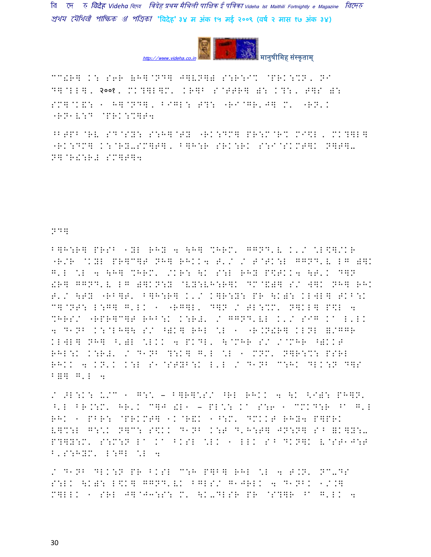

CCREAR (IN STAR) HAR CRAR (PRECHRISTANCY) SIRIINING (PR DRIMER SOOR, MICHERIN, IPRESSINGER (EN INSTRUMER) SM]@K&: 1 H]@ND], BIGL: T?: "RI@GR'J] M' "RN'K "RN1V:D @PRK:%]T4

^BTPB@RV SD@SY: S:H]@TY "RK:DM] PR:M@R% MI\$L, MK?]L] "RE:DRITH: IS RESURTHEN , FRANK: BE:DRIT BN: POSTUTEN , PREAN. N]@R!:R# SM]T]4

#### $\mathbb{R}^n$

BH:RH:RHY (H: BAI 4 AM YARM, WWRLE I.I SENING  $R$  . The contract of the state  $R$  and  $R$  the contract of  $\mathbb{R}$  to  $\mathbb{R}$  the state  $\mathbb{R}$ BOL YE A REAL MERIC VIEN AN INN PER PARTICLE AROUNDED !R] GGND'V LG )]KN:Y @VY:VH:R]K DM@&)] S/ W]K NH] RHK T'/ T'/ REGISTER TO A REGISTER TO A REGISTER THAT A REGISTER THAT A REGISTER OF A REGISTER OF A REGISTER OF A C]@NT: L:G] G'LK 1 "RG]L' D]N / TL:%M' N]KL] P\$L 4 %HRS/ "RPR]C]T RHB:K K:R#' / GGND'VL K'/ SIG Ka L'LK 4 D1NB K:@LH]\ S/ ^)K] RHL \*L 1 "R.N!R] KLNL =/GGR KLWL] NH] ^')L \*LKK 4 PKDL' \@MHR S/ /@MHR ^)KKT RHESE CORRE IN THIS TOOR FOR ' AND THE TOWN THEY RHKK 4 KONSTANTIST DER REGISTEREN DER STRUCKER  $9.89 \pm 0.1$ 

/ >L:K: U/C 1 G:\* – B]R]\*S/ ^RL RHKK 4 \K <I): PH]N' ^'L BR.:M' HR'K C]J !L1 – PL\*: Ka S:6 1 CMKD:R ^a G'L RHK 1 PPRS MPRKMPH 1K MRK 1980, MMKKE RHYA PHPRK V]%:L G:\*K N]C: S\$KK D1NB K:T D'H:T] JN:N] S^ =K]Y:- PYHINY: SNOWS IN LA KAN MI SIN ROOM IN THE SAME TO START AND B'S:HYM' L:GL \*L 4

/ D1NB DLK:N PR BKSL C:H P]B] RHL \*L 4 T.N' NC-DS STEED ADEN EADAR AARTGED FAEED AF GEED AGTER IN DIE SOOR MALLES 1 SRL SPECIAL SERVICE IN THE SPECIAL SERVICE IN THE SPECIAL SERVICE IN THE SPECIAL SERVICE IN THE SPECIAL SERVICE IN THE SPECIAL SERVICE IN THE SPECIAL SERVICE IN THE SPECIAL SERVICE IN THE SPECIAL SERVICE IN THE SP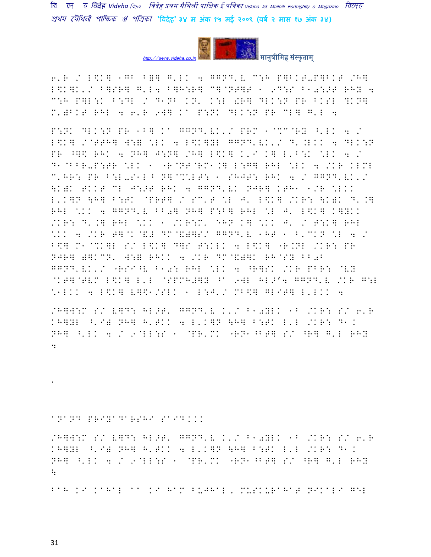

6'R / L\$K] 1GB B=] G'LK 4 GGND'V C:H P]BKT-P]BKT /H]  $\pm$  RICAC (  $\pm$  B) and  $\pm$  B) and  $\pm$  and  $\pm$  binds by the  $\pm$  state  $\pm$  binds by  $\pm$  binds by  $\pm$ C:H P]L:K B:DL / D1NB KN' K:L !R] DLK:N PR BKSL ?KN] M')BKT RHL 4 6'R 9W] Ka P:NK DLK:N PR CL] G'L 4

P:NK DLK:N PR 1B] Ka GGND'VK'/ PRM 1@%C@RY ^'LK 4 / L\$K] /@TTH] W:= \*LK 4 L\$K]YL GGND'VK'/ D'.LKK 4 DLK:N PR ^]\$ RHK 4 NH] J:N] /H] L\$K] K'I K] L'B:K \*LK 4 / DN TRA BUENBER (NEIT) (A) (AB TRE TBITA IN GENERAL BAG) NG I CHA (KIGH) IGENG C.ARS BROAKLEY DECOLAS KOPARS RHO 4 / GGDD-LOV \K)K TKKT CL J:>T RHK 4 GGND'VK NJR] KTH1 1/R \*LKK L'K]N \H] B:TK @PRT] / SC'T \*L J' L\$K] /KR: \K)K D'.] RHL \*KK 4 GGND'V BB0] NH] P:B] RHL \*L J' L\$K] K]YKK /KR: D'.] RHL \*KK 1 /KR:M' EHN K] \*KK J' / T:K] RHL \*KK 4 /KR T]@K@&# DM@&)]S/ GGND'V 1HT 1 B'CKN \*L 4 / B\$] M1@%K]L S/ L\$K] D]S T:KLK 4 L\$K] "R.NL /KR: PR DABB (BRITA), (BSB) BA11, (B) IND BORDEBRITGA TENGIBOR GGY CHILL THE CHINE AND HE CHINA AND HE CHINA AND THE CHINA @KT]@TVM L\$K] L'L @SPMH#]Y ^a 9WL HL>'4 GGND'V /KR G:L  $\ddots$  is the function of the subset of  $\ddot{\theta}$  and  $\ddot{\theta}$  and  $\ddot{\theta}$  and  $\ddot{\theta}$  and  $\ddot{\theta}$ 

/H]W:M S/ V]D: HL>T' GGND'V K'/ B10YLK 1B /KR: S/ 6'R KHANY KANG PARTALENT A NIJAR AAR PART NIN DIRA PAT NH] ^'LK 4 / 9@LL:S 1 @PR'MK "RN1^BT] S/ ^R] G'L RHY  $\dddot{\phantom{1}}$ 

 $\bullet$ 

aNaND PRIYaDaRSHI SaID...

/H]W:M S/ V]D: HL>T' GGND'V K'/ B10YLK 1B /KR: S/ 6'R KH]YL ^'I) NH] H'TKK 4 L'K]N \H] B:TK L'L /KR: D1. NHE RICH Z 2 MINE ( MR.C. 187) RNH EZ RHE RICHA  $\ddot{\cdot}$ :

BaH KI KaHaL aa KI HaM BUJHaL, MUSKURaHaT NIKaLI GEL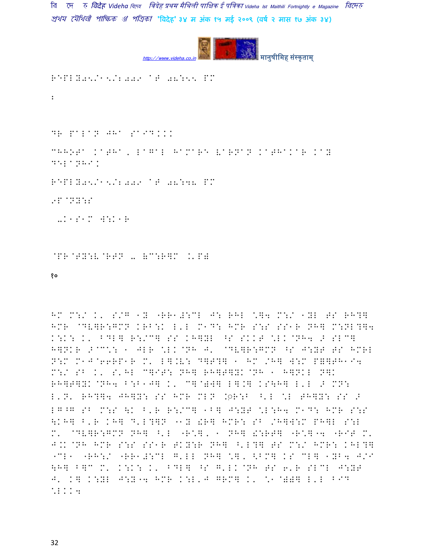

१०

HM M:/ K' S/G 1Y "RR1#:CL J: RHL \*]4 M:/ 1YL TS RH?] HTR OVERBENDS CHORCHIC RIPORT HTR STECKER SHAR SYSTEMS K:K: K: BOL] R: SKY BOLD R: SKYKT \*LK@NH4 > SLC H]NKR >@C\*: 1 JLR \*LK@NH J' @DV]R:GMN ^S J:YT TS HMRL N:M M1J@66RP1R M' L].V: D]T?] 1 HM /H] W:M P=]TH1I4 M:/ SB K' SI SE HIT: NHE CHANG AN HANGHO TO HIT A THUR I TO HIS RHANNI MAA FSIJAN SI MANAN FAN SYNAN FIF DI MAN L'N' RH?]4 JH]Y: SS HMR MLN .◌़R:B ^'L \*L TH]Y: SS > LAGA SB MIN AN ALB BINTA (FAGIN NIIB) NOR STR STR  $K$  B) by  $\Gamma$  ,  $\Gamma$  ,  $\Gamma$  is the property of  $\Gamma$  . Such as  $\Gamma$  is the phase  $\Gamma$  -has  $\Gamma$  is the phase  $\Gamma$ M' @DV]R:GMN NH] ^'L "R\*], 1 NH] !:RT] "R\*]"4 "RIT M' J.K@NH HMR S:S SS1R TKY:R NH] ^'L?] TS M:/ HMR: KHL?] "CL1 "RH:/ "RR1#:CL G'LL NH] \*], <BM] KS CL] 1YB4 J/I \H] B]C M' K:K: K' BDL] ^S G'LK@NH TS 6'R SLCL J:YT J' K] K:YL J:Y"4 HMR K:L'J GRM] K' \*1@))] L'L BID  $\mathbb{R}$ :  $\mathbb{R}$  :  $\mathbb{R}$  :  $\mathbb{R}$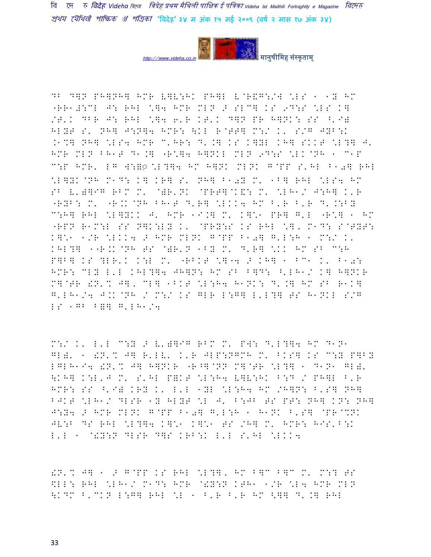

DB DRIJV: PHILAPHI HOR VEREGH) (PHIL VE DRIJVE OGRAD VE VOJE "RR1#:CL J: RHL \*]4 HMR MLN > SLC] KS 9D:S \*LS K] /T'K DBR J: RHL \*]4 6'R KT'K D]N PR H]NK: SS ^'I) HEGE S. DRAR ANDRE ROBN HOE BOERR OND ON SOM HOR AGEN .1%] NH] \*LS4 HMR C'HR: D'.] KS K]YL KH] SKKT \*L?] J' HTR MLR BH1R MLIN BH1H BH2LE MLR 2012 (11) "SPL 2 CP 3 C:P HMR' LG W:=◌़ \*L?]4 HM H]NK MLNK G@PP S'HL B10] RHL \*L]YK@NH M1D: K] KR] S' NH] B10Y M' 1B] RHL \*LS4 HM SB V')]IG RBM M' @)R'NK @PRT]@K&: M' \*LH1/ J:H] K'R "RYB: M' "R.K@NH BH1T D'R] \*LKK4 HM B'R B'R D'.:BY C:HA RHL (1982) A. AMR 1718 D. 1911 BR A.L 1919 D. 1  $R$  . The state  $R$  is the state of  $R$  is the state  $R$  such that  $R$  is the set  $R$  satisfying the set  $R$ KAN FRANK GERDE DE MANGE GEDE BILANG GEDE BILANG MENGE KHL?] ""R.K@NH TS @)R'N 1BY M' D'R] \*KK HM SB C:H P]B] KS ?LR'K K:L M' "RBKT \*]"4 > KH] 1 BC1 K' B10: HO BAGILITY DIE LIEU DIE HAARSTE DIE DIE VAN DIE SANAALSE DIE GROOT BIJ HANGROOT BIJ HAARD DIE GROOT BIJ DIE D D'ATH BAIL D'AAN, CLAIR HINDA DE SAN HEID, D'AIR HINNE EN DAT G'LEHN/4 J.KO. SHANKLINING HER LIGHT LIGHT GALLICE SOME LS 1GB BH BILLING

MI: IG LE THE PALANCE MINISTER TO PURSE AN TOP GL)' 1 !N'% J] R'LV' K'R JLP:NGMH M' BKS] KS C:Y P]BY LGLANIA II. TARAHILA ARGITI TENGAN II DAN MIL. \KH] K:L'J M' S'HL P=KT \*L:H4 V]V:HK B:D / PH]L B'R HMR: SS ^'I) KRY K' LE L'I) KRY KY SA HAM HM / HIN: B'S SHI MHE BJKT BIKT ALLYT FLYT BIKT FLORE ALLY FINAL I BE I BEN DARE I DAN DARE J:Y4 > HMR MLNK G@PP B10] G'L:H 1 H1NK B'S] @PR@%NK HENR TR RHL MITHA CHOK CHOK AN UPH TO PURN HANDRIN L'E 1 @ YOURSELL DES THE CONTROL END ON HE CONTROL

IND LOTER IN THE MINIMUM BABLE THAT IN A DEPARTMENT TO THE BAR \$LL: RHL \*LH1/ M1D: HMR @!Y:N KTH1 1/R \*L4 HMR MLN  $K$  B)  $K$  by  $\mathbb{R}$  . The position  $\mathbb{R}$  is equivalent to  $\mathbb{R}$  and  $\mathbb{R}$  by  $\mathbb{R}$  and  $\mathbb{R}$  is equivalent to  $\mathbb{R}$  . The position of  $\mathbb{R}$  and  $\mathbb{R}$  and  $\mathbb{R}$  and  $\mathbb{R}$  and  $\mathbb{R}$  and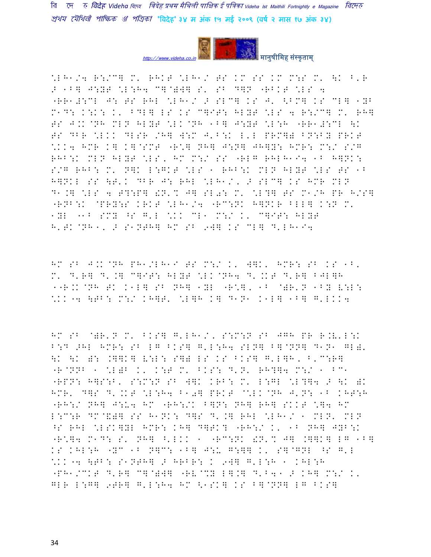

\*LH1/4 R:/C] M' RHKT \*LH1/ TS KM SS KM M:S M' \K B'R > 1B] J:YT \*L:H4 C]@)W] S' SB D]N "RBKT \*LS 4 "RR1#:CL J: TS RHL \*LH1/ > SLC] KS J' <BM] KS CL] 1YB MID: K: K: K: K: K: K: K: H: H: H: K: K: MH: H: H: H: H: H: K: K: K: K: H: H: MID: MID: MID: MID: MID: MID: MI TH AN IN THE RESEARCH TO THE FACTOR OF THE SERVICE OF AN TS DBR \*LKK DLSR /H] W:M J'B:K L'L PRM]) BN:BY PRKT \*KK4 HMR K] K]@SMT "R\*] NH] J:N] JH]Y: HMR: M:/ S/G RHB:K MLN HLYT \*LS, HM M:/ SS "RLG RHLH1I4 1B H]NK: S/G RHB: M' N]K L:GKT \*LS 1 RHB:K MLN HLYT \*LS TS 1B HANKL SS ABLIGHT AN BHL NEHGIV SCHOALIS KOMPONENT D-18 NEZ A FINER ED. D'AR ZELN D. NETR FE D'AVE ER AZZR "RNB:K @PRY:S KRKT \*LH1/4 "RC:NK H]NKR BLL] K:N M' 1918 (1B SMY SMY F.E. VII ME) 292 CL1 MARSH FEGE H'TK@NH", > S1NTH] HM SB 9W] KS CL] D'LH1I4

HM SB JAN TA PHINHAI SE MEN LI SAN L'AMBER SB KS 18. M' D'R] D'.] C]IT: HLYT \*LK@NH4 D'.KT D'R] BJL]H ""R.K@NH TK K1L] SB NH] 1YL "R\*], 1B @)R'N 1BY V:L: \*KK"4 \TB: M:/ KH]T' \*L]H K] D1N1 K1L] 1B] G'LKK4

HM SB @)R'N M' BKS] G'LH1/, S:M:N SB JGH PR R.V'L:K B:D >HL HMR: SB LG BKS] G'L:H4 SLN] B]@NN] D1N1 GL)'  $\mathrm{K} \left( \mathcal{X} \right) \geq \mathrm{K} \left( \mathcal{X} \right)$  . The sum of the sum of the sum of the sum of the sum of the sum of the sum of the sum of the sum of the sum of the sum of the sum of the sum of the sum of the sum of the sum of the "RB 1228 (A) NE BRO 1 1 (1980) DLO RICENTE (A) 21 DE BRAHA (D'ELVA) RONA "RPN: HASS: SSON SB WAR (BRITAGE TO BANK SB WAR ) AN AD HMR' D]S D'.KT \*L:H4 B10] PRKT @\*LK@NH J'N: 1B KHT:H "RH:/ NH] J:U4 HM "RH:/K B]N: NH] RH] SKKT \*]4 HM L:C:R DM@&)] SS H1NK: D]S D'.] RHL \*LH1/ 1 MLN' MLN ^S RHL \*LSK]YL HMR: KH] D]TK? "RH:/ K' 1B NH] JYB:K "ARNEAL DY RACIENE (PAEL 18, EDD)" YOU ARNABLE INDUCED AFTER 1 HE AS RESERVED BY A REPORT OF KS KOM SA KHL: H "YOU GO "YOU" SA GO "YOU" GO "YOU" SA GO "YOU" SA GO "YOU" \*KK"2 \TB: S1NTH] + S1NTH] + S1NTH] + S1NTH] + S1NTH] + S1NTH] + S1NTH] + S1NTH] + S1NTH] + S1NTH] + S1NTH] + S "PH1/CKT D'R] C]@)W] "RV@%Y L].] D'B4" > KH] M:/ K' GREACH LISBEART AN EINAN AIR AN DON BHO CHO A BHO DO BHO AIR AIR BH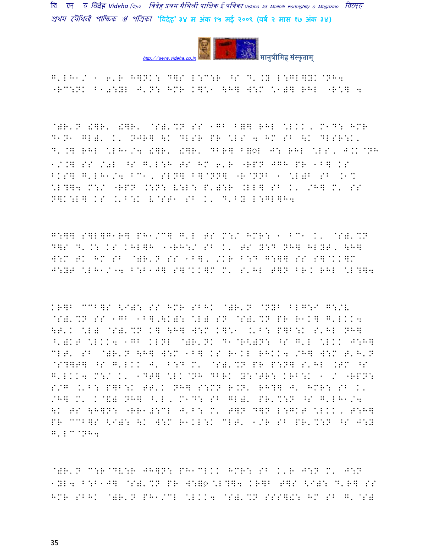ৱি দে <sup>হ</sup> <mark>विदेह Videha</mark> <sub>বিদেহ</sub> ৰিবলৈ *प्रथम मैथिली पाक्षिक ई पत्रिका Videha Ist Maithili Fortnightly e Magazine बिদে*হ õथम मैिथली पािक्षक ई पिñका **'**िवदेह**'** ३४ म अंक १५ मई २००९ (वष र् २ मास १७ अंक ३४)



B.ERVIV E.R HEN: DIE EINE HIJ.GLIEIHEED VRE "RE:NK B10: YL VISIGE " RESP. A DE " D'ADRE " REAL " REAL " REAL " REAL " REAL " R

@)R'N !]R' !]R' @S)'%N SS 1GB B=] RHL \*LKK, M1D: HMR D1N1 GL)' K' NJR] \K DLSR PR \*LS 4 HM SB \K DLSR:K' D. DE RHI (1895)4 RHL &HR. THRE FEDI AN RHI (1895)4 RHL # 1/.] SS /0L ^S G'L:H TS HM 6'R "RPN JGH PR 1B] KS BKS] G'LH1/4 BC1, SLN] B]@NN] "R@NNB 1 \*L)B SB .1% \*L?]4 M:/ "RPN .:N: V:L: P'):R .LL] SB K' /H] M' SS NALIS AND THE RESIDENCE OF A SALE OF A SALE OF SALE OF A SALE OF A SALE OF A SALE OF A SALE OF A SALE OF A SALE

G:]] S]L]G1R] PH1/C] G'L TS M:/ HMR: 1 BC1 K' @S)'%N DH: D.: KS KHLHA (SBAK' IN K. HI HIT NAH ALHE. AAH WEST WE AT SPOTHELIC SS SARE COINCIPATION SS SEE SO SBITLE J:YT \*LH1/"4 B:B1J] S]@KK]M M' S'HL T]N BR. RHL \*L?]4

KR]B CCB]S <I): SS HMR SBHK @)R'N @NYB BLG:I G:/V @S)'%N SS 1GB 1B],\K): \*L) SN @S)'%N PR R1K] G'LKK4 \T'K \*L) @S)'%N K] \H] W:M K]\*1 .'B: P]B:K S'HL NH] ^')KT \*LKK4 1GB KLNL @)R'NK D1@R<)N: ^S G'L \*LKK J:H] CLT' SB @)R'N \H] W:M 1B] KS R1KL RHKK4 /H] W:M T'H'N @S?]T] ^S G'LKK J' B:D M' @S)'%N PR P:N] S'HL .TM ^S G'LA C'LA MONTANO A'L A MARA D'ALC D'ORRE MA ROS D'AN NARDA CORA NO DEL SEU (PER PONE S/G .'B: P]B:K TT'K NH] S:MN R.N' RH?] J' HMR: SB K' /H] M' K@&) NH] ^'L, M1D: SB GL)' PR'%:N ^S G'LH1/4  $\mathrm{A} \Sigma$  )  $\mathrm{A} \mathrm{B} \mathrm{A}$  are probably different to  $\mathrm{A}$  . Then  $\mathrm{A} \Sigma$  is the probably  $\mathrm{A} \Sigma$  is the probably different to  $\mathrm{A} \Sigma$ PR CCB BR CARBS AN INDICATOR OF HIS PRINCIPLE IN THE CONTROL OF HIS SPI H<sub>1</sub>: Times

@)R'N C:R@DV:R JH]N: PH1CLKK HMR: SB K'R J:N M' J:N 1YL4 B:B1J] @S)'%N PR W:=◌़ \*L?]4 KR]B T]S <I): D'R] SS HMR SBHK @)R'N PH1/CL \*LKK4 @S)'%N SSS]!: HM SB G'@S)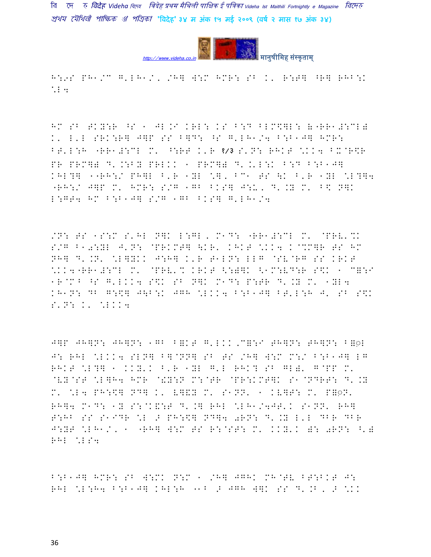

H:9S PH1/C G'LH1/, /H] W:M HMR: SB K' R:T] ^R] RHB:K  $\ddot{\phantom{1}}$  .  $\ddot{\phantom{1}}$ 

HM SB THOSH SB TKY: SHE IS NOT BE BITKEN BREAKING K', L'EL SE SAN SEBEL SE BERGIE EN BIJER VA BIJER BERGER BELEGA (RRNIESTE T. PGRACIE 8/3 S.PG RADE SIDA BXDARR PR PRM]) D'.:BY PRLKK 1 PRM]) D'.'L:K B:D B:B1J] KHLIR " " "RHIN BIR BET" "RHI " NHL" " RHO " BET" " BLOCK BET" " NHL" " NHL" " NH "RH:/ J]P M' HMR: S/G 1GB BKS] J:U, D'.Y M' B\$ N]K L:GT4 HM B:B1J] S/G 1GB BKS] G'LH1/4

/N: TS 1S:M S'HL N]K L:GL, M1D: "RR1#:CL M' @PRV'%K S/G B10:YL J'N: @PRKMT] \KR' KHKT \*KK4 K@%M]R TS HM NHE P. IS. NI HELD ANNE LOR HIE FIN II HON NE HI SOV DI \*KK4"RR1#:CL M' @PRV'% KRKT <:)]K <1M:VD:R S\$K 1 C=:I 1R@M^ POST CONSTRUCT OF TREES TO DEVICE THE SAME IN THE SAME IN TREES. KH2N: DB G:B1N: DB:K JOHN: DB:K B:B1J BT'L:H JOHN: JOHN: JOHN: S'N: K' \*LKK4

JOHN: JHIN: JHIN: 1GB B=KT C=C=:I THIN: B=BC B=BC FHIN: FHB J: RHL \*LKK4 SLN] B]@NN] SB TS /H] W:M M:/ B:B1J] LG RHKT \*L?] 1 KKY'K B'R 1YL G'L RHK? SB GL)' G@PP M' @VY@ST \*L]H4 HMR @!Y:N M:@TR @PR:KMT]K S1@NDRT: D'.Y M' \*L' B' D' SINN PH: L' BUD M' S' D' SINN' 1 M' PER RH]4 M1D: 1Y S:@K&:T D'.] RHL \*LH1/4JT'K S1NN' RH] T:HB SS S1IDR \*L > PH:\$] ND]4 0RN: D'.Y L'L DBR DBR J:YT \*LH1/, 1 "RH] W:M TS R:@ST: M' KKY'K ): 0RN: ^') RHL \*LS4

B:B1J] HMR: SB W:MK N:M 1 /H] JGHK MH@TV BT:BKT J: RHL \*L:H4 B:B1J] KHL:H "1B > JGH W]K SS D'.B, > \*KK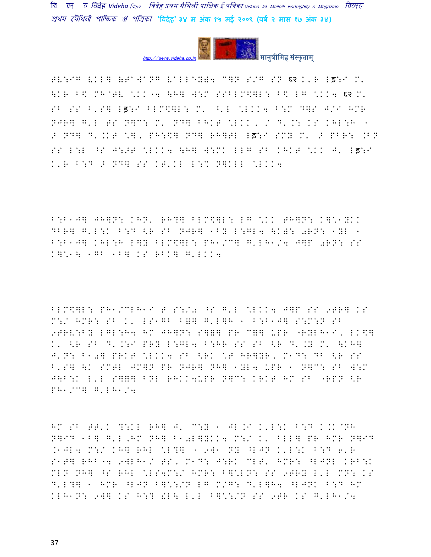ৱি দে <sup>হ</sup> <mark>विदेह Videha</mark> <sub>বিদেহ</sub> ৰিবলৈ *प्रथम मैथिली पाक्षिक ई पत्रिका Videha Ist Maithili Fortnightly e Magazine बिদে*হ õथम मैिथली पािक्षक ई पिñका **'**िवदेह**'** ३४ म अंक १५ मई २००९ (वष र् २ मास १७ अंक ३४)



THE SAME ONLY HE SHALL CONTROLS IN SIGNIFY THAT IS SAME ON A SAME OF THE SAME ONLY.  $\tilde{A}$  is a measure of the second second second second  $\tilde{B}$  , and  $\tilde{B}$  and  $\tilde{B}$  are  $\tilde{B}$  . SS B'S SOURCHERN SE DROIN DOOR IN DIE DIE SOURCHE SOURCHE NAHE ALI HE NAMA DI NAH FALE NILL 2 NOMIN DE LAINA (F > ND] D'.KT \*], PH:\$] ND] RH]TL Lड़:I SMY M' > PBR: .BN SS LIE 'E FIEL NICH ARA HING ILA SP CROW NO 'E ISH' K'R B:D > ND] SS KT'KL L:% N]KLL \*LKK4

# B:B1JP#1PH; KH2, RH?B FECRBIS ER (CO) RHB?L: BC/BL DBR] G'L:K B:D <R SB NJR] 1BY L:GL4 \K): 0RN: 1YL 1 B: NHL: DI BLE NE SE BERGE DI BERGI BLANCHE DI BLANCHE SSSE DI BERGI SSSE DI BERGI SSSE KARA KARA KARA KASA RAJARA GERARA GERARA GERARA GERARA GERARA GERARA GERARA GERARA GERARA GERARA GERARA GERARA

BLOWERS BLACK IN STRAIGHT IN THE STATE OF STATE OF STATE OF STATE OF STATE OF STATE OF STATE OF STATE OF STATE MY:/ HMRY: SB KI, ISABE BEER, BHB A SBY SHE SYMMETR 9TRV:BY LGL:H4 HM JH]N: S]=] PR C=] UPR "RYLH1I, LK\$] K' CH' C' C' C' C' THE ESH A FSH D'. I C' CH' C' CE C' GIAH J'N: B10] PRKT \*LKK4 SB <RK \*T HR]YR, M1D: DB <R SS B'S (1990) A SMTL JAMES (1990) A SMTL JOHN JOHN JAN DIREKT VAN DIE STAAT DIE STAAT DIE STAAT DIE STAAT DIE STA J\B:K L'L S]=] BNL RHKK4UPR N]C: KRKT HM SB "RPN <R PH1/C] G'LH1/4

HM SB TT'K ?:KL RH] J' C:Y 1 JL.I K'L:K B:D K.K@NH N]ID 1B] G'L,HM NH] B10L]YKK4 M:/ K' BLL] PR HMR N]ID .1JL4 M:/ KH] RHL \*L?] " 9W1 NY ^LJN K'L:K B:D 6'R STARB (BAF) 4 WALES AND SENSION TO THE CATEROL CALIFORNIA CLIPS AND MLN NH] ^S RHL \*LS4M:/ HMR: B]\*LN: SS 9TRY L'L MN: KS D'L?] 1 HMR ^LJN B]\*:/N LG M/G: D'L]H4 ^LJNK B:D HM KLHA: PASTER KONTROLLER EINE FRIEDEN BEREICHTEN DER BEREICHTE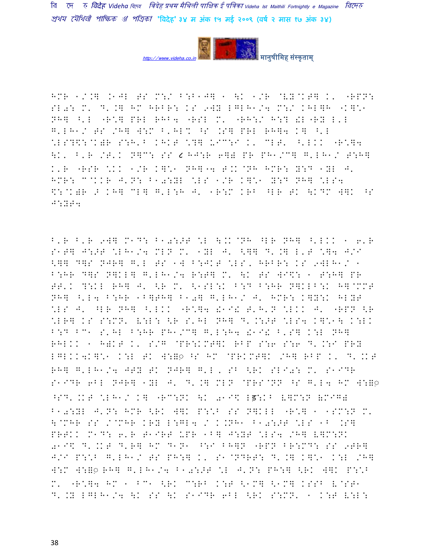ৱি দে <sup>হ</sup> <mark>विदेह Videha</mark> <sub>বিদেহ</sub> ৰিবলৈ *प्रथम मैथिली पाक्षिक ई पत्रिका Videha Ist Maithili Fortnightly e Magazine बिদে*হ õथम मैिथली पािक्षक ई पिñका **'**िवदेह**'** ३४ म अंक १५ मई २००९ (वष र् २ मास १७ अंक ३४)



HMR 1/.] .1JL TS M:/ B:B1J] 1 \K 1/R @VY@KT] K' "RPN: SL0: M' D'.] HM HRBR: KS 9WY LGLH1/4 M:/ KHL]H "K]\*1 NHE (P. E.) (BNE) PRESIDENT (PREEL ON ) (BHI) PRINCE (BI) (BI) ELECT G'L'E RAYON (BET) CHE GEST (PRL) PRL RHIGH AN EAST (PRL) PRESS .SI PRL RHIGH AN EAST PROPERTY IN EAST OF DISTU \*LS?\$:@K)R S:H'B KHKT \*?] UIC:I K' CLT' ^'LKK "R\*]4  $\kappa$  B'R /F /TH:R (FRIGHT) PRODUCT AND RESIDENT CONTROLLED AND RESIDENT K'R "RSR \*K 1/R K 1/R K 1/R K 1/R K 1/R K 1/R K 1/R K 1/R K 1/R K 1/R K 1/R K 1/R K 1/R K 1/R K 1/R K 1/R K 1/ HMR: COMMISSION OF THE CARD OF THE CARD TO NEVERTHE AND THE CARD OF THE CARD OF THE CARD OF THE CARD OF THE CA \$:@K)R > KH] CL] G'L:H J' 1R:M KRB ^LR TK \KDM W]K ^S J:YT4

B'R B'R B'ANN MATH B'R B'R 10: TH'BH ANN B'R NH I 1 6'R NH S1T FRANK MENTAL MER WOONE AL ANN MORTELE MAN ATA <]] D]S NJR] G'L TS 1W B:JKT \*LS, HRBR: KS 9WLH1/ 1 B:HR D]S N]KL] G'LH1/4 R:T] M' \K TS WI\$: 1 T:H] PR TT'K ?:KL RH] J' <R M' <1SL:K B:D B:HR N]KLB:K H]@MMT NH] ^'L4 B:HR 1B]TH] B10] G'LH1/ J' HMR: K]Y:K HLYT \*LS J' ^LR NH] ^'LKK "R\*]4 !1I! T'H'N \*LKK J' "RPN <R \*LR] KS S:MN' V:L: <R S'HL NH] D'.:>T \*LS4 K]\*1\ K:LK B:D BC1 S'HL B:HR PH1/C] G'L:H4 !1I! B'S] K:L NH] RHICK 1 HALF CO SVA MERICAN RPP SON SON ACTIVITIES LAGUER KIGHT AN GING HI AT TERUTAN CAN RAP KE DI ALIMA RHA G'LAN JA GABERT SI SABA G'L, SA SIDI SA SIDRO DI SASTR S1IDR 6BL NJR] 1YL J' D'.] MLN @PRS@NN ^S G'L4 HM W:=◌़  $\overline{X}$  . Kt  $\overline{X}$   $\overline{X}$   $\overline{X}$   $\overline{X}$   $\overline{X}$   $\overline{X}$   $\overline{X}$   $\overline{X}$   $\overline{X}$   $\overline{X}$   $\overline{X}$   $\overline{X}$   $\overline{X}$   $\overline{X}$   $\overline{X}$   $\overline{X}$   $\overline{X}$   $\overline{X}$   $\overline{X}$   $\overline{X}$   $\overline{X}$   $\overline{X}$   $\overline{X}$  B10:YL J'N: HMR <RK W]K P:\*B SS N]KLL "R\*] 1 1SM:N M' \@MHR SS /@MHR KRY L:GL4 / K.NH1 B10:>T \*LS 1B .S] PRTKK M1D: 6'R T1IRT UPR 1B] J:YT \*LS4 /H] V]M:NK 01I\$ D'.KT D'R] HM D1N1 ^:I BH]N "RPN BR:MD: SS 9TR] JP: P: B: B: D: F: F: P: P: P: B: P: P: P: P: P: P: P: P: P: P: D: P: P: P: D: D: P: P: P: P: P: P: P: P: P: P WEST CHEMP RHAN AN INCOME POSSESSION OF THE WARRANT WAS CARDED FROM M' "R\*]4 HM 1 BC1 <RK C:RB K:T <1M] <1M] KSSB V@ST1 D. DE EFFANCH AL SE AL SS STATE EFF KEL SATURE (STATE)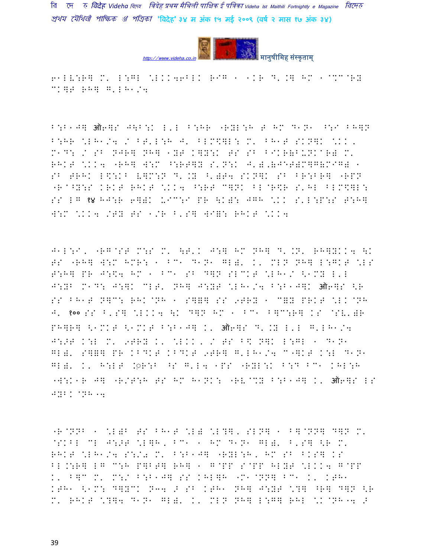ोत <sup>तू</sup> है *विदेह Videha विल्ह विदेह प्रथम मैथिली पाक्षिक* ई पत्रिका <sub>Videha</sub> ist Maithili Fortnightly e Magazine *त्रि*तमह õथम मैिथली पािक्षक ई पिñका **'**िवदेह**'** ३४ म अंक १५ मई २००९ (वष र् २ मास १७ अंक ३४)



61LG:R:Cl :GR \*LISS-RID FOR 8 1CR T.GR #2 8 12 16 T RH BH H H BH CH

B:B1J) HIS MORE TO HEAD IN THE SECOND RELEASED TO THE SECOND RELEASED. B:HR \*LH1/4 / BT'L:H J' BLM\$]L: M' BH1T SKN]K \*KK, M1D: / SB NJR] NH] 1YT K]Y:K TS SB BIKR(BUNKaR) M' RHC & COOCH "RHAM" GAO" (PARAMO 20, JAC MAG GEARAING MACHINE 19) SB TRHK L\$:KB V] NHOND P. CHI B. BRE SO DHO SB BRE BH: BROK "RETTERE I RIS KREAT TIDE "PRESTABLE "PRESTIGEN" I I DER STATISTIKE SS LG 80 HANR 6981 LATER TR RIGN AGH ALI SILENTE GNAC W:M \*KK4 /TY TS 1/R B'S] WI=: RHKT \*KK4

J1L:I, RG@ST M:S MOST MOST MOST MOST MANAGEMENT AND A NEW MOST MANAGEMENT OF THE UNIVERSITY OF THE UNIVERSITY TS "RH] W:M HMR: 1 BC1 D1N1 GL)' K' MLN NH] L:GKT \*LS T:HE PR HER HOW IN SUIT OF THE PROPERTY OF THE SLCKT SUITS J:YB M1D: J:]K CLT' NH] J:YT \*LH1/4 B:B1J]K ऑ6]S <R SS BH1T NHTS BH2 NH 1 SHBH SS 9TRG \* TBG PR2F 132 NH J', ' 800 SSE' FOR STATE THE LA DIN HAM HOW'LL BE DIN HAM NOT BE DISCOVERED AND IN THE STATE OF DISCOVER AND R PHER SKILP SKILP FORKAR I. MARRI P. LE B. EARLY J:>T K:L M' 9TRY K' \*LKK, / TS B\$ N]K L:GL 1 D1N1 GLA) (GUES TR CITCA CITCA 2008 GLIGACA 79TR COL TAD GL)' K' HI:LT . OGENE "RYLIG" (FYL: GEILEI 1PS "PRINT" (PINE W:KIR PHORISH BI HT HANG: "RECORD FIREST, MARE EI JYBK@NH"4

"RENNBERT 1 \*LOVE BETT FLAT FLAT BLOG BLOG BETTE 1, SLEDER 1 ALL FLEDDERE IN MEDICIN @SKBL CL J:>T \*L]H, BC1 1 HM D1N1 GL)' B'S] <R M' RHI B: NEHH INH SINIS DI SANAHAN SB SB BKSI SB BKS BKS BKS BKS BL.:RH LA THE PHILE FAN A A THE SOPP HILL CILLS A THE K. BH' M. MY MY BHA AN SS KHLAN AM MARA BC' KILI KTHI KOKA NI MATI I SHE SI YI YI SHE SHA KATHI NHA NI SHI NG M' RHKT MIRH THR THE MINITED RHE ENTH RHE MINITED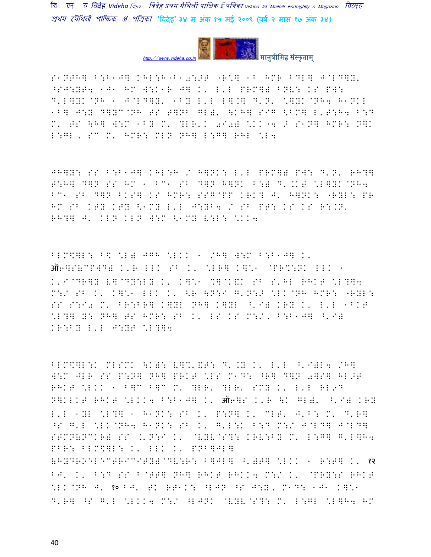

STORE B:B1JP (BINDI BINDI BINDI I BINDI BINDI BINDI ^SJ:YT4 1J1 HM W:K1R J] K' L'L PRM]) BNV: KS PW: D'L]YK@NH 1 J@LD]Y' 1BY L'L L].] D'N' \*]YK@NH4 H1NKL 1B] J:Y D]YC@NH TS T]NB GL)' \KH] SIG <BM] L'T:H4 B:D M' TS \H] W:M 1BY M' ?LR'K 0I0) \*KK"4 > S1N] HMR: N]K L:GL, SC M' HMR: MLN NH] L:G] RHL \*L4

JH]Y: SS B:B1J] KHL:H / H]NK: L'L PRM]) PW: D'N' RH?] T:HE PER TE PLAT OF DUITE BE DER HER IN STATISTIC TO A STATISTIC. BCT SOG DI BAKSAR SSG. SSG. DI BAKSAR SSG. SSG. SSG. DI HING: "PRESS SSG. DI BAKSAR" I SSG. I PRESS SSG. I PRE HO SB KIRB CRB AFOR ELE ANDRA COSPETIEN CE CE BN DE RH?] J' KLN KLN W:M <1MY V:L: \*KK4

BLOWBER BY NEW WHICH AN VAN WHO BY BY AN UN MORE SHOWER CONTROL SERVICE OF A CHINE CHARGE CHANNEL CHANNEL CHANNEL K.FYPHE BEYRING K. (BYF TENGEN FLAN KAN BAKE NIBA MA:/ SB KI KING HII KI KE NGAPA WIGAN NI MGA AMEA (RHIS SS START AND BRIEF CHILL AND ALL AND ALL AND AN  $U: \mathbb{R}^n \times \mathbb{R}^n \times \mathbb{R}^n \times \mathbb{R}^n \times \mathbb{R}^n \times \mathbb{R}^n \times \mathbb{R}^n \times \mathbb{R}^n \times \mathbb{R}^n \times \mathbb{R}^n \times \mathbb{R}^n \times \mathbb{R}^n \times \mathbb{R}^n \times \mathbb{R}^n \times \mathbb{R}^n \times \mathbb{R}^n \times \mathbb{R}^n \times \mathbb{R}^n \times \mathbb{R}^n \times \mathbb{R}^n \times \mathbb{R}^n \times \mathbb{R}^n$ KR:BY LOCKER SECTION

BLEM THE RESIDENT CONTACT AN ARREST CONTACT AN INC. IN THE CONTACT AN INTERFERING IN THE UNIT W:M JR SS P:N] PROPE (PRECIPENT AND ONLY SO PRECIPENT AROUND A DE RHOB (BOOK) FAN FAN IN SHEK AND KYN OL BLE BELT NATH RHAT RHAT RHAT RHAT AN AN SAN BIR SAN SAN SAN SAN SAN SAN BIR KE GERAL I BARA SA SA SA SA SA SA SA SA SA L'E VIE VENE VOIGNE DE L'EN L'ENNE L'ON BEVOIGNE DE ^S G'L \*LK@NH4 H1NK: SB K' G'L:K B:D M:/ J@LD] J@LD] STMN(NCKR) SS .'N:I K' @VYV@S?: KRV:BY M' L:G] G'L]H4 PBR: BLM\$]L: K' LLK K' PNB]JL] (HYDROELECTRICITY)@DV:R: B]JL] ^')T] \*LKK 1 R:T] K' १२ BJ' K' B:D SS B@TT] NH] RHKT RHKK4 M:/ K' @PRY:S RHKT  $\mathcal{L}(\mathcal{X})$  . The probability of the control  $\mathcal{X}$  and  $\mathcal{X}$  is the control of  $\mathcal{X}$  and  $\mathcal{X}$  and  $\mathcal{X}$ D'R] ^S G'L \*LKK4 M:/ ^LJNK @VYV@S?: M' L:GL \*L]H4 HM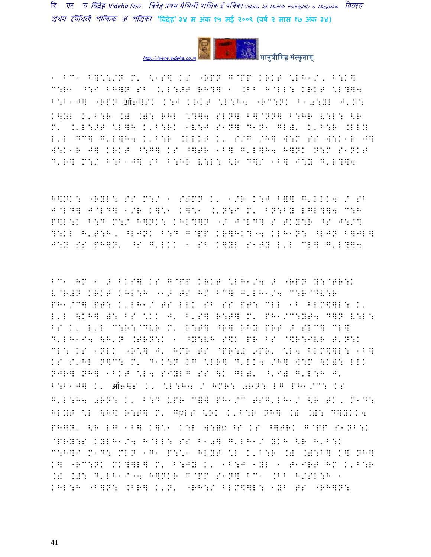

1 BC1 B]\*:/N M' <1S] KS "RPN G@PP KRKT \*LH1/, B:K] C:R1 ^:I BH]N SB .'L:>T RH?] 1 .BB H@LL: KRKT \*L?]4 B:B1J] "RPN MARIT (1940) B1B (1944) RPN:N B10:NH "A.NY KAN KALIMAT KALIMAT KALIMAT BERASA DI BERASA DAN BERASA DI BERASA DAN BERASA DAN BERASA DAN BERASA DAN BERASA M' .'L:>T \*L]H K'B:RK 1V:J S1N] D1N1 GL)' K'B:R .LLY L'L DC] G'L]H4 K'B:R .LLKT K' S/G /H] W:M SS W:K1R J] W:K1R J] KRKT ^:G] KS ^]TR 1B] G'L]H4 H]NK N:M S1NKT D'E: B:B1J] D'R] D'AI SE PARTIE (BELIA DE L'AI D'AI SE PARTIE (BELIA DE L'AI BELIA D'AI D'AI D'AI D'AI D'AI D'

H]NK: "RYL: SS M:/ 1 STMN K' 1/R K:J B=] G'LKK4 / SB J@LD] J@LD] 1/R K]\*1 K]\*1 .'N:I M' BN:BY LGL?]4 C:H PALS B:D M: D M: HAN : K H TAP S J: H T AR I: // B J: AN J: ?:KL H'T:H, ^LJNK B:D G@PP KR]HK?"4 KLH1N: ^LJN B]JL] JOS SS PHRI, OS GLISS VIS CRIB SVAR ELI MIR ALITRA

BC1 HM 1 2 FIRE CR FOR CRIP NEHVE & "RPN GROBBY R THE N KREAT HIS HOW HOW HOW HIS HIS HOW TO BOTH THE TALL IT IS TO BOTH THE RELATIONSHIP OF THE TALL IN THE U PHILOTE PENICLEARING EEN EEN EEN PENICHE SAB SS PEDEREN NI L'L E SAIS HA CHE DI BIS ME PHILIPE ANNE DI CONNECTIONE DE L'AREN BS KI, L'ESSE ANNE MIL PART PRT PRT PRE D'ATTEMPT D'LHIV4 HE.P .DEPRI V 'HINA PRI FE BS ORENER BLPN: CL: KS 1NLK "R\*DRE" HAR TS PRESS DE L'ARIE DE L'AI BLANCHE (N. 1988). KS SK AFL DAMN MK. MA DND EAL DE HAN MLEDA MAAR AND ADEN EED NHA NHA 1BKT NIA SYGIA SS AN AIG. 'NYG'ALIYA' A B:SER AG (1) Méger (1) NESPA (2) ROBS (2005-100-2006-12) G'L:H4 0RN: B:D UPPR C= DER THE FRY CTORE ERRY CONFIDENTIAL HEYT AI ARE GOTHER WINDOW ROLL (1986) 2008 WHICH A RESIDENCE PHBD, RECEPT FROM THIN'S IN HIMP FROM THE SHOP SINDS. @PRY:S KYLH1/4 H@LL: SS B10] G'LH1/ YKH <R H'B:K C:H]I M1D: MLN 1G1 P:\*1 HLYT \*L K'B:R .) .):B] K] NH] K] "RC:NK MK?]L] M' B:JY K' 1B:J 1YL 1 T1IRT HM K'B:R .) .): D'LH1I"4 H]NKR G@PP S1N] BC1 .BB H/SL:H 1 KHL: NHL: HARIN: . .BRIT (1), DLI "RHINI" (1) DIRIRIN: "RIBNI "BENGIRIN: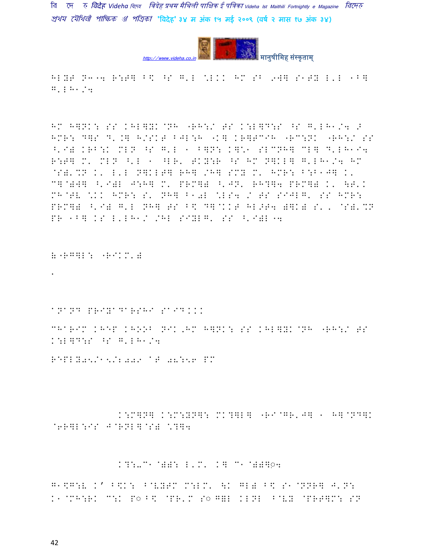

HINA DA AL'ESAN FRONT ALIOSIS ANCHOR SAN SAN ILIOTRA  $H_1$  (  $H_2$  )  $H_3$ 

HM HANK: SS KHLANK YA "RHINK" AN KING KILAMI AN ANG A HMR: D]S D'.] H/SKT BJL:H "K] KR]TCIH "RC:NK "RH:/ SS  $T_1$   $T_2$   $T_3$   $T_4$   $T_5$   $T_5$   $T_6$   $T_7$   $T_8$   $T_9$   $T_9$   $T_1$   $T_1$   $T_2$   $T_3$   $T_4$   $T_5$   $T_6$   $T_7$   $T_8$   $T_9$   $T_9$   $T_1$   $T_2$   $T_3$   $T_4$   $T_5$   $T_6$   $T_7$   $T_8$   $T_9$   $T_9$   $T_9$   $T_9$   $T_9$   $T_9$   $T_9$ R:T] M' MLN ^'L 1 ^LR' TKY:R ^S HM N]KL] G'LH1/4 HM @S)'%N K' L'L N]KLT] RH] /H] SMY M' HMR: B:B1J] K' C]@)W] ^'I)L J:H] M' PRM]) ^'JN' RH?]4 PRM]) K' \T'K MH@TV \*KK HMR: S' NH] B10L \*LS4 / TS SIJLG' SS HMR: PRM]) ^'I) G'L NH] TS B\$ D]@KKT HL>T4 )]K) S', @S)'%N PR 1BJ KS EVERGY /HE SYMER, SS ANGELA

("RG) ("RG) ("RG) ("RG) ("RG) ("RG) ("RG) ("RG) ("RG) ("RG) ("RG) ("RG) ("RG) ("RG) ("RG) ("RG) ("RG) ("RG) ("RG) ("RG) ("RG) ("RG) ("RG) ("RG) ("RG) ("RG) ("RG) ("RG) ("RG) ("RG) ("RG) ("RG) ("RG) ("RG) ("RG) ("RG) ("RG)

 $\ddot{\phantom{0}}$ 

aNaND PRIYaDaRSHI SaID...

CHARIM KHAP KHOOB NIK, HM HINK: SS KH HINK "PH" (PHIL)  $\begin{split} &\mathbf{1} \oplus \mathbf{1} \oplus \mathbf{1} \oplus \mathbf{1} \oplus \mathbf{1} \oplus \mathbf{1} \oplus \mathbf{1} \oplus \mathbf{1} \oplus \mathbf{1} \oplus \mathbf{1} \oplus \mathbf{1} \oplus \mathbf{1} \oplus \mathbf{1} \oplus \mathbf{1} \oplus \mathbf{1} \oplus \mathbf{1} \oplus \mathbf{1} \oplus \mathbf{1} \oplus \mathbf{1} \oplus \mathbf{1} \oplus \mathbf{1} \oplus \mathbf{1} \oplus \mathbf{1} \oplus \mathbf{1} \$ 

REPLY 06:56 PM at 08:56 PM

K:MINE K:M:MINE MK?HIR (APSON), ARIO (ARIO) Market Camera Book (1984)

KT: C'HER ELT, CH'T-MEHDA

GRISH AND BEKING BEKING AN ALL SERVICES OF A STREET STATES K1@MH:RK C:K C:K POST OF C:K PRESS OF LIGHT OF CONTROLLER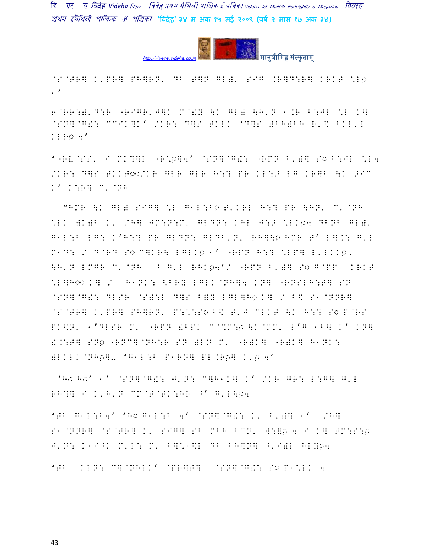

@S@TR] K'PR] PH]RN' DB T]N GL)' SIG .R]D:R] KRKT \*L◌़  $\cdot$  '

6@RR:)'D:R "RIGR'J]K M@!Y \K GL) \H'N 1.R B:JL \*L K] @SN]@G!: CCIK]K' /KR: D]S TKLK 'D]S )BH)BH R'\$ BKL'L  $k:=k\varphi$   $\pm$ '

'HE TEL T TIME HOPEY TUNNING HER BLAN FORTH THE /KR: PAY BILB00/KR H:R H:R PR ER KR KR KR ER KR#P AI 207 K' K:R] C'@NH

"MADE (AI) SHEEL: GARRE (IE) SHEEL: BELIEVE AN HIS PRESENT IN THE  $\Lambda$ B  $\Lambda$  (B)  $\bar{H}$  ,  $\bar{H}$  ,  $\bar{H}$  ,  $\bar{H}$  of  $\bar{H}$  by  $\bar{H}$  ,  $\bar{H}$  by  $\bar{H}$  and  $\bar{H}$  and  $\bar{H}$  and  $\bar{H}$  and  $\bar{H}$  and  $\bar{H}$  and  $\bar{H}$  and  $\bar{H}$  and  $\bar{H}$  and  $\bar{H}$  and  $\bar{H}$  and GH: B LG: C'AH: B LE GHD'N' RHI GHD DO LI GHD AN TH' LA CHOICHE THAT THE THILL D: PGO DORD SO TRIES EREIG (7) "BERO HET LIFR ELEIIO.  $\#N$  D'ENH C'ONGRE' RHIGH'/ "RPN B'IB YO FTE (1818) TO HOP CHINA IN THE ROOT ROOM OF HIS CONFIDENTIAL HE RANGED AND INTO @SN]@G!: DLSR @S):L D]S B=Y LGL]H◌़ K] / B\$ S1@NNR] @S@TR] K'PR] PH]RN' P:\*:S◌B\$ T'J CLKT \K H:? S◌P@RS PERBY 1'MBY HIS NEW WHIP IN THIS RECOVER HIM TO A RECOVERE !.:T] SN◌़ "RNC]@NH:R SN )LN M' "R)K] "R)K] H1NK:  $H$  (iii)  $H$   $\mathcal{D}$  (see Fig. P1RN)  $H$  and  $H$  is  $\mathcal{D}$  and  $\mathcal{D}$  and  $\mathcal{D}$  and  $\mathcal{D}$ 

 $\sim$  40  $\sim$  100  $\sim$  100  $\sim$  100  $\mu$  (Fig. Songs (Fig. Songs ) and  $\mu$  (Fig. Songs ) and  $\mu$  (Fig. Songs ) and  $\mu$ RHTR I KIN COMMON COMPANY OF HIS HOW

 $\Delta\varphi$  Given by Eq. (1)  $\Delta\varphi$  and  $\Delta\varphi$  and  $\Delta\varphi$  is the song  $\varphi$  and  $\Delta\varphi$  and  $\Delta\varphi$  $S$  (SPD)  $\frac{1}{2}$  of  $\frac{1}{2}$  and  $\frac{1}{2}$  is  $\frac{1}{2}$  in the state  $\frac{1}{2}$  of  $\frac{1}{2}$  and  $\frac{1}{2}$  in  $\frac{1}{2}$  in  $\frac{1}{2}$  in  $\frac{1}{2}$  in  $\frac{1}{2}$  in  $\frac{1}{2}$  in  $\frac{1}{2}$  in  $\frac{1}{2}$  in  $\frac{1}{2}$  in  $\frac{1$ J'N: B'A'N: M'L: M'L: M' BINE ME D'AN BHING BHING BHING BH 'TB KLN: C]@NHLK' @PR]T] @SN]@G!: S◌P1\*LK 4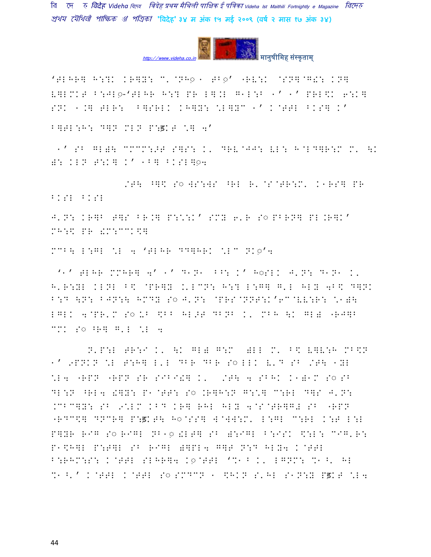

'THE HEART' CEARGE TO TRAP ( PHON) "REGIST THOR TAGE OF PA  $L$ H: T. B: F. SH: O-M: PR LAGE (FR). E H: I. B (FS). PRESS 6:K; PRESS 6: GS) H: SNK 1. THR: BILL KHILL KHILL KHELL KHELL BKS

Band Part of the Peace of the Control of the Control of the Control of the Control of the Control of the Control of the Control of the Control of the Control of the Control of the Control of the Control of the Control of t

 $1$  SB  $\sim$  CMC defined in the special control  $\sim$  The special control  $\sim$   $\sim$  M  $\sim$  M  $\sim$  $\text{iii}$  (if  $\text{iv}$  and  $\text{iv}$  and  $\text{v}$  and  $\text{v}$  and  $\text{v}$ 

 /T\ ^]\$ S◌WS:WS ^RL R'@S@TR:M' K1RS] PR BKSL BKSL

J'N: KR]B T]S BR.] P:\*:K' SMY 6'R S◌PBRN] PL.R]K'  $M_{\odot}$  , which is presented in the contract of the contract of the contract of the contract of the contract of the contract of the contract of the contract of the contract of the contract of the contract of the contract

MCB\ L:GH \*NE 4 'YHER DONNEL' NEC HISS'4

''' THE MMHRIGH' 1' DIRECT BY A DONE ANY THAT A H'R:YL KLNL B\$ @PR]Y .'LCN: H:? L:G] G'L HLY 4B\$ D]NK B:D \N: BON: BOTH: BOW: B: TER CRREL YRT MEGRI (V:R: LGLK 4@PR'M S◌UB \$BB HL>T DBNB K' MBH \K GL) "RJ]B CMK SO SERVE E LIVE

N.PH: ABSOL, AN ARE ANY (ARR NO CHINA VON 1' Y GEROR OE GEBREIELE OP BOOP BOEED IEL POET OP BOOPBOOK  $\mathcal{M}$  and  $\mathcal{M}$  are strictly the strictly of  $\mathcal{M}$  , the strictly strictly strictly strictly strictly strictly strictly strictly strictly strictly strictly strictly strictly strictly strictly strictly strictly st DE:N DL:N PHENE : PHONE : POSSER DE DE PISSE : DISPLAY DE PISSE : PHENE : PHENE : P .CBC]Y: SB 9\*LM KBD KR] RHL HLY 4@S@TR]G# SB "RPN  $R$ POC B: The Pig H W SS WE A GENT. IN THE CHE COMMENT PANE BYA YO BYA: PRIO ELEA YR GRYAN (PRY) SRIG SYARIBY P1\$HBL P:THE 25 RIGHT (1981) 1998 (PSB RIGHT) (2001) B:RHM:S: K@TTL SLHR]4 K◌़@TTL '%1^ K' LGNM: %1^' HL %1^'' K@TTL K@TTL SOOTSMANDER IN STRADONCH I \$HKANDER IS STRAINED TO A HELICE STATE TO STATE TO STATE TO STATE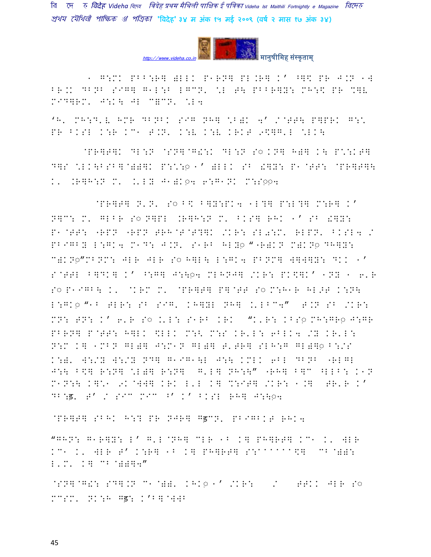ৱি দে <sup>হ</sup> विदेह Videha <sub>বিদেহ</sub> विदेह प्रथम मैथिली पाक्षिक ई पत्रिका <sub>Videha</sub> Ist Maithili Fortnightly e Magazine *ৱিদে*হ õथम मैिथली पािक्षक ई पिñका **'**िवदेह**'** ३४ म अंक १५ मई २००९ (वष र् २ मास १७ अंक ३४)



 1 G:MK PBB:R] )LLK P1RN] PL.R] K' ^]\$ PR J.N 1W BR.K DRIVE SIGH BIG BUTT. AL PR PREBUILDED THIS THE MID]RM' J:K\ JL C=CN' \*L4

'N HO: O'R G'ROLL A D'E D'AR DA DO STAR D'AR D'OCH E DO G'AIR D'AR D'E PRINT GRIGO PR BKSL K:R KC1 T.N' K:V K:V KRKT 9\$]G'L \*LK\

THERT THIS TITH WAS THIN SO FUR HAR IN STILLER D]S \*LK\BSB]@))]K P:\*:◌़ 1' )LLK SB !]Y: P1@TT: @PR]T]\ K. IRAH:N M. I.HE 4:4194 6:A4:M: Mirope

 @PR]T] N'N' S◌B\$ B]Y:PK4 1L?] P:L?] M:R] K' NATH T. MICH ROCHEL . GHENG T. CIRE ERI RY ROCHEL P: "RPN" "RPN" "RPN" "RPN" "RPN" (1951) SL0:M' REPN' BKSL4 / PBIGBY LIGHT RIST AND LIGHT HIS WHAT PURPS THAN MAI B0MIR BIN JALA JALA SO RALA SCAPI WORTH DE AARAANIN MIJ VOO SOTH BIS ACREST ROOM OF THE HISPANIC CONTRACT CONTRACT OF THE HISPANIC HIS PROPERTY IN THE BIG  $SO$  The WHO MY MONTH MONEY CONTROLLED AND MY MONEY CONTROLLED AND MY MONEY CONTROLLED AND MY MONEY CONTROLLED AND MY MONEY CONTROLLED AND MY MONEY CONTROLLED AND MY MONEY CONTROLLED AND MY MONEY CONTROLLED AND MY MONEY CON LING "I HER SP STAG CHAN THAT .IPTA" FOR SP ZIEN MN: FN: MAN: K' 6'R SO MIL: SHE KERK THING WILLEY THING WHEN PBRN] P@TT: H]LK \$LLK M:< M:S KR'L: 6BLK4 /Y KR'L: N:M K] 1MBN GL)] J:M1N GL)] T'TR] SLH:G GL)]◌़ B:/S K:)' W:/Y W:/Y ND] G1IG1\L J:\ KMLK 6BL DBNB "RLGL J:\ B\$] R:N] \*L)] R:N] G'L] NH:\" "RH] B]C ^LLB: K1N MN: BARA LO KRAM MARE (1961) ERIC CORPORATION (1978) A CROW BRIGHT (1978)  $\overline{B}$ :  $\overline{B}$ ,  $\overline{B}$  /  $\overline{B}$  /  $\overline{B}$  ,  $\overline{B}$  (  $\overline{B}$  )  $\overline{B}$  (  $\overline{B}$  )  $\overline{B}$  (  $\overline{B}$  )  $\overline{B}$  (  $\overline{B}$  )  $\overline{B}$  (  $\overline{B}$  )  $\overline{B}$  (  $\overline{B}$  )  $\overline{B}$  (  $\overline{B}$  )  $\overline{B}$  (  $\over$ 

@PR]T] SBHK H:? PR NJR] Gड़CN' PBIGBKT RHK4

"GHN: G1R]Y: L' G'L@NH] CLR 1B K] PH]RT] KC1 K' WLR KC1 KOLO Y WLEATH KY WLAT TO KE WARD FOR THE SIGN OF THE SIGNED OF THE SIGNED OF THE SIGNED OF THE SIGNED OF T L.T. 19 TE MERRY

@SN]@G!: SD].N C1@))' KHK◌़ 1' /KR: / TTKK JLR S◌ WORLD STATE GET AND MELTIC STATE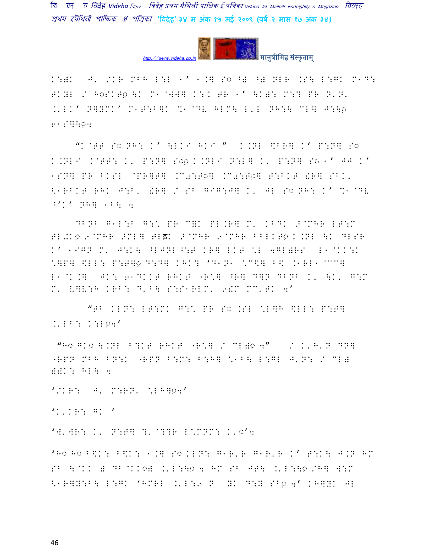

K:)K I' /KR MAH LI /KR MAH LI 10. HE LI INLE .ST LI INLAND IN THE LIGHT OF THE LIGHT OF THE SUBSIDIARY OF THE THE INDEPENDENT ORDER IS A MODEL OF THE MUSIC.  $\langle L, \pm 1, \wedge \rangle$  DHENT:  $\wedge$  ON BISPERION INFORMATION HENCE IS  $\mathbb{R}^n$ : DEPARTMENT: HENCE  $\cdots$   $\cdots$   $\cdots$ 

"KOT SË SHI SIDI SË TATO NË SHIMA " KATO " K.N. " K.N. " K.N. " K.N. " K.N. " K.N. " K.N. " K.N. " K.N. " K.N. K.NEI R. N. II . I . P:NEI YOP I NEI R. P:I B:N. SCPIE YO KY AA N.Y 1SN] PR BKSL @PR]T] .C0:T◌़] .C0:T◌़] T:BKT !R] SBK' RK BAT BHK J: B' BERE JI: B' BARNAR (1) / AB (BO BHN (1) / TH TRE  $\begin{bmatrix} 1 & 0 & 0 \\ 0 & 1 & 0 \\ 0 & 0 & 0 \\ 0 & 0 & 0 \\ 0 & 0 & 0 \\ 0 & 0 & 0 \\ 0 & 0 & 0 \\ 0 & 0 & 0 \\ 0 & 0 & 0 & 0 \\ 0 & 0 & 0 & 0 \\ 0 & 0 & 0 & 0 \\ 0 & 0 & 0 & 0 & 0 \\ 0 & 0 & 0 & 0 & 0 \\ 0 & 0 & 0 & 0 & 0 \\ 0 & 0 & 0 & 0 & 0 & 0 \\ 0 & 0 & 0 & 0 & 0 & 0 \\ 0 & 0 & 0 & 0 & 0 & 0 \\ 0 & 0 &$ 

DBNB G-EGE BAN BE THIS BEIGHT IN INFORMATION BEEN TREAT OR A MUSIC STRIP TO MAKE A STRIP AND TO MAKE A MAKE  $\mathcal{P}$ K' 1799 T. ANIA HAREAR IRE ELF NE APEREN (ESTIL **1988 B:L: P:P#0 T:DH: P:D YD-D: 1788 FE .1PL1 \*CTB** L1 A. M. DER ST. ST. DER ST. BEREITSTER DER BEITSTELLIGER ST. DER KEINE GERÜCKT. DER KEINE GESTELLIGER KEINER M. BARGA CAPA ALPA SGERAHIM, GEO OMISCHA

"H: LIS: LEGI #W. TR FO MI (184 HII) PGF  $1.111:1194'$ 

 $\mathbb{R}^n$ Ho HI $\phi$  R (File and BH)  $\phi$  . At the state  $\mathbb{R}^n$  and  $\mathbb{R}^n$  and  $\mathbb{R}^n$  and  $\mathbb{R}^n$ "RPN MBH BN:K "RPN B:M: B:H] \*1B\ L:GL J'N: / CL) ))K: HL\ 4

'/KIR: J. THER. NEWSON'

**MILLEY #1 //** 

 $'$ H. HE: K. THE T. THE ENTRICATOR

'MPO PO FRIGHT RIGHT FO I EPS 'PH BILE' PH BILE' IN GIG BILATE PD  $S\bar{B}$  ) in the set of  $\bar{C}$  of  $\bar{C}$  . In the  $\bar{B}$  of  $\bar{B}$  in  $\bar{C}$  ,  $\bar{B}$  is  $\bar{B}$  in  $\bar{B}$  and  $\bar{B}$  is  $\bar{C}$  in  $\bar{B}$  is  $\bar{C}$  in  $\bar{B}$  is  $\bar{C}$  in  $\bar{B}$  is  $\bar{C}$  in  $\bar{C}$  in  $\bar$ R:BUIN:B INU 'HTH 'NING Y UN THE HOS' (BUILD)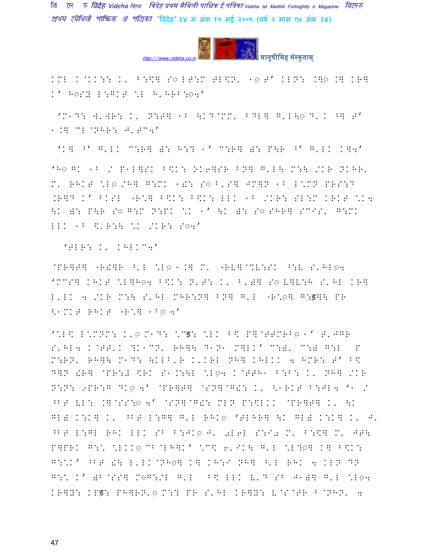

K.ME KOK:: KEAK:: KI B: KOK: B: BI B: KD: KOQ: AN I D: D: THO I D: D: B: H  $K'$  Hoff first and  $K''$  and  $\mathcal{L}$ 

 $NT$  The distribution of the set of  $T$  is defined as  $N$  and  $T$  and  $T'$ 1. In Claudi 1991, 1992

 $N$  G  $N$  G  $K$  , and  $N$  is the contract of  $K$  of  $G$  . The contract  $K$  and  $K$  and  $K$ 'HòGK 18 / PHERI FRIN DIARE FRANKING DIE ZIPE. M. RHCH (180 JAH) BYON (KIY YOF) PRI GOTA IN BOTH DOWN PRYSH .R]D K' BKSL "R\*] B\$K: B\$K: LLK 1B /KR: SL:M KRKT \*K4  $\kappa$  ): PASS of the state  $\kappa$  is so that science when  $H:Y \to Y$  which  $X:Y \to Y$  is subset of  $\mathbb{R}^n$ 

'TLR: K' KHLKC4'

WHERE SEER BI MOSTE TO SEER TERM THE PRESS MCCHE (ADE MINGG) FRIN B.BY (. F.HN KO ENEYA K.AI (BR L'LA /C'E ZIE Z'LE ZE ZEEIZER FIE BLE HELOE BIBER DE  $1.718$  RHMT  $.718$   $.104$ 

 $N$ l\$ Control i.gov(3): Nogi Mill at B\$ P# P#PP#  $\varrho$  1'  $\varrho$  . Here S'HL4 K@TT'K ?K1CN' RH]\ D1N1 M]LK' C:)' C:) G:L P M:RN' RH]\ M1D: \KLB'R K'KRL NH] KHLKK 4 HMR: T' B\$ D]N !R] @PR:# \$RK S1.:\L \*L◌़4 K@TTH1 B:B: K' NH] /KR N:N: 9PR:G DK◌़ 4' @PR]T] @SN]@G!: K' <1RKT B:JL4 '1 /  $B\in \mathbb{R}$  is the state of  $\mathbb{R}$  of  $\mathbb{R}$  . The probability of  $\mathbb{R}$  is the state of  $\mathbb{R}$  of  $\mathbb{R}$ H:B:TH:B: H:B:HH:B:FHO YH:GH:B: H:B:TH:B:Y  $B\bar B$  limit lead till spot binds at  $\bar B$ :  $\bar B$ :  $\bar B$ :  $\bar B$ :  $\bar B$ :  $\bar B$ :  $\bar B$ :  $\bar B$ :  $\bar B$ :  $\bar B$ :  $\bar B$ PAPE: #NN NEIDO TROBARIM NOTE BLATA #LE NEADOR FARING B:1K' BT E RESERVED ON THE PHOTO IN THE SERVED OF THE BY: IK BRYET COMYET MOED AN EEN EN MOST SA BH MOED NEOW KR]Y: KPड़: PH]RN'◌़ M:? PR S'HL KR]Y: V@S@TR B@NHN' 4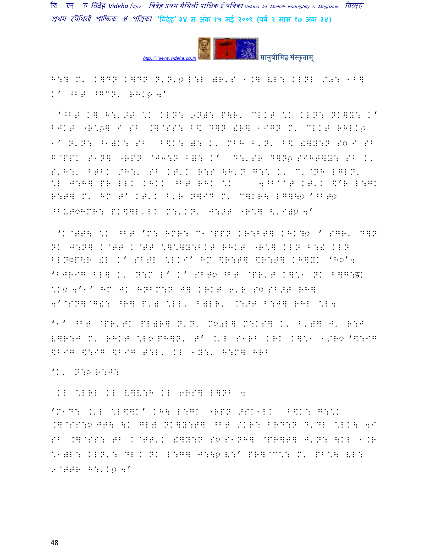

H:? M' K]DN K]DN N'N'◌़ L:L )R'S 1.] VL: KLNL /0: 1B]  $N$   $B$   $B$   $B$   $B$   $B$   $B$   $C$   $B$   $B$   $C$ 

 $\mathcal{P}$  (F) H: The  $\mathcal{P}$  and  $\mathcal{P}$  and  $\mathcal{P}$  are  $\mathcal{P}$  . The  $\mathcal{P}$  and  $\mathcal{P}$  and  $\mathcal{P}$ BADK "BOOK" I SB . BE STATE RHE STATE I SAN DIE BHILG 1' N'N: BEN' N'A' SE NORTH BY SAN BEN'NY BEN'NY BEN'NY SORIAL GP SPRING STORE OF A SHOP OF HIS CITY OF THE CONTRIBUTION OF SINGLE SITE OF LINES. S'H:' BTBK /H:' SB KT'K R:S \H'N G:\* K' C'@NH LGLN' \*L J:H] PR LLK KHKK ^BT RHK \*K 4^BaaT KT'K \$'R L:GK RiFE M. AM FY CELL P.R NEVT M. MEDRE ETHING Y PRO PUTOS PESSON: PRODUCT MILL MODEL OF THE REPORT

 $N$  the  $M$  image  $\overline{X}$  is the control of  $\overline{B}$  in  $\overline{B}$  is the control of  $\overline{B}$ NK J:NI:N KOMMAN KATH KATHAR "RATH "RATH" (1995) BLOSPHE EL IM BRITAL Y SING "HOT BEGAR BEGAR I HAR: "HOME  $M$  Hern Film (1)  $B(T)$  is  $A(T)$  if  $B\phi$  and  $B(T)$  if  $B(T)$  . The entropy  $B(T)$  $M\otimes H'$  is the solution of  $\mathbb{R}^n$  in the solution of  $\mathbb{R}^n$  such that  $\mathbb{R}^n$  $4$  C  $\Omega$  (Fig. )  $\Omega$  . For a set of  $\Omega$  , the set of  $\Omega$  . The set of  $\Omega$  is a set of  $\Omega$ 

''' 'BT CREAR THER R.R. TOWER THIRE IN FAER H. BYP  $\,$ R:HET M' RIM' ROLL AND RIFER  $\,$  . Hence the state of the state of the state  $\,$ \$BIG \$:IG \$BIG T:L' KL 1Y:' H:M] HRB

 $N: I: F:Q \ni H \vdash T$ 

KL THE CONSIDERED AND A CONSIDERED AND A CONSIDERED AT A CONSIDERATION OF A CONSIDERATION OF A CONSIDERATION O

'M1D: .'L \*L\$]K' KH\ L:GK "RPN >SK1LK B\$K: G:\*K  $10$  The step of the CD Guident control to the CD  $\lambda$  the CD  $\lambda$  and  $\lambda$  are defined to  $\lambda$ SB . IN SEEN AT LOCAL IN SURFIEL TO PHANN TEACHER ALTENATION IF  $\sim$  APA (FR): PRICE RIGHT FOR EXTERP TO DECREASE  $\sim$  $9.7999 + 4.1094$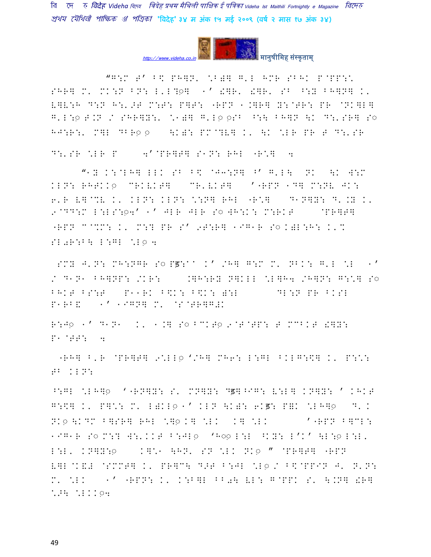

"HIT BY FR PHER. (PHB H.E HMR SPHI POPPI)  $S$ Hi M' M' M' BH: L'ISL SAN BH, AN BH SAN BHI A' V]V:H D:N H:'>T M:T: P]T: "RPN 1.]R] Y:@TR: PR @NK]L] B.:G9 F.M / SHPHIG: G'ER B.:0 02: SGB (PHP) RI TG.2PH SO HANBN: 'MBRO' MP BO OCCO STATES OF THE DISCOVERY TO THE DISCRIPTION OF THE PROPERTY

D: SR \*LR P 4' TRHER STIN RH "RTH" H

 "1Y K:@LH] LLK SB B\$ @J3:N] ^' G'L\ NK \K W:M KLN: RHBKOp ("RIKIB") '"RVKIPH" | 'ABTN' ("H"NYEN 4D) 6'R V]@%V K' KLN: KLN: \*:N] RHL "R\*] D1N]Y: D'.Y K' 9@DD:M L:LS:◌़4' 1' JLR JLR S◌WH:K: M:RKT @PR]T] "RPN COMM: KI MYST: PROSA SPRED SYTHE SO DEERE SO I  $SLEHHHHHHHHQH$ 

SMY WE SAME SOMETHERS OF STATES OF A KING STATES OF A KING STATES OF A KING STATES OF A KING STATES OF A KING / D1N1 BH]NP: /KR: .]H:RY N]KLL \*L]H4 /H]N: G:\*] S◌ BHKT BS:T P11RK B\$K: B\$K: DR:N PR BKSL: 2008 PHRBB 1' 1' 12' HEART

Rivo 1' Die List 1' Die Liste was die Stelling in Monte States Profession (1)

"RHAR (F. B. (TERRER) DILEGO YINA (INHE: EGRE) FILERGIR (I.) (FGIG: TB KLN:

^:GL \*LH]◌़ '"RN]Y: S' MN]Y: Dड़]^IG: V:L] KN]Y: ' KHKT GREE D: PENN C, PENPA K DEP ROEN BIS PEN CHARQ O P. D NKO BIT PINEBE BHL AND IN ALL (18 ALL) (18 APR) \* PER BUTE INTER SO CIE BELIJA FEBIO INFORTEL TUBE EN NINGERE. Line Commission of the State of the State of the State of the State of the State of the Property of the State LAN MILL MONTHA IS PRAIN AND BEAM MILL OF BIRGHT AS WELF. MY FLORE A REPORT OF GOVERN AND RESIDENCE SO RESIDENCE.  $\mathcal{L}$ :  $\mathcal{L}$   $\mathcal{L}$   $\mathcal{L}$   $\mathcal{L}$   $\mathcal{L}$   $\mathcal{L}$   $\mathcal{L}$   $\mathcal{L}$   $\mathcal{L}$   $\mathcal{L}$   $\mathcal{L}$   $\mathcal{L}$   $\mathcal{L}$   $\mathcal{L}$   $\mathcal{L}$   $\mathcal{L}$   $\mathcal{L}$   $\mathcal{L}$   $\mathcal{L}$   $\mathcal{L}$   $\mathcal{L}$   $\mathcal{L}$   $\mathcal{L}$   $\mathcal$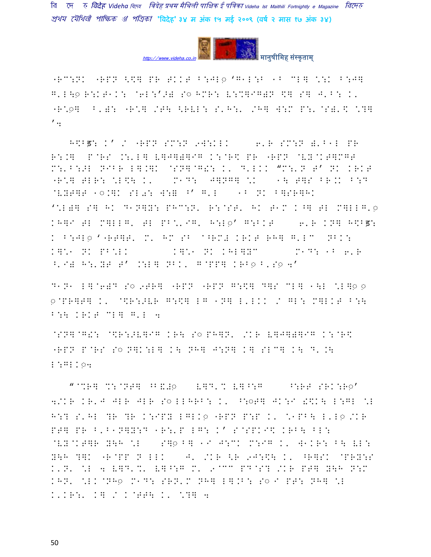

"REMARD" (REPROSING BE GEODY FARE@ MARE AF THE BIS NADOR ARE G'LE RO B'RI BY I R: 'YEE RYJEE' FO AT BREEN AT THE THE HIGHEST IN THE INC.  $\sim$  P-NOR  $\sim$  P-N  $\sim$  -T-RVR. States in Eq. ( ) and ( ) of the states in Eq. ( ) shows the states in Eq. ( ) and  $^{\prime}$  ..

 H\$Bड़: K' / "RPN SM:N 9W:KLK 6'R SM:N )'B1L PR R:19 .: P.1931 .: LE ROLER REPERT IS NOT PROVED A PROTECTIVE M: B::L NIBR LIE OOK DE LIJK MEERSTE LIJK "M: L DOOR "WIN TE LIJK "DIE DIE LIJK "DIE DIE LIJK "MIN TE DIE DIE  $R^2$  Text of the  $R^2$  M1D:  $R^2$  and  $R^2$  and  $R^2$  and  $R^2$  and  $R^2$  and  $R^2$  and  $R^2$  and  $R^2$  and  $R^2$  and  $R^2$  and  $R^2$  and  $R^2$  and  $R^2$  and  $R^2$  and  $R^2$  and  $R^2$  and  $R^2$  and  $R^2$  and  $R^2$  and  $R$ WHIT IS NOT THAT THE REAL INCOME. '\*L)] S] HK D1N]Y: PHC:N' R:@ST' HK T1M K^] TL M]LLG'◌़ KHEA HI THIIR, HI PRALAR, HGI@' FGRIE ( B.B.ISPE 6575) K B:JANO Y HEARE, Y, AY HE SB @AYE CALA ARR #.NY #.Y" YELS KAN PERSONAL KERANG KALENDARYA KALENDARYA KEMANYA KE SEKARA SERRA ANG KALENDARYA KALENDARYA KE SEKARA SERRA AN ^'I) H:'YT T' .:L] NBK' G@PP] KRB◌़ B'S◌़ 4'

 $D^2$  . The solution of  $D^2$  is the solution of  $D^2$  . The solution of  $D^2$  is the solution of  $D^2$  . The solution of  $D^2$  is the solution of  $D^2$  is the solution of  $D^2$  is the solution of  $D^2$  is the solution of  $\phi$  (presented to a contract contract of the presented in the contract of the presented in the present  $\phi$  $\mathcal{B}=\{x_1,\dots,x_n\}$  given by  $\mathcal{B}=\{x_1,\dots,x_n\}$ 

 $\mathcal{N}$  - SND  $\mathcal{N}$  - SND  $\mathcal{N}$  ,  $\mathcal{N}$  , and  $\mathcal{N}$  is the value of  $\mathcal{N}$  , and  $\mathcal{N}$  is the value of  $\mathcal{N}$ "RPIC PORT SO DHI NEH C'H CHA "PARS" I H SE MH C'H C'H "  $E:4H:20H$ 

" "THE TO PHE PIEAD | EARLY EAPNE | POHE PHIOP" ALCOR CORLA APORTA IN INGLESARE SULL I PROPELANCING INCORPORATIONS. HAT SIHE TR TR INSTRUMENT PER PER PATH II NORTH PIER ( PT PR BOOK PRESS ARE PIRE IN A STREET FOR A FRIG WHEN YOU AND RELEASED IN THE CONSTRUCTION OF A SALE OF REAL SECTIONS OF REAL AND MELTICAL CONTINUES. THE CONSTRUCTION OF REAL AND RELEASED IN THE CONTINUES OF REAL AND RELEASED OF REAL AND MELTICAL CONTINUES. THE CONTINUES YA YA YA RAMA NA KATI YA KATI YA KATI YA KATI YA KATI YA KATI YA KATI YA KATI YA KATI YA KATI YA KATI YA KATI K'N' YE A'REAN YOUR BERG YOU AND BERGE YOU AND THE WHO YES KHO, SECORA MINE ANTIBOLIC ORE ER DIR NO SCREAM DAR SL K'KR: ' K'KR: ' K'KR: ' K'KR: ' K'KR: ' A'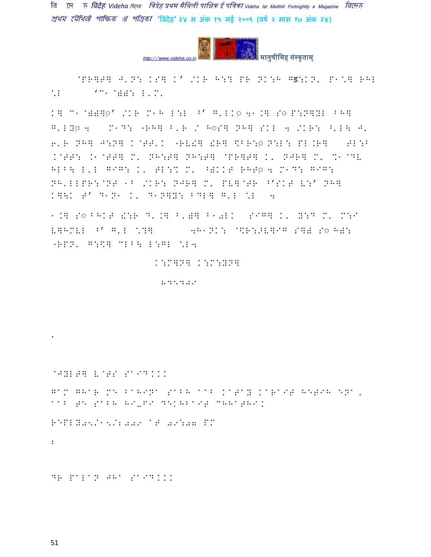

 @PR]T] J'N: KS] K' /KR H:? PR NK:H Gड़:KN' P1\*] RHL \*L 'C1@)): L'M'

K] C1@))]◌़' /KR M1H L:L ^' G'LK◌़ 41.] S◌P:N]YL BH] B.HID: A MUSIC 4 MIND AND REAL PROPERTY AND RESOURCE AN INCOME AND REAL PROPERTY AND REAL PROPERTY AND REAL PRO  $R$  . The first control which if  $R$  is  $\mathbb{R}$  if  $\mathbb{R}$ .@TT: .1@TT] M' NH:T] NH:T] @PR]T] K' NJR] M' %1@DV HILB ILE GAGS IL WEST TL: HEILE BAWR A TEST GAGS. NH'LLPRSMAR (P. NIRS ARBENT) PERMAN (PRIS ESP) AND KARA TYP DI BIBI FRI BI DI DI

1.18 Soft-Park Rich P. De Flag (1921) | Syffe D. Gry T. Thr LARVLE OF GLE TAAR (WHINK: GREENLAND FAR FORE)  $R$ 

K:M]N] K:M:YN]

845409

@JYLT] V@TS SaID... GaM GHaR ME BaHINa SaBH aaB KaTaY KaRaIT HETIH ENa, aaB TE Sababat Hirigar Territoria (maargari.) REPLYNS AT 09:07 PM  $\ddot{\cdot}$ 

 $\bullet$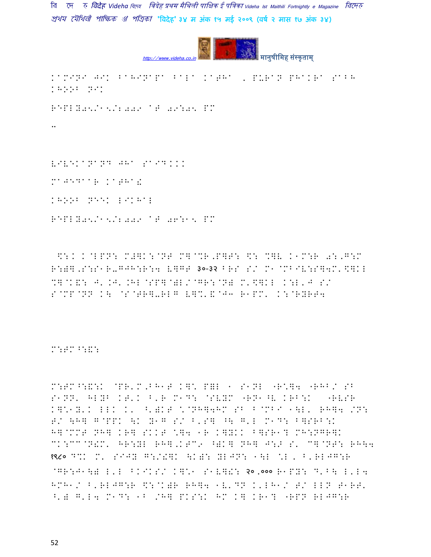

Kaming Ang Panangangan Pangangang , Puran Persentah Sampa KHOOB NIK

RPPE Basily silon at 09:05 at 09:05 PM

 $\ddot{\phantom{0}}$ 

VIVEKaNaND JHa SaID...

MaJEDaaR KaTHa!

KHOOB NEEK LIKHaL

REPRESENTATION OF GRAND FO

 \$:. K@LPN: M#]K:@NT M]@%R,P]T: \$: %]V K1M:R 0:,G:M R:)],S:S1R-GJH:R:4 V]GT ३०-३२ BRS S/ M1@MBIV:S]4M'\$]KL %]@K&: J'.J'.HL@SP]@)L/@GR:@N) M'\$]KL K:L'J S/ SOME MANUSCH KONGEREIGEN KAN KONGEREIGEN DER STREEP

M:TM^:&:

M:TM^:&:K @PR'M,BH1T K]\* P=L 1 S1NL "R\*]4 "RHB/ SB S1NN' HLYB KT'K B'R M1D: @SVYM "RN1^V KRB:K "RVSR KAN KELLA KELANG KERAHAHMAN SB BANGAN SB BAHA 1993 The God of God of the God of the South Control Management of the God of the God of the South Control of the S HA MOTA (DHA) I BACK SKI BACKABA (PHOTA) AAN I BAGHI AG OMGORAAN CK:CC@N!M' HR:YL RH],KTC9 ^)K] NH] J:> S' C]@NT: RH\4 १९८० में पार्ट को अपने से साथ से साथ से साथ से साथ से साथ से साथ से साथ से साथ से साथ से साथ से साथ से साथ से @GR:J1\) L'L BKIKS/ K]\*1 S1V]!: २०,००० R1PY: D'B\ L'L4 HMH1/ B'RLJG:R \$:@K)R RH]4 1V'DN K'LH1/ T/ LLN T1RT' ^') G'L4 M1D: 1B /H] PKS:K HM K] KR1? "RPN RLJG:R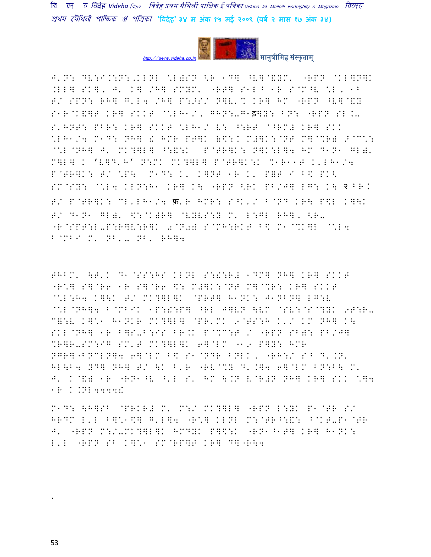

J'N: D'AN SON ER AN DER SON EIN DER SON EIN DER SON EIN DER SON EIN DER SON EIN DER SON EIN DER SON EIN DER SO<br>Der Son eine Eine der Son eine Son eine Son eine Eine Son eine Son eine Son eine Son eine Son eine Son eine Ei . LEARLY SCORE . THE SCORE SHOWLER STATE IN STATE STOCKERS . LEARLY  $\mathcal{L}$ T/ SPN: RH] G'L4 /H] P:>S/ N]V'% KR] HM "RPN ^V]@&Y STA BY CORPER OF BRITISH OF THE RANGEL BRITISHES REPORTED A PROPOSED CLU. S'HOURS BY RECENT FOOD MENT AND MANUFACTURE OF RECENT \*LH1/4 M1D: NH] ! HMR PT]K (\$:. M#]K:@NT M]@%R) >@C\*: @\*L@NH] J' MK?]L] ^:&:K P@TR]K: N]K:L]4 HM D1N1 GL)' MALA K 'VEATLA' MANI NI AALA BORAHINI NI HARA LILAANA POIRT KINS TRANSVILLE I REPORTED A PROPERTY SMASH: MISTIRE CHRIS CHORES CHOCHE PROTHICAL TRIC POSSERIO E COLLA BALICA (1982), BOSH CROSS ROLL IN A CIPAL CORRECT RADIO CARED T/ D1N1 GL)' \$:@K)R] @VYVS:Y M' L:GL RH], <R-  $R$  . Respectively, a main background background background background background background background background background background background background background background background background background backgrou BOOK MI NB'- NB'- NB'-

FART, AB.: M. STING CIPE INSIDE (MTH 7AH 199 FILE "RENN "R'AC'HE "R'AC'HE "R'AC'HE MARC'H' M'A' M'A' SKET MA' R'AC'HE @\*L:H4 K]\K T/ MK?]L]K @PRT] H1NK: J1NBN] LG:V @\*L@NH]4 B@MBIK 1P:!:P] ^RL J]VN \VM @SV:@S@?YK 9T:R-THIL CAN AVECA TOAH A THUIL WARRANT CUTTER OF SKL@NH] 1R B]S-B:IS BR.K P@%C:T / "RPN SB): PB/J] %R]R-SM:IG SM'T MK?]L]K 6]@LM "19 P]Y: HMR NGR]"BNCLN]4 6]@LM B\$ S1@NDR BNLK, "RH:/ S^ D'.N' HEAR ONE NHE BIR ALL RIE HEIMO NI DE BAR PO RUBA MI J' KOB 'R "RANNI 'R "RI" KORD AN DIR RHAN NH KRI KRI SK 1R K.NL4444!

M1D: \H]SB @PRKR# M' M:/ MK?]L] "RPN L:YK P1@TR S/ HRDM L'L B]\*1\$] G'L]4 "R\*] KLNL M:@TR^:&: ^@KT-P1@TR J' "RPN M:/-MK?]L]K HMDYK P]\$:K "RN1^1T] KR] H1NK: LI "RPN SPITE" STORES IRE THARE

 $\ddot{\phantom{0}}$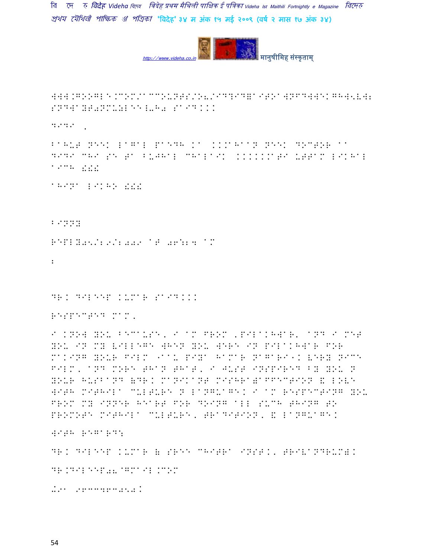WITH REGaRD: DR. DR. DILEEP KUMAR ( SREE CHITRA INST., TRIVANDRUM). DR.DILEEP08@GMaIL.COM 403 9633463463

I KNOW YOU BECaUSE, I aM FROM 'PILaKHWaR' aND I MET YOU IN MY VILLEGE WHEN YOU IN MY VILLEGE WHEN YOU WERE INTO A STATE OF THE MY VILLEGE WAR FOR YOU WERE INTO A Making the Film of the Film and the United States of the FILM, aND MORE THaN THaT, I JUST INSPIRED BY YOU N YOUR HUSBaND (DR. MaNIKaNT MISHRa)aFFECTION & LOVE WITH MITHILA CULTURE N LANGUAGE N LANGUAGE DE SERVICION SE FROM MY INNER HEART FOR DOING ALL SUCH THING TO PROMOTE MITHILa CULTURE, TRaDITION, & LaNGUaGE.

 $R$  respectively. The set of the set of the set of the set of the set of the set of the set of the set of the set of the set of the set of the set of the set of the set of the set of the set of the set of the set of the s

DR. DILEEP KUMaR SaID...

REPLYNS AT 06:24 aT 06:24 aT 06:24 aT 06:24 aT 06:24 aT 06:24 aT 06:24 aT 06:24 aT 07:24

2

aHina Likho eta a

aICH !!!

**BINNY** 

SNDWAYT0NMUZLEE\_SNDWAYT0 dia ang panganang pang

DIDI CHI SE TA BUJHAL CHI SE TA BUJI UTTAM LIKHAL BALAME

BaHUT NEEK LAGAL PAEDH KA ...aHaaN NEEK DOCTOR AAN NEEK DOCTOR AAN NEEK DOCTOR AAN NEEK DOCTOR AAN NEEK DOCTOR

WHO COMPLETED IN THE COMPLETED CONTROL COMPLETED A GENERAL COMPLETED AT DISPLACEMENT OF A GENERAL CONTROL OF A

http://www.videha.co.in **महिले जिल्ला के बाद के प्रति स**मानुषीमिह संस्कृताम्

िव दिन दि<mark>विदेह Videha</mark> बिल्ह विदेह प्रथम मैथिली पाक्षिक ई पत्रिका Videha Ist Maithili Fortnightly e Magazine *विC*फ्ट õथम मैिथली पािक्षक ई पिñका **'**िवदेह**'** ३४ म अंक १५ मई २००९ (वष र् २ मास १७ अंक ३४)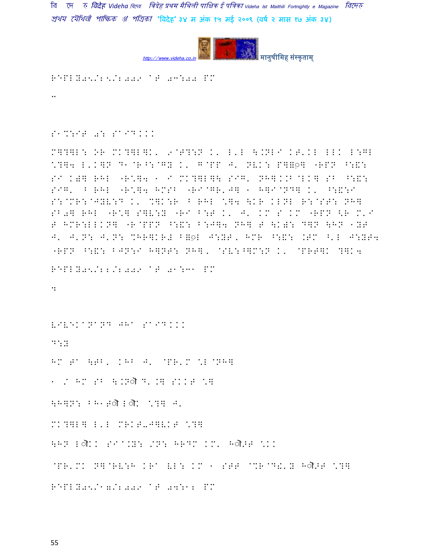

REPLYNS AT 03:00 PM AT 03:00 PM

SN THAT WE STATIST

MARINE DE MARINE DE STRIK (LE LE RINE CENTE ELL'ESPI  $\frac{1}{2}$  )  $\frac{1}{2}$  . The contribution of the contribution of the contribution of the contribution of the contribution of the contribution of the contribution of the contribution of the contribution of the contribution o SI K) RHL "RECHA" I I MARHL RIN, SHEID SEE SI SHEY SIG' RHL "RELEVED "RIGHT" RELEASED "RIGHT" IS A HIGH "RIGHT" S: CORS MARSH IS CONSIDERED THE SIGN REPORTS ON A RHOUSE IN THE SERVICE OF THE STATE OF THE STATE OF THE STATE SB0] RHL "R\*] S]V:Y "RI B:T K' J' KM S KM "RPN <R M'I T HMR:LLKN] "R@PPN ^:&: B:J]4 NH] T \K): D]N \HN 1YT JF, JF, D'S H, D'S CORREIRE FOR FIROR (HAGER), HODR (FSES (CRO) F, E (HAGERS) "RPN PORT FRANCH PHARE DRIE ("TENTHIN"), "NHPPH" (1991)

REPLYNS AT 01:31 PM PLYNS AT 01:31 PM PLYNS AT 01:31 PM PLYNS AT 01:31 PM PLYNS AT 01:31 PM PLYNS AT 01:31 PM

 $\dddot{\bullet}$ 

 $\ddot{\phantom{2}}$ 

EVENT STORE AND STORESS

D:Y

HM Ta \TB' KHB J' @PR'M \*L@NH]

 $1 - \frac{1}{2}$  ,  $1 - \frac{1}{2}$  ,  $1 - \frac{1}{2}$  ,  $1 - \frac{1}{2}$  ,  $1 - \frac{1}{2}$  ,  $1 - \frac{1}{2}$  ,  $1 - \frac{1}{2}$  ,  $1 - \frac{1}{2}$  ,  $1 - \frac{1}{2}$  ,  $1 - \frac{1}{2}$  ,  $1 - \frac{1}{2}$  ,  $1 - \frac{1}{2}$  ,  $1 - \frac{1}{2}$  ,  $1 - \frac{1}{2}$  ,  $1 - \frac{1}{2}$  ,  $1 - \frac{1}{2}$ 

 $\frac{1}{2}$  $\frac{1}{2}$  $\frac{1}{2}$   $\frac{1}{2}$   $\frac{1}{2}$   $\frac{1}{2}$   $\frac{1}{2}$   $\frac{1}{2}$   $\frac{1}{2}$   $\frac{1}{2}$   $\frac{1}{2}$   $\frac{1}{2}$   $\frac{1}{2}$   $\frac{1}{2}$   $\frac{1}{2}$   $\frac{1}{2}$   $\frac{1}{2}$   $\frac{1}{2}$   $\frac{1}{2}$   $\frac{1}{2}$   $\frac{1}{2}$   $\frac{1}{2}$   $\frac$ 

MK?)LIL HORACIA (1999) (1999) (1999) (1999) (1999) (1999) (1999) (1999) (1999) (1999) (1999) (1999) (1999) (19

 $\#$  Long Similar Similar Similar Similar Similar Similar Similar Similar Similar Similar Similar Similar Similar Similar Similar Similar Similar Similar Similar Similar Similar Similar Similar Similar Similar Similar Simi

@PRYMY PROHINE IF MINICY & PAR ONE ORIGINATE IN

REPLY 04:12 PM at 04:12 PM at 04:12 PM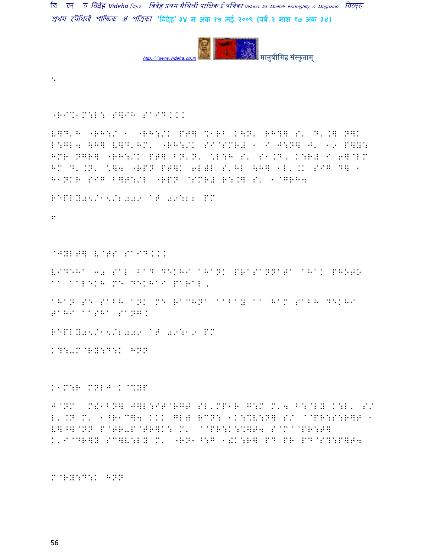

 $\ddot{\phantom{0}}$ 

"RIGHT" RIGHT" STATE STATE STATE STATE STATE STATE STATE STATE STATE STATE STATE STATE STATE STATE STATE STATE

V]D'H "RH:/ 1 "RH:/K PT] %1RB K\N' RH?] S' D'.] N]K LYBEN ARR ERRIRT, MERYZ SYNSTED A 2 PYPE A. A. PROY HMR NGR] "RH:/K PT] BN'N' \*L:H S' S1.D, K:R# I 6]@LM HM D'.N' \*]4 "RPN PT]K 6L)L S'HL \H] 1L'.K SIG D] 1 H1NKR SIG B]T:/L "RPN @SMR# R:.] S' 1@GRH4

REPLYNS AT 09:22 PM

 $\mathbf{C}^{\bullet}$ 

@JYLT] V@TS SaID...

VIDEHa 30 SaL BaD DEKHI aHaNK PRaSaNNaTa aHaK PHOTO aa aalektik meessaar margaal

aHaN SE SaBH aNK ME RaCHNa aaBaY aa HaM SaBH DEKHI FASHI AASHA

RPPE Basily silonary of carbon FD

K:: MORY SERVICE SERVICE

 $K$  , and  $K$  matrix  $K$  and  $K$  and  $K$ 

J@NM M!1BN] J]L:IT@RGT SL'MP1R G:M M'4 B:@LY K:L' S/ L'.N M' 1^R1C]4 KKK GL) RCN: 1K:%V:N] S/ @@PR:S:R]T 1 V]^]@NN P@TR-P@TR]K: M' @@PR:K:%]T4 S@M@@PR:T] K.IODRIGH: PORTING SCIENCE IS A SCHOOL PROPERTY PROPERTY PROPERTY PROPERTY PROPERTY PROPERTY PROPERTY PROPERTY PROPERTY PROPERTY PROPERTY PROPERTY PROPERTY PROPERTY PROPERTY PROPERTY PROPERTY PROPERTY PROPERTY PROPERTY PRO

Mary 1999, 1999, 1999, 1999, 1999, 1999, 1999, 1999, 1999, 1999, 1999, 1999, 1999, 1999, 1999, 1999, 1999, 199

56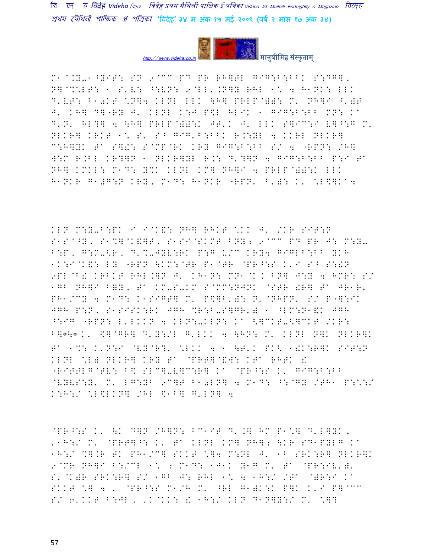

MANISH: SN 9@CCC PO PR RHITL BE REPORTED AN ASSAULT STATES. NA MONE ANI AO BILEAU ANEDRA DA MELICIARE DA ALCHIDA A HADA CEED D'LES PRAIR NOME IIO II REAL DEI NADA D'AURA PRES J' KH] D]"RY J' KLNL K:J P\$L HLIK 1 GIG:B:BB MN: Ka D'N' HL?] 4 \H] PRLP@)):K JT'K J' LLK S]IC:I V]^:G M' NLKR] KRKT 1\* S' S^ GIG'B:BBK R.:YL 4 KKRL NLKR] C:H]YK Ta S]!: S@MP@RK KRY GIG:B:BB S/ 4 "RPN: /H] W:M R.B. KR.BURY R. BL KRIBL KRYSTER HANDLING BY PIR NH] KMKL: M1D: Y%K KLNL KM] NH]I 4 PRLP@)):K LLK H1NKR GHI NA GHE GI NA GI NA GI ANG ANG HINAR "RENG' BILI NA GI NA GI NA GI NA GI NA GI NA GI NA GI NA GI NA G

## KLAN M: SALAH MIRI RHKT ANG PANGANG ANG PANGANGAN ANG PANGANGAN ANG PANGANGAN ANG PANG-ANG PANG-ANG PANG-ANG P SNS MARK SNS WARREN SNS MANAGEMENT BOOK BANK BANK; PARK B:P, G:M-<R, D'%-JYV:RK P:G U/C KRY4 GIGLB:BB YKH 1K:I@K&: LY "RPN \KM:@TR P1@TR @PR^:S K'I S^ S:!N 9PL@B! KRBKT RHL.]N J' KH1N: MN1@K. BN] J:Y 4 HMR: S/ 1GB NH]I B=Y, Ta KM-S-KM S@MM:NJNK @STR !R] Ta JR1R' PH1/CY 4 M1D: K1SIGT] M' P\$]B'): N'@NHPN' S/ P"]:IK JGH P:N, S1SISK:RK JGH %R:B-SIGHE, B + 1 PYREN DO JGH ^:IG "RPN: L'LKKN 4 KLN:-KLN: Ka <]CKT-<]CKT /KR: B'900 K. BH'909 B.GRI B.E.K 4 GRIN I. MEIR IN MEI DE Ta 1%: K'N:I @VY@R?' \*LKK 4 1 \T'K PK< 1!K:R]K SIT:N KLNL \*LIKRISTIN \*LIKRISTIN \*LIKRISTING  $R$  . Be startly be start to startly construct the substantial constant  $R$  is a  $R$  substantial constant  $R$ MINISTIC ON PRINT STREAK WITH A CATA PERSONAL CHARGE OF K:H:/ \*L\$LKN] /HL \$1B] G'LN] 4

@PR^:S K' \K D]N /H]N: BC1IT D'.] HM P1\*] D'L]YK, '1H:/ M' @PRT]^: K' Ta KLNL KM] NH]; \KR SD1PYLG Ka 1H:/ %].R TK PH1/C] SKKT \*]4 M:NL J' 1B SRK:R] NLKR]K 9@MR NH]I B:/CL 1\* ; M1D: 1J1K Y1G M' Ta @PR:IV')' S. THE PEINER PICK ROOMS ENDING AND CHOONERS IN SKKRT \* A " THE MILL GLOBE TO GHE WARRANT COMPROMING SA GRANDE BIGHER AND STRAIN THE PROPERTY OF THE SALE OF THE MANUFACTURE OF THE MELTIC ON THE SALE OF THE MELTIC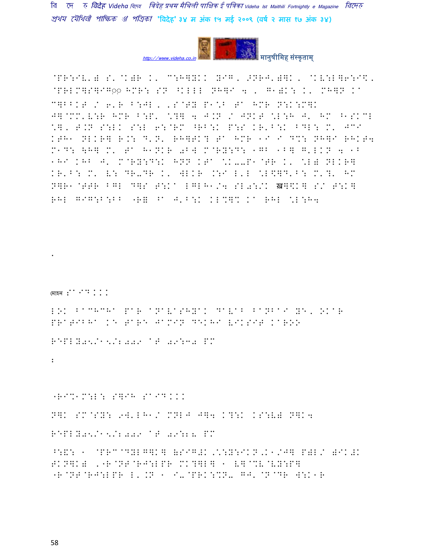

MPRYELA R. MAR I. MARBII SHYR GURALAHI L'ILANGARI. @PRLM]S]IG◌़◌़ HMR: SN ^KLLL NH]I 4 ' G1)K: K' MH]N Ka CHART / 6'R B:JL, 'S@TY P1\*B TA HMR N:K:MINI TA HMR N:K:MINI TA HMR N:K:MINI TA HMR N:K:MINI TA HMR N:K:MINI T JEDIC:R HMR B:P' \* YES AN ING B:P' TO HAMP AN INFORMATION OF THE TELL PART OF HAMPITE \*], T.N S:LK S:L 6:@RM ^RB:K P:S KR'B:K BDL: M' JCI KTH1 NLKR] R.: D'N' RH]TK? Ta HMR 1I I D%: NH]I RHKT4 M1D: \H] M' Ta H1NKR 0BW M@RY:D: 1GB 1B] G'LKN 4 1B 1HI KHB J' M@RY:D:K HNN KTa \*K--P1@TR K' \*L) NLKR] KR'B: M' V: DR-DR K' WLKR .:I L'L \*L\$]D'B: M'?' HM NATH BGL DIS THE PART OF STRIP BOOK OF STRIP IN THE WATER OF SALES IN THE SALE RHL GHOBS "RHL" (PHE "CH") (ALI-H2") (LETTET" (LT) (BHL \*L'ESPAG

মোহন :  $\cdots$  : : : :

LOK BaCHCHa PaR aNaVaSHYaK DaVaB BaNBaI YE, OKaR PRaTIBHa KE TaRE JaMIN DEKHI VIKSIT KaROO

REPRESENTATION AT 09:30 PM

 $\ddot{\cdot}$ 

 $\bullet$  100  $\pm$ 

"RI%1M:L: S]IH SaID...

NALI SOMALI SALING ONIH AAH (1991) LIMAH DALA

REPLYNS AT 09:28 PM

^:&: 1 @PRC@DYLG]K] (SIG#K,\*:Y:IKN,K1/J] P)L/ )IK#K TKN)K) , "R@NT@RJ:LPR MK?" , "R@NT@RJ:LPR MK?" , "R@NT@RJ:LPR MK?" , "R@NT@RJ:LPR MK?" , "R@NT@RJ:LPR MK?" , "<br>LPR MK?" , "R@NT@RJ:LPR MK?" , "R@NT@RJ:LPR MK?" , "R@NT@RJ:LPR MK?" , "R@NT@RJ:LPR MK?" , "R@NT@RJ:LPR MK?" , "R@NT@RJ:LPR L'.N 1 I-@PRK:%N- GJ'@N@DR W:K1R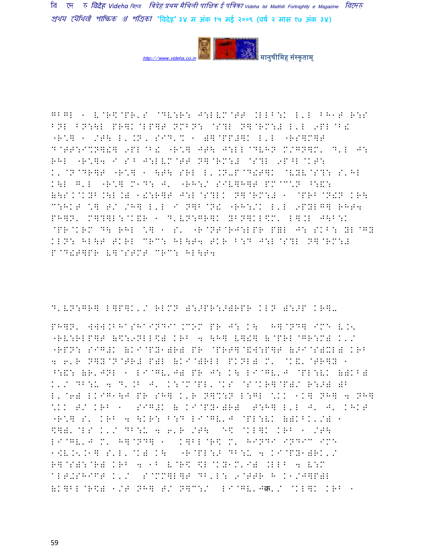

GBGL 1 VOID: DOV:R: JON: J:LVM 1 VOID: J:LVM 1 VOID: J:LVM 1 VOID: J:LVM 1 VOID: J:LVM 1 VOID: J:LVM 1 VOID: J BNL BND: PROVINCE ON BND: DOOR OF DESCRIPTION "RANG "R" (1994) 1 : 1 (1991) 1 / C. PP# HOP (1991) 1 : 1 (1991) 1 - RANG PEDER R DOT: IS A POSSESSE DE LOS ESTADOS DE LA GREGO DE LOS ESTADOS DE LOS ESTADOS DE LA GREGO DE LA GREGO DE LA GREG RHL "RENNE "PORTHLIGH" NAMES ON DESCRIPTION K'. TO THE BELIEVE THAT I HE SALE IS A COUNT THAT IT CONTINUES TO THE STATE KAR G'L SHE TR'S AN SHAIN MARRIE TO THE SHIP  $\S$  (see the control of  $\S$  ) is the neutrino of  $\S$  . The control of  $\S$  is the control of  $\S$  is the control of  $\S$  is the control of  $\S$  is the control of  $\S$  is the control of  $\S$  is the control of  $\S$  is th C:HAT BOOK # DO CHRO BOBOK "PRESSENT "BHEAT" (BODD) BOBOK PROBHEAU PHAN TANNEL MIN' MINIMER SHINIST FRIE AUTH @PR@KRM D\ RHL \*] 1 S' "R@NT@RJ:LPR P=L J: SKB: YL@GY KLN: HL\T TKRL CRC: HL\T4 TKR B:D J:L@S?L N]@RM:# P@D!T]PR V]@STMT CRC: HL\T4

P. LON-PER (PRIRI): PRIOR (BNOPENOBERE): PROBLEMA (PRI)

PH]N' WWW.BHaSHaINDIa.COM PR J: K\ H]@ND] IME V.5 "RV:RLP]T (\$:9NLL\$) KRB 4 \H] V]!] (@PRL@GR:M) K'/ "RPN: SIG#K (KI@PY1)R) PR @PRT]@&W:P]T (>I@S)XL) KRB 4 6'R N]Y@N@TR# P)L (KI@)RLL PKNL) M' @K&'@TR]Y 1 ^:&: (R'JNL 1 LI@GV'J) PR J: K\ LI@GV'J @PL:VK ()KB) K'/ DB:U 4 D'.B J' K:@M@PL'@KS @S@KR]@P)/ R:>) )B L'@6) LKIG1\J PR SH] K'R N]%:N L:GL \*KK 1K] NH] 4 NH] \*KK T/ KRB 1 SIG#K ( KI@PY1)R) T:H] L'L J' J' KHKT  $R$  . By Krab 4  $R$  , and the state of the state  $R$  and  $R$  ()  $R$  ()  $R$  ()  $R$ \$])'@LS K'/ DB:U 4 6'R /T\ E\$ @KL]K KRB 1 /T\ LI@GV'J M' H]@ND] 1 K]BL@R\$ M' HINDI INDIC IME 1[V.5.1] S'L'@K) K\ "R@PL:> DB:U 4 KI@PY1)RK'/ RAD: RESORT ARE A 19 AND \$PROPER \$PLACE \$PROPER \$PLACE \$PLACE \$PLACE \$PLACE \$PLACE \$PLACE \$PLACE \$PLACE \$PLACE aLTH:SHIFT KILL SHIFT BE THE SHIFT OF DEPARTMENT  $K$ Black (Barbor 1/T NH) The Second Hotel (Belling 1/T  $K$  and  $K$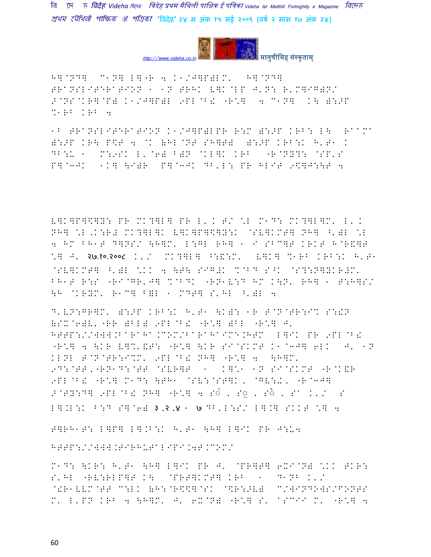

HE COVER CONSIDER HIS REPORT OF A CONSIDERATION OF HIS COVER. TRaNSLITERaTION 1 1N TRHK V]K@LP J'N: R'M]IG)N/ >@NS@KR]@P) K1/J]P)L 9PL@B! "R\*] 4 C1N] K\ ):>P %1RB KRB 4

1B TRaNSLITERaTION K1/J]P)LPR R:M ):>P KRB: L\ RaaMa ):>P KR\ P\$T 4 @K (HL@NT SH]T) ):>P KRB:K H'T1 K DB:U 1 M:9SK L'@6) B)N @KL]K KRB "R@NY?: @SP'S PHIMAL INCREASED PRIMAL TO HE PROPER STRAINED A

V]K]P]\$]Y: PR MK?]L] PR L'. T/ \*L M1D: MK?]L]M' L'. NH] \*L,K:R# MK?]L]K V]K]P]\$]Y:K @SV]KMT] NH] ^')L \*L 4 HM BH1T D]NS/ \H]M' L:GL RH] 1 I SBC]T KRKT H@R&]T  $\frac{1}{2}$  J'  $\frac{1}{2}$   $\frac{1}{2}$   $\frac{1}{2}$   $\frac{1}{2}$   $\frac{1}{2}$   $\frac{1}{2}$   $\frac{1}{2}$   $\frac{1}{2}$   $\frac{1}{2}$   $\frac{1}{2}$   $\frac{1}{2}$   $\frac{1}{2}$   $\frac{1}{2}$   $\frac{1}{2}$   $\frac{1}{2}$   $\frac{1}{2}$   $\frac{1}{2}$   $\frac{1}{2}$   $\frac{1}{2}$   $\frac{1}{2}$   $\frac{1}{2}$  $\sim$  . The state  $\sim$  and  $\sim$  and  $\sim$  and  $\sim$  . The state  $\sim$  and  $\sim$  . The state  $\sim$ BH1T R:S "RIGHT" (BECAUSE) "RIGHT" "RIGHT" (BECAUSE) 1 T:HIS \H @KRYM' R1C] B=L 1 MDT] S'HL ^')L 4

D'VA:GRIMENTI ): BIVAT (1957-191): 1R (B): 1R TENG H'THI IMAGE ING TRING SI (SX@6)V'"RR )BL) 9PL@B! "R\*] )BL "R\*] J' HEBRIS JOHNNE DE SAME TO DONNE LA HARAHAIME. DA BARAHAI HER 1990 DA 1990 DA 1990 DA 1990 DA 1990 DA 1990 DA 19 "R\*] 4 \KR V]%'&T: "R\*] \KR SI@SKMT K1@3J] 6LK J' 1N KLNL TAN MIRING TAN MIRING TAN DIRECT 9D:@TT,"RN1D:@TT @SVR]T 1 K]\*1 1N SI@SKMT "R@K&R 9PL@B! "R\*] M1D: \TH1 @SV:@ST]K, @GV:+, "R@3J] >@TY:D] 9PL@B! NH] "R\*] 4 S◌ ॑ , S◌॒, S◌॓ , Sa K'/ S L].L:K B:D S]@6) ३,२,४ 1 ७ DB'L:S/ L].] SKKT \*] 4

HTTP://WWW.TIRHUTaLIPI.4T.COM/

FRHHIT: LATH LATH: H.B. HHATIBIL PRINT

D: TE ALBE ALBE ARD FOR JER AL (TEOROG BEN'TE ALL ERE) S'HL "RELIEFERE DE "TREFEDIER DE "K' "PRIPP" DU @!R1VVM@TT C:LK (H:@R\$\$]@SK @\$R:>V) C/WINDOWS/FONTS M. B.FA KRB 4 HAT. 4. PINA GELANI M. TETRA M. GRIBG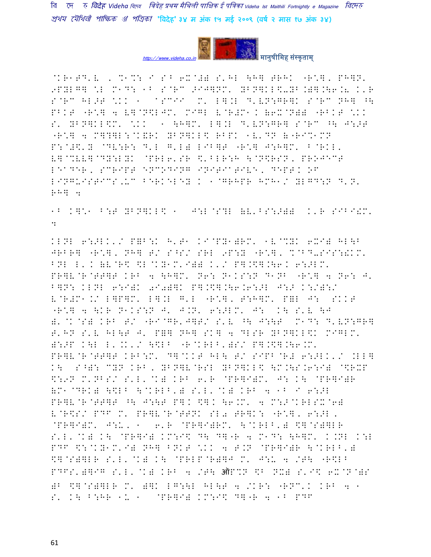

@KR1TD'V , %1%: I S^ 6X@#) S'HL \H] TRHK "R\*], PH]N' 9PYLG] \*L M1D: 1B S@RC >IJ]NM' YBN]KL\$-YB.)].\6.8 K'R SMRC HEVE NIL AS CIPTAR SON EACH CALDYBER SMARCHER CH PBKT "R\*] 4 V]@N\$LJM' MIGL V@R#M1. (6X@N)) "RBKT \*KK S' GO WALLET AN AN AGE OF HIS MANAGEMENT SOME HIS WALLET "R\*] 4 M]?]L:@K&RK YBN]KL\$ RBPK 1V'DN ("RI%1MN P: MARI B: MYESHS (P. E. P. E.E.) PY RECORD DESIGN (PSPRINI) PODER L  $\frac{1}{2}$  . The contribution of the contribution of the contribution of the contribution of the contribution of the contribution of the contribution of the contribution of the contribution of the contribution of the contri LEaDER, SCRIPT ENCODING INITIaTIVE, DEPT. OF LINGUISTICS, UC BERKELEY K 1999 HER HOLD OF HAMAS  $H$   $\vdots$   $H$   $\vdots$   $H$ 

1B K]\*1 B:T YBN]KL\$ 1 J:L@S?L (V'BS:>)) K'R SIBI!M'  $\dddot{\phantom{1}}$ 

KLAND 6: LAND FOR HEARING CONTROLLERY AND THE CONTROL AND ALL THAT AN INDIANAL AND ALL THAT AND ALL THAT AND A JRBREAR, "PORT PART BURGER", SPEED SPECIES (PORT POSSESSED), "REPORT POSSESSED", " BNL LI. (V@R\$ \$L@KYLK@KII.) PROSPORT RYSHT. PRABLIC CARARA (1985) A CARRIOL (1996) DE 1960 "PEDECO (1950) A DIAGO (4) B) R: BONI (B) K PORT (B). A PORT (B): FOR THE CHINE (B): FOR THE CHINE (B): (C): (C):(C):(C):(C):(C):(C):(C):( R MANY SOURCES AND RESEARCH THE CONTROL OF LAND CONTROL IN THE CONTROL OF LAND CONTROL OF LAND CONTROL OF LAND "RENE (4) AN BODY NORDOW, CANDEL (8:5LM) JOS (1:4) IN SOUTH AR  $\#E$  (1) the state of the contract of the contract of the state of  $\Gamma$  ,  $\Gamma$  and  $\Gamma$  and  $\Gamma$ THO POSSES THE REPORT OF THE STATE OF THE SECTION OF THE POSSES WAS MISCONS. ):>P K\L L'.K'/ \\$LB "R@KRLB')S/ P].\$].\6.M' PRALIP GRAN IN MORTING AND HER SIPPS ON SINE SINES K\ S\\S\\S\\\$\$\\\$\$\\\$\$\\\$\$\$\\$\\$\\$\$\\$\$\\$\\$\\$\$\\\$\$\\$\$\\$\$\\$\$\\$\$\\$\$ \$:9N M'NBS/ S'L'@K) KRB 6'R @PR]I)M' J: K\ @PR]I)R (M1@DRK) \\$LB \@KRLB') S'L'@K) KRB 4 1B I 6:>L PR]V@R@TT]T ^\ J:\T P]. \$]. \6.M' 4 M:>@KRLSX@6) V@R\$S/ PDF M' PR]V@R@TTNK SL0 TR]K: "R\*], 6:>L, @PR]I)M' J:U, 1 6'R @PR]I)RM' \@KRLB') \$]@S)]LR S'L'@K) K\ @PR]I) KM:I\$ D\ D]"R 4 M1D: \H]M' K.NL K:L PDF \$:@KY1M'I) NH] BNKT \*KK 4 T.N @PR]I)R \@KRLB') \$]@S)]LR S'L'@K) K\ @PRLP@R)]J M' J:U 4 /T\ "R\$LB PDFS')]IG S'L'@K) KRB 4 /T\ ऑP%N \$B NX) S'I\$ 6X@N@)S )B \$]@S)]LR M' )]K LG:\L HL\T 4 /KR: "RNC'K KRB 4 1 S' CH' FAAR (S' ) CORRENE COAST MEAR (4 1B PDF)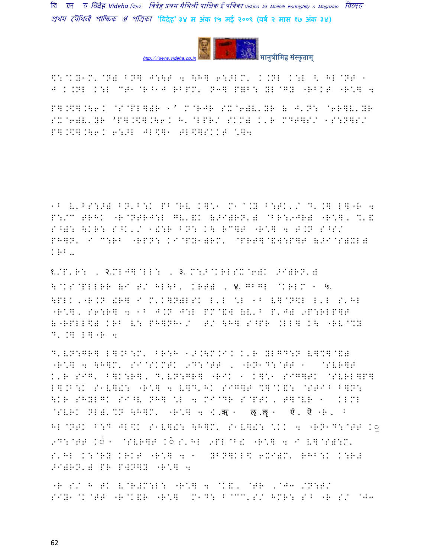

\$: MONDAY: MONDAY BOOK AND AND AND AND ALL AND AN ALL AND AN ALL AND AN ALL AND AN ALL AND ALL AND ALL AND AN J K.NL K:L CT1@R^1J RBPM' N3] P=B: YL@GY "RBKT "R\*] 4

P].\$].\6. @S@PL])R 1' M@RJR SX@6)V'YR ( J'N: @6R]V'YR SYM THAEL GE AN PERSPECIEL IN AN INDIA SYMBOLIC LETTER MY PREPARE A STAPPEN M PHINESHO PHIL HENRY HENRICIA (H.

1B V'BS:>) BN'B:K PB@RV K]\*1 M1@.Y B:TK'/ D'.] L]"R 4 P:/C TRHK "R@NTRJ:L GV'&K (>I)RN') @BR:9JR) "R\*], %'&  $S$  (ASS) And Social Results in Reference in the second second  $R$  and  $R$  is  $R$  and  $R$ PH]N' I C:RB "RPN: KI@PY1)RM' @PRT]@&W:P]T (>I@S)XL)  $k \in \mathbb{R}$ 

१./P'R: , २.MLJ]@LL: , ३. M:>@KRLSX@6)K >I)RN')  $\#$  The Friedman Hubble of Hubble  $\mathbb{R}$  ,  $\mathbb{R}$  and  $\mathbb{R}$  ,  $\mathbb{R}$  and  $\mathbb{R}$  in  $\mathbb{R}$  . Then  $\mathbb{R}$ \PLK,"R.N !R] I M'K]N)LSK L'L \*L 1B V]@N\$L L'L S'HL "R\*], S6:R] 4 1B J.N J:L PM@&W (V'B P'J) 9P:RLP]T ("RPLL\$) KRB V: PH]NH1/ T/ \H] S^PR .LL] K\ "RV@%Y D. 19 R 48 H

D.B:M:H:MORIN. H:M' BR:H 10. H:MIN. H:MI. H:MI. H:MI "RENDEL A "REARD". "SIM NINDIGES" , SPRESSE , "PASSE PROTEEN A "POSTERER". K'R SIG' BIK'R SIG' BAYANG "BIKIT" "BIKIT" "RIK 1 KIG' BIKIT "BIKIT "BIKIT "BIKIT" "BIKIT "BIKIT" "BIKIT" "BIK LA: D'ADO (B'A'LABED) : "ABADA" (ACLA SAN SIGNAPA BADA D'HORI BAGI SA STIOBA BADA D'HORI BADA D'HORI BAGI BAGI \KR SHYLGK SI^V NH] \*L 4 MI@DR S@PTK, T]@VR 1 KLML  $\mathcal{L}^{\mathcal{L}}(\mathbb{R}^n)$  . Then  $\mathcal{L}^{\mathcal{L}}(\mathbb{R}^n)$  and  $\mathcal{L}^{\mathcal{L}}(\mathbb{R}^n)$  and  $\mathcal{L}^{\mathcal{L}}(\mathbb{R}^n)$  and  $\mathcal{L}^{\mathcal{L}}(\mathbb{R}^n)$  and  $\mathcal{L}^{\mathcal{L}}(\mathbb{R}^n)$  and  $\mathcal{L}^{\mathcal{L}}(\mathbb{R}^n)$  and  $\mathcal{L}^{\mathcal{L}}(\$ HE NTAR B:D A:D IL STAR SHARI STARBER NI SA "APRESTAGE TO 9D:@TT K◌ ॑ 1 @SVR]T K◌॓ S'HL 9PL@B! "R\*] 4 I V]@S):M' S'HA: (1 & 18 B) (1 B) 4 1 YBN ROG "RY KRAT "RHBI", "RHBI", "C'ABLE >I)RN') PR PWN]Y "R\*] 4

"R S/ H TK V@R#M:L: "R\*] 4 @K&, @TR ,@J3 /N:T/ SIY1@K@TT "R@K&R "R\*] M1D: B@CC'S/ HMR: S^ "R S/ @J3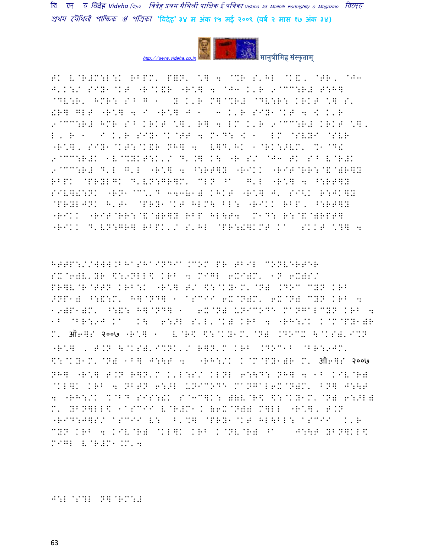

TK V@R#M:L:K RBPM' P=N' \*] 4 @%R S'HL @K&, @TR, @J3 J'K:/ SIY1@KT "R@K&R "R\*] 4 @J3 K'R 9@CC:R# T:H] @DV:R' HMR: S^ G 1 Y K'R M]@%R# @DV:R: KRKT \*] S' !R] GLT "R\*] 4 I "R\*] J 1 3 K'R SIY1@KT 4 [ K'R 9@CC:R# HMR S^ KRKT \*], R] 4 LM K'R 9@CC:R# KRKT \*], L, R 1 I K 1, R 101 MINT 4 M 10 M 2 A 1 LM GHAR CHAR "R\*], SIY1@KT:@K&R NH] 4 V]D'HK 1@RK:>VM' %1@D! 9@CC:R#K 1V@%YKT:K'/ D'.] K\ "R S/ @J3 TK S^ V@R#K 9@CC:R# D'L G'L "R\*] 4 ^:RT]Y "RIKK "RIT@RR:@&@)R]Y RBPK @PRYLGK D'VN:GR]M' CLN ^a G'L "R\*] 4 ^:RT]Y SIVED 349 YOUR "RANNE DIRE" RIN AL SIVED BIRDE MPRILAND ALBY MERRYNG BLMA HIN SEMID BLEV SHERBER "RIKK "RIKK "RITA "RITA MEREDIGI RITA" RITA HLANG: RITA MENGERIKANG RITA MEREDIGI RITA MENGERIKANG R "RIKK D'VN:GR] RBPK'/ S'HL @PR:!]KMT Ka SKKT \*?] 4

HTTP://WWW.BHaSHaINDIa.COM PR TBIL CONVERTER SYM THAND GROUPS KRIG 6 MIGHT 6 MIGHT 6 MIGHT 6 MIGHT 6 MIGHT 6 PR]V@R@TTN KRB:K "R\*] T/ \$:@KY1M'@N) .DOC CYN KRB >NP1) ^:&:M' H]@ND] 1 aSCII 6X@N)M' 6X@N) CYN KRB 4 19)P1)M' ^:&: H]@ND] 1 6X@N) UNICODE MaNGaLCYN KRB 4 1B @BR:9J Ka K\ 6:>L S'L'@K) KRB 4 "RH:/K K@M@PY1)R M' SHI SAIR ROOG "RAMB" - RI DRAMA BIRI IN NIMA AI DRAMA BIRI PIN KINA AI DRAMA BIRI PIN RAMA BIRI PIN MARA BI  $R$  , T.N  $R$  , T.N  $R$  , T.N  $R$  , T.N  $R$  , T.N  $R$  . T.N  $R$  . T.N  $R$  . T.N  $R$  . T.N  $R$  . T.N  $R$  . T.N  $R$  . T.N  $R$  . T.N  $R$  . T.N  $R$  . T.N  $R$  . T.N  $R$  . T.N  $R$  . T.N  $R$  . T.N  $R$  . T.N  $R$  . T.N  $R$  . T.N  $R$ \$:@KY1M'@N) 1B] J:\T 4 "RH:/K K@M@PY1)R M' ऑ6]S २००७ NHA) "PENAT BILIM BARDI, MULI 1987 (1998)" BARANG (PHA) 4 1 PK (1991) 1991 @KL]K KRB 4 NBTN 6:>L UNICODE MaNGaL6X@N)M' BN] J:\T 4 "RH:/K %@BD SIS:!K S@3C]K: )(V@R\$ \$:@KY1M'@N) 6:>L) M. YBN 2913 ERN (KYSCII) MALL "BADKI", BADYDAG O'THE EN (BYDH), GEID HEATSHEED (SETAR 1891) BY CHRYTER OLD HEAFER CETTAR (1996) CHR (P) 4 KIVEMB (MINE KAR KORD) PE Y ANDER KRAB K MIGL V@R#M1.M'4

J:L@S?L N]@RM:#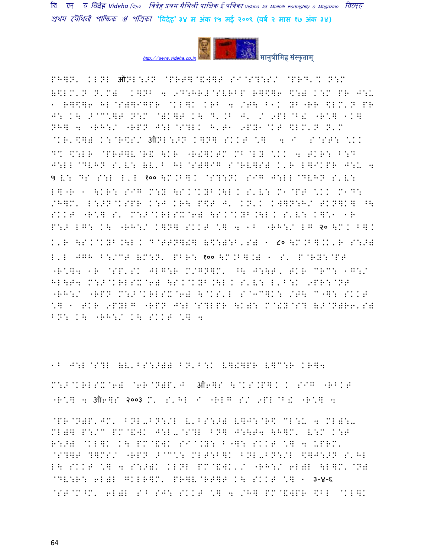

PHRIN, CEIRE MIRESIN MERRHOUSHE SY SORGEN OPPROV BOOK (\$LM'N N'M) K]NB 4 9D:HR#@SVRBP R]\$]6 \$:) K:M PR J:U 1 R]\$]6 HL@S)]IGPR @KL]K KRB 4 /T\ B1K YB"RR \$LM'N PR J: K\ >@C\*]T N:M @)K]T K\ D'.B J' / 9PL@B! "R\*] 1K] NH] 4 "RH:/ "RPN J:L@S?LK H'T1 9PY1@KT \$LM'N N'M @KR'\$]) K:@R\$S/ ऑNL:>N K]N] SKKT \*] 4 I S@ST: \*KK D% \$:LR @PRTHIVER\_RIB @PRTHIVER\_RIGHT\_RECEPT \$ JO:L'UES I.LE BL' S' GIRP I GERRI L'E IRCIE J'U. 4 ५ B: DS S:L S:L १०० A: DRE J: S:LL@DVHN SAR STREAM STREAM LAG 1 \KR: SIG M:Y THE ASSESSMENT FOR A STRAIN TO THE STRAIN TO THE /H]M' L:>N@KSPR K:J KR\ P\$T J' KN'K KW]N:H/ TKN]K] ^\ SKKT "R\*) STRAKT "R\*) STRAKT "R\*DRAKT "R\*) STRAKT "R\*) STRAKT "R\*) STRAKT "R\*) "R\*) "R\*) "R\*) "R\*) "R\*) "R\*) " P:> LG: K\ "RH:/ K]N] SKKT \*] 4 1B "RH:/ LG २० \M. B].  $K$ r. Because that  $K$  is the probability is constant and  $K$  . The simulation  $K$ L'L PARRY PONCTRO BOTAGE, COPPEND ROO AND DERIGE ROOM IN STUDIES TO PERSON  $R$  . The set of the set of the set of the control  $R$  and  $R$  and  $R$  and  $R$  and  $R$  and  $R$  and  $R$ HL\T4 M:>@KRLSX@6) \S.@KYB.\L. S'V: L'B:K 9PR:@NT "RH:/ "RPN M:>@KRLSX@6) \@KS'L S@3C]K: /T\ C"]: SKKT \*] 1 TKR 9PYLG "RPN J:L@S?LPR \K): M@!Y@S? (>@N)R6'S) BN: KORT SERVICE STATE AND REAL

1B J:L (POSTE ) BELI FILMERE (F. P. ANT) E BERBEN E BONNE (1984) MYS ARE SOME ONE MARKET AN OMERED AND SIGNED ON SIGNED HER DE "R\*] 4 ऑ6]S २००३ M' S'HL I "RLG S/ 9PL@B! "R\*] 4

@PR@N)P'JM' BNL-BN:/L V'BS:>) V]J:@R\$ CL:U 4 ML):- MLAR) PSIM PD (BRI) (PSEL SMR) (PRE) PSRAK SPRD, LSSD ISA R:>) @KL]K K\ PM@&WK SI@.Y: B"]: SKKT \*] 4 UPRM' @S?]T ?]MS/ "RPN >@C\*: MLT:B]K BNL-BN:/L \$]J:>N S'HL LA SKKJE NA A SYSTAK KLAL PONDAKLI JAPYL ALAD ALAOLINA @DV:R: 6L)L GKLR]M' PR]V@RT]T K\ SKKT \*] 1 ३-४-६ @ST@M^M' 6L)L S^ SJ: SKKT \*] 4 /H] PM@&WPR \$BL @KL]K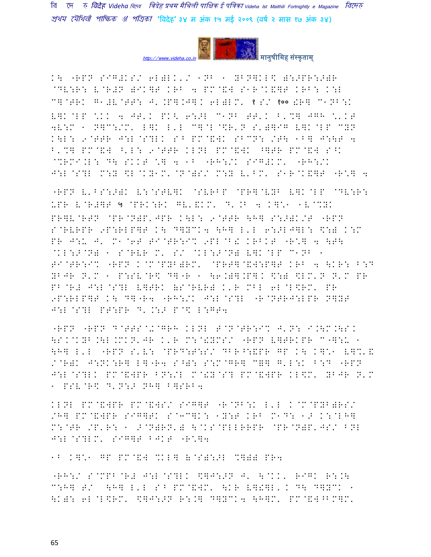

KA "RPN SYMBLEJ" 6LB11.2 (20) (20) PRIER BYBNDAR @DV:R: V@R#N )IK]T KRB 4 PM@&W S1R@K&]T KRB: K:L CH MARI GHA GE MARI GE SAN DI HE SAN DI RISTI ( 1991). 1992 ISBN 0-910-010101 KAK MENYENG ALAWA KAN SERI TERSEBUTAN SERI CI CINA TERSEBUTAN TERSEBUTAN DI SERI DI SERI DI SERI DI SERI DI S 4V:M 1 N]C:/M' L]K L'L C]@L@\$R'N S')]IG V]K@LP CYN K\L: 9@TTR J:L@S?LK S^ PM@&WK SBCN: /T\ 1B] J:\T 4 B'% THOMAS POINT REPORT POINT PART IN THE CONTROL OF TRANSPORTATION OF TRANSPORTATION OF TRANSPORTATION OF TRA @%RMI.L: D\ SKKT \*] 4 1B "RH:/K SIG#KM' "RH:/K J:L@S?L M:Y \$L@KY1M'@N@)S/ M:Y V'BM' S1R@K&]T "R\*] 4

"RPN VEL PONDARD" EN NORBERD ("NEBPORT" MERRINER @ERD NORT" MRINBNE UPR EMPERIE 9 MPRINE: BELEVIK GUN A VENT TEMPER PRANCIPAD (PER CABO, 9PR) CALS (POPPE) SAN SISHO CAL: 9PDP S@RVRPR 9P:RLP]T K\ D]YCK4 \H] L'L 6:>LJ]L: \$:) K:M PR J:U J: T: MH BY MRYT STE TE IRII (RY HINE A ARR @KL:>@N) 1 S@RVR M' S/ @KL:>@N) V]K@LP C1NB 1 TI@TR:I% "RPN K@M@PYB)RM' @PRT]@&W:P]T KRB 4 \KR: B:D YBJR N'M 1 P:SV N'AR DER DE SIN HA LARIEN EN L'ANALISE POUR D'AUTOUR PA PB@R# J:L@S?L V]TRK (S@RVR) K'R MBL 6L@L\$RM' PR 9P:RLP]T K\ D]"R4 "RH:/K J:L@S?L "R@NTRJ:LPR N]YT J:L@S?L PT:PR D'.:> P@\$ L:GT4

"RPN DAFTS" DOPPED TO THE RUISE OF THE THE THE TRICT OF DISCUSSION TO THE TRICT.  $\Sigma$  . The contract of the contract of  $\overline{\Sigma}$  . The contract of  $\overline{\Sigma}$ \H] L'L "RPN S'V: @PRD:T:S/ DBR^:&PR GP K\ K]\*1 V]%'& /@R)K J:NK:R] L]"R4 S^): S:M@GR] C=] G'L:K B:D "RPN J:L@S?LK PM@&WPR BN:/L M@!Y@S? PM@&WPR KL\$M' YBJR N'M 1 PSV@R\$ D'N:> NH] B]SRB4

KLNL PM@&WPR PM@&WS/ SIG]T "R@NB:K L'L K@M@PYB)RS/ /H] PM@&WPR SIG]TK S@3C]K: 1Y:T KRB M1D: 1> K:@LH] MY: 1998 (MPL) BYRNY (DROISER DE AR 11 BNLPA BHEAR) O THO 1998 LABOUR BEAT J:L@S?LM' SIG]T BJKT "R\*]4

1B K]\*1 GP PM@&W %KL] (@S):>L %])) PR4

"RH:/ S@MPB@R# J:L@S?LK \$]J:>N J' \@KK' RIGK R:.\ C:HE L'AN DE L'EN L'AN DE L'AN DE L'AN DE L'AN DE L'AN DE L'AN DE L'AN DE L'AN DE L'AN DE L'AN DE L'AN DE L'AN  $K$  and  $K$  is the  $\mathcal{D}_\infty$  , represents the  $\mathcal{D}_\infty$  points that  $\mathcal{D}_\infty$  and  $\mathcal{D}_\infty$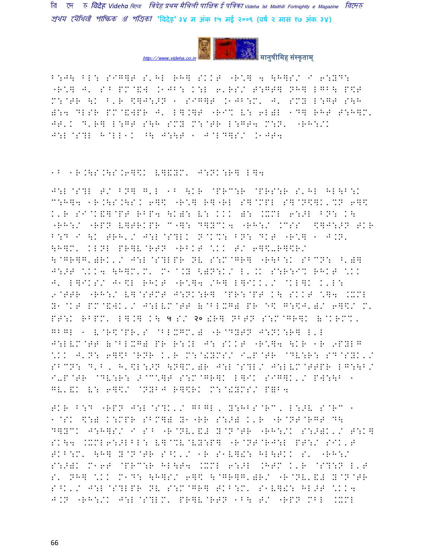

B:JAG: B: SIGHER SKART RHE SKKRT "RAGE "REARER" ("CRIBBY "RENNET AL TIET POLITIEKE TIJ AR GEDOORDE HELGEDIG AS PRAKTIGE PROVER TE POLITIEK M: MB & B'R B'R BANDRO : SAMHE . NOMING . MY LIMB BN HE SAH ):4 DLSR PM@&WPR J' L].]T "RI% V: 6L)L 1D] RHT T:H]M' JT'K D'R] L:GT S\H SMY M:@TR L:GT4 M:N' "RH:/K H:LOTE FILL I HAMLEY A HITEL LARE

### $15$  1R  $16$  1R  $16$  1R  $16$  1R  $16$  1R  $16$  1R  $16$  1R  $16$  1R  $16$  1R  $16$  1R  $16$  1R  $16$  1R  $16$  1R  $16$

J:L@S?L T/ BN] G'L 1B \KR @PRC:R @PRS:R S'HL HL\B:K C:H]4 1R.\S.\S. 6]\$ "R\*] R]"RL S]@MPL S]@N\$]K'%N 6]\$ K'R SI@K@PT RBP4 AND HET RED AND HET RADIO "RH:/ "RPN V]TRKPR C"]: D]YCK4 "RH:/ .CSS \$]J:>N TKR B:D I \K TRH'/ J:L@S?LK N@K%: BN: DKT "R\*] 1 J.N' \H]M' KLNL PR]V@RTN "RBKT \*KK T/ 6]\$-R]\$R/ \@GR]G')RK'/ J:L@S?LPR NV S:M@GR] "R\B:K SBCN: ^')] J:B MIL RHENT M TH MI KERIS BILI SIBNY BHKE MI JR, GERZIEZ (PHRI GRIEN) (PINER ZRACE BRZIC, ZO MERICI), EN 9@TTR "RH:/ V]@STMT J:NK:R] @PR:@PT K\ SKKT \*]4 .XML  $B_{\rm M}$  (to a figure that  $\chi$  ) and any the second probability probability  $\chi$  and  $\chi$  and  $\chi$ PT:K RBPM' L].] K\ ५ S/ २० !R] NBTN S:M@GR]K (@KRM%, GBGL 1 VOOR GEBEER DIE GEWENDE GEWONE DIE GEWONE DIE GEWONE DIE GEWONE DIE GEWONE DIE GEWONE DIE GEWONE DIE GE J:LVM@TT (@BLXG) PR R:.L J: SKKT "R\*]4 \KR 1R 9PYLG \*KK J'N: 6]\$B@RNR K'R M:@!YMS/ I-P@TR @DV:R: SD@SYK'/ SBCN: D'B, H'SL/ J:L. H'SL/ J:L. H'SL/ J:L. H'SL/ J:L. H'SL/ J:L. H'SL/ J:L. H'SL/ J:L. H'SL/ J:L. H'SL/ J:L. IF@TR @DV:R: S: P@TR @DV:R: POSSESSIGE LIGHT ASSAULT DESCRIPTION OF TRANSPORTATION OF TRANSPORTATION GW: 6) C: 69 MH (1998) REPORT PRODUCT PHONE

TKR B:D "RPN J:L@S?K'/ GBGL, Y:HBS@RC, L:>V S@RC 1 1@SK \$:) K:MPR SBM]) Y1"RR S:>) K'R "R@NT@RGT D\ DRIGO (PSPRES) P: EX (PROPRESE) DO TRA "PROPRESE" ESPECIE SK\4 .XML6:>LBL: V]@%V@VY:P] "R@NT@RJ:L PT:/ SIK'T THE SON SHARE OF THE SON IN STATE OF ERECT ARRESTS STATED FOR STATES.  $S:U\to V$  . The state of the set of  $X$  . However,  $X$  . The set of  $X$  . The set of  $X$  . The set of  $X$  . The set of  $X$  . The set of  $X$  . The set of  $X$  . The set of  $X$  . The set of  $X$  . The set of  $X$  . The set of  $X$ S' NH] \*KK M1D: \H]S/ 6]\$ \@GR]G')R/ "R@NV'&# Y@N@TR SOME SOFTEN THE SECOND SERVER SERVER SERVER SERVER J.N "RH:/K J:L@S?LM' PRINCE PRINCE PROVIDING THE STATE ... IN THE ...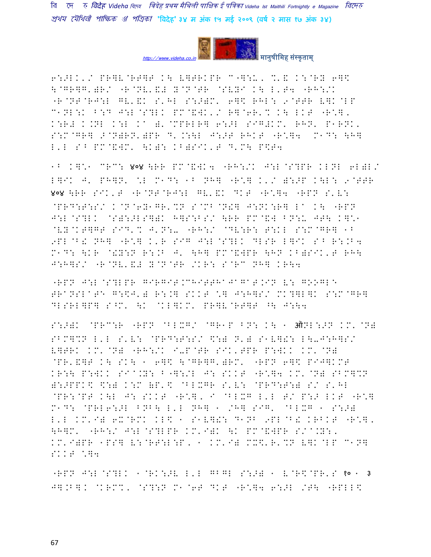http://www.videha.co.in/ Party<br>|-<br>|- स्थिति | मानुषीमिह संस्कृताम्

6:ARICLY PRAN (RAAR CA):UARRITR "SANDLY "LECTRONED" (AR) \@GR]G')R/ "R@NV'&# Y@N@TR @SVYI K\ L'T4 "RH:/K "R@NT@RJ:L GV'&K S'HL S:>)M' 6]\$ RHL: 9@TTR V]K@LP C1NL: C1NL: Kongress Communication of the C1NL: C1NL: C1NL: C1NL: C1NL: C1NL: C1NL: C1NL: C1NL: C1NL: C1NL: C1 K:R# K.NL K:L Ka )'@MPRLR] 6:>L SIG#KM' RHN' P1RNK' S:MOGRE : MORE RED T. I:N MIR D'EN BALL "RIH " MORE "RAH L'A SON DE L'ANNO DE L'ANNO DE L'ANNO DE L'ANNO DE L'ANNO DE L'ANNO DE L'ANNO DE L'ANNO DE L'ANNO DE L'ANNO DE<br>SIX ANNO DE L'ANNO DE L'ANNO DE L'ANNO DE L'ANNO DE L'ANNO DE L'ANNO DE L'ANNO DE L'ANNO DE L'ANNO DE L'ANNO D

 $15$  K) CRC:  $180$  CRC:  $180$   $180$   $180$   $180$   $180$   $180$   $180$   $180$   $180$   $180$   $180$   $180$   $180$   $180$   $180$   $180$   $180$   $180$   $180$   $180$   $180$   $180$   $180$   $180$   $180$   $180$   $180$   $180$   $180$   $180$   $180$   $180$   $180$ L]IK J' PH]N' \*L M1D: 1B NH] "R\*] K'/ ):>P K\L: 9@TTR  $808\text{ }\widehat{\pi}{\text{}}\widehat{\pi}{\text{}}\widehat{\pi}'\widehat{\pi}'\widehat{\pi} \widehat{\pi} \widehat{\pi} \widehat{\pi} \widehat{\pi} \widehat{\pi} \widehat{\pi} \widehat{\pi} \widehat{\pi} \widehat{\pi} \widehat{\pi} \widehat{\pi} \widehat{\pi} \widehat{\pi} \widehat{\pi} \widehat{\pi} \widehat{\pi} \widehat{\pi} \widehat{\pi} \widehat{\pi} \widehat{\pi} \widehat{\pi} \widehat{\pi} \widehat{\pi} \widehat{\pi} \widehat{\pi} \widehat{\pi} \widehat{\pi} \widehat{\pi} \widehat{\pi} \wide$ @PRD:T:S/ K@N@6Y1GR'%N S@MB@N!] J:NK:R] La K\ "RPN J:L@S?LK @S):>LS])K H]S:BS/ \RR PM@&W BN:U JT\ K]\*1 @VY@KT]GT SID'% J'N:- "RH:/ @DV:R: T:KL S:M@GR] 1B 9PL@B! NH] "R\*] K'R SIG J:L@S?LK DLSR L]IK S^ R:.B4 M1D: \KR @!Y:N R:.B J' \H] PM@&WPR \HN KB)SIK'T RH\ J:HAC/ "RONLEW BORGH" /KR: S@RC NHA KRA

"RPN J:L@S?LPR GIRGIT.CHITTHaJaGaT.IN V: GOOGLE TRANSLATE G: DIRANSLATE G: J: SK MARSLATE G: J: HI: HI: J: SKY MHR DESCRIPS SOME AN UNION PRESS REPORT OF HIS

STERN OF PROBLEMS OF EXAMPLE BY AND CHOOR MANAGEMENT CONTROL SPATHIN LEVENSI, EN COMPANYENT CAN DUE SPEEDEN ERLANDEMIN V]TRK KM'@N) "RH:/K I-P@TR SIK'TPR P:WKK KM'@N)  $\mathcal{T}(\mathbf{F}|\mathbf{b})$  ,  $\mathbf{F}(\mathbf{b})$  and  $\mathbf{F}(\mathbf{b})$  is respectively. The contribution of  $\mathbf{F}(\mathbf{b})$  is respectively. The contribution of  $\mathbf{F}(\mathbf{b})$ KR:\ P:WKK SI@.Y: B"]:/L J: SKKT "R\*]4 KM'@N) SBM]%N ):>PPK\$ \$:) K:M (P'\$ @BLXGR S'V: @PRD:T:) S/ S'HL @PR:@PT K\L J: SKKT "R\*], I @BLXG L'L T/ P:> LKT "R\*] D: PROTEEBREE FREE BOED BABY IN DARK BIRE, INFEDIATION BREE L'E CONVERTIGEON (ERR) 6 SERGE "POPP VEL 'PENDO DELL' GENEV \H]M' "RH:/ J:L@S?LPR KM'I)K \K PM@&WPR S/@.Y:, KM, PARTE | PRINT 1991 IS NOT LIGHT IN THE LIGHT OF THE LIGHT OF THE LIGHT OF THE LIGHT OF THE LIGHT OF THE LI SKKER SKA

 $R$ PRN PHISYNC I:L STRING SINCE SINGLE STRING SERVICE SERVICE SERVICE SERVICE SERVICE SERVICE SERVICE SERVICE SERVICE SERVICE SERVICE SERVICE SERVICE SERVICE SERVICE SERVICE SERVICE SERVICE SERVICE SERVICE SERVICE SERVICE J].B]. @KRM%, @S?:N M1@6T DKT "R\*]4 6:>L /T\ "RPLL\$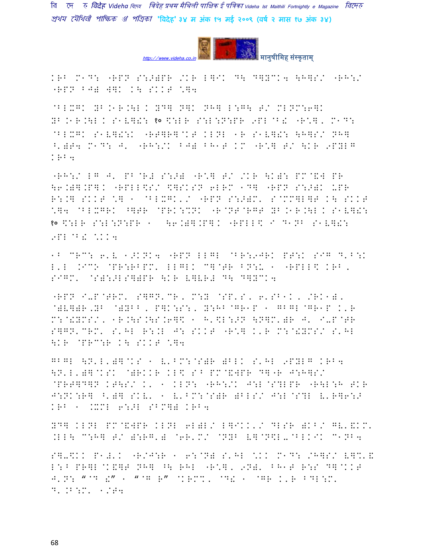

KRB M1D: "PRO STEED AND LESS ON DECISION REELY (PHT) "RPN BJ) WAR KOMA BIJ

@BLXGK YB.1R.\L. YD] N]K NH] L:G\ T/ MLNM:6]K YB. IR. B. IRE IN STREET IN NORTHERLY STREET IN STREET IN STREET IN THE PRESENT IN THE 9PL. @BLOCK STRAGGAN ( ) REPORT TO BUILD FOR SIGN ARRAIGNMENT CORPORATION ^')T4 M1D: J' "RH:/K BJ) BH1T KM "R\*] T/ \KR 9PYLG  $\mathbb{R}^n$  is the set of  $\mathbb{R}^n$ 

"RH:/ LG J' PB@R# S:>) "R\*] T/ /KR \K): PM@&W PR \6.)].P]. "RPLL\$S/ \$]SKSN 6LRM 1D] "RPN S:>)K UPR RY. SHORT CHARGE \* THE SECOND FIRST STANDARD STOPHER STATES STOLEN \*]4 @BLXGRK ^]TR @PRK:%NK "R@NT@RGT YB.1R.\L. S1V]!: १० \$:LR S:L:N:PR 1 \6.)].P]. "RPLL\$ I D1NB S1V]!: 9PL@B! \*KK4

1B CRC: 6'V 1>KNK4 "RPN LLGL @BR:9JRK PT:K SIG D'B:K L'L .ICO @PR:RBPM' LLGLK C]@TR BN:U 1 "RPLL\$ KRB, SIGM' @SIGM' DECEMBER ON DIGITAL DISCOVERING

"RPN I-P@TRM' S]GN'CR, M:Y @SP'S, 6'SB1K, /RK1), @)V])R,YB @)YBB, P]K:S:, Y:HB@GR1P 1 GBGL@GR1P K'R M: MONTEN, 1R.A. (BOS) I-P. 1980, 1R. (BOS) I-P. I-P. I-P. I-P. I-P. I-P. I-P. S]GN'CRM' S'HL R:.L J: SKKT "R\*] K'R M:@!YMS/ S'HL  $\kappa$  . The sky  $\kappa$  is the sky  $\kappa$  and  $\kappa$ 

BBGL BOL BLACK STORES IN STREET STREET IN DIE STREET IN DIE STREET IN DIE SONATIE  $\Sigma$  . The state of  $\Sigma$  and  $\Sigma$  is the state of  $\Sigma$  . The state of  $\Sigma$ @PRT]D]N KT\S/ K' 1 KLN: "RH:/K J:L@S?LPR "R\L:H TKR J:NK:R] ^')] SKV' 1 V'BM:@S)R )BLS/ J:L@S?L V'R]6:> KRB 1 .XML 6:>L SBM]) KRB4

YDDIR YN AMAR YN DIR DIR ADDA YN AMDA YN AMAR YN AMAR YN AMDA YN Y GYMRAETH Y GAN Y GAN Y GARL Y DAWL YN Y DI .LL\ C:H] T/ ):RG') @6R'M/ @NYB V]@N\$L-@BLKIK C1NB4

S]-\$KK P1#'K "R/J:R 1 6:@N) S'HL \*KK M1D: /H]S/ V]%'& L: PRIL MINH THE RHL "RMIL 2ND, PHIR R:S DI MINIT J'N: "@D !" 1 "@G R" @KRM%, @D! 1 @GR K'R BDL:M' D'.B:M' 1/T4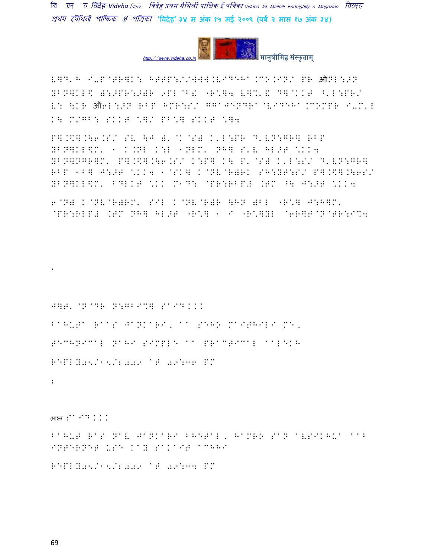

V]D'H I-P@TR]K: HTTP://WWW.VIDEHa.CO.IN/ PR ऑNL:>N YBN]KL\$ ):>PR:>)R 9PL@B! "R\*]4 V]%'& D]@KKT ^'L:PR/ V: \KR ऑ6L:>N RBP HMR:S/ GGaJENDRa@VIDEHa.COMPR I-M'L  $\frac{1}{2}$  SK  $\frac{1}{2}$  ,  $\frac{1}{2}$  ,  $\frac{1}{2}$  ,  $\frac{1}{2}$  ,  $\frac{1}{2}$  ,  $\frac{1}{2}$  ,  $\frac{1}{2}$  ,  $\frac{1}{2}$  ,  $\frac{1}{2}$  ,  $\frac{1}{2}$  ,  $\frac{1}{2}$  ,  $\frac{1}{2}$  ,  $\frac{1}{2}$  ,  $\frac{1}{2}$  ,  $\frac{1}{2}$  ,  $\frac{1}{2}$  ,  $\frac{1}{2}$  ,  $\frac{$ 

PAIR RESOLUTE A BUILDER DIRECT DESCRIPTION YBN]KL\$M' 1 K.NL K:L 1NLM' NH] S'V HL>T \*KK4 YBN]NGR]M' P].\$].\6.S/ K:P] K\ P'@S) K'L:S/ D'VN:GR] RBP 1B] J:>T \*KK4 1@SK] K@NV@R)RK SH:YT:S/ P].\$].\6S/ YBN]KL\$M' BDLKT \*KK M1D: @PR:RBP# .TM ^\ J:>T \*KK4

6@N) K@NV@R)RM' SIL K@NV@R)R \HN )BL "R\*] J:H]M' @PR:RLP# .TM NH] HL>T "R\*] 1 I "R\*]YL @6R]T@N@TR:I%4

```
\ddot{\phantom{1}}
```
JAGA SAID SAID. SAIDER SAIDER AG AN AID SAID. BaHUTa RaaS JaNKaRI, aa SEHO MaITHILI ME, TECHNICaL NaHI SIMPLE aa PRaCTICaL aaLEKH REPLY DEPARTMENT AT 09:36 PM

 $\ddot{\cdot}$ 

মোহন: $\cdots$ :::

BaHUT RaS NaV JaNKaRI BHETaL, HaMRO SaN aVSIKHUa aaB INTERNET USE KaY SaKaIT aCHHI REPLYNS AT 2009 AT 09:34 PM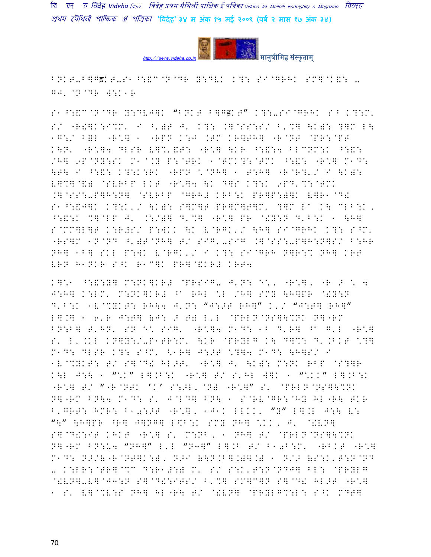

BNCT-BAT-BARK COMPONENT CONTROL CONTROL SOMETHER SOMETIME SAME GJ'@N@DR W:K1R

SIA: ANE TO DR YOUR SENSE END AN AIR ON HE HAS SENSE IN THE BOOK OF HAS SO THAT IS NOT A SO KID. S/ "RECONSTRATION" I RECONSTRATION I CONSTRATION I RECONSTRATION 1G:/ B=L "R\*] 1 "RPN K:J .TM KR]TH] "R@NT @PR:@PT KAD. PENHA MEYE RHILBEN PENH ALE SABINA FEMDINI SABIN /H] 9P@NY:SK M1@.Y P:@TRK 1@TMK?:@TMK ^:&: "R\*] M1D:  $\overline{A}$  is found to the state of the PDF in the state  $\overline{A}$  . The results of the state  $\overline{A}$  is the state of the state  $\overline{A}$ V]%]@&) @SVRBP LKT "R\*]4 \K D]S K?:K 9PD'%:@TMK .]@SS:-P]H:N] @SVRBP @GRH# KRB:K PR]P:)]K V]R1@D! SO PORTUGAL A KONG STORE PROVENCY, SOME BY AN USING A ^:&:K %]@LP J' .:/)] D'%] "R\*] PR @!Y:N D'B:K 1 \H]  $\mathcal{L}$  sources the contribution of the signal signal signal signal signal signal signal signal signal signal "RS]M 1N@ND ^')T@NH] T/ SIG'-SIG .]@SS:-P]H:N]S/ B:HR NH] 1B] SKL P:WK V@RGK'/ I K?: SI@GRH N]R:% NH] KRT KRN H+NKR SOK R+THI PRESENTING IRAN

K) A SA SA KARA MATA MARA MARA MARA MA MA MARA MA SA SA KARA MA MARA MA MARA MA MARA MA MARA MA MARA MA MARA M J:H] K:LM' M:NK]KR# ^a RHL \*L /H] SMY \H]PR @!Y:N D'B:K 1V@%YKT: RH\4 J'N: "J:>T RH]" K'/ "J:T] RH]" L].] 1 6'R J:T] (J: > T) L'L @PRLN@NS]\%NK N]"RM BN:B] T'HN' SN E\* SIG' "R\*]4 M1D: 1B D'R] ^a G'L "R\*] S' L'EL (11 E) (1983-1911) ABAND, CAL BOOMBER (13 E) PRYRG PLOF LBC NAB MORE THEN ITE SANCE RANGE HILL CONSTRUCTS AND A 1V@%YKT: T/ S]@D! HL>T' "R\*] J' \K): M:NK RBP @S?]R KAR MARK KOMAN LA SERIKA DENGAN SERIKA DENGAN KOMAN DER SERIKA DENGAN MENGENASIAN DENGAN MENGENASIAN DENGAN ME "RENDER "BOOM "RENDER " SOME "SOME "SOME " SENDER " BOOM "RENDER FOR DE NORD " SOME " RENDER DO DE N NAM BNO BOOK STATES OF THE BOOK OF STATES OF SOME HEADS OF STATES OF THE SORE CONDITIONS OF THE SOLE B: HER: HMR: B10:11K (ENR), 1J1( I:L ): NN ERI (HER B)  $N\bar{W}$  and the small probability  $\mathbb{R}$  is the  $\mathbb{R}$  value of  $\mathbb{R}$ SIGNER SIGNER SIGNER SIGNER SIGNER SIGNER SIGNER SIGNER SIGNER SIGNER SIGNER SIGNER SIGNER SIGNER SIGNER SIGNE N]"RM BN:U4 "NH]" L'L "N3]" L].B T/ B10B:M' "RBKT "R\*] M100: ND: NECROSE CONTROL (POST BAD DOR CER CEI (S. P.N.A.), BENC, L'ENDONCE - K:LR:@TR]@%C D:R1#:) M' S/ S:K'T:N@NDJ] BL: @PRYLG @!VN]-V]@J3:N S]@D!:ITS/ B'%] SM]C]N S]@D! HL>T "R\*] 1 ST V: S A MONEY OF THE REPORT OF SALES IN A MONEY TO STAR A STATE OF THE VIOLENCE OF SALES IN A MONEY OF THE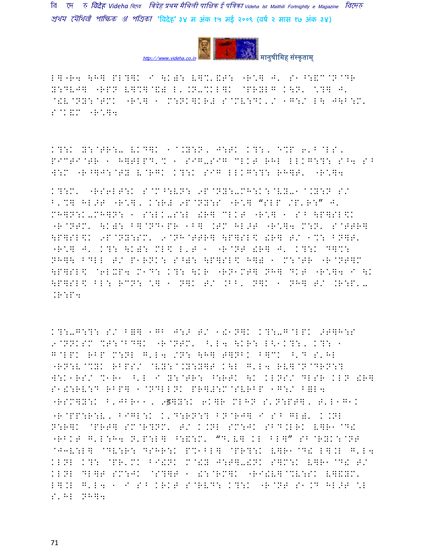

L]"R4 \H] PL?]K I \K): V]%'&T: "R\*] J' S1^:&C@N@DR  $B$  is the contracted mass of  $R$  . The second contracted by  $R$  ,  $\overline{R}$  and  $\overline{R}$  and  $\overline{R}$  is a second contracted by  $R$  . @!V@NY:@TMK "R\*] 1 M:NK]KR# S@MV:DK'/ 1G:/ L\ J\B:M'  $\ddot{X}$  , and  $\ddot{X}$  , and  $\ddot{X}$  , and  $\ddot{X}$  , and  $\ddot{X}$  , and  $\ddot{X}$  , and  $\ddot{X}$  , and  $\ddot{X}$  , and  $\ddot{X}$  , and  $\ddot{X}$  , and  $\ddot{X}$  , and  $\ddot{X}$  , and  $\ddot{X}$  , and  $\ddot{X}$  , and  $\ddot{X}$  ,

KRY: GY:MPAL EDRICK ISBY, PYRICORY, ATTENDATE EDRIC PICTI@TR 1 H]TLPD'% 1 SIG-SIG CLKT RHL LLKG:?: S^4 S^ W:M "ROW:M "ROW:M "ROW:M "ROW:M "ROW:M "ROW:M "ROW:M "ROW:M "ROW:M "ROW:M "ROW:M "ROW:M "ROW:M "ROW:M "ROW:M "

KRY:M' "PERSON': M' POLEY " AF MERLING: NO NELL' MERLING B'% THORE RESPONSIVE TO THE SECTION OF PERMIT WITH THE PAY (RE) MHAN: LORANDS "POSSESSES" ERA "RED "ROSE" "POSSESSES" RED "R  $R$  (Particles by Fundrich 1991) . The set of the set of the same  $R$ \P]SL\$K 9P@NY:SM' 9@NH@TTR] \P]SL\$ !R] T/ 1%: BN]T' "R\*] J' K?: \K): ML\$ L'T 1 "R@NT !R] J' K?:K D]%: NH]\ BDLL T/ P1RNK: S^): \P]SL\$ H]) 1 M:@TR "R@NT]M  $\overline{A}$ s and the substitute of the  $\overline{A}$  in the  $\overline{A}$  in the  $\overline{A}$  -range  $\overline{A}$  is an internal internal internal internal internal internal internal internal internal internal internal internal internal inter \P]SL\$ BL: RCN: \*] 1 N]K T/ .BB' N]K 1 NH] T/ .R:P'- .R:P4

K?:-G:?: S/ B=] 1GB J:> T/ 1!1N]K K?:-G@LPK >T]H:S 9@NNKSM %T:@BD]K "R@NTM' ^'L4 \KR: L<1K?:, K?: 1 GB RBP M: NE ROMAN REGION BERGED AND STANDARD BEEN ARRESTED FOR DISCUSSION BY THE UNION OF STANDARD BEEN BEEN "RN:VE:VOY: PRES/ @VE: Y:YE:Y:Y:Y:YE:YE: Y:YE:YE: YE: YE:YE:YE:YE:YE:YE:YE W:K1RS/ %1R1 / L I Y:@TRES/ PERIODI DIRICO RESPOSITO DE S1!:RV:D RBP] 1@NDLLNK PR]#:M@SVRBP 1G:/ B=L4 "RSM]Y:K B'JBR11, 9ड़]Y:K 6K]R MLHN S'N:PT], T'L1G1K "R@PP:R:V, BIGL:K K'D:RN:? BN@RJ] I S^ GL)' K.NL N:R]K @PRT] SM@R?NM' T/ K.NL SM:JK SBD.LRK V]R1@D! "RBKT G'LI:HA N'E:HA:HA:HA:HA:HA:T.C. NY. BB: SB:HAI:HA:HA:HA:HA:HA:NYB @J3V:L] @DV:R: DSHR:K P%1BL] @PR?:K V]R1@D! L].L G'L4 KLN KRA BI SA PARA SA PARA SA PARA SA KARANGAN SA PARA SA PARA NA MARA SA PARA SA KARANGAN SA PARA SA PARA SA <br>A sa para sa para sa para sa para sa para sa para sa para sa para sa para sa para sa para sa para sa para sa p KLAD DRIJ SM: JK SM:JK "SM:JK "RI "SM:JK "RI" (PARA SM: 1980) (PARA SM: 1980) (PARA SM: 1980) (PARA SM: 1980) LA GEORGIA I SOM STATISTIKE SOM DE STAD STATISTIKE STATISTIKE STATISTIKE STATISTIKE STATISTIKE STATISTIKE STAT STAR SHEET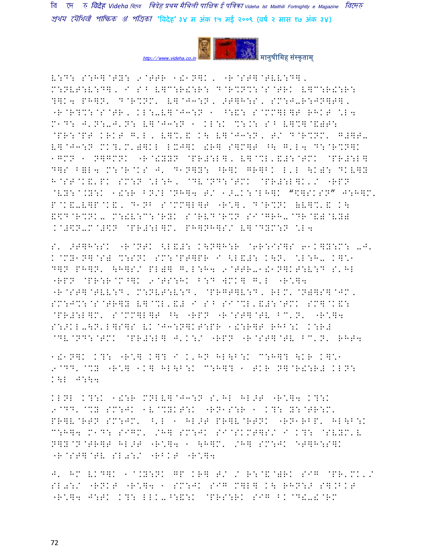$\begin{bmatrix} 1 & 1 & 1 \ 0 & 0 & 0 \end{bmatrix}$ मानुषीमिह संस्कृताम्

V:D: S:H]@TY: 9@TTR 1!1N]K, "R@ST]@TVV:D], MYS ARE SO VIOLET IN SOME REPORT OF THE REPORT OF THE VEHICLE IN THE REPORT OF THE REPORT OF THE REPORT OF THE ?]K4 PH]N' D@R%NM' V]@J3:N, >T]H:S, SM:J-R:JN]T], "R@R?%:@S@TR, KL:-V]@J3:N 1 ^:&: S@MM]L]T RHKT \*L4 MOTH: JOSEPH COMPANY POSITION IN THE CONTROLLER @PR:@PT KRKT G'L, V]%'& K\ V]@J3:N, T/ D@R%NM' G#]T-BO VARIO VI DI LAO E E DAO KIN SOVOJE VOJI OLI A VI DI VI DI 1GMN 1 N]GMNK "R@!YYN @PR#:L], V]@%L'&#:@TMK @PR#:L] D]S B=L4 M:@R@KS J' D1N]Y: ^R]K GR]BK L'L \K): DKV]Y H@ST@K&'PK SM:N \*L:H, @DV@ND:@TMK @PR#:L]K'/ "RPN  $\frac{1}{2}$  . The state of the state of the state of the state of the state of the state  $\theta$  , and the state of the state of the state of the state of the state of the state of the state of the state of the state of the st P@K&-V]P@K&, D1NB S@MM]L]T "R\*], D@R%NK (V]%'& K\ &\$D@R%NK- M:!V:C:@RYK S@RVD@R%N SI@GRH-@DR@&)@VY) .@#\$N-M@#\$N @PR#:L]M' PH]NH]S/ V]@DYM:N \*L4

S'. JEANNAIS (FRITHE CANDING CANNAIRS (FRITHE BOOK) SACTORY (19. K MYOH PR ISSA (VISSO) (SYNK I PARRY KOOK ALANG I ADAL) (KANA: KORNA D]N PH]N' \H]S/ PL)] G'L:H4 9@TTR-1!1N]KT:V:D S'HL "RPN @PR:R@M^]K 9@TS:HK B:D WMK] G'L "R\*]4 "R@ST]@TVV:D, M:NVT:V:D, @PRGT]V:D, RLM'@N)]S]@JM, SM:J&Y: TRABER SERVICE VERSION STATE VERSIONS TRANSMITTED SOME @PR#:L]M' S@MM]L]T ^\ "RPN "R@ST]@TV BC'N' "R\*]4 S:SON E LAGO, E RETRE ( EL 1993-1981) BATES ( KENERA 1993-1991) ( NEG: @DV@ND:@TMK @PR#:L] J'K:/ "RPN "R@ST]@TV BC'N' RHT4

12. THE INDIA CHI AND ARREST MORE REPORT 9@DD'@%Y "R\*] 1K] HL\B:K C:H]? 1 TKR N]@R!:R# KLN:  $k\in\{1,2,3,4\}$ 

KLAND KRIG KRIG KOMMUNISTIK SERI SERI KARA KARA SERI 9@DD'@%Y SM:JK 1V@%YKT:K "RN1S:R 1 K?: Y:@TR:M' PRAEL TRACK SOMARTLIGHT EGGEN PRAEL TRACK "RACKDOM HRINER" (PRESENT) C:HA: D'AR: SARD, VAR SOSAD SAMIDIARIO A D'A: MILAD.E PAR Y GRAN ALSA (RYAN ) RANY, JAN SYYAY (SANSINY "ROSTER "RECOMMENDED"

J' HM VKD]K 1@.Y:NK GP KR] T/ / R:@&@)RK SIG @PR'MK'/ SL0:2 "RNIF "R1H4" (ST1H) SPP THE LA PRNIS SHIFTE "ANGH" ANAD (191 I:L.KARN) (PRSNE) SIGE BO'CHLLACED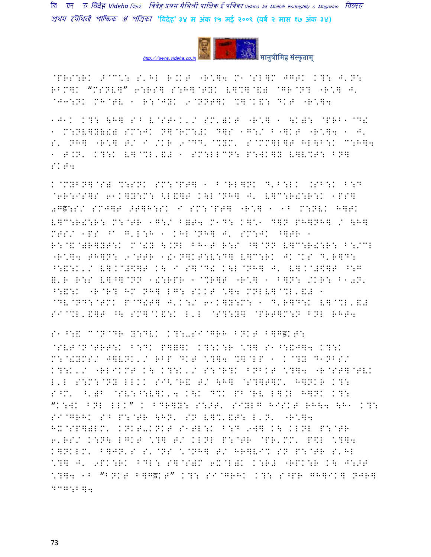

@PRS:RK >@C\*: S'HL R.KT "R\*]4 M1@SL]M JGTK K?: J'N: RRSMAND "K "MSNY " FOR HEARTH " FOR HIS STANDARD " FOR HIS STANDARD" "RELATIONS " RELATIONS " RELATIONS " RELA @J3:NK MH@TV 1 R:@JYK 9@NNT]K %]@K&: DKT "R\*]4

1941 CITE SPRINT KONFERDIT STIME (SPIRE ) SMOKE "TREADTH" 1 M:NV]Y(!) SM:JK N]@RM:#K D]S 1G:/ B"]KT "R\*]4 1 J' S' AHE "AME AZ Y MIR S'MA, MID, S'MME HA 414' SO MAHA 1 T.N' K?:K V]@%L'&# 1 SM:LLCN: P:WK]Y V]V%T: BN] SKT4

KOMYBNED PROGRESS I STRACHER IN DIE HERLONG DIE STRACHER DIE GESTIGS @6R:IS]S 61K]Y:M: <L&]T K\L@NH] J' V]C:R!:R:K 1PS] 0GS:S/ SMJPH: SAHP:SY | SMITH: HEAR | PTN: MINIS HEAR LATGELORS TO MAK (ARG) FARA TO TO CASE TANK TANKAN I GAN MATS/ 1PS ON THE 1 KHL CHE CHREAU SMITHS OF TREE 1 R:@&@)R]YT:K M@!Y \.NL BH1T R:S ^]@NN V]C:R!:R: B:/CL "AFCRA" RARDS IN SPREY A WADRIERS WAS DRIVING IN A COLOR OF BURG. ^:&:K'/ V].@#\$]T K\ I S]@D! K\L@NH] J' V].@#\$]T ^:G ='R R:S V]^]@NN 1!:RPR 1@%R]T "R\*] 1 B]N: /KR: B10N' ^:&:K "R@R? HM NH] LG: SKKT \*]4 MNLV]@%L'&# 1 @DV@ND:@TMK P@D!T] J'K:/ 61K]Y:M: 1 D'R]D:K V]@%L'&# SI@%L'&]T ^\ SM]@K&:K L'L @S?:Y] @PRT]M:N BNL RHT4

 $S$  : Can construct construct the Canadian Bosset Energy and Bosset Energy and Bosset Energy and Bosset Energy and Bosset

@SVT@N@TRT:K B:DK P]=]K K?:K:R \*?] S1^:&J]4 K?:K M:@!YMS/ J]VNK'/ RBP DKT \*?]4 %]@LP 1 K@?Y D1NBS/ K.:K'A: K'/ "PRESTO KOMA KOMA KOMA KOMA STATE "PRESTO "PRESTO "ROK "ROK "RADA" (PRESTO "RESTO "RADA") L'E S'ATA MA BELI SYN MAR AZ APA (STARPAT, PARIE L'AT S^M' CONSTRAINT CONTROL PROPERTIES AND CONTR "K:WK BNL LLK" K BDR]Y: S:>T' SIYLG HISKT RH\4 \H1 K?: SIGRIK SIMBOLI SI SIGRIK SIGRIK SIGRIK SIGRIK SIGRIK SIGRIK SIGRIK SIGRIK SIGRIK SIGRIK SIGRIK SIGRIK SIGRIK S HIS SPIRAGE DUM STRIKELD DI BY BY BE SIM PER NARRY DA DI DE DE BIS SARE 6'RS/ K:N\ LGKT \*?] T/ KLNL P:@TR @PR'MM' P\$L \*?]4 KARIET, PAPPLE EL TRE N'IPAA AN ABALAT ER PITAB ELAE \*?] J' 9PK:RK BDL: S]@S)M 6X@L)K K:R# "RPK:R K\ J:>T  $1.944$  1B  $^{\circ}$  (  $^{\circ}$  ) (  $\pm$  )  $^{\circ}$  (  $\pm$  )  $^{\circ}$  (  $^{\circ}$  )  $^{\circ}$  (  $^{\circ}$  )  $^{\circ}$  (  $^{\circ}$  )  $^{\circ}$  (  $^{\circ}$  )  $^{\circ}$  (  $^{\circ}$  )  $^{\circ}$  (  $^{\circ}$  )  $^{\circ}$  (  $^{\circ}$  )  $^{\circ}$  (  $^{\circ}$  )  $^{\circ}$  (  $^{\circ}$  )  $^{\circ}$ product page 14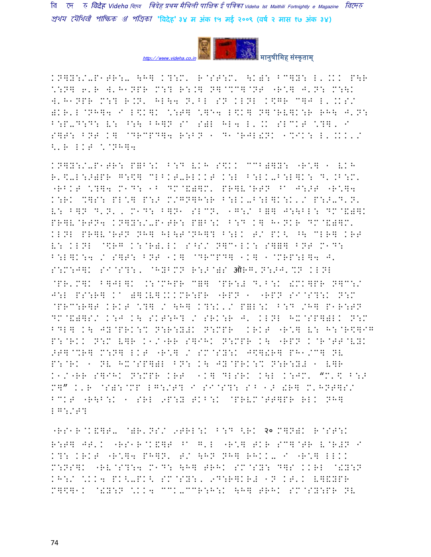

KN]Y:/-P1TR:- \H] K?:M' R@ST:M' \K): BC]Y: L'.KK P\R \*:N] 6'R W'H1NPR M:? R:.] N]@%C]@NT "R\*] J'N: M:\K W.H.THE MIN BIN, HINN R.N. KI SN KINN KHR MHA I. MIN )KR'L@NH]4 I L\$K]K \*:T] \*]E4 L\$K] N]@RV]K:R RH\ J'N: B:P-D:D: B: P:B PHER PY PHE APA BLID FRYE NTBL K S]T: BNT K] @DRCPD]4 R:BN 1 D1@RJL!NK 1%IK: L'.KK'/  $R_{\rm H}$  is a large to  $R_{\rm H}$  . The second second second second second second second second second second second second second second second second second second second second second second second second second second se

KONERALISEEN PHONOGRAFIKA PARK COMMUNISTIES (1809) R': R'us (1988) PR GRECHT (1981) Bushes (1981) Class (1981) Listen (1981) D'.B: D'. "RBKT #^^N THE #^ THOM PROVIDED #DOWN THE MEAN OF THE PEACH AFTER #^ K:RK %DETE PEND POLITIERE PELIJE BEDIG ALDIJAN DI V: B]N D'N', M1D: B]N1 SLCN' 1G:/ B=] J:\BL: DM@&)]K PRANCORRO CORTO CON PRANCORRA DE BISTO A SANTO A PROPINCIARIO. KLADE SERTE NHAD DER HER NEHEN FNAT SEN EN SIN TE MARK I HE V: KLNL @\$RG K:@R)'LK S^S/ N]C1LK: S]=] BNT M1D: B:N:E A:L (1) ST: BNT 1K (1) A (1) A (1) T: BNT 1K (1) A (1) BNT 1K A (1) A (1) S:M:J]K SI@S?:, @HYBMN R:>@)S ऑRG'N:>J'%N KLNL @PR'M]K B]JL]K .:@MHPR C=] @PR:# D'B:K !MK]PR N]C:/ J:L PS:R] Ka )].V].KKMR:PR "RPN 1 "RPN SI@S?:K N:M @PRC:R]T KRKT \*?] / \H] K?:K'/ P=L:K B:D /H] P1R:TN DO SEBREZ (1940) SK STERRE ZO ERISBE AL (1930) PD SERBBEI (1950 BOLA AITEIN RIPIE RITE (IEI AN HI EN HIGHA P:@RKK N:M V]R K1/"RR S]IHK N:MPR K\ "RPN K@R@TT@VYK >T]@%R] M:N] LKT "R\*] / SM@SY:K J\$]!R] PH1/C] NV PS: THO CASS PLOT AND THORE IS A PARTY OF HIS PROPORTION OF THE SAME IN THE INTERFERIES OF THE INTERFERIES OF K1/"RR SIHK SIHK N:MPR KRT 1KI DE SIHK KRT 1KI DE SIHK KAL KE DE SIHK KAL KE DE SIHK KAL KE DE SIHK KAL KE DE M]" K'R @S):@MP LG:/T? I SI@S?: S^ 1> !R] M'HNT]S/ BCC BCKT "RABIES" "ROW "ROW" "ROW" "REFERENT PRODUCT "PRESENT A RECORD PRODUCT "REFERENT A RECORD PRODUCT "REF LAG:PE

"RENTH- MORE THE RENTH RENT RENT ROOM RENTH ROOM IN THE RENT ROOM IN RENTH RENTHERANCE IN RENTH RENTHERANCE IN RENTH-R:TAR: TARI TA GERE RETURN IN THE STANDARD TRANSPORTED THE SCIENCE OF THE SCIENCE OF THE SCIENCE OF THE SCIENC K?: KRKT "PHIN" I "RHAT" PHINA- I "RAT" LLK MYSER "PENGGYA MYA APA BERI KUNGGYAH SUDE (1817) KH:/ \*KK4 PK<-PK< SM@SY:, 9D:R]KR# 1N KT'K V]&YPR MARA MINISTRA MARAKAT MARAKAT DI TRHK SMARAKAT SMARAKAT SMARAKAT SMARAKAT SMARAKAT SMARAKAT SMARAKAT SMARAKAT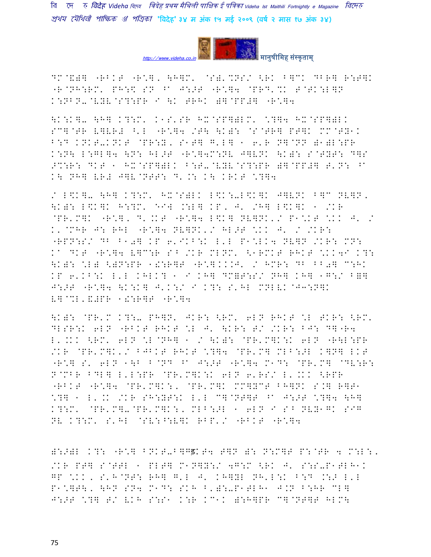

DOM: THE SHIP SHIP, HARN, MINIMAGINAL BROWN DRIVER BY "RENTRANSED", "BTART BORN PHOTOGRAPH: PHOTOGRAPH: TEN DISCRIPTION K:NBN-@VYV@S?:PR I \K TRHK )]@PP#] "R\*]4

 $\# \colon \mathbb{R} \to \mathbb{R}$  is a set of  $\mathbb{R} \to \mathbb{R}$  , then the space  $\mathbb{R}$  is the space  $\mathbb{R}$  $S$  TR VR VR WARDEN TO A VALUE OF REAL PROPERTY OF A VALUE OF REAL PROPERTY. B:D G (P. B., S. D) G (P. B. B.) S (P. B. B. P. B. B. G. D. G. C. B. G. B. D. D. K:NOR SI: GLAT "HIS "REST "RENT "HANDING": "HANDING" "HIS DISTURBED": "PART  $\mathcal{P}(\mathcal{X} \oplus \mathcal{Y})$  is the properties of the space of  $\mathcal{Y}$  and  $\mathcal{Y}$  are the space of  $\mathcal{Y}$ KA SPA LEG AAL VREN J. DE LA CELE NAAR

/ L\$K]- \H] K?:M' HX@S)LK L\$K:-L\$K]K J]VNK B]C NV]N,  $K$  H: La K) H: LA EIN .: LA FE .: LI H: LI H: LI ( J - L - LI H: LI H: LI - L - L @PR'M]K "R\*], D'.KT "R\*]4 L\$K] NV]NK'/ P1\*KT \*KK J' / K. MMHR 45 AH. SAMBA JEBINGI ALJA MIG 4. MIG MIG "RPN:S/ DB B10] KP 6'IKB:K L'L P1\*LK4 NV]N /KR: MN: KA DATA DARA BETSE KALIJIR JERU KARTI EDA BATA NITAR TES \K): \*L) <)N:PR 1!:R]T "R\*]...J' / HMR: DB BB0] C:HK KP 6.19 NE LEVES PEDE SOM DAR MOBELEN DAR SAR SARED BE J:>T "R\*]4 \K:K] J'K:/ I K?: S'HL MNLVK@J3:N]K V: R: Roman 1999, Paris, Paris, Paris, Paris, Paris, Paris, Paris, Paris, Paris, Paris, Paris, Paris, Paris, P<br>The Roman 1999, Paris, Paris, Paris, Paris, Paris, Paris, Paris, Paris, Paris, Paris, Paris, Paris, Paris, Par

\K): @PR'M K?:- PH]N' JKR: <RM' 6LN RHKT \*L TKR: <RM' DLSR:K 6LN "RBKT RHKT \*L J' \KR: T/ /KR: BJ: D]"R4 L'.KK <RM' 6LN \*L@NH] 1 / \K): @PR'M]K:K 6LN "R\L:PR /KR @PR'M]K'/ BJBKT RHKT \*?]4 @PR'M] MLB:>L K]N] LKT "RENE SO (GEORG) SE RENE TO PROVINCE A SANGHED OF THE TOP OTHER PRESENT N@MBR BDL] L'L:PR @PR'M]K:K 6LN 6'RS/ L'.KK <RPR  $R$  (RBCT  $R$  ) and the contribution of the contribution of the state  $R$  ratio  $R$  $N$  THE SECOND LINE CONSIDERS ON A SHEET TO A VIOLENCE THAT  $444$ KTHE, THE PROTHETHIS, MISSER SONIK SIGN PERSONAL STR NV KR:M' S'HL MER'S RED RED AND SHEET

 $\pm 1.041$  (19)  $\pm 0.41$  for  $\pm 0.14$  and  $\pm 0.01$  and  $\pm 0.01$  and  $\pm 0.01$  and  $\pm 0.01$ /KR PT] S@TTL 1 PLT] M1N]Y:/ 4G:M <RK J' S:S-P1TLH1K GP FAN SOURCE AND SERVE AND HIS CONTROL DAY AND ANY SOLICIT AND P: 1989. APP PP: T: T: P1TLE. BILP: BIP: P1D: P1H CLE JP TRANSPORTED TO THE STRAIN CONTROL TO THE TRANSPORTED THE CHANGE OF THE CONTROL INTO THE CONTROL OF THE CONT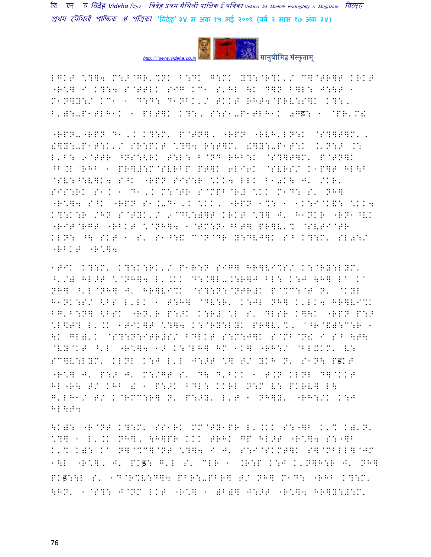

LGKT \*?]4 M:>@GR'%NK B:DK G:MK Y?:@R?K'/ C]@TR]T KRKT  $R$  . The state of the state of the state of the state  $R$  state  $\mathcal{L}$ M1N]Y:/ KC1 1 D:D: D1NBK'/ TKKT RHT4@PRV:S]K K?:, B', B'YLEV AT PULLE AND IT CONSTITUTE AT A POST OF THE TE

"RPN-"RPN D1,. K?:M' P@TN], "RPN "RVH'LN:K @S?]T]M', !]Y:-P1T:K'/ SR:PKT \*?]4 R:T]M' !]Y:-P1T:K .'N:> .: L'B: 9@TTR ^NS:<RK T:L: B@ND RHB:K @S?]T]M' P@TN]K ^B.L RHB 1 PR]#:M@SVRBP PT]K 6LI6K @SVRS/ K1P]T HL\B @SV:^:V]K4 S^K "RPN SIS:R \*KK4 LLK B10K\ J' /KR' SISTED SIX S1. THILL TEMPER TO THE MEDICAL THAN SIX MAR "R\*]4 S^K "RPN S1.-D1,. \*KK, "RPN 1%: 1 1K:I@K&: \*KK4 KTA:AB /H7 SMBOL/ 9/90ABB (B18 198 4. H20B +B7 96.  $R$  . The right of the resolution  $R$  is the state  $R$  such that  $R$ KLN: ^\ SKT 1 S' S1^:& C@N@DR Y:DVJ]K S^ K?:M' SL0:/ "RBKT "R\*DH"

1 BIK KORI KRYIN KOMISI KOMISI HRIGI HRJANJI HRJA SIGNOVE KOMISI SIGNOVE KOMISI HRJAVI KOMISI HRJAVI U NAMOVI  $^{\circ}$  FL-T = T  $^{\circ}$  FL-T  $^{\circ}$  H  $^{\circ}$  H  $^{\circ}$  ,  $^{\circ}$  (  $^{\circ}$  )  $^{\circ}$  ,  $^{\circ}$  ,  $^{\circ}$  ,  $^{\circ}$  ,  $^{\circ}$  ,  $^{\circ}$  ,  $^{\circ}$  ,  $^{\circ}$  ,  $^{\circ}$  ,  $^{\circ}$  ,  $^{\circ}$  ,  $^{\circ}$  ,  $^{\circ}$  ,  $^{\circ}$  ,  $^{\circ}$  ,  $^{\circ}$  ,  $^{\circ}$ NH] ^'L@NH] J' HR]VI%K @S?:N:@NTR#K P@%C:@T N' @KYL HOUSER AFFILIE O PARK SALAR ISH DRA KILK NHALVI BG:N) = RN'R (RN'R SON) = RN'R (RN'R SON) = RN'R (RN'R SON) = RN'R (RN'R POINT P: RN'R "RON" P: RN'R (RN'R ) = RN'R (RN'R ) = RN'R (RN'R ) = RN'R (RN'R ) = RN'R (RN'R ) = RN'R (RN'R ) = RN'R (RN'R ) = RN'R (RN'R ) = RN'R (  $\Lambda$ E RATIKT L'.K 1TIK PARTIKTER (1919): L'AITE LE LIGIT ER PRINS TRANSPORT L'AITE L'AIT DES ROBES (1919): CONTROL \K GL)'K @S?:N:ITR#S/ BDLKT S:M:J]K S@MB@N! I S^ \T\ @VY@KT ^'L "R\*]4 1> K:@LH] HM 1K] "RH:/ @BLXKM' V: SCHERM SCIENCE KINNER SCHOOL IN THE STATE OF THE STATE OF THE STATE OF THE STATE OF THE STATE OF THE STATE OF THE STATE OF THE STATE OF THE STATE OF THE STATE OF THE STATE OF THE STATE OF THE STATE OF THE STATE OF THE STAT "RELATIONS AN INVARIANT MANUFILM RELATIONS AND LEARNING TO HE REAL ROOMS IN REAL PROPERTY IN THE REAL REAL PROPERTY AND REAL PROPERTY IN THE REAL PROPERTY IN THE REAL PROPERTY OF PROPERTY IN THE REAL PROPERTY IN THE REAL PROPERTY IN THE REAL PROPERTY IN THE REAL PROPERTY IN THE RE B.B'A'Z' BO'L' THE R. PHAN. B.B'Y "RHNI, "RHYO'L'Y  $H$  is a set  $H$ 

\K): "R@NT K?:M' SS1RK MM@TY1PR L'.KK S:"]B K'% K)'N'  $\Lambda$  TH  $\sim$  ( ) . In the function of the following transformation  $\Lambda$  is the set  $\Lambda$ K): K): K): Ka Ni Si Si J' (S) SKMT (S) SHA NG MBLI SI SKOMT (S) SKAMT (S) SKAMT (S) SKAMT (S) SKAMT (S) SKAMT 1\L "R\*], J' PKड़: G'L S' CLR 1 .R:P K:J K'N]H:R J' NH] PKड़:\L S' 1D@R%V:D]4 PBR:-PBR] T/ NH] M1D: "RHB K?:M'  $\mathrm{H}\mathrm{H}\mathrm{D}$  ,  $\mathrm{H}\mathrm{D}\mathrm{H}\mathrm{D}$  ,  $\mathrm{H}\mathrm{D}\mathrm{D}$  ,  $\mathrm{H}\mathrm{H}\mathrm{D}$  ,  $\mathrm{H}\mathrm{H}\mathrm{H}\mathrm{H}\mathrm{D}$  ,  $\mathrm{H}\mathrm{H}\mathrm{D}$  ,  $\mathrm{H}\mathrm{H}\mathrm{D}$  ,  $\mathrm{H}\mathrm{H}\mathrm{D}$  ,  $\mathrm{H}\mathrm{H}\mathrm{D}$  ,  $\mathrm{H}\mathrm{H}\mathrm{D}$  ,  $\mathrm{H}\mathrm{D}$  ,  $\mathrm{H}\mathrm{D}$  ,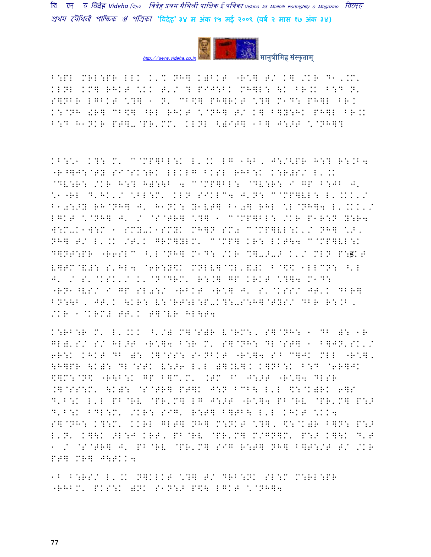

B:PL MRL:PR LLK KY MAR KURKE "RYSE BY KE "RYSE". KLADE KOMA RHOLE NOONG AL DI AFRIKA DI MAHALINI HA DI KARA DI DI S]NBR LGBKT \*?] 1 N' CB\$] PH]RKT \*?] M1D: PH]L BR. K: RHKT : RHKT \* RHKT \* RHKT \* RHKT \* RHKT \* RHKT \* RHKT \* RHKT \* RHKT \* RHKT \* RHKT \* RHKT \* RHKT \* RHKT \* B:D H2NKR PT HIS PT (1800) IS THE REPORT OF THE RED IN THE RED IN THE RED IN THE RED IN THE RED IN THE RED IN THE RED IN THE RED IN THE RED IN THE RED IN THE RED IN THE RED IN THE RED IN THE RED IN THE RED IN THE RED IN TH

KB:th: Karrier Company (1) Karrier (1) And the Service of the Service of the Service of the Service of the Service of the Service of the Service of the Service of the Service of the Service of the Service of the Service of "RECEPTED THE STATE OF SIMILAR BEST RELEASED FOR STATE REPORT OF SIMILAR CONTINUES. @DV:R: /KR H:? H):\B 4 C@MP]BL: @DV:R: I GP B:JB J' to see the education of six and end and the theory of the medical cases. B10:25Y RH MARE JP. H1NK: YOUR BIRE FILAR (BHE) NE MARRE (E. CO.). LGKT \*@NH] J' / @S@TR] \*?] 1 C@MP]BL: /KR P1R:N Y:R4 W:MA-K1W:M SMO (SMO) 1 SMO 1 SMO CAMP (SMO) 201 NH] T/ L'.K /T'K GRM]YLM' C@MP] KR: LKT\4 C@MP]VL:K DEPENDE "R6SLC "R6SLC PRESS "R6SLC "PENDED AND PENDED V]TM@&#: S'HL4 @6R:Y\$K MNLV]@%L'&#K B@\$\$ 1LLCN: ^'L J' / S'@KSK'/ K'@N@DRM' R:.] GP KRKT \*?]4 M1D: "RNT REACTOR" RETAILS THRIGHT "RANG" ALTICAL THRIGHT "REACTOR" RE BN:BN: JTH: V:@RT:L:PH:BIN:P-KIR:P-KIR: V:@RT:D: /KR 1@KRM# TT'K T]@VR HL\T4

K:RB:R M' L'.KK ^'/) M]@S)R V@RM:, S]@NH: 1 DB ): 1R GL)'S/ S/ HL>T "R\*]4 B:R M' S]@NH: DL@ST] 1 B]JN'SK'/ 6R:K KHKT DB ): .]@SS: S1NBKT "R\*]4 S^ C]JK MLL "R\*], \H]PR \K): DL@STK V:>6 L'L )].V]. K]NB:K B:D @6R]JK \$100 "ROOMS" . THE REPORT OF THE REPORT OF THE RELATIONSHIPS IN THE RELATIONSHIPS OF THE RELATIONSHIPS IN THE .]@SS:M' \K): @S@TR] PT]K J:N BCB\ L'L \$:@K)RK 6]S D'A:K ROM BOES D'E L'ANNE D'AIR D'ARDIEN D'ARDIEN D'ARDIEN D'ARDIEN D'ARDIEN DE MENSE AU DE MENSE DE MENSE DE D'B: K BOL: A PER BOL: D'BOL: SIG' RESERITATE EN EL LES D'ANCIEN EN L'ESTERNIT DE L'ACTENY EN L'ESTERNIT DE L' S]@NH: K?:M' KKRL GLT] NH] M:NKT \*?], \$:@K)R B]N: P:> L'ON AGENT DE SANCIA EL TRANSIMO DE PONDEDO DE L'ARTISTA D'ALLA 1 / @S@TR] J' PB@RV @PR'M] SIG R:T] NH] B]T:/T T/ /KR PH MAR HAND

1B B:RS/ L'.K N]KLKT \*?] T/ DRB:NK SL:M M:RL:PR  $R$  -particles in the state of the state of the state  $R$  state  $R$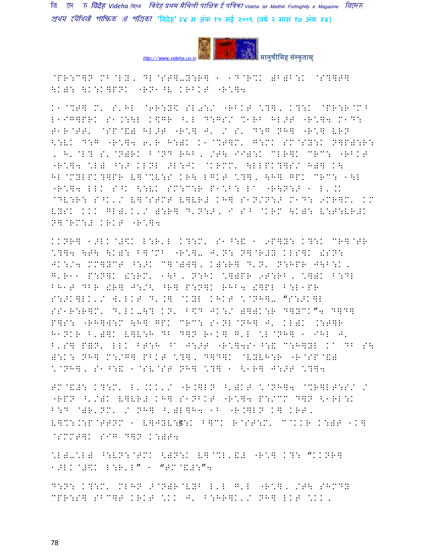

@PR:C]N MB@LY, DL@ST]-Y:R] 1 1D@R%K )B)B:K @S?]T]  $\frac{1}{2}$ :  $\frac{1}{2}$   $\frac{1}{2}$   $\frac{1}{2}$   $\frac{1}{2}$   $\frac{1}{2}$   $\frac{1}{2}$   $\frac{1}{2}$   $\frac{1}{2}$   $\frac{1}{2}$   $\frac{1}{2}$   $\frac{1}{2}$   $\frac{1}{2}$   $\frac{1}{2}$   $\frac{1}{2}$   $\frac{1}{2}$   $\frac{1}{2}$   $\frac{1}{2}$   $\frac{1}{2}$   $\frac{1}{2}$   $\frac{1}{2}$   $\frac{1}{2}$ 

K1@70:P\$T\_MEXISLO:// SLO:// "RBKT #PR:// "PR:// "PR:// "PR://" PR:// "PR://" PR:// L1 - KRABEAD - SN.: D148 HLD RRA HLID: T "R198 ML" (1) AND HLID: T "RT "RT "RT "R TH' A MARIZ " MATTIMAG" HA JARI DAN HANYA DI SANYA DI SINYA TI A MANGHA DA MARIZ A NA MAGAMA DA SA NA MAGAMA D <:VK D:G "R\*]4 6'R H:)K K1@%T]M' G:MK SM@SY:K N]P):R: , H, SEBOR, JRBE, FJR BAF, /TRB, JRBE, JRBE, JRBE, JR  $+$  0:44  $+$  C:14  $+$  C:14  $+$  C:14  $+$  C:14  $+$  C:14  $+$  C:14  $+$  C:14  $+$  C:14  $+$  C:14  $+$  C:14  $+$  C:14  $+$  C:14  $+$  C:14  $+$  C:14  $+$  C:14  $+$  C:14  $+$  C:14  $+$  C:14  $+$  C:14  $+$  C:14  $+$  C:14  $+$  C:14  $+$  C:14  $+$  C: HE VOOR BOOKBER (EROOLSE) DIE GOPDE VON SIE. GEBEURD 'n BOS- 1981 "R\*]4 LLK S^K <:VK SM:C:R P1\*B: La "R\N:> 1 L'.K @DV:R: S^K'/ V]@STMT V]VR# KH] S1N/N:> M1D: 9MR]M' KM VYSK KKK GL)'K'/ ):R] D'N:>, I S^ @KRM \K): V:T:VR#K N]@RM:# KRKT "R\*]4

KKNR] 1>LK@#\$K L:R'L K?:M' S1^:& 1 9P]Y: K?:K CR]@TR  $\Lambda$ 984  $\Lambda$ ar (Adam "Ration") (ang Ration") (ang Ration  $\Lambda$  and  $\Lambda$ JK:/4 MM]YCT ^:>K C]@)W], K):R] D'N' N:HPR J\B:K, G'R11 P:N]K :ROOM I:ROOM I:ROOM I:ROOM I:RADI 10 P.N. N:RB, P.N. PR 9T:RB, P.N. PR 9T:RB, P.N. PR 9T:RB, P.N. P BH1T DER PERSONER I DER PRISERT I BEI DER BISTE UND BEI PERSONER S: KILKET DE LA PORT D'EN L'ALBONIA EN 1999. SSN:RGPBD, (P.E.LAG) DD, FRP ADG, ABBEDG, PRBDD KA' PRPP PASS: "RHAND ARE AN "RH" SYNLOPPA A (1981) INAN HANKR B'S WELL AND DESCRIPTION OF DIRECT AND DESCRIPTION OF DIRECT AND DESCRIPTION OF DIRECT AND DESCRIPTION O B'S PERSON BIS PHANOIC AND AND SANDARY MANUSCRY OF THE  $\pm$  N: NH $\pm$  D)  $\pm$  NH  $\pm$  PFC  $\pm$  0.18  $\pm$  0.18  $\pm$  0.18  $\pm$  0.18  $\pm$  0.18  $\pm$ \*@NH], S1^:& 1@SV@ST NH] \*?] 1 <1R] J:>T \*?]4

THO A CONSTRUCTION OF THE REPORT OF A REPORT OF THE REPORT OF  $\mathcal{F}$ "APT 'LIAM AHLEA' DHE SYTEIN ARIHA TACT "HT LYBEAT B:D @)R'NM' / NH] ^')L]H4 1B "R.]LN K] KRT, V]%:.:P@TTNM 1 V]JYV:ड़:K B]CK R@ST:M' C@KKR K:)T 1K] @SMMT]K SIG D]N K:)T4

\*L: Burlie: (PALPA (PIT) (RBPA) (LA "TE LEG" (PRIA (TA: "Y)(PPA  $1+2H$  (1  $1+2H$  )  $1+2H$  (1  $1+2H$  )  $1+2H$  (1  $1+2H$  )  $1+2H$ 

D:N: KONSTRUIT ON MARTIN BILL AND THE MOVING CPR:S] SBC]T KRKT \*KK J' B:HR]K'/ NH] LKT \*KK,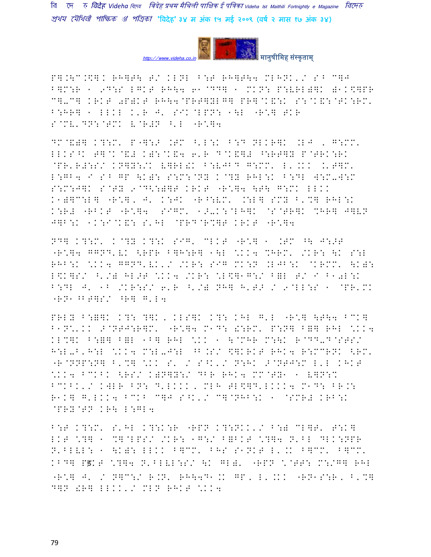

PACE THAT RHE REAL BIRS REAGING TO THE REAL BIRS REAL BIRS BOOK IS NOT THE REPORT OF THE REPORT OF STREET IN STREET CALCA CACA GEBOA ARAH MARRAH ARUPA KACORAC YA MUSI MCAFEC. B:HRI 1 LLKL K.R. J. "RY TERR 191 LAN BRI SOMMAR VERSION OF THE RELEASE VALUE OF THE SERVE VALUE OF THE NEW YORK VALUE OF THE NEW YORK VALUE OF THE NEW YORK

BOOK: NO ON THE PERSON OF REAL PROPERTY . THAT . THAT . LLKS^K T]@K@&# K):@K&4 6'R D@K&]# ^:RT]Y P@TRK:RK @PR'R#:S/ KN]Y:/K V]RL!K B:VJBD G:MM' L'.KK .'T]M' L:GB4 I S^ GP \K): S:M:@NY K@?Y RHL:K B:DL W:M-W:M SS:MARD STAB 20051488 CRIP (RIP) RIN RAD RST (RIC K1)]C:L] "R\*], J' K:L] "R\*], J' K:L] "R\*], J' K:L] SMY B' R\*], J' K:L] SMY B' R\*], J' K:L] SMY B' R\*], J' K:L] K:R# "RBKT#" R#C#H "R\*#Z. R#LH|K:R#E "R\*##L" (P### ##LP JAB: MENTI SI SI MANJUMI DAN SERIKA TENGAH SERIKAN DAN MENERIKAN DAN MENYERAN DAN MANYAKAN DAN MANYAKAN DAN MA

NORTH KRY KRYBER THE SIGN STATES OF THE SIGN AREA "RENDRA (PPDF), ED ("REPR") FRANKR BIH: NO NO A "NAPDD" ("DO RN" AD") PNE RHF: MINE GOND'S RESERVE ON THE SIGNED OF SIGNAL SECTION OF SIGNAL AND SERVED ON THE SIGN OF SIGNAL AND SIGNAL LADARI ALIA FEJE NOLE IN BENGARA PENGAH HEL BI KAKA BEN B:DR J' 1B / 2001 NH] H' 1B / 2002 NH J 1B / 2002 NH J 1B / 2002 "RNN" RNNN" (G'L4)

PRLY B:=]K K?: ?]K, KLS]K K?: KHL G'L "R\*] \T\4 BCK] B1N\*'KK >@NTJ:R]M' "R\*]4 M1D: !:RM' P:N] B=] RHL \*KK4 KL:: MARA ASSAM REGION AND DESCRIPTION OF REGIONAL AND DESCRIPTION OF REGIONAL AND DESCRIPTION OF REGIONAL AND H:L-B'H:L \*KK4 M:L-J:L ^B.S/ \$]KRKT RHK4 R:MCRNK <RM' "R@NNP:N] B'%] \*KK S' / S^K'/ N:HK >@NTJ:M L'L KHKT KCA BCCK (RBCKBBR) THE BRCA MOTHER PORTHU BCKBK'/ KWLR BN: D'LKKK, MLH TL\$]D'LKKK4 M1D: BR.: R1KE G. ESSE BCK CHA RIKKS CHECHANI 1 MARKED KRB: @PRY@TN KR\ L:GL4

B:T K?:M' S'HL K?:K:R "RPN K?:NKK'/ B:) CL]T' T:K] LECT A 1 SECOND AND THE BEAT ARE A RESIDENCE TO A 1999 HE DRIVES TO A 2000 HE DRIVER. N'BLV L'ANN (1988) (1989) (1989) (1989) (1989) (1989) (1989) (1989) (1989) (1989) (1989) (1989) (1989) (1989) KBD] Pड़KT \*?]4 N'BLVL:S/ \K GL)' "RPN \*@TT: M:/G] RHL "R\*] J' / N]C:/ R.N' RH\4D1.K GP, L'.KK "RN1S:R, B'%] DHR ERH BEILLY TER BHIB MILH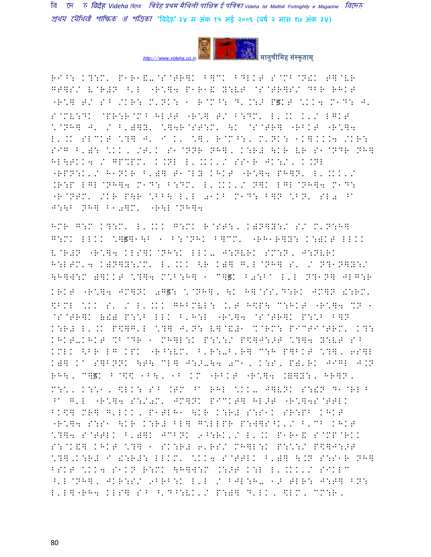http://www.videha.co.in<sup>2</sup> मानुषीमिह संस्कृताम्

RICH: KIRIO: P1R1&-MONTHERICHT, PHONOGRAPH SOME SPRING GTARE ON SHAIR (1992) A CHANG RI RIA BILI DA LA PILANG RHATA SA SAN AIR "R\*] T/ S^ /KR: M'NK: 1 R@M^: D'.:> Pड़KT \*KK4 M1D: J' S@MV:DK @PR:R@M^ HL>T "R\*] T/ B:DM' L'.K K'/ LGKT \*@NH] J' / B')]Y' \*]4R@ST:M' \K @S@TR] "RBKT "R\*]4 L'.K SLCKT \*?] J' I K' \*], R@M^:, M'NK: 1K]...4 /KR: SIG B'): \*KK, /T'K S1@NNR NH], K:R# \KR VR S1@NDR NH] HL\TKK4 / GP%PM' K.NL L'.KK'/ SS1R JK:/, K.NL "RPORTI I IN HASPITE "PLIGHT "BACT "BOLG", "RATH "PHHS", "BILOIDI", I .R:P LGL@NH]4 M1D: B:DM' L'.KK'/ N]K LGL@NH]4 M1D: "RENTWEEN" (PAR NEER BIJ 2015) IN THE FAD NEBULAR BY J:\B NH] B10]M' "R\L@NH]4

HMR G:M' L'ELM, B. KI, GENN ROSEN L'EPHAN SI MADIGE B:MI LLI SHE RHI 1 B:MI 1 B:MI A: B:MI DILK V@R#N "R\*]4 KLS]K@NH:K LLK- J:NVRK SM:N, J:NVRK H:LTM'4 K)N]Y:/M' L'.KK <R K)] G'L@NH] S' / N?1N]Y:/  $\#$ PHANT WHICH  $\#$  (THA) INFORMATION (THST) and  $\#$  and  $\#$  and  $\#$ 

KRKT "R\*DER" "POSSE" (1989) NA HEIGE, PART "POSSE" (1980) \$BML \*KK S' / L'.KK GHBMVL: .'T H\$P\ C:HKT "R\*]4 %N 1 @S@TR]K (!) P:\*B LLK B'H:L "R\*]4 @S@TR]K P:\*B B]N K:R# B. M. P\$99.B (298) 4.25 B9 BB (2092) Profected. (296 KHKT-BUL: AS BORT "MADR 1 MODERN 1 MH 1 MH 2 YO BIRING IN SOME PARTY OF THE INTERNATIONAL PARTY OF T KMLK AFR LA KAMLK ALGALIAN DI BARI DI BATI GETI K) ARE CONSTRUCTED TO CHEVROLEH SHOW ON STRIKE IN CHARGE SHOW AND RH\, CHS, P. CR, 1P\, 1P (20) 1BP(30) 1B(84) (BH3)1 .= RH3O,

M:t, K:t, K:t, Si Si Si .TM ^a RHL \*KKL, ANLES STERR \*K THE \* ^a G'L "R\*]4 S:/0M' JM]NK PICKT] HL>T "R\*]4S@TTLK BK\$] MR] G'LKK, P1TLH1 \KR K:R# S:S1K SR:PB KHKT "ARINGA" STASY (ASIR GTABLE FER PRIESER BY BAGGET FOUR POINT DAILY \*?]4 S@TTLK B')]K JCBNK 9^:RK'/ L'.K P1R1& S@MP@RKK S:@KOBB\_C\$C#J:ACBB\_6'SC@BB\_GC\$PZ\_C\$BB@CC#B#C\$J:P\$C\$C \*?],K:R# I !:R#: LLKM' \*KK4 S@TTLK B')] \.N S:S1R NH] BSKT \* KKIN STORE \* KUNSTEIN STORE KIN SIKLIKE \* SIKLET ^'L@NH], JKR:S/ 9BRB:K L'L / BJL:H- 1> TLR: J:T] BN: L'LE RAPPA, CESTRI SO PIONE PORTI L'OCTOBRE POLE D'UN D'ESTRICO D'OCTOBRE.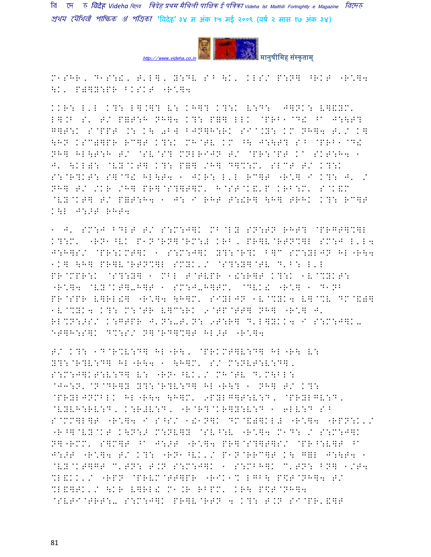

MN. DHE ROOMS INSTITUTE IN STRING IN STRING TO STATE THE STRING IN STRING IN A REAL PROPERTY OF NEW YORK IN THE  $\frac{1}{2}$ Y:PR BKSKT "R\*]4 (1991)

KKR: L'ARIES EN L'ANDIS EN L'EN L'ANDIS ENCIC  $\pm$  H (F)  $\pm$  T/  $\pm$  THe NH  $\pm$  P=H  $\pm$  C TH  $\pm$  D  $\pm$  D  $\pm$  D  $\pm$  D  $\pm$  D  $\pm$  D  $\pm$  D  $\pm$  D  $\pm$  D  $\pm$  D  $\pm$  D  $\pm$  D  $\pm$  D  $\pm$  D  $\pm$  D  $\pm$  D  $\pm$  D  $\pm$  D  $\pm$  D  $\pm$  D  $\pm$  D  $\pm$  D  $\pm$  D  $\pm$  D  $\pm$ GREAG .: KOPPE .: CAOLAR GREAGHAGH .: KAOLBAC CO DRAHACE, ZO CH  $\#$  For a schedule compared to the control of  $\#$  . The control  $\#$  so  $\#$ NHE HLABAN BI YALAM TIREHAR BI YA TIBA TIBO IN BI BAHA 1 J' \KL): @VY@KT] K?: P=] /H] D]%:M' SLCT T/ K?:K S:@R?KT: S]@D! HL\T4 1 JKR: L'L RC]T "R\*] I K?: J' / NH] T/ /KR /H] PR]@S?]T]M' H@ST@K&'P KRB:M' S@K&M @VY@KT] T/ P=T:H4 1 J: I RHT T:!R] \H] TRHK K?: RC]T  $\ldots$   $\ldots$ 

1 J' SM:J BDLT T/ S:M:J]K MB@LY SN:TN RHT? @PRGT]%]L K?:M' "RN1^VK P1N@RN]@RM:# KRB, PR]V@RTN%]L SM:J L'L4 J:HAREN JOERN DRAGO (K. 2010) KARL (1991) IREN HRO SONG BLAD, HE HRAK 1K] \H] PR]V@RTN%]L SMYK'/ @S?:Y]@TV D'B: L'L PR:MPR:K @S?:Y?:YE:Y!:RIT K?:YE:YE:YE:YE:YE:YE:YE:YE:YE:YE:YE:YE: "AFC RHOOTER TO BRUARE "A CONSTRUARED", CONTROL COAPITACION "NORTH PR@SPR VARHINA "PRANG APAN, ISSBAR VI SING VI DA MI MI SIYLD 1V@%YK4 K?: M:@TR V]C:RK 9@TP@TT] NH] "R\*] J' RL%N:>S/ K:GTPR J'N:-T'N: 9T:R] D'L]YKK4 I S:M:J]K-ET]H:S]K D%:S/ N]@RD]%]T HL>T "R\*]4

That is the control of the control of the control of the control of the control of the control of the control of YTE OPTERTH HE HAN A SAND, IN TRUEPHERTH, SS:MAR:PS:STROLS (RD) RELOCTEDE TO DRIES MAGRI YR MARD GRY YR BYRYR AR GARD GO DAR GRY YR Y @PRYLJNMBLK HL"R\4 \H]M' 9PYLG]T:V:D, @PRYLGV:D, MYVER: ROY: D, K:RIGH: D, C. (RECORD) DE 1 600 1 6 NO. 2 7 (RECORD) DE 1 6 NO. 2 7 (RECORD) DE 1 6 NO. 2 7 (RE SMOMPHER PARTNER I SOM REDUKTIONER I POMPHER I LANGER I PARTNER I D  $R$  (Robinson Maria Miller Statistic Movement Constitution) DA (BOO) SAMOAR (PO) RADA (PROAR: OBA ATAARAAN OO TERPARA (PO J:: T "RATHER TO THE "REPORT OF THE THE THE THE STATE  $\cdot$ MY COMPARE AND STOLE OF CONSTRUCTION AND CONTINUES IN THE SECOND AND A COMPARE %L&CONY "RPPS" MPROMINE "RPNO" DO LATE ROPORTING "PO  $\mathcal{L}$  . The state of the state of the state of the state of the state of the state of the state of the state of the state of the state of the state of the state of the state of the state of the state of the state of the @SVTI@TRT:- S:M:J]K PR]V@RTN 4 K?: T.N SI@PR'&]T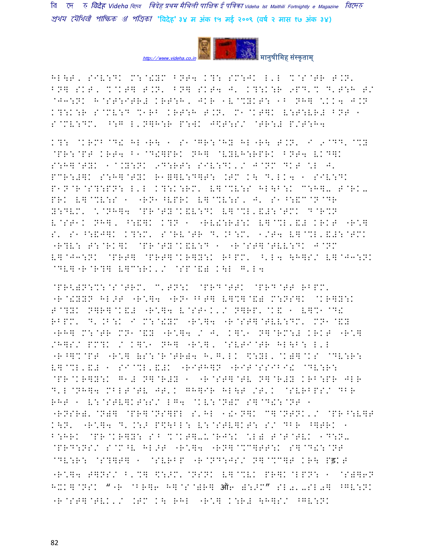

HIAR, SYLCH, TO CON FRANCH STORY IN BOTH AND ANY. ROBNI SKOLA DO STATI T. SKT, SKT, SKT, BNJ BOJ SKT, BOJ SKT, BOJ SKTA JE BOJ SKTA JE DIV @J3:NK H@ST:ITR# KRT:H, JKR 1V@%YKT: 1B NH] \*KK4 J.N K?:K:R S@MV:D %1RB KRT:H T.N' M1@KT]K V:T:VR# BNT 1 S MV:DATO, CARA E. PARAGE (PARA CARBARI) MERGE PINEGRA

KRYM MODIA ARABA HLYRA 1 SIMAGRI 1 SIMAGRI 1 SIMAGRI 1 SIMAGRI 1 SIMAGRI 1 SIMAGRI 1 SIMAGRI 1 SIMAGRI 1 SIMAG @PR:@PT KRT4 B1@D!]PRK NH] @VYVH:RPRK BNT4 VKD]K S:H]@TYK 1@.Y:NK 9D:RT: SIV:DK'/ J@NM DKT \*L J' PCP: NAPPLE SERVER TO THE BREAK RHEN ON DEVELOPED A LICK CONSTRUCT. P-PTH NORDER EVENTIEN GEN, ER NEGE AFRIK C'HARW BOBN. PRK VIDEO PRK VIDEO PRK VIDEO PRK VIDEO PRK VIDEO PRK VIDEO PRK VIDEO PRK VIDEO PRK VIDEO PRK VIDEO PRK VIDEO Y:DVM: The Company of the Company of the Company of the Company of the Company of the Company of the Company o V@ST1K NH], ^:&]K K?N 1 "RV!:R#:K V]@%L'&# KRKT "R\*] S' S' PERFO (THIL S'ELME F. D'ET, F. DE LORELIN DE ME "RAMELIN" (PROTO TO 1 "REPORTED TO 1 "REPORT OF THE THREE THE LETTER OF THE TIME V]@J3:NK @PRT] @PRT]@KR]Y:K RBPM' ^'L4 \H]S/ V]@J3:NK @DV]"R@R?] V]C:RK'/ @SP@&) K\L G'L4

@PR<)N:%:@S@TRM' C'TN:K @PRD@TTK @PRD@TT RBPM' "R@ YANNING "RESPACT "ROW" REPORT THE RESPONSE OF THE RESPONSE OF THE RESPONSE OF THE RIGHT OF THE RESPONSE OF THE RESPONSE OF THE RESPONSE OF THE RESPONSE OF THE RESPONSE OF THE RESPONSE OF THE RESPONSE OF THE RESPONSE OF TA 1980 - DARA ANDELE I VARDARIA I EN GRANDLIC I DARET IN DE VAN EARDY 1940 RBPM' D'.B:K I M:@!YM "R\*]4 "R@ST]@TVV:DM' MN1@&Y "RHAR" D'A 1936, D'AR 1818, "RHORA" (D. R.), "C' ROR, "DR' "ROYAL" (DROR) "RAOR /H]S/ PM?K / K]\*1 NH] "R\*], @SVTI@TR HL\B: L'L "R^]%@PT "R\*] (S:@R@TR)4 H'G'LK \$:YL'@K)]@KS @DV:R: V]@%L'&# 1 SI@%L'&#K "RITH]N "RIT@SSIBI! @DV:R: @PR@KR]Y:K G1# N]@R#Y 1 "R@ST]@TV N]@R#Y KRB:PR JLR D: CHABA D'ESTAL AS. CARARA ABAS CELT (MISTIC) DIS RHT 1 V: @STVELHI PAZZ EPA (MILA MED 29 MAGA MED 1 "RNSR)" DRIE "TERE "SYNEE" (Y) AE "KIN SEN "TE "SYST", IT "TER PALER KAD. "P\$TH: T. MA DON'TS IS MANUELAY IN THE TURN " B:HRK @PR@KR]Y: S^ %@KT]-U@RJ:K \*L) T@T@TVK 1D:N- @PRD:NS/ S@M^V HL>T "R\*]4 "RN]@%C]TT:K S]@D!:@NT @DV:R: @S?]T] 1 @SVRBP "R@ND:JS/ N]@%C]T KR\ Pड़KT "RENNER" B'ASPEN POLITIC SOME DES SOME DES SOME PRINTE DE L'ANGERE DE HIXCH "PEN" "MABRIC" PHONE PHONE AND AN INCREASE AND A HISPENING "R@ST]@TVK'/ .TM K\ RHL "R\*] K:R# \H]S/ ^GV:NK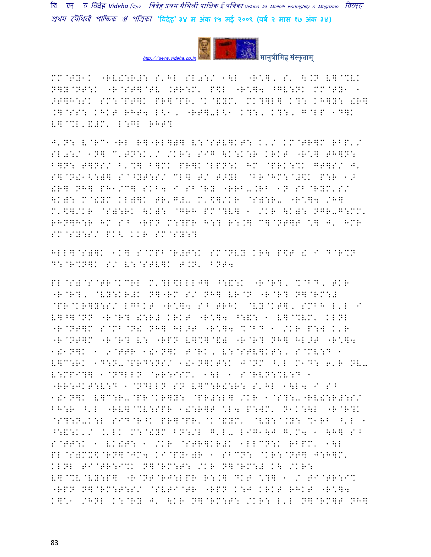

MM@TY1K "RV!:R#: S'HL SL0:/ 1\L "R\*], S' \.N V]@%VK NAG MARAT : KA MAAR MAL "TARAT." PAL "KANARA" PALATAT "DI MAGK" >T]H:SK SM:@PT]K PR]@PR'@K@&YM' MK?]L] K?: KH]Y: !R] .]@SS: KHKT RHT4 L<1, "RT]-L<1 K?:, K?:, G@LP 1D]K V]@%L'&#M' L:GL RHT?

J'N: V@RC1"RL R]"RL])] V:@STV]KT: K'/ KM@TR]M RBP'/ SLO:// 10:// 10:// 10:// 10:// 10:// 10:// 10:// 10:// 10:// 10:// 10:// 10:// 10:// 10:// 10:// 10:// 10:// 1<br>And an and an article of the state of the state of the state of the state of the state of the state of the sta B]N: T]NS/ B'%] B]MK PR]K@LPN:K HM @PRK:%K GT]S/ J' SOO TO ALSO SANDONG THE SAND AND THE SANDONIA TO THE SANDONIA POSSESSES OF THE SANDONIA POSSESSES OF THE SANDONIA !R] NH] PH1/C] SKB4 I SB@RY "RRB-.RB 1N SB@RYM'S/  $\kappa$ : Mo  $\kappa$  , Mo  $\kappa$  and  $\kappa$  and  $\kappa$  . The  $\kappa$  -  $\kappa$  and  $\kappa$   $\kappa$  -  $\kappa$   $\kappa$  and  $\kappa$   $\kappa$  -  $\kappa$  -  $\kappa$  -  $\kappa$  -  $\kappa$  -  $\kappa$  -  $\kappa$  -  $\kappa$  -  $\kappa$  -  $\kappa$  -  $\kappa$  -  $\kappa$  -  $\kappa$  -  $\kappa$  -  $\$ M.RAZIE (MAGE): RDAG (PPP PM/TILA): ZIE RDAG PPPLPGMM. RHINGH:R HI:R SA "RIPN MISH" HI:R HI:R ME ME HI:R R: RIP SM SHEET PK KAR SHEET

HLLE SOBH DOOR BOOK IN SAME IN SAME IN DIE SOME D:@R%N]K S/ V:@STV]K T.N' BNT4

PE SPLACING MOTHER DURING REPORT FOR DROW WHO IN THIS LIGHT AND RESIDENT AS A ROLL.  $R$  . The results of the results of the results of the results of the results of the results of the results of the results of the results of the results of the results of the results of the results of the results of the re @PR@KR]Y:S/ LGBKT "R\*]4 S^ TRHK @VY@KT], SMBH L'L I  $\,$  R.H. (P.P. ) (P.P. ):R:R: 2 (R.P. ):R:R:R: 1 (R.P. ):R:R:R: 1 V. 1 V. 2 (R. "R@NT\_MARINE\_PORT PRODUCED AND DESCRIPTION OF REAL PROPERTY AND RELEASED AT A 1990 PRODUCED AND RELEASED AT A "R@NT]M "R@R? V: "RPN V]%]@&) "R@R? NH] HL>T "R\*]4 1!1N]K 1 9@TTR 1!1N]K T@RK, V:@STV]KT:, S@MV:D 1  $\mathbb{R}$ ATGE: D:PGBL 1PRPGBEN (P.E. BAL) AND  $\mathbb{R}$  (BN) (P.E. NV-PG) and B.D. BYSTEP 10 NDLLAN @6RICLOGER 10 SACTORY "RR:JKT:V:D 1@NDLLN SN V]C:R!:R: S'HL 1\L4 I S^ 1!1N]K V]C:R-@PR@KR]Y: @PR#:L] /KR 1@S?:-"RV!:R#:S/ BH:R BH:R PIN PHARE TO BING AT THE REPORT IN THE ROOM OF THE THE THING. THIS IS NOT THING IN MY NOTED THAT THE @S?:N-K:L SID@R^K PR]@PR'@K@&YM' @VY:@.Y: %1RB ^'L 1 ^:&:K'/ .'LK M:@!YM BN:/L G'L- LIG1\J G'M4 1 \H] S^ SOTERED IN ALCOHOL IN MICHIGARY PORT ARRAIGNMENT IN A RESIDENCE IN A RESIDENCE IN A RESIDENCE IN A RESIDENCE O PL@S)MX\$@RN]@JM4 KI@PY1)R 1 SBCN: @KR:@NT] J:H]M' KLAN TIMTRING TIMTRING AND ARREST AND A KONFERN V]@%V@VY:P] "R@NT@RJ:LPR R:.] DKT \*?] 1 / TI@TR:I% "RPN NIGHT "RPN NIGHT" RPN NIGHT "RPN KING "RPN KING "RPN KING "RPN KING "RPN KING "RPN KING "RPN KING" KAL KI / HOL KI: A LE NI LI NI JI NATO NA TI YA NA NA NA TI YA NA NA TI ANA NA TI INA NA TI ANA NA TI ANA NA T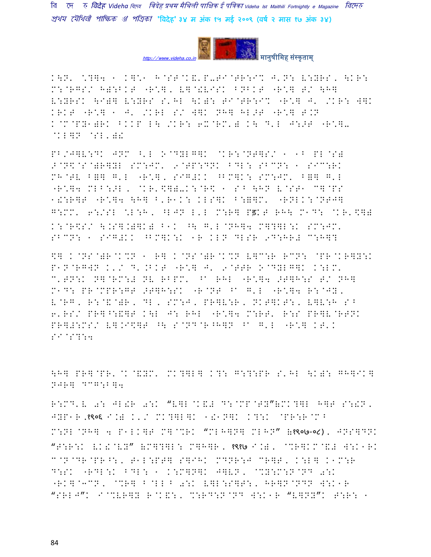

KAD. KOHA KOKUR ATEROIKIRIAT HATER IN KAHA KADA MY: TERENT "REGRISH" (PENRIS BRITAGENT) "RIPRISH" (PENRISH) "RIPRI V:YRSK \I)] V:YRS S'HL \K): TI@TR:I% "R\*] J' /KR: W]K KRKT "R\*] 1 J' /KRL S/ W]K NH] HL>T "R\*] T.N K@M@PY1)RK BKKP L\ /KR: 6X@RM') K\ D'L J:>T "R\*]- WINE COLLECT

PROVABLESTO APPORTED PRESS PROVIDENCE CONTROL PROVIDENCE >@N\$@S@)R]YL SM:JM' 9@TP:DNK BDL: SBCN: 1 SIC:RK D'A TABLICA BELIC "CALADELLIC" BEDI D'A MENICI SOM BELIC BELIC BELIC BELIC BELIC BELIC BELIC BELIC BELIC BELIC "AFNAH OBSTAVE VON BLAGALENDER (KORTS 1942) ENGER (MACHEN  $+$   $R$  then  $R$  and  $R$  are defined by  $R$  . Then  $R$  is a set  $R$  is a set  $R$  is a set  $R$  is a set  $R$ GRIMO 6: GAME 6: MESSAY (FILAD) ELLES ONER RIGIGE RESERVOIR PSINT RELATED K:@R\$S/ B1K & G#CHEL# (FRICH@HI) B1K #1K SM:JHIN MINE MINE SBCN: 1 SIGHT OF BUILDING AND ALL PROPERTY

\$] K@NS@)R@K%N 1 R] K@NS@)R@K%N V]C:R RCN: @PR@KR]Y:K P1N@RGWN K'/ D'.BKT "R\*] J' 9@TTR O@DYLG]K K:LM' C'HEN: PH'BC'H PE BITL 'C' BH: 'B'AH 'ARHH' AT B' TH D: PR: PRODERSHE (PERSON) - PODER (PR) PR: E (PENSON) PRODE V@RG, R:@&@)R, DL, SM:J, PR]V:R, NKT]KT:, V]V:H S^ 6'RS/ PR]^:&]T K\L J: RHL "R\*]4 M:RT' R:S PR]V@RTNK PR]#:MS/ V].I\$]T ^\ S@ND@R^H]N ^a G'L "R\*] KT'K SI@S?:4

 $\,$  RH  $\,$  Press (Product  $\,$  Product s  $\,$  MH  $\,$  B  $\,$  (Product  $\,$  B  $\,$  ). For  $\,$  B  $\,$  B  $\,$  B  $\,$  B  $\,$  B  $\,$  B  $\,$  B  $\,$  B  $\,$  B  $\,$  B  $\,$  B  $\,$  B  $\,$  B  $\,$  B  $\,$  B  $\,$  B  $\,$  B  $\,$  B  $\,$ NJR] DCG:B]4

R:MORE R:MORE OF DESCRIPTIONS OF DESCRIPTIONS OF DESCRIPTIONS OF DESCRIPTION OF DESCRIPTION OF DESCRIPTION OF D JAGER BULSONG IR) KOLONIA I. KERTA I. KERTA I. KERTA KOMANYA K MINDE MORE A PILKE THE MALL WILHADA MILHON (1980-02), JAPEANI "WHI:R: E:R:K WERTHIN: MUSHE, 8880 MI:R: MINURI MINOR: CONDITIONS AN EXEMPT PROPERTY CREEK CREEK CRIPS OF CRISI D:SK "RDL:K BDL: 1 K:M]N]K J]VN, @%Y:M:N@ND 0:K "RED ROMA TO BOOK ON THE RELEASED ON HE REPORTED HE RED TO THE VEHICLE HE RED WILL "SRLJ"K I@%VR]Y R@K&:, %:RD:N@ND W:K1R "V]NY"K T:R: 1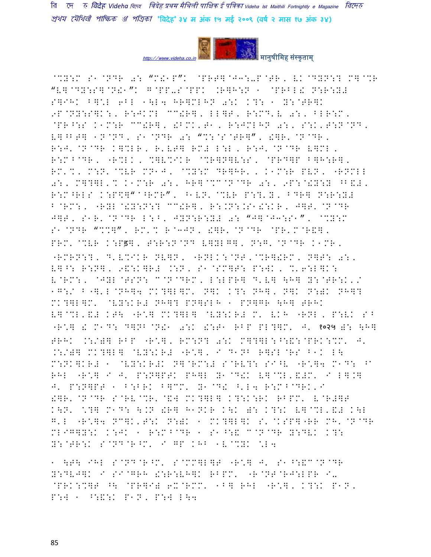

@%Y:M S1@NDR 0: "M!1P"K @PRT]@J3:-P@TR, VK@DYN:? M]@%R "WER: TROPER TO SAME .RITCHER .RITCHER .RITCHER .R.H:N .RITCHER .R.H:N .R.H:N .R.H:N .R.H:N .R.H:N .R S]IHK B]\*L 6BL 1\L4 HR]MLHN 0:K K?: 1 Y:@TR]K 9P@NY:S]K:, R:JKML CC!R], LL]T, R:MD'V 0:, BLR:M, @PR^:S K1M:R CC!R], !BMK'T1, R:JMLHN 0:, S:K'T:N@ND, BROVER VECTOR SYSTEM AN ""WINDRER", BREATECTE, RGA, JOSPE (RICER), RIKER ROG EGE (REGA) DR VER KIDE. R:MOR, HILL, MANILL, MARRARY, MINAR PROBA RM'%, M:N'@%VR MN1J, @%Y:M DR]HR', K1M:R PVN, "RNMLL 0:, M]?]L'% K1M:R 0:, HR]@%C@N@DR 0:, 9P:@!Y:Y ^B&#, R:M^RLS K:P\$]"@^RMR", ^1VN'@%VR P:?'Y, BDR] N:R:Y# B@RM:, "RYL@!Y:N:? CC!R], R:.N:.S1!:KR, J]T'@N@DR JOHN: ST, ST, THE RISE, JOHN:RIE AN WORTH-NIE M. THIN S1@NDR "%%]", RM'% R@3JN, !]R'@N@DR @PR'M@R&], PRM, MME (1985), PGP18-VR KEBERE, PGP, NPUP (1978) "RORN: NORTH NORTH NORTH NORTH NORTH NORTH NORTH NORTH NORTH NORTH NORTH NORTH NORTH NORTH NORTH NORTH NORTH NO V]^: R:N], 9&:K]R# .:N, S1@SM]T: P:WK, %'6:L]K: V@RM:, @JYL@TSN: C@N@DRM, L:LPR] D'V] \H] Y:@TR:K'/ 1G:/ B"]'L@NH]4 MK?]L]M' N]K K?: NH], N]K N:)K NH]? MK?BH BMY: MKIBADA A DIPABI BMBH E HITRI BIRA A PABI BARAN BACTELED CAR SATE TITHE CERIAL MY EIG SARE WERE PRO "RENDE" : MONTHON: DEPARTMENT PLANE I: DEPARTMENT PLANE II: NORS (BIG) (REPET TRHK .:/)] RBP "R\*], RM:N? 0:K M]?]L:^:&:@PRK:%M' J'  $11.144$  MK  $11.144$  MK  $1.141$  and  $1.141$  and  $1.141$  and  $1.141$ M:NK#:B# 2 @VR#K:B#: N#JP#W:# S@RW:# S@RV## N2#: S RHL "R\*] I J' P:N]PTK PH]L Y1@D!K V]@%L'&#M' I L].] JP:N]PT 1 B:BRK BIS PORT AN ACCORDING BY DRIVE TO BE A STRIP OF A RIGHT OF BIS LINE !]R'@N@DR S@RV@%R'@&W MK?]L] K?:K:RK RBPM' V@R#]T KAD, KIR TYRA KID KER PYDIE IST BI IRI KAT KRYDISK KO B'L "R\*DH" R\*HL "R\*L" R\*HL "R\*DR MH' RF MH' RF MH' DR MH' MLIGRAM MERRI STERN 1 RIGHT I STERN 1 STERN ASSOCIATION OF THE STEPHEN STEPHEN IN STEPHEN IN STEPHEN IN STEPHEN Y:@TR:K S@ND@R^M' I GP KHB 1V@%YK \*L4

1 \T\ IHL S@ND@R^M' S@MM]L]T "R\*] J' S1^:&C@N@DR BYEARD Y PYTHER EGENERE ERIC (ROBORTEGER) "L @PRK:%]T ^\ @PR]I) 6X@RMM' 1B] RHL "R\*], K?:K P1N, P:W 1 ^:&:K P1N, P:W L\4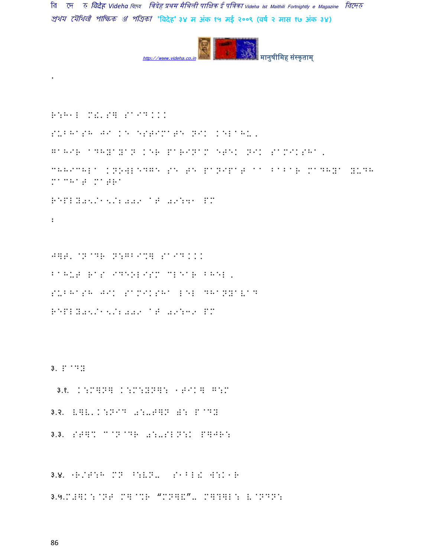

RYHIL MARTE STYTIC SUBHaSH JI KE ESTIMaTE NIK KELaHU, GaHIR aDHYaYaN KER PaRINaM ETEK NIK SaMIKSHa, CHHICHLA KOMMUNISMED SE TE PANIPAT AA BABAR MADHYA YUDHA MADHYA YUDHA MADHYA YUDHA YUDHA YUDHA YUDHA YUDHA YUD MaCHaT MaTRa REPRESENTATION OF SPIRE FO 2 JED. TEST PARKSTE SAID. BaHUT RaS IDEOLISM CLEaR BHEL, SUBHaSH JIK SaMIKSHa LEL DHaNYaVaD REPLY SECTION CONSIDER  $3.$   $P^{\text{new}}$ ३.१. K:M]N] K:M:YN]: 1TIK] G:M ३.२. EALLIERT 2007 2012408 2012 2013 3.3. START CONDITAL GALLERY: FRANK ३.४. "R/T:H MN FRENC " FREE STEEPS

3.9.M#H: NOVE MENTH: "WORRER". WORRER HIS A SCREEN

 $\bullet$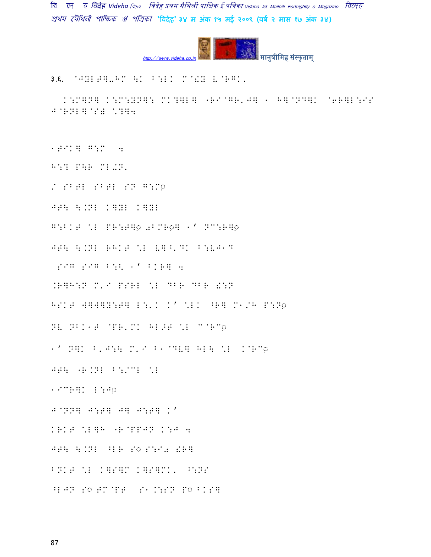

३.६. @JYLTER\_PENT RICH RED CONSIL ENDRIC

 K:M]N] K:M:YN]: MK?]L] "RI@GR'J] 1 H]@ND]K @6R]L:IS J@RNL]@S) \*?]4

1911 G:M 4

H:? P\R ML+N'

 $/$   $\mathcal{S}$  shows the state  $\mathcal{S}$  such that  $\mathcal{S}$ 

 $J_{\rm 11}$  ,  $J_{\rm 21}$  ,  $J_{\rm 31}$  ,  $J_{\rm 31}$  ,  $J_{\rm 11}$  ,  $J_{\rm 11}$  ,  $J_{\rm 11}$  ,  $J_{\rm 11}$  ,  $J_{\rm 11}$ 

BG:DE YE PRIMBO 2FTF0H + MORTHERO

JTH RHKT FRAME \*L RHKT \*L VIID

 $\begin{split} \begin{minipage}{0.9\linewidth} \begin{tabular}{l} \hline \multicolumn{3}{l}{} & \multicolumn{3}{l}{} \multicolumn{3}{l}{} \multicolumn{3}{l}{} \multicolumn{3}{l}{} \multicolumn{3}{l}{} \multicolumn{3}{l}{} \multicolumn{3}{l}{} \multicolumn{3}{l}{} \multicolumn{3}{l}{} \multicolumn{3}{l}{} \multicolumn{3}{l}{} \multicolumn{3}{l}{} \multicolumn{3}{l}{} \multicolumn{3}{l}{} \multicolumn{3}{l}{} \multicolumn{3}{l}{} \multicolumn{3}{l}{} \multicolumn{3}{l}{}$ 

.R]H:N M'I PSRL \*L DBR DBR !:N

HSKT WINNER HERR KY MIR THE WYSTERD

NAV NESTAL MESSAGE OF THE CONTROL

 $1$   $\leq$   $\frac{1}{2}$  Big:  $\frac{1}{2}$  ,  $\frac{1}{2}$  ,  $\frac{1}{2}$  ,  $\frac{1}{2}$  ,  $\frac{1}{2}$  .  $\frac{1}{2}$  .  $\frac{1}{2}$  .  $\frac{1}{2}$  .  $\frac{1}{2}$  .  $\frac{1}{2}$  .  $\frac{1}{2}$  .  $\frac{1}{2}$  .  $\frac{1}{2}$  .  $\frac{1}{2}$  .  $\frac{1}{2}$  .  $\frac{1}{2}$  .  $\frac{$ 

JTH GEORGE STATE OF

 $11T+11T+17T$ 

JONES JONES JONES (20

KRKT \*LIH \*LIH KIRKT \*LIH

JH AIR SHE ROTHL AN

FIRE SOFTWEE SHILL SHIP FOR SITE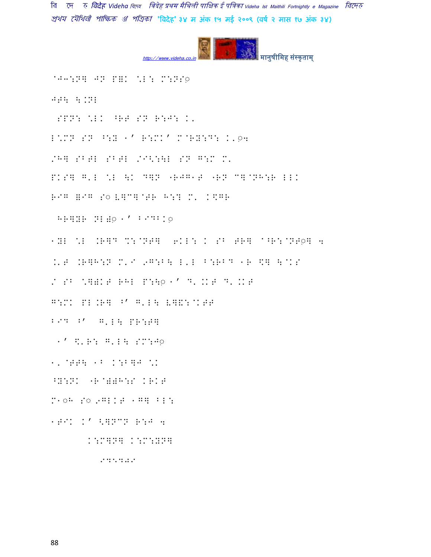

Manger an The Mine Theo JT\ \.NL SPN: MILL ARE SN RYPE I. ENTR SN SNE A' PATI' TI TEENTE D.Q4 /H] SBTL SBTL /I<:\L SN G:M M' PKS] G'L \*L \K D]N "RJG1T "RN C]@NH:R LLK RUG BUG ROLANA HE WIT TO CASE  $H$ HRIB  $H$ i $p \cdot$ '  $H$ '  $H$ '  $p$  $+$ H: M: NHT TRIPER (FIR) (FF) BER TREPIND .T.R]H:N MORE TO CONSTRUCT THE RIGHT OF THE RIGHT / SB \*])KT RHL P:\◌़ 1' D'.KT D'.KT G:MK PL.R] ^' G'L\ V]&:@KTT BID OF GRAND CHAINS THE THING OF  $1'$   $R: E: E: E: E: E: E: E: E: E: E$ 1. THAN A: THAN AI ^Y:NK "R@))H:S KRKT  $T^2$  of  $T^2$  or  $T^2$  so  $T^2$  and  $T^2$  and  $T^2$  and  $T^2$  and  $T^2$ 1951 (7 KBPT R:H 4 K:M]N] K:M:YN] 945409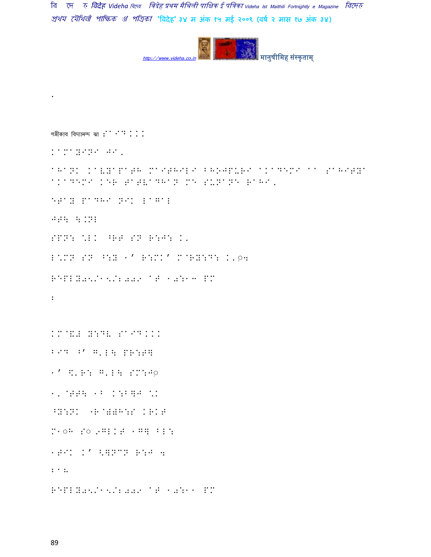

```
পঞ্জীকাব বিদ্যানন্দ ঝা\cdots \cdots \cdotsKaMaYINI JI, 
aHaNK KaVYaPaTH MaITHILI BHOJPURI aKaDEMI aa SaHITYa 
aKaDEMI KER TaTVaDHaN ME SUNaNE RaHI, 
ETaY PaDHI NIK LaGaL 
\pm JPL \, \, \pm JPL \,SPN: *LK ^RT SN R:J: K' 
E\text{MCE} E\text{PE} (Fig. \sim K) Reports of the second parameters \text{C} , \wp_4REPLY SAMPLE OF STREET
\ddot{\cdot}K , which is a set of the same of the said KB = \frac{1}{2} B = \frac{1}{2} B = \frac{1}{2} B = \frac{1}{2} B = \frac{1}{2} B = \frac{1}{2} B = \frac{1}{2} B = \frac{1}{2} B = \frac{1}{2} B = \frac{1}{2} B = \frac{1}{2} B = \frac{1}{2} B = \frac{1}{2} B = \frac{1}{2} B = \frac{1}{2} B = \frac{1}{2} B = \frac{1}{2} B = \frac{1}{2} B = \frac1' R: F: H: H: H: T: H<sub>2</sub>1'@TT\ 1B K:B]J *K 
^Y:NK "R@))H:S KRKT 
T^2 of T^2 or T^2 so T^2 . The solution of T^21971 (2019) 1977 (2019) 4
\mathbf{B} \subset \mathbf{B}RAPPLE REPLACEMENT AT 10:11 PM 2009
```
 $\bullet$  100  $\pm$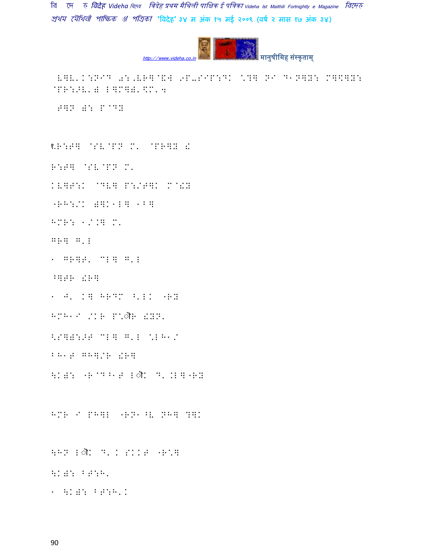

 V]V'K:NID 0:,VR]@&W 9P-SIP:DK \*?] NI D1N]Y: M]\$]Y: @PR:>V') L]M])'\$M'4

FRP 81 F 778

 $R:TH$  and  $R:TH$  are  $T:TH$  and  $R:TH$  .

R:T] @SV@PN M'

KV]T:K @DV] P:/T]K M@!Y

"RH: N: N | 1B] 19 H | 19 H

HMR: 1/.] M'

GR] G'L

1 GREEN CONTROL

 $T\ddot{H}H$   $R\ddot{H}$   $R\ddot{H}$ 

 $1 - \frac{1}{2}$  (  $1 - \frac{1}{2}$  )  $\frac{1}{2}$  (  $\frac{1}{2}$  )  $\frac{1}{2}$  (  $\frac{1}{2}$  )  $\frac{1}{2}$  (  $\frac{1}{2}$  )  $\frac{1}{2}$  (  $\frac{1}{2}$  )  $\frac{1}{2}$  (  $\frac{1}{2}$  )  $\frac{1}{2}$  (  $\frac{1}{2}$  )  $\frac{1}{2}$  (  $\frac{1}{2}$  )  $\frac{1}{2}$  (  $\frac{1}{2}$  )

HTHAT WIE PACH EHR.

<S]):>T CL] G'L \*LH1/

**BH**<sub>1</sub>, **BH**<sub>1</sub>, **BH**<sub>1</sub>, **BH**<sub>1</sub>, **BH**<sub>1</sub>, **BH**<sub>1</sub>, **BH**<sub>1</sub>

 $\kappa$ :  $\kappa$   $\kappa$   $\kappa$   $\kappa$   $\kappa$   $\kappa$   $\kappa$   $\kappa$   $\kappa$   $\kappa$   $\kappa$   $\kappa$   $\kappa$   $\kappa$   $\kappa$   $\kappa$ 

HMR I PHE I PHOTO THE

 $\frac{1}{2}$  H $\frac{1}{2}$  D $\frac{1}{2}$  Dec. The set  $\frac{1}{2}$  of  $\frac{1}{2}$  sky  $\frac{1}{2}$  sky  $\frac{1}{2}$  sky  $\frac{1}{2}$  $\text{H}:\mathbb{H}\to\mathbb{H}\oplus\mathbb{H}$ 

 $1 \times H$ :  $H$ :  $H$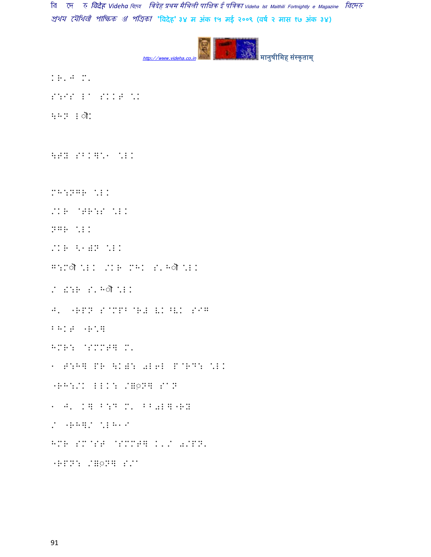

KR'J M'

SS: IS SKIP W

 $\exists i \vdash \mathbb{P} \exists i \in \mathbb{Q}$ 

 $\overline{1}$   $\overline{1}$   $\overline{1}$   $\overline{1}$   $\overline{1}$   $\overline{1}$   $\overline{1}$   $\overline{1}$   $\overline{1}$   $\overline{1}$   $\overline{1}$   $\overline{1}$   $\overline{1}$   $\overline{1}$   $\overline{1}$   $\overline{1}$   $\overline{1}$   $\overline{1}$   $\overline{1}$   $\overline{1}$   $\overline{1}$   $\overline{1}$   $\overline{1}$   $\overline{1}$   $\overline{$ 

**TH:NGR \*LEX** 

/KR @TR:S \*LK

NGR \*LK

/KR <1)N \*LK

G:M◌ॊ \*LK /KR MHK S'H◌ॊ \*LK

/ !:R S'H◌ॊ \*LK

J', "BEP SOMPROBE EN RE SOM

BHC "RATH

HMR: @SMMT] M'

1 T:H] PR \K): 0L6L P@RD: \*LK

 $H=H:K=H:K=H:H=H:K=H$ 

1 J' A: D A:D MY B:D MY B:D MY B:D MY B:D MY B:D MY B:D MY B:D MY B:D MY B:D MY B:D MY B:D MY B:D MY B:D MY B:

/ "RH]/ \*LH1I

HMR SM@ST @SMMT] K'/ 0/PN'

 $H$ PRISS (SHOPP S/A)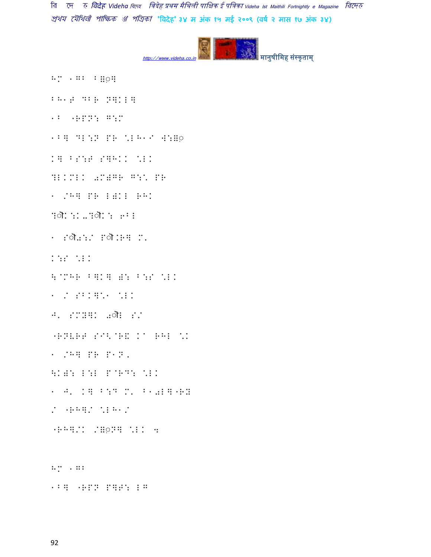

 $H''$   $H'''$   $H''$ 

BH<sub>1</sub>P 91 B 991 B 9

18 (BPP) "RP

 $19B$  DR:N PR  $18B$   $\rightarrow$   $91B$ 

KARA BERTAHAN SERI

TELTIC GREAK AND TH

1 / Handburg Robert Robert Robert Robert Robert Robert Robert Robert Robert Robert Robert Robert Robert Robert

 $\mathbb{R}$ ो $\mathbb{R}$ :  $\mathbb{R}$ : हो $\mathbb{R}$ :  $\mathbb{R}$ :  $\mathbb{R}$ :  $\mathbb{R}$ :  $\mathbb{R}$ 

1 S◌ॊ0:/ P◌ॊ.R] M'

K:S \*LK

\@MHR B]K] ): B:S \*LK

1 / SBK]\*1 \*LK

 $\mathcal{F}_1$  SMY SMY  $\mathcal{F}_2$  and  $\mathcal{F}_3$ 

"REVERT SIGNED OF REAL ORDER

1 /H] PR P1N,

\K): L:L P@RD: \*LK

1 J' K] B:D M' B10L]"RY

/ "RH]/ \*LH1/

"RHEAL (HOPE AIL 4

 $H^{\rm eff}_1 \to H^{\rm eff}_1$ 

1B] "RPN P]T: LG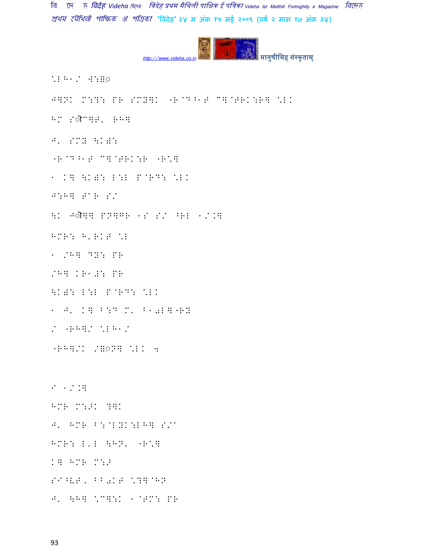

 $\mathbb{R}$ :  $\mathbb{R}$   $\rightarrow$   $\mathbb{R}$ :  $\mathbb{R}$   $\rightarrow$   $\mathbb{R}$ :  $\mathbb{R}$ 

JANK MINK MR SMYNG "ROLL" PROPERTY AN

 $H^*$   $\mathbb{R}^n$   $\mathbb{R}^n$ 

 $J$  SMY  $\mathbb{R}$  SMY  $\mathbb{R}$ :

"REDUCE THORE REDUCE

1 K] \K): L:L P@RD: \*LK

J:HE FOR ST

 $\kappa$  John Press, and  $\kappa$  and  $\kappa$  is  $\kappa$ 

HMR: H'RKT \*L

1 / HI: PRINT PRINT

/H] KR1#: PR

\K): L:L P@RD: \*LK

1 J' K] B:D M' B10L]"RY

/ "RH]/ \*LH1/

 $R$ HH(K /H0PH \H) 4

I 1/.]

HTP TAR WHI

J' HMR B:@LYK:LH] S/a

HTP: LI ART. (RTH)

 $H_1$  and then  $V = V$  is the  $T$ 

K] HMR M:>

SINTER STATE STRIP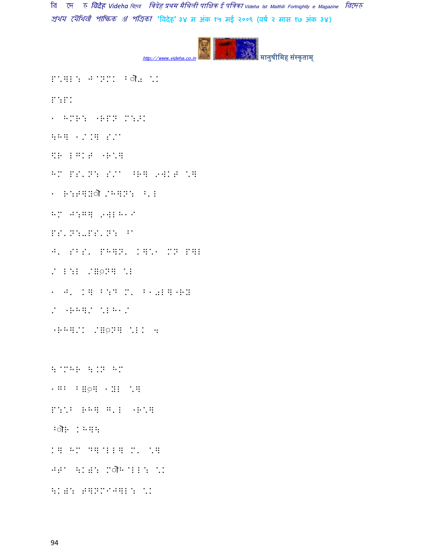

PAMES ANDRE POLICE

PHP:

1 HMR: "RPN M: RPN M: RPN M: RPN M: RPN M: RPN M: RPN M: RPN M: RPN M: RPN M: RPN M: RPN M: RPN M: RPN M: RPN <br>RPN M: RPN M: RPN M: RPN M: RPN M: RPN M: RPN M: RPN M: RPN M: RPN M: RPN M: RPN M: RPN M: RPN M: RPN M: RPN M

 $\frac{1}{2}$  14.9  $\frac{1}{2}$  ,  $\frac{1}{2}$  ,  $\frac{1}{2}$  ,  $\frac{1}{2}$  ,  $\frac{1}{2}$ 

 $R$  R  $R$  ,  $R$  ,  $R$  ,  $R$  ,  $R$  ,  $R$  ,  $R$ 

HM PS'NY: HA VALA NA

 $\cdot$  R:THEN ROOMS  $\cdot$ 

HM SHIP 991999

PS'N:-PS'N: ^a

J', SPS, PHEN, CEN, TR PHE

/ L:L /=◌़N] \*L

1 J' K] B:D M' B10L]"RY

/ "RH]/ \*LH1/

 $H$ <sup>2</sup> $H$ <sup>2</sup>  $H$   $H$   $H$   $H$   $H$   $H$   $H$   $H$ 

 $\pm$  THE  $\pm$  IN HM

 $199B + 39C + 39C + 39C$ 

P:t: BH W.I (BOS)

 $\exists$  directions  $\exists$ 

K] HM D]@LL] M' \*]

JTa \K): M◌ॊH@LL: \*K

 $\frac{1}{2}$  ,  $\frac{1}{2}$  ,  $\frac{1}{2}$  ,  $\frac{1}{2}$  ,  $\frac{1}{2}$  ,  $\frac{1}{2}$  ,  $\frac{1}{2}$  ,  $\frac{1}{2}$  ,  $\frac{1}{2}$  ,  $\frac{1}{2}$  ,  $\frac{1}{2}$  ,  $\frac{1}{2}$  ,  $\frac{1}{2}$  ,  $\frac{1}{2}$  ,  $\frac{1}{2}$  ,  $\frac{1}{2}$  ,  $\frac{1}{2}$  ,  $\frac{1}{2}$  ,  $\frac{1$ 

94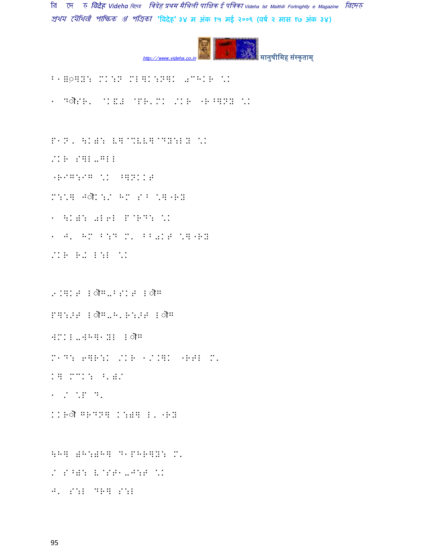

Bi-Board Time Than Muant and Boot

1 D◌ॊSR' @K&# @PR'MK /KR "R^]NY \*K

P1N, WIEW LACULER CAN HIS AT /KR S]L-GLL "RIGHT" (1995) (1995) (1995) (1995) (1995) (1995) (1995) (1995) (1995) (1995) (1995) (1995) (1995) (1995) (1995) (1995) (1995) (1995) (1995) (1995) (1995) (1995) (1995) (1995) (1995) (1995) (1995) (1995) (1995) (1995) (199  $T^*$  in  $\mathbb{R}^3$  and  $\mathbb{R}^3$  in  $\mathbb{R}^3$  . In the solution of  $\mathbb{R}^3$  $+$  41.01  $\mu$ : 0.1  $\mu$  P  $\mu$  P  $\mu$   $\mu$ 1 J' HO FEB DI BENI NE HE /KR R+ L:L \*K

 $9.141 \pm 10^{10}$  . For  $\pm 0.14$  and  $\pm 0.04$  $P$ Hirsh ( $P$ ) and  $P$  and  $P$  and  $P$  . The contribution of  $P$  $H^1$  . However, when  $H^1$  and  $H^1$ MIRTING REPORT OF A REPORT OF A REPORT OF A REPORT OF A REPORT OF A REPORT OF A REPORT OF A REPORT OF A REPORT OF A REPORT OF A REPORT OF A REPORT OF A REPORT OF A REPORT OF A REPORT OF A REPORT OF A REPORT OF A REPORT OF **KADE SERVE SERVE SERVE SERVE SERVE SERVE SERVE SERVE SERVE SERVE SERVE SERVE SERVE SERVE SERVE SERVE SERVE SE** 1 / \*P D'  $k$  (i.e.)  $\overline{a}$  and  $\overline{b}$  are  $\overline{b}$  (i.e.,  $\overline{b}$  and  $\overline{b}$  are  $\overline{b}$  (i.e.,  $\overline{b}$  and  $\overline{b}$ 

\H] )H:)H] D1PHR]Y: M' / S^): V@ST1-J:T \*K J' S:L DRI S:L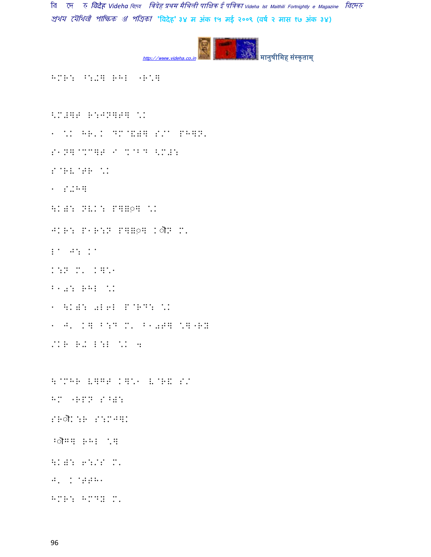

HMR: ^:+] RHL "R\*]

STANE RYPINER II 1 \*K HR'K DM@&)] S/a PH]N' SN DE COME SOME COMMENCES SORE THE SEA  $1.1$  SHE  $\overline{W}$ : NVK: PHERM  $\overline{W}$ JKR: P1R:N P]=◌़] K◌ॊN M'  $\mathbb{E}^1 \times \mathbb{H}^1_1 \times \mathbb{H}^1_2$ K:N M K K B10: RHL \*KL  $\le$  0.0145 parameters  $\mathcal{M}$ 1 J' KI BI BI BI KI BI BI BI /kr R+ L:L \* L:L \* L:L \* L:L \* L:L \* L:L \* L:L \* L:L \* L:L \* L:L \* L:L \* L:L \* L:L \* L:L \* L:L \* L:L \* L:L \* L  $\ddot{\Xi}$  which is the solution of  $\ddot{\Xi}$ HM "RPN S^): SRG SERVICE  $\overline{\text{G}}$  RHL  $\overline{\text{H}}$  RHL  $\overline{\text{G}}$  $\hbar$ : 6: 6:00 M) J' Kamara HMR: HMDY M'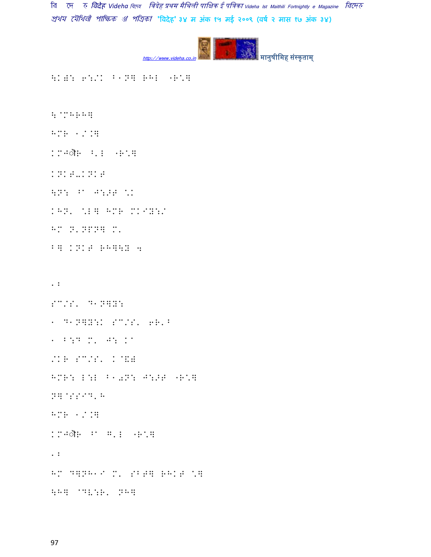

\K): 6:/K B1N] RHL "R\*]

 $\mathcal{H}$  : where  $\mathcal{H}$ 

 $\mathrm{H}\mathrm{H}\mathrm{H}\rightarrow\mathrm{H}\mathrm{H}\mathrm{H}$ 

 $L^2(\mathbb{R}^d;\mathbb{R}^d;\mathbb{R}^d;\mathbb{R}^d;\mathbb{R}^d;\mathbb{R}^d;\mathbb{R}^d;\mathbb{R}^d;$ 

KNKT-KNKT

 $\, \frac{1}{2} \cdot \frac{1}{2} \cdot \frac{1}{2} \cdot \frac{1}{2} \cdot \frac{1}{2} \cdot \frac{1}{2} \cdot \frac{1}{2} \cdot \frac{1}{2} \cdot \frac{1}{2} \cdot \frac{1}{2} \cdot \frac{1}{2} \cdot \frac{1}{2} \cdot \frac{1}{2} \cdot \frac{1}{2} \cdot \frac{1}{2} \cdot \frac{1}{2} \cdot \frac{1}{2} \cdot \frac{1}{2} \cdot \frac{1}{2} \cdot \frac{1}{2} \cdot \frac{1}{2} \cdot \frac{1}{2} \cdot \frac{1}{2} \cdot \frac{1}{2} \cdot \frac$ 

KHR, MER RTR MIRTHY

HM N'NPN] M'

BE READY READY READY

 $\cdot$  :

 $\mathbb{R}^n$  . Sec.  $\mathbb{R}^n$  ,  $\mathbb{R}^n$  ,  $\mathbb{R}^n$  ,  $\mathbb{R}^n$  , 1 D1N199911 SC/SC/ST/ST/ST 1 B:D M' J: Ka /KR SC/S' K@&) HTR: L:L B10N: H:L B10N: N]@SSID'H  $\mathrm{H}\mathrm{H}\mathrm{H}\rightarrow\mathrm{H}\mathrm{H}\mathrm{H}$ KORA G'AL G'ARD  $1$ HM D]NH1I M' SBT] RHKT \*] \H] @DV:R' NH]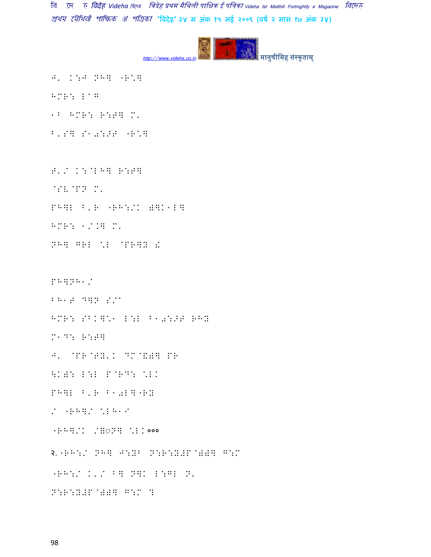

J' K:J NH] "R\*]

HTP: 17#

1B HMR: R:T] M'

B'S ST ST "RATE"

T'/ K:@LH] R:T] @SV@PN M' PHIL BIR "RHYNI" BHILLER HMR: 1/.] M' PH WH M TRH S

PHINH<sub>1</sub> ahija dhii iyo HMR: SBKITCH BALL BIRT M1D: R:T] J' @PR@TY'K DM@&)] PR \K): L:L P@RD: \*LK PHIL BORD BORD / "RH]/ \*LH1I  $R\left(\frac{1}{2}, \frac{1}{2}, \frac{1}{2}, \frac{1}{2}\right)$  ,  $R\left(\frac{1}{2}, \frac{1}{2}, \frac{1}{2}\right)$  ,  $R\left(\frac{1}{2}, \frac{1}{2}, \frac{1}{2}\right)$  ,  $R\left(\frac{1}{2}, \frac{1}{2}, \frac{1}{2}\right)$  ,  $R\left(\frac{1}{2}, \frac{1}{2}, \frac{1}{2}\right)$ २."RH:/ NH] J:YB N:R:Y#P@))] G:M "RHS: KI/ FA NATH LIGH N. N:R:Y#P@))] G:M ?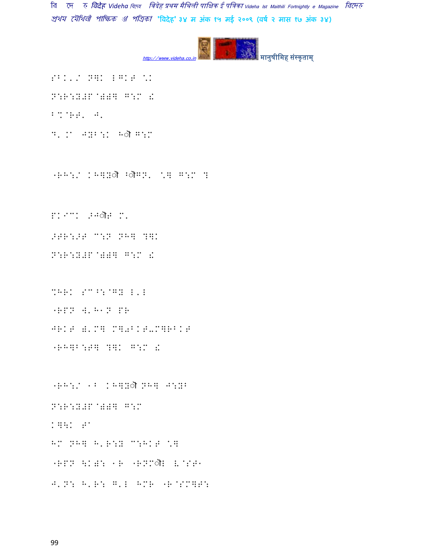

 $S$  ,  $S$  ,  $S$  ,  $S$  ,  $S$  ,  $S$  ,  $S$  ,  $S$  ,  $S$  ,  $S$  ,  $S$  ,  $S$  ,  $S$  ,  $S$  ,  $S$  ,  $S$  ,  $S$  ,  $S$  ,  $S$  ,  $S$  ,  $S$  ,  $S$  ,  $S$  ,  $S$  ,  $S$  ,  $S$  ,  $S$  ,  $S$  ,  $S$  ,  $S$  ,  $S$  ,  $S$  ,  $S$  ,  $S$  ,  $S$  ,  $S$  ,  $S$  , N:R:Y#P@))] G:M !  $\mathbb{R}^n$  Jef. (4)

D'.a Hai G: Ho Gai Gi

"RH:/ (8813) 8 GH: GH: CH 812 T

PHOTO PHOTO T.

FR:D:N NH PH TH

N:R:Y#P@))] G:M !

%HRK SC^:@GY L'L "RPN W'H1N PRN WY HRT BATH-MARTING  $R$  . Hence the second contract of the second contract of the second contract of the second contract of the second second contract of the second second second second second second second second second second second second

 $R\cdot$  RH:  $R\cdot$  (  $R\cdot$  ):  $R\cdot$  (  $R\cdot$  ):  $R\cdot$  (  $R\cdot$  ):  $R\cdot$ N:R:Y#P@))] G:M KARE STORE HT THE HIRSH TENIN CH "RPN RIGHT (R)"RPNME E VIE J'N: H'R: G'L HMR "R@SM]T: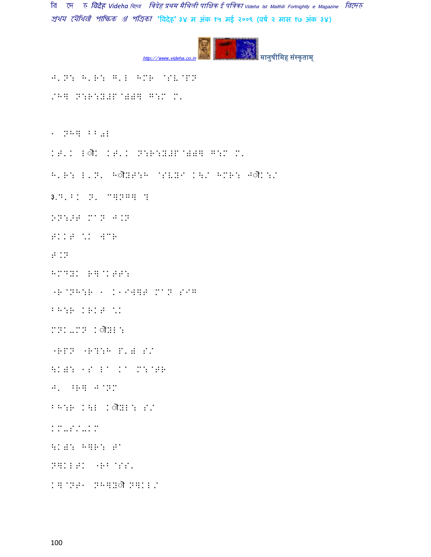

J'N: H'R: G'L HMR @SV@PN /H] N:R:Y#P@))] G:M M'

1 NH] BB0L KT'K LOOK AT AT AT A KT'K AT ALL AT A MY MALL AT A WAY OF A WAY OF A WAY OF A WAY OF A WAY OF A WAY OF A WAY O H. PS (E. P. HOMERSH) SPLEK (SAVYHIS: HOMIS.) 3.T. P. T. THEFF T DEED TO WATER **BUDE TO SERVE** T.N  $H_1$  ,  $H_2$  ,  $H_3$  ,  $H_4$  ,  $H_5$  ,  $H_6$  ,  $H_7$  ,  $H_8$  ,  $H_9$ "R@NH:R 1 K1IW]T MaN SIG **BH:R KRKT \*KR** MNK-MNH KONG KO "RPN "RPN" P.B P. \K): 1S La Ka M:@TR  $\mathcal{A}_1$  and  $\mathcal{A}_2$  are  $\mathcal{B}_3$ BH:R K\L K◌ॊYL: S/ KM-S/-KM  $H$ : H $H$ r:  $H$ NAME OF STREET KALLER KONSTRATION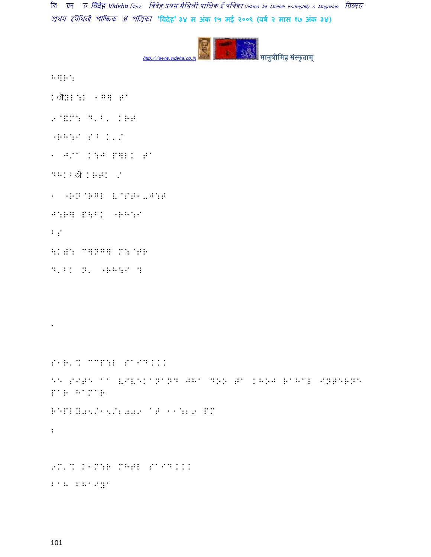

 $H\oplus H$ 

 $R = \frac{1}{2}$ 

9@&M: D'B' KRT

 $R$  -BH:  $R$  (  $R$  is  $R$  ,  $R$  )

1 H/M ChA FALL F

অন্:রাটের: /

1 "RNGL VOOR VAN DIE VAN DIE VAN DIE VAN DIE VAN DIE VAN DIE VAN DIE VAN DIE VAN DIE VAN DIE VAN DIE VAN DIE V

J:RH:RH:I:R

 $\mathbb{R}^3$ 

 $\ddot{\cdot}$ 

\K): C]NG] M:@TR

D'E "RESPONDER

 $\sim 10^4$ 

STREET COMPANY CONTROL

PaR Hamar

RPPLYDS/15/2009 at 11:29 PM 11:29 PM

9M'% K1M:R MHTL SaID...

EE SITE aa VIVEKaNaND JHa DOO Ta KHOJ RaHaL INTERNE

101

 $\mathbb{R}^n$  BH  $\mathbb{R}^n$  and  $\mathbb{R}^n$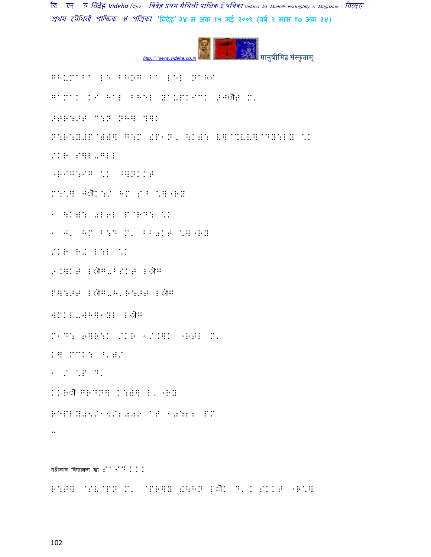

GHUMABA LEL BHOG BA LEL NAHI GAMAK KI HAL BHEL YANG YANG MASA KI >TR:>T C:N NH] ?]K N:R:Y#P@))] G:M !P1N, \K): V]@%VV]@DY:LY \*K /KR S]L-GLL "RIGHT" (1) \* HIGHT  $M:K\to\mathbb{R}^n$  John Songer Songer Songer Songer Songer 1 \X): 0.000 PM = 0.000 PM = 0.000 PM = 0.000 PM = 0.000 PM = 0.000 PM = 0.000 PM = 0.000 PM = 0.000 PM = 0.00 1 J' HT FAR T. PREDE MEHHE /KR R+ L:L \*K 9.1819 E Bolivaria (Britannia)  $P$ Hil $P$ : T  $\in$   $\mathbb{R}^{n}$  and  $\mathbb{R}^{n}$ . Then  $\mathbb{R}^{n}$  and  $\mathbb{R}^{n}$ WHILE-WHOME LOT M1D: 6]R:K /KR 1/.]K "RTL M' KA: TOWN (1995) 1 / \*P D'  $k$  () is denoted by  $k$  and  $k$  and  $k$  are  $k$  and  $k$  are  $k$ REPLY 05/2009 at 10:22 PM  $\ddot{\phantom{0}}$ পঞ্জীকাব বিদ্যানন্দ ঝা $\cdots$   $\cdots$   $\cdots$ 

RYPR MENTRY M. MERRY ERP EST MAN HAND PRIR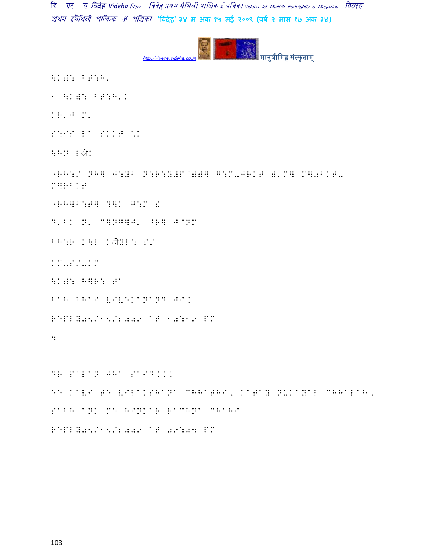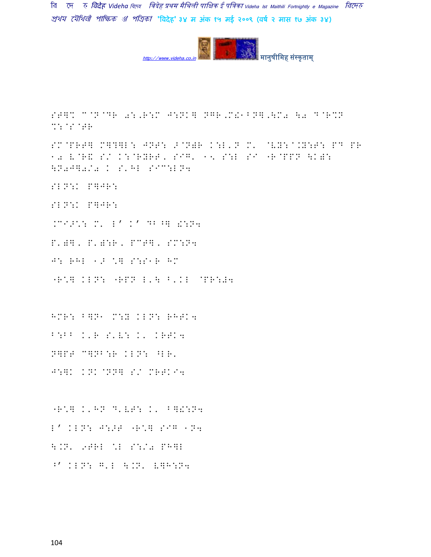

STARD ON DR DR 2: AND CONDITIONS TO DEVELOP AND A DISTURBANCE %:@S@TR SM@PRT] M]?]L: JNT: >@N)R K:L'N M' @VY:@.Y:T: PD PR 10 R: R: PRO SIG TO THE SIGN SIGN SIGN SIGN SECTION AND RESERVED AT SIGN SIGNAL SIGNAL SIGNAL SIGNAL SIGNAL SIG \N0J]0/0 K S'HL SIC:LN4 SLN:K PRART SLN:K PRART .CI>\*: M' L' K' DB^] !:N4 P')], P'):R, PCT], SM:N4 J: RHL 1> \*] S:S1R HM "R\*DR" KLAN: "RPN POSTAGE ARTICLE ARE ALLED AT THE CONTROL AND THE CONTROL ARE AT A CONTROL ARE ALL CONTROL ARE HMR: B]N1 M:Y KLN: RHTK4 BY K'R STANDARD START NHIS THUNK: NEWSBEAT J:]K KNK@NN] S/ MRTKI4 "R\*D" K'HN D'VT: KY BISH L' KINS ANDER SENH SIG

 $\mathcal{H}$  (1985)  $\mathcal{H}$  ,  $\mathcal{H}$  (400)  $\mathcal{H}$  (1986)  $\mathcal{H}$ 

 $\,$  4.12.  $\,$  9.90  $\,$  9.1  $\,$  9.1  $\,$  9.1  $\,$   $\,$  9.1  $\,$  9.1  $\,$  9.1  $\,$  9.1  $\,$  9.1  $\,$  9.1  $\,$  9.1  $\,$  9.1  $\,$  9.1  $\,$  9.1  $\,$  9.1  $\,$  9.1  $\,$  9.1  $\,$  9.1  $\,$  9.1  $\,$  9.1  $\,$  9.1  $\,$  9.1  $\,$  9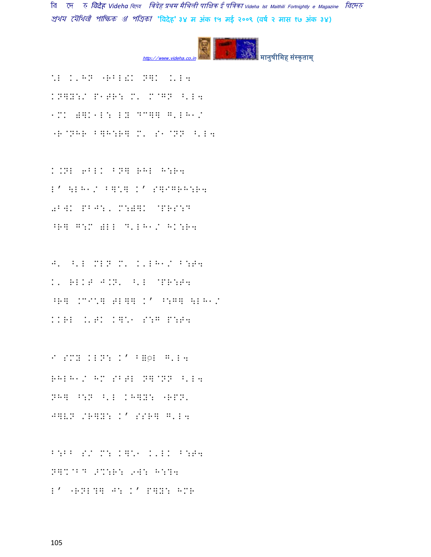

\*L K'HN "RBL!K N]K .'L4 KN]Y:/ P1TR: M' M@GN ^'L4 1MK )]K1L: LY DC]] G'LH1/ "RESTRIK BIHSEN T. SAMTUR BIH

K.NL 6BLK BNG BHL BNG  $\vdots$   $\vdots$   $\vdots$   $\vdots$   $\vdots$   $\vdots$   $\vdots$   $\vdots$   $\vdots$   $\vdots$   $\vdots$   $\vdots$   $\vdots$   $\vdots$   $\vdots$   $\vdots$   $\vdots$   $\vdots$   $\vdots$   $\vdots$   $\vdots$   $\vdots$   $\vdots$   $\vdots$   $\vdots$   $\vdots$   $\vdots$   $\vdots$   $\vdots$   $\vdots$   $\vdots$   $\vdots$   $\vdots$   $\vdots$   $\vdots$   $\vdots$   $\vdots$ 0BWK PBJ:, M:)]K @PRS:D **REACTES CONSIDERED AS SEEN** 

J' CHE ME MARIE BY BY K' RICHTAGE, ALL TERNA  $R$  . CITTLE HERE IN THE REAL KKRL .S:G KARL . THE SEE

F SMY KINS (Figs. B. E. RHLHVI HM SBELGHUNG NIS NH] ^:N ^'L KH]Y: "RPN' JUN /RUN // WHE SAF

B:B:B S/ M: KH: KH: KH: N]%@BD >%:R: 9W: H:?4 L' "RNL?] J: K' P]Y: HMR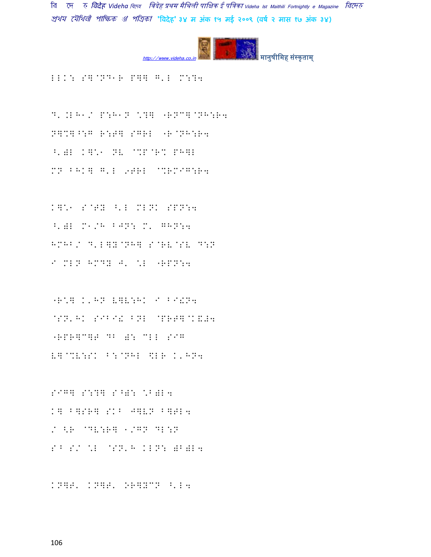

LLK: S]@ND1R P]] G'L M:?4

D'.LH1/ P:H1N \*?] "RNC]@NH:R4  $P$  RIM RIM SHE SHE RONE TO REPORT THE RANGE  $R$ ^')L K]\*1 NV @%P@R% PH]L MN BHK] G'L 9TRL @%RMIG:R4

KAN SOME SERVICE SPIEL  $\ddot{\phantom{a}}$  . And  $\ddot{\phantom{a}}$  are  $\ddot{\phantom{a}}$  and  $\ddot{\phantom{a}}$  are  $\ddot{\phantom{a}}$ HUHR/ D. HEMHB/ SORN DEN DE I MLN HMDY J' \*L "RPN:4

 $R$  . The state is the problem in a binding  $R$ When SN'HK SIBI "RPRETTE "PO BROTH SPOR V]@%V:SK B:@NHL \$LR K'HN4

SIGNER SIGNER STREET KARA BERSHIM BILAN BERSHIM / <R @DV:R] 1/GN DL:N SO S/ TENNIS IN SON BOARD

KN]T' KN]T' OR]YCN ^'L4

106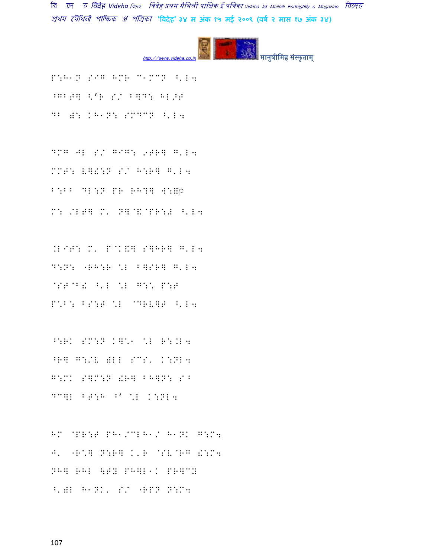

P:H1P SIG HPR C1MC C114  $\begin{array}{l} \begin{array}{c} \text{def}\end{array} & \begin{array}{c} \text{def}\end{array} & \begin{array}{c} \text{def}\end{array} & \begin{array}{c} \text{def}\end{array} & \begin{array}{c} \text{def}\end{array} & \begin{array}{c} \text{def}\end{array} & \begin{array}{c} \text{def}\end{array} \end{array}$ B ): KH2N: SMDCN (SH4)

DMG JL S/ GIG: 9TR] G'L4 MMT: V]!:N S/ H:R] G'L4  $B: B \to B$   $B \to B$   $B \to B$   $B \to C$   $B \to C$ M: /L## M. ##'E'TPAE (WI+

.LIT: M' P@K&] S]HR] G'L4 D:N: "RH:R \*L B]SR] G'L4 @ST@B! ^'L \*L G:\* P:T PVPS FRSH VI (TREAR SLIA

^:RK SM:N K SM:N K SM:N K SM:N K SM:N K SM:N K SM:N K SM:N K SM:N K SM:N K SM:N K SM:N K SM:N K SM:N K SM:N K SM:N K SM:N K SM:N K SM:N K SM:N K SM:N K SM:N K SM:N K SM:N K SM:N K SM:N K SM:N K SM:N K SM:N K SM:N K SM:N K **READ GOOD SCALE OF SCIENCE ASSESSED** SH: MARS SHIP BHIRT ST DOM: FRIE BY NE CINEA

HM OPPNE PHILOTERIA GRIECH J' "R\*] N:R] K'R @SV@RG !:M4 NH] RHL \TY PH]L1K PR]CY  $\ddot{\phantom{a}}$  ,  $\ddot{\phantom{a}}$  ,  $\ddot{\phantom{a}}$  ,  $\ddot{\phantom{a}}$  ,  $\ddot{\phantom{a}}$  ,  $\ddot{\phantom{a}}$  ,  $\ddot{\phantom{a}}$  ,  $\ddot{\phantom{a}}$  ,  $\ddot{\phantom{a}}$  ,  $\ddot{\phantom{a}}$  ,  $\ddot{\phantom{a}}$  ,  $\ddot{\phantom{a}}$  ,  $\ddot{\phantom{a}}$  ,  $\ddot{\phantom{a}}$  ,  $\ddot{\phantom{a}}$  ,  $\ddot{\phantom{a}}$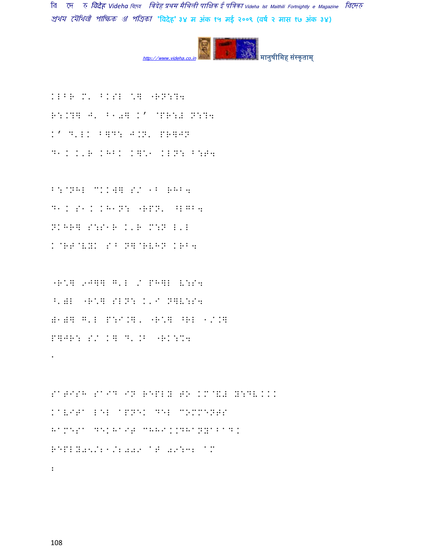

KLBR MY BKSL AND SHARRER RY. THE HISTORIC CONTROL PYTH K' D'ATA BINY AND THEAD BRK KAHREN KANSAS KALNE

B:@NHL CKKW] S/ 1B RHB4 B1. S1. KH1N: "RPN' YEAR NKHR] S:S1R K'R M:N L'L K@RT@VART@VYK SO NA NA

"R\*] 9J]] G'L / PH]L V:S4  $^{\circ}$  L  $^{\prime}$  H  $^{\prime}$  H  $^{\prime}$  H  $^{\prime}$  H  $^{\prime}$  H  $^{\prime}$  H  $^{\prime}$  H  $^{\prime}$  H  $^{\prime}$  H  $^{\prime}$  H  $^{\prime}$  H  $^{\prime}$  H  $^{\prime}$  H  $^{\prime}$  H  $^{\prime}$  H  $^{\prime}$  H  $^{\prime}$  H  $^{\prime}$  H  $^{\prime}$  H  $^{\prime}$  H  $^{\prime}$  H  $^{\prime}$  H  $^{\prime}$  H  $^{\prime}$ )1)] G'L P:I.], "R\*] ^RL 1/.] P]JR: S/ K] D'.B "RK:%4

STURNER STATURE ENERGY TO KEN BATELOO Kavita Lel aposto de la posta de la commenta de la commenta de la commenta de la commenta de la commenta de la Hamesa Dekimaan Dekahai Dekahai Cherusal Dekahai Dekahai Dekahai Dekahai Dekahai Dekahai Dekahal. REPLY05/21/2009 aT 09:32 aM

 $\ddot{\cdot}$ 

 $\ddot{\phantom{0}}$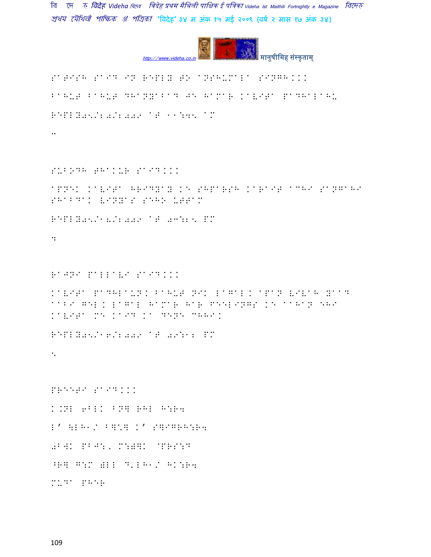REPLY DEPARTMENT PRODUCTS  $\ddot{\phantom{0}}$ PRESENT SAID. K.NL 6BLK BNG BHL HIM  $\vdots$   $\vdots$   $\vdots$   $\vdots$   $\vdots$   $\vdots$   $\vdots$   $\vdots$   $\vdots$   $\vdots$   $\vdots$   $\vdots$   $\vdots$   $\vdots$   $\vdots$   $\vdots$   $\vdots$   $\vdots$   $\vdots$   $\vdots$   $\vdots$   $\vdots$   $\vdots$   $\vdots$   $\vdots$   $\vdots$   $\vdots$   $\vdots$   $\vdots$   $\vdots$   $\vdots$   $\vdots$   $\vdots$   $\vdots$   $\vdots$   $\vdots$   $\vdots$ 0BWK PBJ:, M:)]K @PRS:D ^R] G:M )LL D'LH1/ HK:R4 MUDa PHER

REPRESENTATION OF ATTICALLY

Rajni palitika palitika palitika palitika palitika palitika palitika palitika palitika palitika palitika palit Kalen Padhlaun. Bahut nik lagal tahun 1990 ( aaBI GELAG HAMAR HAR FEELINGS KE AAHAN EHINGS KE AAHAN EHINGS KE AAHAAN EHINGS KE AAHAN EHINGS KE AAHAN EHINGS Kaudi me kalendar mengakai kalendar

SUBOR HAMILE STARIES aPNEK KaVITa HRIDYaY KE SHPaRSH KaRaIT aCHI SaNGaHI SHABDAK SEHO UTTAM VINYAS

http://www.videha.co.in<sup>/ मु</sup>स्कृति कार्या कर्णाटक मानुषीमिह संस्कृताम् Satisfied in Reply to an India Singh... The problems of the single single single single single single single s BaHUT Bahut DHanya Dang Hamar Kanyi dan berjudukan pengerang mengenak REPRESENTATION AT 11:45 aP 11:45 aP 11:45 aP 11:45 aP 11:45 aP 11:45 aP 11:45 aP 1

िव दिन दि<mark>विदेह Videha</mark> <sub>विफर</sub> विदेह प्रथम मैथिली पाक्षिक ई पत्रिका Videha Ist Maithili Fortnightly e Magazine *वि*दिन्द õथम मैिथली पािक्षक ई पिñका **'**िवदेह**'** ३४ म अंक १५ मई २००९ (वष र् २ मास १७ अंक ३४)

 $\ddotsc$ 

 $\dddot{\cdot}$ :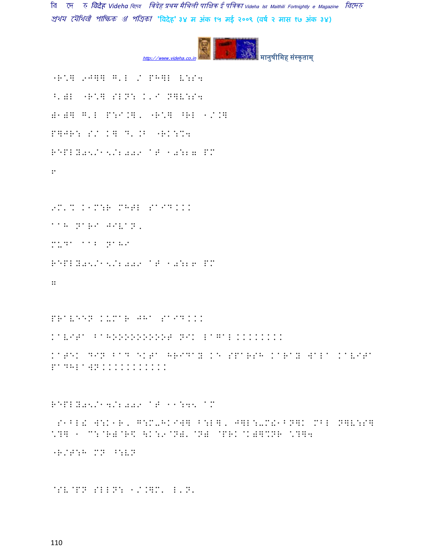@SV@PN SLLN: 1/.]M' L'N'

"R/T:H MN ^:VN

PaDHLaWN........... RPPE Basily all adds of Boss and CD S1BL! W:K1R, G:M-HKIW] B:L], J]L:-M!1BN]K MBL N]V:S] \*?] 1 C:@R)@R\$ \K:9@N)'@N) @PRK@K)]%NR \*?]4

KaTEK DIN BADAN BADA EKTA HAD EKTA HAD EKTA KARAY WALA KARAY WALA KARAY WALA KARAY WALA KARAY WALA KARAY WALA

PRaVEEN KUMaR JHa SaID... KaVITa BaHOOOOOOOOOT NIK LaGaL........

aah na kalendari ja ka MUDA aaB Na REPLY CONSIGNER AT 10:26 PM

9M'% K1M:R MHTL SaID...

^')L "R\*] SLN: K'I N]V:S4 )1)] G'L P:I.], "R\*] ^RL 1/.] PAPE S/ CA D.B "RK: HISTS REPLY 05/2009 at 10:27 PM  $\ddot{\cdot}$ 

"R\*] 9J]] G'L / PH]L V:S4



िव दिन दि<mark>विदेह Videha</mark> <sub>विफर</sub> विदेह प्रथम मैथिली पाक्षिक ई पत्रिका Videha Ist Maithili Fortnightly e Magazine *वि*दिन्द õथम मैिथली पािक्षक ई पिñका **'**िवदेह**'** ३४ म अंक १५ मई २००९ (वष र् २ मास १७ अंक ३४)

 $\mathbf{::}$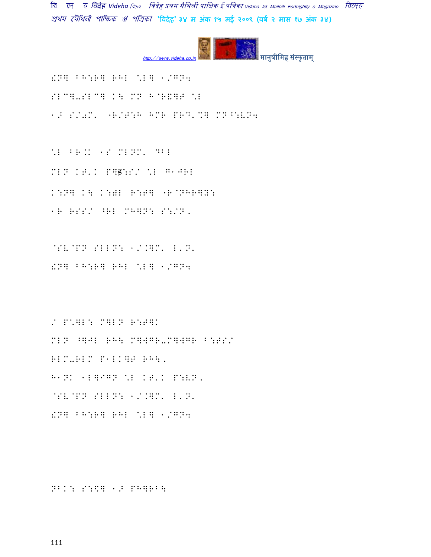

!N] BH:R] RHL \*L] 1/GN4 SLCALE THAN HAD HAD HOLD TO SAMPLE THAN THE SLC. 1> S/0M' "R/T:H HMR PRD'%] MN^:VN4

\*L BR.K 1S MLNM' DBL MLN KTERS PIESE SOME GENERAL K:N:N K:N:N R:N:N R:NHRIX: 1R RSS/ ^RL MH]N: S:/N,

@SV@PN SLLN: 1/.]M' L'N' !N] BH:R] RHL \*L] 1/GN4

/ P\*]L: M]LN R:T]K MLN AND BEEN CHANGED BILL REPORT  $R_{\rm{H}}$  reduces the property of the property of the property of the property of the property of the property of the property of the property of the property of the property of the property of the property of the propert HANK HANK NE CHINA FILM. @SV@PN SLLN: 1/. 2000 10:00 10:00 10:00 10:00 10:00 10:00 10:00 10:00 10:00 10:00 10:00 10:00 10:00 10:00 10:0<br>Month SLLN: 1/. Month SLLN: 1/. MONTH SLLN: 1/. MONTH SLLN: 1/. MONTH SLLN: 1/. MONTH SLLN: 1/. MONTH SLLN: 1/ !N] BH:R] RHL \*L] 1/GN4

NBK: S:\$] 1> PH]RB\

111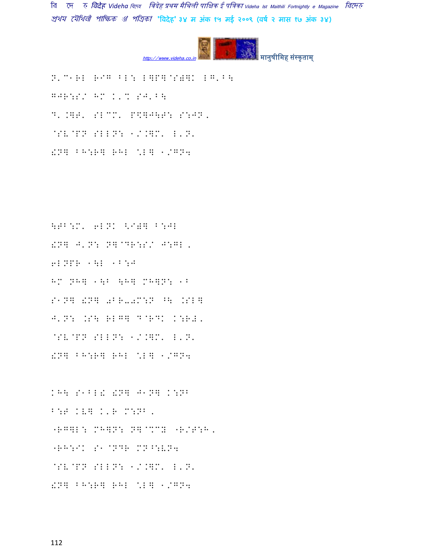

R. THE BURNIER BEER SEND BRIDG BAR:SY SM KY SI SAJER D. THE SITE, PRAGGE PHOT. MENTER SIERT SCHELLEN !N] BH:R] RHL \*L] 1/GN4

\TB:M' 6LNK <I)] B:JL !N] J'N: N]@DR:S/ J:GL, 6LNPR 1\L 1B:J HT NHH (1910) 400 NHH NH NH S1NH 0BR-0M:N 0B-0M:N J.BY .SA REAR TORT INES. @SV@PN SLLN: 1/.]M' L'N' !N] BH:R] RHL \*L] 1/GN4

**THE SIBLE STREET INDEX** B:T KV] K'R M:NB,  $R$  . A RG  $R$  and  $R$  and  $R$  and  $R$  . The mass of  $R$  is the contract of  $R$  and  $R$ "RH:IK SH:IK SH:IK @SV@PN SLLN: 1/.]M' L'N' !N] BH:R] RHL \*L] 1/GN4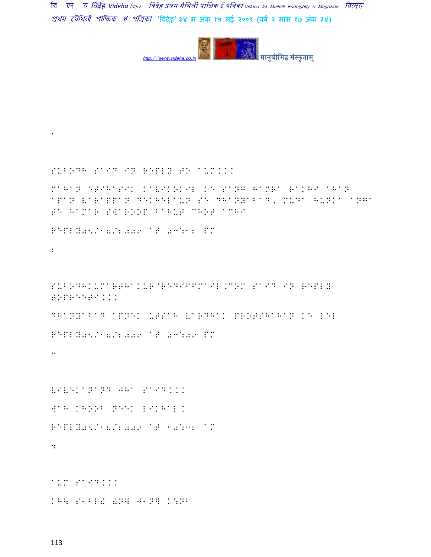113

aum Said... **CHA S1BLE S28 H. S1BLE S1B** 

VIVEKaNaND JHa SaID... WaH KHOOB NEEK LIKHaL. REPLY 05/2009 at 10:32 and 10:32 and 10:32 and 10:32 and 10:32 and 10:32 and 10:32 and 10:32 and 10:32 and 10:  $\dddot{\cdot}$ 

 $\ddot{\phantom{0}}$ 

RREPLY STORY OF SPREADED

DHaNYaBaD aPNEK UTSaH VaRDHaK PROTSHaHaN KE LEL

TOPREETI...

SUBORGEN SUBORGEN SUBORGEN SUBORGEN SUBORGEN SUBORGEN SUBORGEN SUBORGEN SUBORGEN SUBORGEN SUBORGEN SUBORGEN SU

 $\ddot{\cdot}$ 

 $\bullet$  100  $\pm$ 

RPPE Basily all adds of Power Put

MaHaN ETIHaSIK KaVIKOKIL KE SaNG HaMRa RaKHI aHaN aPaN VaRaPPaN DEKHELaUN SE DHaNYaBaD, MUDa HUNKa aNGa TE HaMaR SWaROOP BaHUT CHOT aCHI

SUBORH STAR AR BANDE BRANDLIN



िव दिन दि<mark>विदेह Videha</mark> <sub>विफर</sub> विदेह प्रथम मैथिली पाक्षिक ई पत्रिका <sub>Videha</sub> Ist Maithili Fortnightly e Magazine *विC*फ्ट õथम मैिथली पािक्षक ई पिñका **'**िवदेह**'** ३४ म अंक १५ मई २००९ (वष र् २ मास १७ अंक ३४)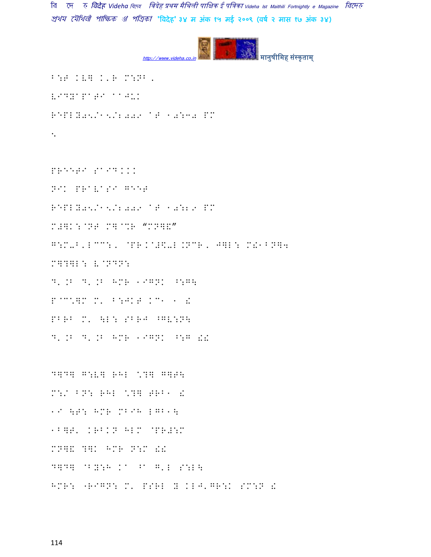

B:T KIR KOR MINIST VIDYaPaTI aaJUK REPLY05/15/2009 aT 10:30 PM  $\ddot{\phantom{0}}$ 

PREETI SaID... NIK PRAVASI GEETI REPLY05/15/2009 aT 10:29 PM M#]K:@NT M]@%R "MN]&" GRILL: MARK CORLESPTRING HER TENNISH Manuel Manuel Manuel Manuel Manuel Manuel Manuel Manuel Manuel Manuel Manuel Manuel Manuel Manuel Manuel Manue<br>1980 - Manuel Manuel Manuel Manuel Manuel Manuel Manuel Manuel Manuel Manuel Manuel Manuel Manuel Manuel Manue D'.B D'.B HMR 1198 POTTER TO PARTE ITS SOM PBRS MY SBRJ PRESS D'.B D'.B HMR 1IGNK ^:G !!

**DESCRIPTION CONSTRUCTS** M:/ BN: RHL \*?] TRB1 ! 1I \T: HMR MBIH LGB1\ 1998. THIS WAR WARD MN]& ?]K HMR N:M !! DEPRESSION OF STREET STREET HTP: "RIGH: T. THR: B CER.HP: FT:P E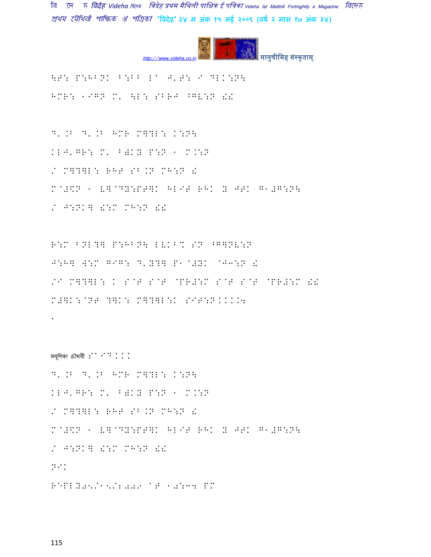

\T: P:HBNK B:BB La J'T: I DLK:N\ HTB: 1798 T. SBR FREE WEEK AT

D'.B D'.B HMR M]?L: K:N\ KLJ'GR: M' B)KY P:N 1 M.:N / M]?]L: RHT SB.N MH:N ! M@#\$N 1 V]@DY:PT]K HLIT RHK Y JTK G1#G:N\ / J:NK] !:M MH:N !!

R:M BNL?] P:HBN\ LVKB% SN ^G]NV:N J:H] W:M GIG: D'Y?] P1@#YK @J3:N ! /I M]?]L: K S@T S@T @PR#:M S@T S@T @PR#:M !! MAN STORE RESOURCES SITE OF PRESENTING

 $\mathbb{R}$ মধূলিকা টোধবী: $\mathbb{R}^3$ :  $\mathbb{R}^3$ D'.B D'.B HMR M]?L: K:N\ KLAURE M. PELE PER ( TIN / M]?]L: RHT SB.N MH:N ! Mathematics in the state of the state of the control of the state of the state of the state of the state of th / J:NK] !:M MH:N !! NIK REPLY SECTION AT 10:34 PM

 $\bullet$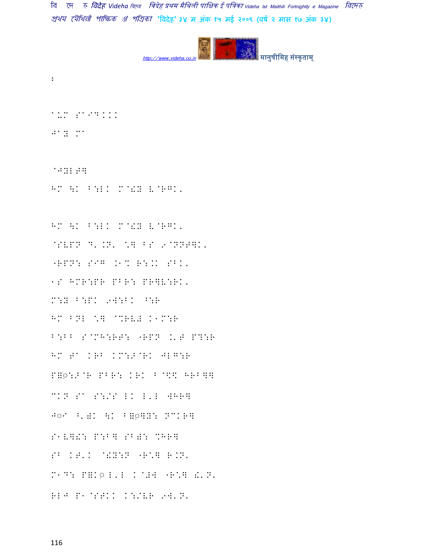MAND DO.NE DE SUPPER. "RPN: SIG .1" RPN: SIG .1" 1S HMR:PR PBR: PRINT PRINT PRINT PRINT M:Y B:PK 9W:BK ^:R HM BNL W# MOREAL IS WHE B:BB S@MH:RT: "RPN .'T P?:R HM Ta KRB KM:>@RK JLG:R PHONE PERSONS ROW BREEK TO SA SIGNED AND SAFEKE JOAN (F. BEN AI) (F BOHBA) STILBH SHARD FOR SBOARD SPARE SB KTH'S MARKET PARK MATERIO ELE COME "RATE ELP. RLATE MENING INING SELECT

@JYLT] HM \K B:LK M@!Y V@RGK'

HM \K B:LK M@!Y V@RGK'

JaY Ma

aum Saint-Card

 $\ddot{\cdot}$ 

http://www.videha.co.in<sup>|</sup> मानुषीमिह संस्कृताम्

िव दिन दि<mark>विदेह Videha</mark> <sub>विफर</sub> विदेह प्रथम मैथिली पाक्षिक ई पत्रिका Videha Ist Maithili Fortnightly e Magazine *वि*दिन्द õथम मैिथली पािक्षक ई पिñका **'**िवदेह**'** ३४ म अंक १५ मई २००९ (वष र् २ मास १७ अंक ३४)

116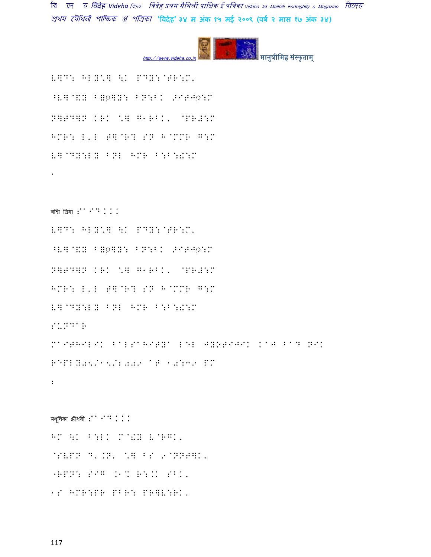

LAND HIS ROOM PRESS WHATED PEOPER PIRE I ANDROIT NATHER (NO CHARBES ) (TRANS HMR: L'L T]@R? SN H@MMR G:M V]@DY:LY BNL HMR B:B:!:M

বশ্মি গ্রিযা $: \cdot \cdot : \cdot$ : V]D: HLY\*] \K PDY:@TR:M' WHIM BEST BOOKS IN BUILDING N]TD]N KRK \*] G1RBK' @PR#:M HMR: L'L T]@R? SN H@MMR G:M V]@DY:LY BNL HMR B:B:!:M SUNDAR BO Mathilik Balsahit Balsahit Balsahit Kaj Balsahit REPLY 05/2009 at 10:39 PM  $\ddot{\cdot}$ 

মধূলিকা চৌধবী :  $\cdots$ :  $\cdots$ : HM \K B:LK M@!Y V@RGK' @SVPN D'.N' \*] BS 9@NNT]K' "RPN: SIG .1% R:.K SBK', SIG .1% R:.K SBK', SIG .1% R:.K SBK', SIG .1% R:.K SBK', SIG .1% R:.K SBK', SIG .1% R<br>"RPN: SIG .1% R:.K SBK', SIG .1% R:.K SBK', SIG .1% R:.K SBK', SIG .1% R:.K SBK', SIG .1% R:.K SBK', SIG .1% R  $1$  , and provide problems problems and problems  $P$ 

 $\bullet$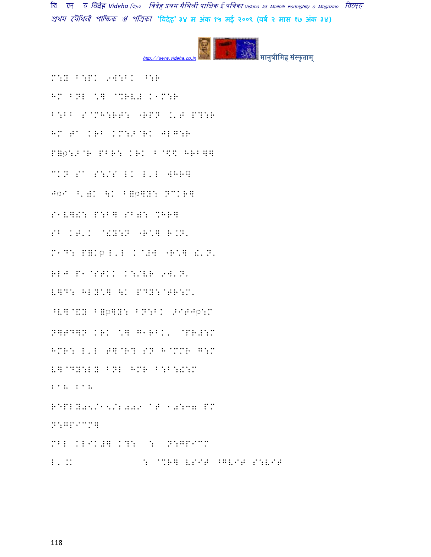

**M:W B:PK 9W:BK 9W:BK 9W:BK 9W:BK 9W:BK 9W:BK 9W:BK 9W:BK 9W:BK 9W:BK 9W:BK 9W:BK 9W:BK 9W:BK 9W:BK 9W:BK 9W:BK** HT FRE NH STEER IS THE B:BB S@MH:RT: "RPN .'T P?:R HM PROVINCIAL MERGE PHONE PERSONS ROW BREEK TO SA SIGNED BY SAFEKE Jof R.A. B: NC PHONER STIPH S1V]!: P:B] SB): %HR] SB KT'K @ Y:N "R#!! MATH: PERSONAL COMMANDERS RLJ PLANER KONSTANTING V]D: HLY\*] \K PDY:@TR:M' **WEBSING BEST BOOKSTERS** N]TD]N KRK \*] G1RBK' @PR#:M HMR: L'L T]@R? SN H@MMR G:M V]@DY:LY BNL HMR B:B:!:M BaH BaH REPLY 05:37 PM 2009 AT 10:37 PM 2009 AT 10:37 PM 2009 AT 10:37 PM 2009 AT 10:37 PM 2009 AT 10:37 PM 30:37 N:GPICM] MBL KLIKK SELLER KRIGHT L'.K : @%R] VSIT ^GVIT S:VIT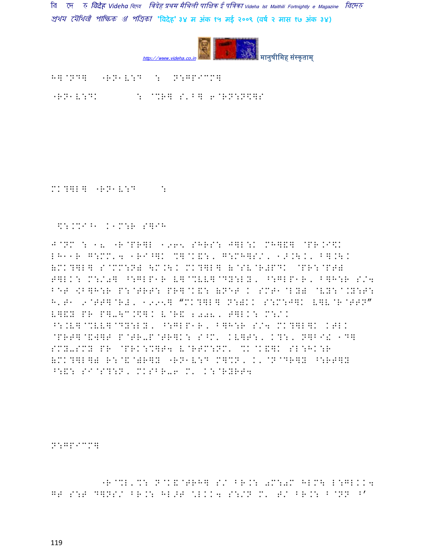

H]@ND] "RN1V:D : N:GPICM]

 $R$  (1)  $R$  :  $R$  is a state of the state of the state of the state of the state of the state of the state of the state of the state of the state of the state of the state of the state of the state of the state of the stat

MARK PRODUCED A REPORT OF THE RESIDENCE OF THE RESIDENCE OF THE RESIDENCE OF THE RESIDENCE OF THE RESIDENCE OF

\$:.%I^1 K1M:R S]IH

J@NM : 18 "R@PR]L 1965 SHRS: J]L:K MH]&] @PR.I\$K LH11R G:MIL14 1R1191 1RI181, G:MIL191, 1.B.H., BECA:  $\#T1$  deeps  $\#$  and the probability of the probability  $\#T$  (so  $\#T$ )  $\#T$  (so  $\#T$ ). The probability of  $\#T$ The control of the control of the control of the control of the control of the control of the control of the c<br>History of the control of the control of the control of the control of the control of the control of the contr BET RESPONSE TO TRACK THE TOOLS AND RELOCATED TO THE VEHICLE TO THE TOWER H'T1 9@TT]@R#, 1995] "MK?]L] N:)KK S:M:J]K V]V@R@TTN" V]&Y PR P]-\C.\$]. V@R& 2008, T]LK: M:/. ^:.V]@%VV]@DY:LY, ^:GLP1R, B]H:R S/4 MK?]L]K KTLK @PRT]@&W]T P@TR-P@TR]K: S^M' KV]T:, K?:, N]BI! 1D] SMY-SMY PR @PRK:%1984 E 1997-1971, CIC MERK: SE NAMAR (MK?) ROOM READS TO MAKE THE READS OF MANAGERY AND READS AND READS AND READS OF MELTIC AND READS OF MANY  $\mathbb{R}^n$ ^:&: SI@S?:N, MKSBR-6 M' K:@RYRT4

N:GPICM]

 "R@%L'%: N@K&@TRH] S/ BR.: 0M:0M HLM\ L:GLKK4 BE STEP MARKS FRIE HERE TEILE STOR TO BE FRIE FOR A TRUNK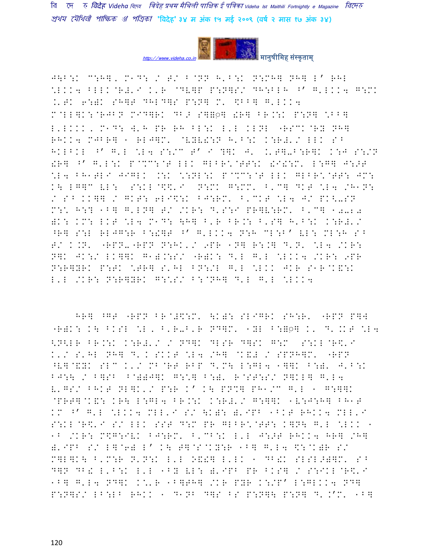

J\B:K C:H], M1D: / T/ B@NN H'B:K N:MH] NH] L' RHL the the state of the integration of the problem of the problem of the state of the state of the state of the s .'TK 6:)K SH]T DHLD]S P:N] M' \$BB] G'LKK4 MOLLER: NORTH P. MINORES | PROF. SHEOR: SERI P. B.:N.: BR.PR. NAPR L'LKKK, M1D: W'H PR RH BL:K L'L KLNL "RSCK@RY NH] RHICH MARBER (REANT, CHORAGE ALRIE CIGRALISED ER) HIBKL Y G.E MERING AY A THI A. MINIBER IN THIS REAR : FACH, ECREC: BOSSON GLACE, ECREAR FROM GRADE CROSSER CONTROL (ECREAR GREAT \*L4 BH1TLI JIGLK .:K \*:NL:K P@%C:@T LLK GLBR\*@TT: JM: K\ LG]C VL: S:KL@\$\$'I N:MK G:MM' B'C] DKT \*L4 /H1N: / S^ KK]] / GKT: 6LI\$:K BJ:RM' B'CKT \*L4 J/ PK<-SN M:\* H:? 1B] G'LN] T/ /KR: D'S:I PR]V:RM' B'C] 10-20 )K: KM: LKT \*L4 M1D: \H] B'R BR.: B'S] H'B:K K:R#'/ ^R] S:L RLJG:R B:!]T ^' G'LKK4 N:H CL:B' VL: ML:H S^ T/ K.N' "RPN-"RPN N:HK'/ 9PR 1N] R:.] D'N' \*L4 /KR: N]K JK:/ LK]]K G1).:S/ "R)K: D'L G'L \*LKK4 /KR: 9PR N:RRHIRI) P:TK SONER SONER P:TK BONI (H. B. SIR B) BN:/L G'L BN: L'L /KR: N:R]YRK G:\*S/ B:@NH] D'L G'L \*LKK4

HRA "PPR" (GRIP BROADL) SLIGR SHYPPL SHRB, "GRIP PAG  $R$ )  $R$  and  $R$  is the contribution of  $R$  . The contribution of  $R$  is the contribution of  $R$  . The contribution of  $R$ ROBER BR.IN INDEX OF STR. TEER THIS THIS SHIP OF SE K'/ S'HL NH] D'. SKKT \*L4 /H] @K&# / SPNH]M' "RPN ^V]@&YK SLC K'/ MB@RT RBP D'M\ L:GL4 1]]K B:)' J'B:K BJ:B / BH: P16690 PINE BIN B'CACL MAIL MAIL BLANKT AND PERIOD PHETY IN PRIMARY AND A SAMPLE @PRT]@K&: KR\ L:GL4 BR.:K K:R#'/ G:]]K 1V:J:H] BH1T KM ' FALRI SI SI SI SA MILI SA YANAR BI BIYARA A FI BA BASI BA MILLI S STEED TEATLY I STUDIES TO STEED AT THE ARD FEATHER TO A RATE AT LED TO LAKE INDUCK.  $\lambda$  for the factor of the Geodynamic Bic and the factor  $\lambda$  and  $\lambda$  and  $\lambda$  and  $\lambda$  and  $\lambda$  and  $\lambda$ )'IEB S/ PPS S/ LECT A: E A S/ LA "HAT AS/ DIGATE S ( FAIL A: E A S/ R S/ LEA \$ 20 MALACA ALIMA DU PAC LES DOBIER ESECO A DA BISCO ELEBRICO EX D]N DB! L'B:K L'L 1BY VL: )'IPB PR BKS] / S:IKL@R\$'I 1B] G'L4 ND]K K\*'R 1B]TH] /KR PYR K:/P' L:GLKK4 ND] P:N]S/ LB:LB RHKK 1 D1NB D]S BS P:N]\ P:N] D'.'M' 1B]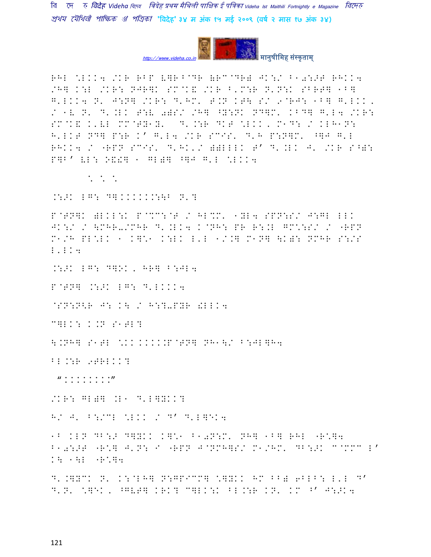

RHL \*LKK4 /KR RBP V]R^@DR (RC@DR) JK:/ B10:>T RHKK4 /H] K:L /KR: NJR]K SM@K& /KR B'M:R N'N:K SBRT] 1B] G'LING D'ANDER MINT CHAN SHE IN SAN KHE SIN SIN K / 1V N' D'.LK T:V 0)S/ /H] ^Y:NK ND]M' KBD] G'L4 /KR: SM MOK KOL MATYMONIA DE LA PROVINCIA DE LA CALIFACIA DE LA PROVINCIA DE LA PROVINCIA DE H'LKT ND] P:R K' G'L4 /KR SCIS' D'H P:N]M' ^]J G'L RHICH / "RPN SCHIL" D.HILL BERRI SK D.H. DI. H. JIR SYED PHIX EEN NEWS ( GEER (GR) GEER ( CELL)

 $\mathcal{L}^{\mathcal{L}}$  .  $\mathcal{L}^{\mathcal{L}}$  ,  $\mathcal{L}^{\mathcal{L}}$ 

.:>K LG: D]......:\B N'?

P@TN]K )LKL:K P@%C:@T / HL%M' 1YL4 SPN:S/ J:GL LLK JK:/ / \MHR-/MHR D'.LK4 K@NH: PR R:.L GM\*:S/ / "RPN MANYA PERSEI AY DARIAY DAEDY ELEVANISH MANYA ADAR SYMAA SYNY ELET<sub>H</sub>

.:>K LG: D]OK, HR] B:JL4

P@TN] .:>K LG: D'LKKK4

@SN:N<R J: K\ / H:?-PYR !LLK4

CHILAN STREET

 $\,$  S1TL  $\,$  S1TL  $\,$  S1TL  $\,$  S1TL  $\,$  S1TL  $\,$  S1TL  $\,$  S1TL  $\,$  B:JL $\,$  B:JL $\,$  B:JL $\,$  B:JL $\,$  B:JL $\,$  B:JL $\,$  B:JL $\,$  B:JL $\,$  B:JL $\,$  B:JL $\,$  B:JL $\,$  B:JL $\,$  B:JL $\,$  B:JL $\,$  B:JL $\,$  B:JL $\,$  B:J

BL.:R 9TRL

w.........*.* 

/KR: GL)] .L1 D'L]YKK?

H/ J' B:/CL \*LKK / D' D'L]EK4

 $15$  KLN DB: NEW DIRECT RESOLUTION CONTROL THE  $\sim$  DHE  $\sim$  HP. HHL B10: THE THE REPORT OF THE REPORT OF THE THE THE COMMUNICATION OF THE THE REPORT OF A SAME REPORT OF THE THE S  $\mathbb{R}^n \times \mathbb{R}^n \to \mathbb{R}^n \times \mathbb{R}^n$ 

D'.]YCK N' K:@LH] N:GPICM] \*]YKK HM BB) 6BLB: L'L D' D.B. NEV, GREAR (RIT MEIN) FEINB (B. II) KOMANNA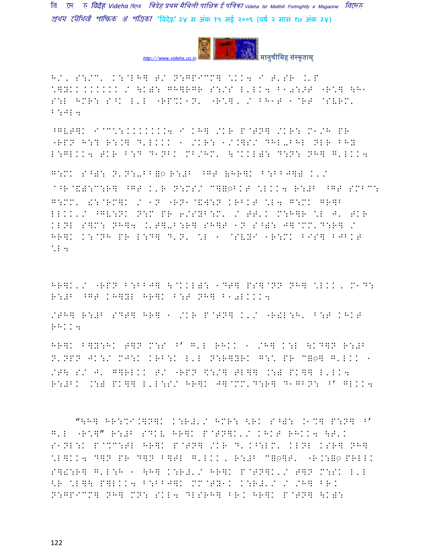

H/, S:C' K: C' KIGHE F/ PHOTOGE I TAN A FRIE LI  $\Lambda$ HGDC DOOD DIRGRES: HAHAHA SIYO BILA BILA BARA SARA BARA S:L HMR: S^K L'L "RP%K1N' "R\*], / BH1T 1@RT @SVRM'  $\mathcal{B}$ :  $\mathcal{B}$   $\mathcal{B}$   $\mathcal{B}$   $\mathcal{B}$   $\mathcal{B}$   $\mathcal{B}$ 

^GVT]K I@C\*:.......4 I KH] /KR P@TN] /KR: M1/H PR "RPN HYT BYDE MIELL 'N VIBY KVOHEV MAELHAM DEB KAD L:GLKK4 TKR B:D D1NBK MB/HM' \@KKL): D:N: NH] G'LKK4

B:MIN: SOME SOME SIGNED BEFORE THE BEFORE ASSEMBLING. ORE CONSTRUCTED ON A STORY CHOOSE AND CHOSKER FROM STATE G:MM' !:@RM]K / 1N "RN1@&W:N KRBKT \*L4 G:MK GR]B LLKK'/ ^GV:NK N:M PR 6/SYB:M' / TT'K M:H]R \*L J' TKR KLNL SHIP . NHIP . NHIP . NHIP . NHIP . NHIP . NHIP . NHIP . NHIP . NHIP . NHIP . NHIP . NHIP . NHIP . NHIP . N HRIK K: D'N' DIR K: PER LI D'ANG D'ANG D'ANG D'ANG D'ANG D'ANG D'ARI D'ARI D'ARI D'ARI D'ARI D'ARI D'ARI D'ARI  $\mathcal{L}$  :  $\mathcal{L}$ 

HRIK'/ "PRID FIRF BILDER B: 100 BBB A: 19 BBC B: 10 BBB DIRECT LIDER B: R:#B ^GT KH]YL HR]K B:T NH] B10LKKK4

/TH] R:#B SDT] HR] 1 /KR P@TN] K'/ "R!L:H' B:T KHKT RHKK4

HAND FUNDED AND THE FACE AND I VAN DIE BONNE BIBY N'NPI JK:/ MONT CHE SI LE NORDHER: PRINTED B: RICK /THA S/ GLO GRAN (1) H.A. GRAN ANN B. HARRY 1988 T. S. HARRY 1989 T. R:#BK .:) PK]] L'L:S/ HR]K J]@MM'D:R] D1GBN: ^' GLKK4

 $\mathcal{M}_\mathbf{H}$  HR:  $\mathcal{M}_\mathbf{H}$  is the function of  $\mathcal{M}_\mathbf{H}$  . The interface of  $\mathcal{M}_\mathbf{H}$ B.E "RENT" RYAN SOKYA RRIK PORTHER KONSTRUCT RENT RHEN STACHE SOUTH POST ARTEST PORTHOLOGIES TO A STATE OF LOCATION CONTINUES.  $\lambda$ E Alting DAR DIRECT FROM BITLE GOLF CHANNEL CHANNEL CHARGE PRESENT S]!:R] G'L:H 1 \H] K:R#'/ HR]K P@TN]K'/ T]N M:SK L'L RE SEAR FALLS A FREE AND COMMEL COMMUNICATIONS N:GPICM] NH] MN: SKL4 DLSRH] BR. HR]K P@TN] \K):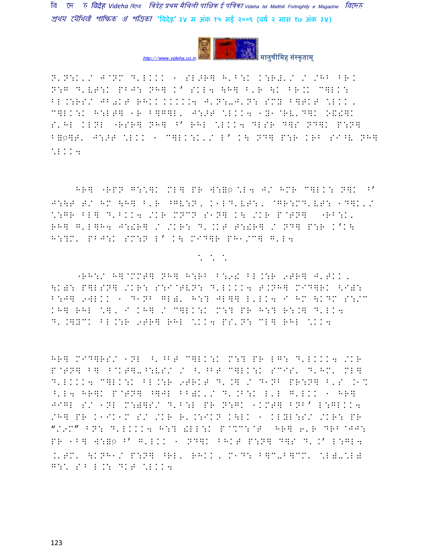http://www.videha.co.in स्ट्रीलिया मानुषीमिह संस्कृताम्

N'N:K'/ J@NM D'LKKK 1 SL>R] H'B:K K:R#'/ / /HB BR. N:G PORTER NI KE SKLA D'A BERLING I SKLADER HER KENNET I BERLING. BL.:RS/ JB0KT RHKK.....4 J'N:-J'N: SMY B]TKT \*LKK, CH:K:K H:LTH (R BIH:K GILB) 1999 S'HL KLNL "RSR] NH] ^' RHL \*LKK4 DLSR D]S ND]K P:N] FHOUR, ANDER NIND A TUILMING IN THE CORPORATION OF CHANGE \*LKK4

HRA (HRI GAINE) IN ACTE ON HAND CIA GIN HIM CAN DAN CAN CH J:\T T/ HM \H] B'R ^GV:N, K1LD'VT:, @GR:MD'VT: 1D]K'/ \*:GR BL] D'BKK4 /KR MNCN S1N] K\ /KR P@TN] "RB:K' RH] G'L]H4 J:!R] / /KR: D'.KT T:!R] / ND] P:R K'K\ H:?M' PBJ:K SM:N L' K\ MID]R PH1/C] G'L4

 $\ddot{\phantom{a}}$  .  $\ddot{\phantom{a}}$  :

 "RH:/ H]@MMT] NH] H:RB B:9! BL.:R 9TR] J'TKK, \K): P]LSN] /KR: S:I@TVN: D'LKKK4 T.NH] MID]RK <I): B: NAB GLO) DI 1 DIN BELI 1 DENGAN AREA SELI E LA LING AD ARDI DI SELITI KHAI RHE (NA), I KHI (MOTAE) NI MIRI IN PANG HAI ANG MILAY. D'.]YCK BL.:R 9TR] RHL \*KK4 PS'N: CL] RHL \*KK4

HRE SYMBRIN VIR (ALARA MBILIN STROKE RROBS) NORTH PORTH BE POINT BILEY IN BURG MELGING INSIN MURIN WER D'LKKK4 C]LK:K BL.:R 9TRKT D'.] / D1NB PR:N] B'S .1% ^'L4 HR]K P@TN] ^]JL BB)K'/ D'.B:K L'L G'LKK 1 HR] JOURN SY 1NL MYSERY AND SEARCH AND BOUNDARY ENGINEERS /H] PR K1IK1M S/ /KR R'.:IKN K\LK 1 KLYL:S/ /KR: PR ".:"" BN: D'LI:L: HH: EIII. THIN: PHE 6.8 MB: WAR PR 1998 W:HE GO BY GO BELO INDICATED BY BELONGING THE CONTROL OF STREET .'TM' \KNH1/ P:N] ^RL' RHKK, M1D: B]C-B]CM' \*L)-\*L) B: So E.: DKT \*LE \*LE . DKT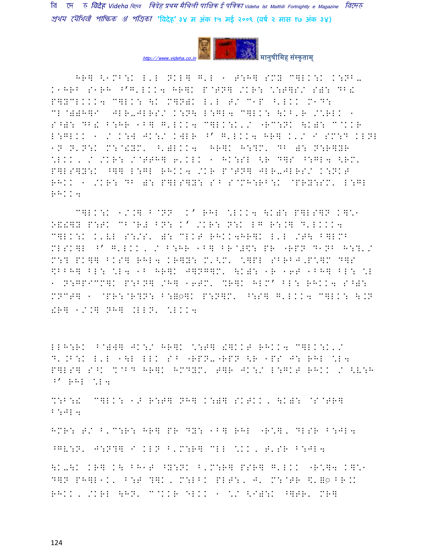http://www.videha.co.in/<br>कानुबीमिह संस्कृताम्

HRE SANTAIN BILE MILE HILL A GRAE SNY MELINI INDEL K1HRB S1RH ^'G'LKK4 HR]K P@TN] /KR: \*:T]S/ S): DB! PARTECOLA TABOR AD TARAD BUB AD TVP FUBOO CHTV CLOBER CORPLAINED CORR INTER CHEIN ALL ROOMED ( S^): DB! B:HR 1B] G'LKK4 C]LK:K'/ "RC:NK \K): C@KKR L:GLKK 1 / K:W JK:/ KWLR ^' G'LKK4 HR] K'/ I SM:D KLNL 1N N'N:K M:@!YM' ^')LKK4 HR]K H:?M' DB ): N:R]YR \*LKK, / /KR: /@TTH] 6'KLK 1 HK:SL <R D]S ^:GL4 <RM' PALEARING (PAR LENA) BAGGA (MGH) PORTAR (PEBLAINEN GOD) SARG RHOC 1 / CORS (PR): BS (PREVRISE): P. P. OTHSH SO (CLEARED): SESPE RHKK4

CHE LA CONTRA LA CHE LA CHE LA CALLA DELL'ALLA CHE LA CHE LA CHE LA CHE LA CHE LA CHE LA CHE LA CHE LA CHE LA O&!]Y P:TK CB@R# BN: K' /KR: N:K LG R:.] D'LKKK4 CARICAL COURE RACKEL BACCAR RHACCHHRANG ROBOT CAR PARTY MLSKIR (PORLESS), / B:HR 1BF PROBATE (RP) BRD D1PN H: RH: M:? PK]] BKS] RHL4 KR]Y: M'<M' \*]PL SBRBJ,P\*]M D]S \$BBH] BL: \*L4 1B HR]K J]NG]M' \K): 1R 16T 1BH] BL: \*L 1 N:GPICM]K P:BN] /H] 16TM' %R]K HLM' BL: RHKK4 S^): MNCH ROOM IN THE RESERVE OF THE RESERVE OF THE RESERVE OF THE RESERVE OF THE RESERVE OF THE RESERVE OF THE RESERVE OF THE RESERVE OF THE RESERVE OF THE RESERVE OF THE RESERVE OF THE RESERVE OF THE RESERVE OF THE RESERVE OF !R] 1/.] NH] .LLN' \*LKK4

LLH:RK ^@)W] JK:/ HR]K \*:T] !]KKT RHKK4 C]LK:K'/ D'. B: K L'ELLE SA REI (EELL) EN SA PROLAGED (REI ACE 1PS JERE) (LEA P]LS] S^K %@BD HR]K HMDYM' T]R JK:/ L:GKT RHKK / <V:H ^' RHL \*L4

%:B: CALC: 10 R: THE CALC: CALC: THE CONTROL CONTROL CONTROL CONTROL CONTROL CONTROL CONTROL CONTROL CONTROL CO  $B:U_1 \to U_2 \to U_3$ 

HMR: T/ B'C:R: HR] PR DY: 1B] RHL "R\*], DLSR B:JL4 ^GV:N' J:N?] I KLN B'M:R] CLL \*KK, T'SR B:JL4

 $K$  Kr  $K$  and  $K$  is the second proposition  $\mathbb{R}^n$  . The second  $\mathbb{R}^n$  is the second second  $K$ D]N PH]L1K' B:T ?]K, M:LBK PLT:, J' M:@TR \$'=◌़ BR.K RHIKK, ZIRE ARD, MINIR NEII: K NZ KREN (MRPR) MRB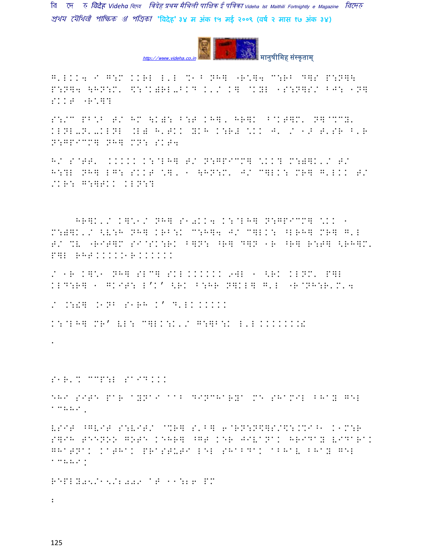

G.BOOK I G:M KORL B.B C:A C:AB DESIGN THE THE DOUBL P:N]4 \HN:M' \$:@K)RL-BKD K'/ K] @KYL 1S:N]S/ BJ: 1N] SKKT "RATION

 $S:U \to V$  . B:/C PB\*B T/ HM  $\mathbb{R}$ : B:/C PB\*B T/ HR](  $\mathbb{R}$  ,  $\mathbb{R}$  ,  $\mathbb{R}$  ,  $\mathbb{R}$  ,  $\mathbb{R}$  ,  $\mathbb{R}$  ,  $\mathbb{R}$  ,  $\mathbb{R}$  ,  $\mathbb{R}$  ,  $\mathbb{R}$ KLAR-KLIFT . LI ATTER TE SALI . LI ATTER BERGED . LI ISR BERGED . LI ISR BYRG BERGED . D N:GPICM] NH] MN: SKT4

H/ SMTER, SILILI IN THE RESPONDENT ON DESTURY (NORTH) H:?L YAR LAY SILA 18, 1 AARYS, AN MALIY MAR A.LIN AN /KR: G:]TKK KLN:?

HARDAY SHINY SHANGARI SANG HARI SING MARATING SINGLE MY:BHOOK RESH MHA KEMIN MIHA AZ MALON (REHA MERA AZ) T/ %V "RIT]M SI@SK:RK B]N: ^R] D]N 1R ^R] R:T] <RH]M' P]L RHT.....1R......

/ 1R K]\*1 NH] SLC] SKL...... 9WL 1 <RK KLNM' P]L KLD:R] 1 GKIT: L'K' <RK B:HR N]KL] G'L "R@NH:R'M'4

/ .:!] .1NB S1RH K' D'LK.....

K: Charles Mary Care (1993) (1994) (1994) (1994) (1994) (1994) (1994) (1994) (1994) (1994) (1994) (1994) (1994

 $\cdot$ 

S1R'% CCP:L SaID...

EHI SITE PaR aYNaI aaB DINCHaRYa ME SHaMIL BHaY GEL  $\mathcal{L}$  minimals

VSIT ^GVIT S:VIT/ @%R] S'B] 6@RN:N\$]S/\$:.%I^1 K1M:R SARI SIMBAD ADEN (MARA JAR 198 SARIDAY VARIDAY VIDARAK K GHATHAK KATHA KATHA KATHAK BHAY BHAY BHAY BHAY GEL SHABDAK ABHAY GEL SHABDAK BHAY GEL SHABDAK BHAY GEL SHABDAK  $\gamma$  minimals

RAPE HARD CONSERVED AT 11:26 PM

 $\ddot{\cdot}$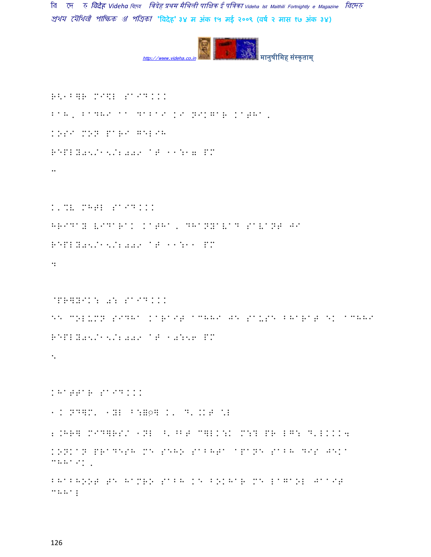EE COLUMN SIDHa KaRaIT aCHHI JE SaUSE BHaRaT EK aCHHI REPLY05/15/2009 aT 10:56 PM  $\ddot{\phantom{0}}$ KHaTTaR SaID... 1. NOW THE PIES OF THE REAL PROPERTY 2.HR] MID]RS/ 1NL ^'^BT C]LK:K M:? PR LG: D'LKKK4 KONKaN PRaDESH ME SEHO SaBHTa aPaNE SaBH DIS JEKa  $\text{C}$  and  $\text{C}$  and  $\text{C}$ BHABHOOT TE HAMRO SABH KE BOKHAR ME LAGAOL JAA  $\cdots$ 

K. THE SAID STATE HRIDaY VIDaRaK KaTHa, DHaNYaVaD SaVaNT JI REPLY CONSIGNER AT 11:11 PM  $\dddot{\phantom{0}}$ 

RR MISL SAID. BaH, BaDHI aa DaBai Ki Nikola Katha, Katha, KOSI MONGOLI PARI GELIH RTPERLYNS and the conduct



िव दिन दि<mark>विदेह Videha</mark> <sub>विफर</sub> विदेह प्रथम मैथिली पाक्षिक ई पत्रिका Videha Ist Maithili Fortnightly e Magazine *वि*दिन्द õथम मैिथली पािक्षक ई पिñका **'**िवदेह**'** ३४ म अंक १५ मई २००९ (वष र् २ मास १७ अंक ३४)

 $\ddot{\phantom{0}}$ 

@PR]YIK: 0: SaID...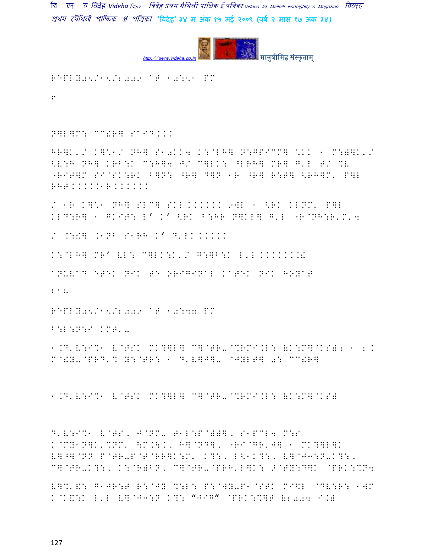

REPLYNS AT 10:51 PM

 $\ddot{\cdot}$ 

**NALES IN CONSIDERATION** 

HR]K'/ K]\*1/ NH] S10KK4 K:@LH] N:GPICM] \*KK 1 M:)]K'/ <V:H NH] KRB:K C:H]4 J/ C]LK: ^LRH] MR] G'L T/ %V  $R$  -range significant below the state of the state  $R$  response to  $R$  . The  $R$ RHT.....1R......

/ 1R K]\*1 NH] SLC] SKL...... 9WL 1 <RK KLNM' P]L KLORIN 1 GKIT: L' KORA BI SING BERLIN GELLER BI SINGHER AT LA

/ .:!] .1NB S1RH K' D'LK.....

K:@LH] MR' VL: C]LK:K'/ G:]B:K L'L.......!

aNUVAD ETEK NIK TE ORIGINAL KATEK NIK HOYAT

 $\mathbf{B} \cdot \mathbf{B}$ 

REPLYNS AT 10:47 PM 2009 AT 10:47 PM

B:L:N:I KMT'-

1.D'V:I%1 V@TSK MK?]L] C]@TR-@%RMI.L: (K:M]@KS); 1 2. MO YE BUNG'S YE REPORT OF A STRIKE WITH DRIVING THE RELATIONSHIP OF A STRIKE OF DISTURBANCE.

1.D'V:I%1 V@TSK MK?]L] C]@TR-@%RMI.L: (K:M]@KS)

D'V:I%1 V@TS, J@NM- T1L:P@))], S1PCL4 M:S K@MYNING\_AMARI, HI@HI, GROBRAH (WIMBER V]^]@NN P@TR-P@T@RR]K:M' K?:, L<1K?:, V]@J3:N-K?:, C]@TR-K?:, K:@R)BN, C]@TR-@PRH'L]K: >@TY:D]K @PRK:%N4

V]%'&: G1JR:T R:@JY %:L: P:@WY-P1@STK MI\$L @DV:R: 1WM K@K&:K LOOK LANGER AND THE SALE COMPANY IN THE SALE OF LANGER COMPANY I.D. IN THE SALE OF LANGE AND INCOME IN THE SALE OF LANGE AND INCOME IN THE SALE OF LANGE AND INCOME IN THE SALE OF LANGE AND INCOME IN THE SALE OF LANG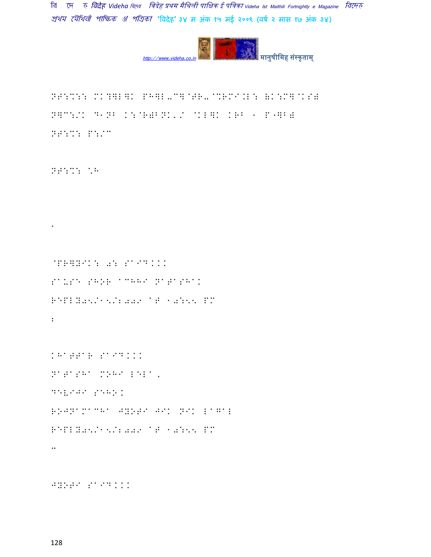

NT:%:: MK?]L]K PH]L-C]@TR-@%RMI.L: (K:M]@KS) NACH CONSTRUCTION CONTROL PORT NT:%: P:/C

NT:%: \*H

 $1.11$ 

@PR]YIK: 0: SaID... Sause Shor ach achter REPLY CONSTRUCTS 2

KHaTTaR SaID... NaTaSHa MOHI LELa, DELEN PRESI ROJNAMACHA JYOTI JIK NIK NIK REPLYNS AT 10:55 PM  $\ddotsc$ 

JYOTI SAID.

128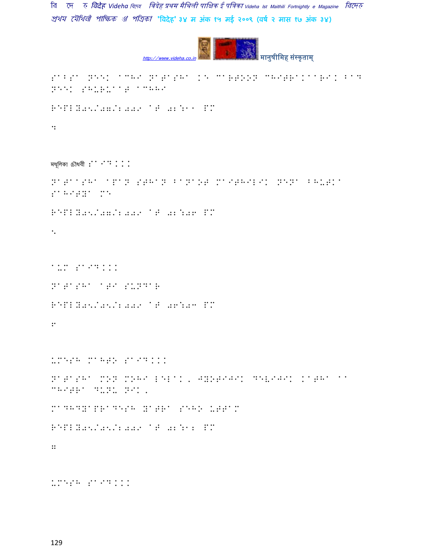```
http://www.videha.co.in | मान्ध्रे जिल्लाम् अस्ति । मानुषीमिह संस्कृताम्
Sabsa NEEK aCHI NEEK achi natasi waxaa kale cartoon china kale cartoon china kale cartoon china kale cartoon c
NEEK SHURUaaT aCHHI 
RPPLYDSCOPE at 02:11 PM at 02:11 PM
\dddot{\cdot}:
মধূলিকা \mathbb{R}মধূলিকা \mathbb{R}যিবী \mathbb{R}^3 \cdots \mathbb{R}^3 \cdots \mathbb{R}^3NaTaaSHa aPaN STHaN BaNaOT MaITHILIK NENa BHUTKa 
SaHITYa ME 
REPUBLICAN SERVICE DE SON PR
\ddot{\phantom{0}}aum Said...
NaTaSHa aTI SUNDaR 
RREPLACEMENT OF SPREAM PT
\ddot{\cdot}UMESH MaHTO SaID... 
NaTaSHa MON MOHI LELAK, JANG-PERANG MERAHA LELAK AT
TRANS CONSUL SAL
MaDHDYaPRaDESH YaTRa SEHO UTTaM 
REPLY05/05/2009 aT 02:12 PM 
::UMESH SaID...
```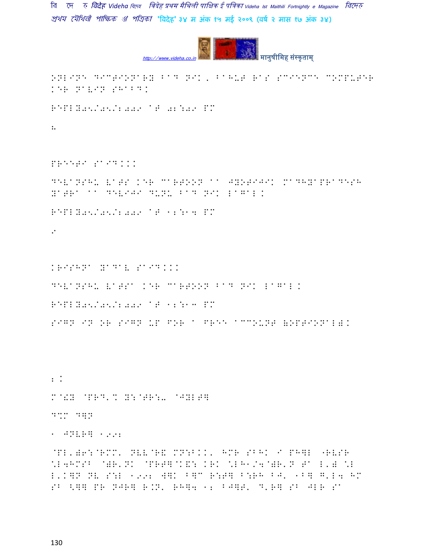

ONLINE DICTIONaRY BaD NIK, BaHUT RaS SCIENCE COMPUTER KER NaVIN SHaBD.

REPLY05/05/2009 aT 02:09 PM

8

PREETI SaID...

DEVaNSHU VaTS KER CaRTOON aa JYOTIJIK MaDHYaPRaDESH WaTRA aa DEVIJI DUNU BaD NIK LAGaL. DUNU BaD NIK LAGaL.

REPLY 05/2009 at 12:14 PM 2009 at 12:14 PM 2009 at 12:14 PM 2009 at 12:14 PM 2009 at 12:14 PM 2009 at 12:14 PM

 $\mathcal{L}_{\mathcal{L}}$ 

KRISHNa YaDaV SaID...

DEVaNSHU VaTSa KER CaRTOON BaD NIK LaGaL.

REPLY05/05/2009 aT 12:13 PM

SIGN IN OR SIGN UP FOR a FREE aCCOUNT (OPTIONaL).

 $\mathbf{1}$ 

1 JUNE 1992

M@!Y @PRD'% Y:@TR:- @JYLT]

BSC BR

SB <]] PR NJR] R.N' RH]4 12 BJ]T' D'R] SB JLR Sa

@PL')6:@RMM' NVV@R& MN:BKK' HMR SBHK I PH]L "RVSR \*L4HMSB @)R'NK @PRT]@K&: KRK \*LH1/4@)R'N Ta L') \*L L'K]N NV S:L 1992 W]K B]C R:T] B:RH BJ' 1B] G'L4 HM

130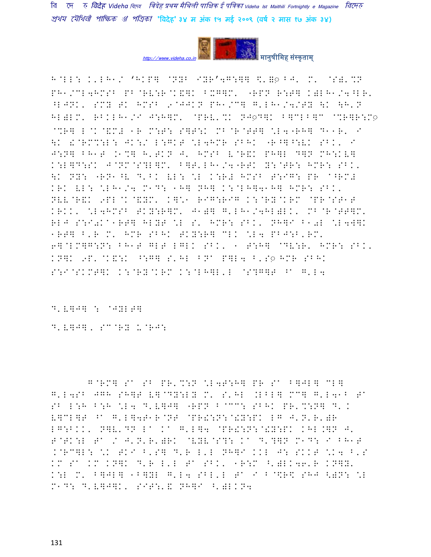

H@LL: K'LIH/ 'MALER' OPBF (PBB/4PNRR) \$'E@'F#L' ML @NELSD PH1/CL4HMSB PB@RV:R@K&]K BXG]M' "RPN R:T] K)LH1/4^LR' ^LJNK' SMY TK HMSB 9@JJKN PH1/C] G'LH1/4/TY \K \H'N HEART, RRIEN-IV RINGT, TERRIT DROTH: FGTEFHT TTRGGREYO @%R] L@K@&M# 1R M:T: S]T:K MB@R@TT] \*L4"RH] D11R' I  $K$  :  $K$  is the potential of the contract of the second second  $K$  satisfies  $K$  satisfies  $K$  is satisfied by  $K$  . JENDE FAKSE .N DE ALSEN DIGNE ADSPILLE NAME DIGERE DER DIGNE BE K:N:LAMA:LIMA JOSTELA BILI BALI BANG'A PAROLI BILI BANG'AN SAN SA COLO  $K$  NY: "RN100 DEFAULT DEFAULT DE ROMAN DE ROMAN TE DE RAMBINE. KRK VL: 1991 S. 1991 N. H. S. 1992 N. H. H. S. 1992 N. H. S. 1992 N. H. S. 1992 N. H. S. 1994 N. H. S. 1994 N. DRAK 1981 1991 (NOVERT) KORRIG:RIG KERMEN DIGITALE KORRIG KE SERGERA A KRKK' \*L4HMSB TKY:R]M' J1)] G'LH1/4HL)LK' MB@R@TT]M' RLJ S:I0Ka1RT] HLYT \*L S' HMR: SBK' NH]I B10L \*L4W]K 1RT] B'R M' HMR SBHK TKY:R] CLK \*L4 PBJ:B'RM' 6]@LM]G:N: BH1T GLT LGLK SBK' 1 T:H] @DV:R' HMR: SBK' K 9PE CARD, KNI BIST START SEN BHKA PILA BAGING HOBORIST HO S: IS A: I SECOND KINDS OF THE REPORT OF A GENERAL CONTINUES. THE REAL ASSAULT OF THE REAL ACTION OF THE REAL A

D'V]J] : @JYLT] D'V]J], SC@RY U@RJ:

 G@RM] Sa SB PR'%:N \*L4T:H] PR Sa B]JL] CL] B.1920 JAHA SHQH LQ'MINIO I D. S.H. .DY:LO DYO A.1920 ST SB L:H B:H \*L4 D'V]J] "RPN B@CC: SBHK PR'%:N] D'.  $\langle V_{\rm eff}^{\rm eff}, V_{\rm eff}^{\rm eff} \rangle$  (Figure ), the contract probability (Figure ), the contract of  $\langle V_{\rm eff} \rangle$ LANCIS PARLAR LO CO ALLAN CHRENEN MENHOL CALCAR AL T@TK:L Ta / J'N'R')RK @VYV@S?: Ka D'?]N M1D: I BH1T . D'ATHE ACONOMISME D'ANNEL AN EN EN BOARD ON L'ANN ANN AN ONDA DE L'AN KM Sa KM KN]K D'R L'L Ta SBK' 1R:M ^')LK46'R KN]Y' K:L MY BILLE BILLE BYL G'LLE G'L BORD CHA SEMICI D: PECS, ENHILL (POPEL BONNES) (LAFICH)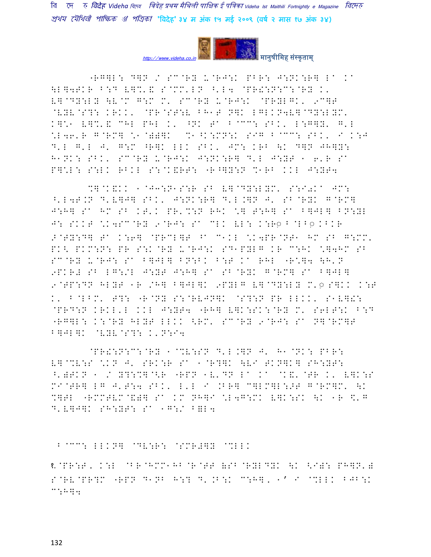

HAGES THE 2 SCORE UNIVERSE PRINTING AND SERVICE \L]4TKR B:D V]%'& S@MM'LN ^'L4 @PR!:N:C:@RY K' LA VALLE ALV AN CONSTRAINS NORTH CONTROL MUNICARY CONSTRUCTION OF A PROVIDED BY AN INCOME. KAL KALIMA KALENDAR KALIMAT \*L46'R G@RM] \*1@))]K %1^K:MN:K SIG B@CC: SBK' I K:J D'L G'L J' G:M ^R]K LLK SBK' JM: KRB \K D]N JH]Y: H1NK: SBK' SC@RY U@RJ:K J:NK:R] D'L J:YT 1 6'R Sa P]\*L: S:LK RBKL S:@K&RT: "R^]Y:N %1RB KKL J:YT4

 %]@K&KK 1@J3:N1S:R SB V]@DY:LYM' S:I0Ka JM: ^'L4T.N D'V]J] SBK' J:NK:R] D'L.]N J' SB@RYK G@RM] J:H] Sa HM SB KT'K PR'%:N RHK \*] T:H] Sa B]JL] BN:YL J: SKKT \*K4SC@RY 9@RJ: Sa CLK VL: K:R◌़ B@LB◌़ KBKR >@TY:D] Ta K:6] @PRCL]T ^a C1KL \*K4PR@NT1 HM SB G:MM' PK< PKM:N: PR S:K@RY U@RJ:K SD1PYLG KR C:HK \*]4HM SB SCORE SCHOOL BY FRIER FRIEL IN SA BILLIAN SERVICE 9PKR# SB LG:/L J:YT J:H] Sa SB@RYK G@RM] Sa B]JL] 9@TP:DN HLYT 1R /H] B]JL]K 9PYLG V]@DY:LY M'◌़ S]KK K:T K. B@LBMY. TR: "R@NY S: "R@NY S: "R@NY SE?" SHARK & START SINCE STATES STATES STATES STATES STATES STATES STATES @PRD:N KRKL'L KKL J:YT4 "RH] V]K:SK:@RY M' S6LT:K B:D "RG]L: K:@RY HLYT LLKK <RM' SC@RY 9@RJ: Sa N]@RM]T BERICH MARKET MARKET

 @PR!:N:C:@RY 1@%V:SN D'L.]N J' H1@NK: PBR: BA VISA (VI SA 1981:R SA 10940 ABR SA 241A SH:BER ^')TKN 1 / Y?:%]@<R "RPN 1V'DN La Ka @K&'@TR K' V]K:S MATARA LA JALANA SALI LE SANG DARI CALINA DI BARAN SOL WHAT ARTIFACTORE STATE THEY MENETIC RELEASE AN AFAILER D'IGHE SHING SH: SH:YT: B

BOOT BOOT DIE STEERS WARREN ON DE

१. TER:F, K:L @BR@HMINHB@R@TH@R@TTF (SB@RYLDYK \K & IPHEN, d S@RV@PR?M "RPN D1NB H:? D'.B:K C:H], 1' I @%LLK BJB:K  $\cdots$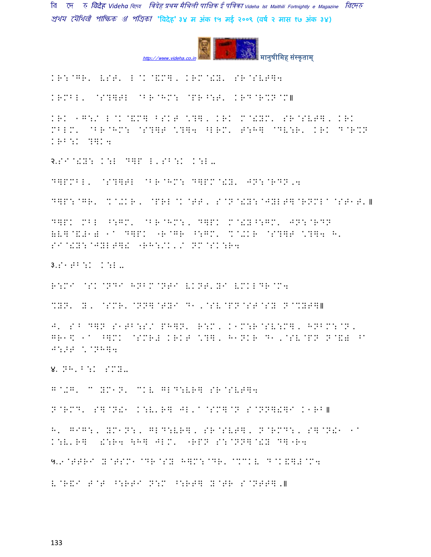

KR: THE VALUE OF THE VALUE OF THE VEHICLE IN THE VEHICLE IN THE VEHICLE IN THE VEHICLE IN THE VEHICLE IN THE VEHICLE IN THE VEHICLE IN THE VEHICLE IN THE VEHICLE IN THE VEHICLE IN THE VEHICLE IN THE VEHICLE IN THE VEHICLE

KRMBL' @S?]TR @BR@HM: @PROFILE @PROFILE @PROFILE @PROFILE @PROFILE @PROFILE @PROFILE @PROFILE @PROFILE @PROFILE

KRK 1G:/ LOVIET FRANCH ARK MAN SRAW SPIRED, AN MBLM' @BR@HM: @S?]T \*?]4 ^LRM' T:H] @DV:R' KRK D@R%N KRB:K ?

२.FX:MEN DORE PRESENTATIONS

DRIVEL MORRIS OF MOS PRIVAGE AND BRACK

DRIP: PRL@KOM: ROK @PRL@K@RNMLA@K@TT, S@N@IT, S@N@IT, S@N@IT, INC

DHIS MBL AND MENT MANUSCHER MENT (V]@&#1) 1a D]PK "R@GR ^:GM' %@+KR @S?]T \*?]4 H' SI@!Y:@JYLT]! "RH:/K'/ NM@SK:R4

 $3.51 \div 51.51 \div 51.51.51$ 

R:MI MI MI MI WARD HOTEL BOOK ON THE WARD

%YN' Y, @SMR'@NN]@TYI D1,@SV@PN@ST@SY N@%YT]॥

J' S^ D]N S1TB:S/ PH]N' R:M, K1M:R@SV:M], HNBM:@N, GR1\$ 1a ^ MARI (STRING PICKT \* THE SMR PARTIES OF THE ST J:>T \*@NH]4

४. NH'B:K SMY-

GOODS CONSIDERED AND CHANNEL SERVICE CONSIDERATION

N@RMD' S]@N!1 K:V'R] JL'a@SM]@N S@NN]!]I K1RB॥

H' GIG:, YM1N:, GLD:VR], SR@SVT], N@RMD:, S]@N!1 1a K:V'R] !:R4 \H] JLM' "RPN S:@NN]@!Y D]"R4

५.9@TTRI Y@TSM1@DR@SY H]M:@DR'@%CKV D@K&]#@M4

V@R&I T@T ^:RTI N:M ^:RT] Y@TR S@NTT],॥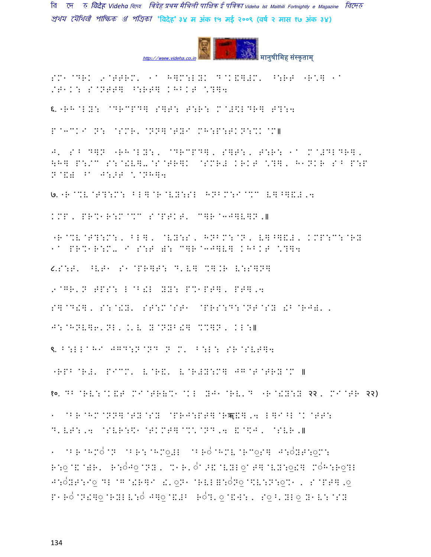

SM1@DRK 9@TTRM: 14 HIM:LY PORTH. 1910 1910 1910 /T1K: S@NTT] ^:RT] KHBKT \*?]4

६."RH@LY: @DRCPD] S]T: T:R: M@#\$LDR] T?:4

P@3CKI N: @SMR'@NN]@TYI MH:P:TKN:%K@M॥

J', SO DAR HE SERVER, ONE THAN SARRY, SHE SO TO THAN HE. \H] P:/C S:@!V]-@S@TR]K @SMR# KRKT \*?], H1NKR S^ P:P N@&) ^a J:>T \*@NH]4

७."R@%V@T?:M: BL]@R@VY:SL HNBM:I@%C V]^]&#,4

KMP, PR%1R:M@%C S@PTKTFTXTYPIRTY.N

"R@%V@T?:M:, Button Professor Research Professor Research Professor Research Professor Research Professor Research 1a PR%1R:M- I S:T (C) CHB (00010 10010 10010 1003

८.S:T' ^VT1 S1@PR]T: D'V] %].R V:S]N]

9@GR'N TPS: L@B!L YY: P%1PT], PT],4

S]@D!], S:@!Y' ST:M@ST1 @PRS:D:@NT@SY !B@RJ)',

J:@HNV]6'NL'.'V Y@NYB!] %%]N, KL:॥

९. B:LLAHI JAWAYA YANG NAMA NAMA SEBELAHAN DI BERSERA DI BERSERA DI SEBELAHAN DI BERSERA DI SEBELAHAN DI SEBE

 $R$ PIC TELL TECHNOLOGICAL BERTH AND PICHTECT I

१०. DB CHARV: DEB RV: DEBARV: DEBARV: DEBARV: HE CARDINAL 22, MICHAEL 22)

1 @BR@HM@NN]@TY@SY @PRJ:PT]@Rॠ&],4 L]I^L@K@TT: D'VT:,4 @SVR:\$1@TKMT]@%\*@ND,4 &@\$J, @SVR,॥

+ @MRC™PON @BR: NORO HORIGE PROPERTY AND DESCRIPTION DESCRIPTION H:Solimate, H:SoHolizat, THE, on Azimus on ARTLatsolat MoH:SEoff ()  $+$ SØHASKO FRUTENIAREN EL ORKURAFESØRO FRANSKOMKUNDER LO F+ Boʻlik:Hoʻlk:HoʻlkHoʻli.Hoʻl: oʻlik: Vilogo (B) B V: YCH (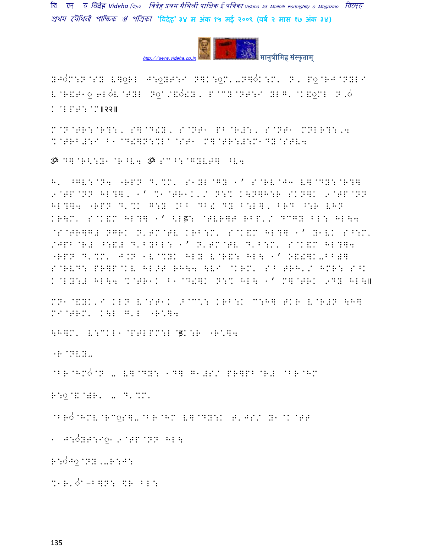

BHÓNGE GOB (RHQH) HGQBHGH (PHIGQN, LPHÓNGIN, (P), PolGHH (PBEH) BOFERF @THIGEL PDOCEGEL TO THORPHOUSER, OCE@TICPIG  $\mathbb{R}^n$   $\mathbb{R}^n$  :  $\mathbb{R}^n$  :  $\mathbb{R}^n$  :  $\mathbb{R}^n$  :  $\mathbb{R}^n$  is a set of  $\mathbb{R}^n$ 

M@N@TR:@R?:, S]@D!Y, S@NT1 PB@R#:, S@NT1 MNLR?:,4 %@TRB#:I B1@D!]N:%La@ST1 M]@TR:#:M1DY@STV4

 $3^{\circ}$  PH THE THE TH FILE  $\phi$   $3^{\circ}$  for PH TH HILFH  $\phi$  Files

H' ^GV:@N4 "RPN D'%M' S1YL@GY 1' S@RV@J3 V]@DY:@R?] 9@TP@NN HL?], 1' %1@TR1K'/ N:% K\N]H:R SKN]K 9@TP@NN HITHE GETS SUIT WHI DIS SUIT SINCE AN AGE OF BILLING THAM SOME HIT ROOMS RESOURCE HER POSSESSED BEEN @S@TR]G# NGRK N'TM@TV KRB:M' S@K&M HL?] 1' Y1VK S^:M' /JPB@R# ^:&# D'BYBL: 1' N'TM@TV D'B:M' S@K&M HL?]4 HARP D'YSS HARPY HARRY HALL IN 1981 HARRY OR NEWS ARREST SOBERT: PREPORT HER PARA HER OCENT SO PRAIS ANY SON SO K@LY:# HL\4 %@TR1K B1@D!]K N:% HL\ 1' M]@TRK 9DY HL\॥

MN MONITOR STORE AND A COMPACT OF THE STORE AND RESERVE AND MICHAEL CHE GEL "BIABA

 $\texttt{H}\texttt{H}\texttt{H}\texttt{W}$ : External states and  $\texttt{H}\texttt{H}\texttt{W}$ 

"RENT ROOM

@BR@HM◌ ॑@N - V]@DY: 1D] G1#S/ PR]PB@R# @BR@HM

ROBINE A T.T.

MOBRO POSTO DE DE DE SERVEDO DE SERVEDO DE SOLOBE

+ H:0dB#N+1@HV-1#PTPP HEAU

hidde 128 Lubich.

%1R'◌ ॑a–B]N: \$R BL: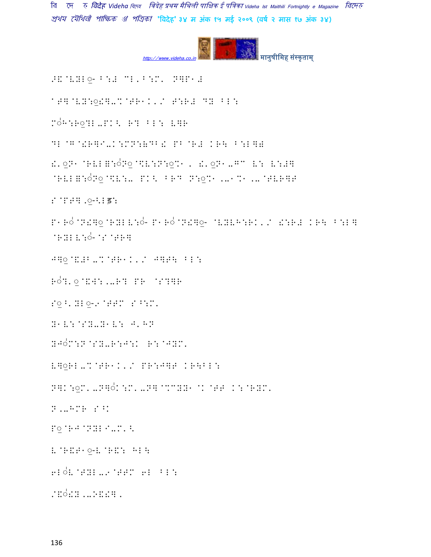

>&@VYL◌॒- B:# CL'B:M' N]P1# **THE MUSICARLY THE DISTURBATION** MÖHDER IKK RAR BERT RED RED RAR D DE DROGEROLDSTRAADE ER OPA CER FOAREA  $\mathbb{R}, \mathbb{Q}^n$ ) (bestime) which we consider  $\mathbb{R}$  and  $\mathbb{Q}^n$  are  $\mathbb{R}^n$  . In the set of  $\mathbb{R}^n$ OREE BA0P@ VELAWY FIRST PROTO DATE ON CATALERE SOPER SOFIES: PHPÓ NPLARO NEAL LOGÍ PHRÓ NACAROÍ NLALPOBLICIO LOGIE LOGIE (FOGLA). MRYLV: CHILL JPD TELES AND THE ROOM OF PERSON FOR B○P.Q'EAR WET PR @PRP @ SSO SUPER SOME STATE STATE STATE STATE STATE STATE STATE STATE STATE STATE STATE STATE STATE STATE STATE STATE STATE STATE STATE STATE STATE STATE STATE STATE STATE STATE STATE STATE STATE STATE STATE STATE STATE STATE STA **WI: WI: WI: J'HN: WI: J'HN: J** BA¢TGR(MBGAGG) BG(ABT.) LAQHILTIBRILI PRIHAME IRAFIY PA: N@MYLPA@MYLWPACTTRB+CMORACTYPEMA N,-HMR S^K Po THA TEH PLIT. L EMBRED OR THE HURT el@LJeHurjeeDoel Blir /H01H,...PH1H,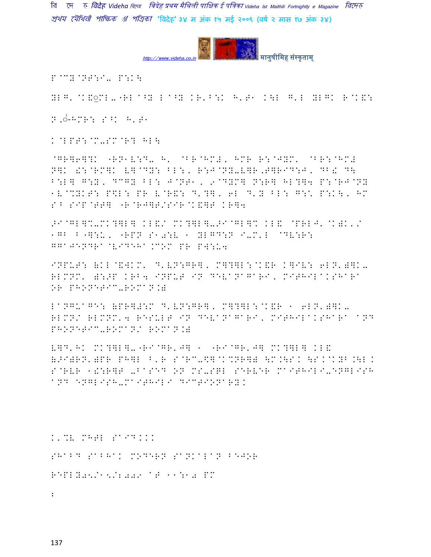

P@CY@NT:I- P:K\

YE AL ONE CONFIDENT AND A SOME ONE ON A REAL AND A CHECK REAL AND HIM KOKA:

N,◌ ॑-HMR: S^K H'T1

 $\ddot{\phantom{A}}$  , and the matrix  $\ddot{\phantom{A}}$  , and  $\ddot{\phantom{A}}$  , and  $\ddot{\phantom{A}}$  , and  $\ddot{\phantom{A}}$  , and  $\ddot{\phantom{A}}$  , and  $\ddot{\phantom{A}}$  , and  $\ddot{\phantom{A}}$  , and  $\ddot{\phantom{A}}$  , and  $\ddot{\phantom{A}}$  , and  $\ddot{\phantom{A}}$  , and  $\ddot{\phantom{A}}$ 

@GR]6]?K "RN1V:D- H' @BR@HM#, HMR R:@JYM' @BR:@HM# N]K !:@RM]K V]@DY: BL:, R:J@NY-V]R,T]RID:J, DB! D\ B:LE GREE STORE BEST ANDER IN MEDICINE HER BEST DANKER 1V@%YKT: P\$L: PR V@R&: D'?], 6L D'Y BL: G:\* P:K\, HM  $S^{\prime}$  sipapath  $S^{\prime}$  . The signal single state  $S^{\prime}$  and  $S^{\prime}$ 

>I@GL]%-MK?]L] KL&/ MK?]L]->I@GL]% KL& @PRLJ'@K)K'/ 1GB B"]:U, "RPN S10:V 1 YLGD:N I-M'L @DV:R: GGALENDRAGHENDRAG PR PUNIS

INDET: (KL@) OCHECOV, INDELDIARARE LI OPPORE NIME CONTRA L'ABID, 1881, 1881, 1 RLOGO :: BRET DEVANAGEMENT DER BEVORDE IN DER BEVORDE IN DE OR PHONETIC-ROMaN.)

 $E: \mathbb{R}^n$  ,  $E: \mathbb{R}^n$  ,  $E: \mathbb{R}^n$  ,  $E: \mathbb{R}^n$  ,  $E: \mathbb{R}^n$  ,  $E: \mathbb{R}^n$  ,  $E: \mathbb{R}^n$  ,  $E: \mathbb{R}^n$  ,  $E: \mathbb{R}^n$  ,  $E: \mathbb{R}^n$  ,  $E: \mathbb{R}^n$  ,  $E: \mathbb{R}^n$  ,  $E: \mathbb{R}^n$  ,  $E: \mathbb{R}^n$  ,  $E: \mathbb{R}^n$ RLOWN/ RLOWN/4 RESULT IN DEVANAGARI, MITHILAKSHARA AND MITHI PHONETIC-ROMaN/ ROMaN.)

V]D'HK MK?]L]-"RI@GR'J] 1 "RI@GR'J] MK?]L] KL& (>I)RN')PR PH]L B'R S@RC-\$]@K%NR]) \M.\S. \S.@KYB.\L. SMR 1981 - Based on MS-Sale server maithing maintenance and the Sale Schlesser Main and encoded the state of the state of the state of the state of the state of the state of the state of the sta

K' W MHTL SAID.

SHABB SHABD SABHAK MODERN SANKALAN BEJOR SANG MANGALAN BEJOR SANG MANGALAN BEJOR SANG MANGALAN BEJOR SANG MANG

REPRESENTATION OF SACTO PU

 $\ddot{\cdot}$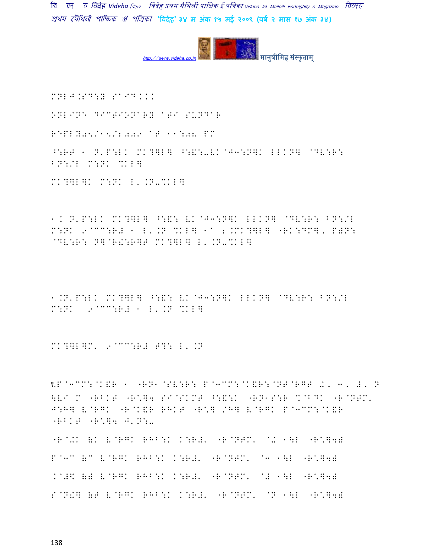

MNL, SOURCE STATE STATE STATE STATE STATE STATE STATE STATE STATE STATE STATE STATE STATE STATE STATE STATE ST

ONLINE DICTION CONTINUES IN THE RESERVE OF THE RESERVE OF THE RESERVE OF THE RESERVE OF THE RESERVE OF THE RES

REPRESENTATION OF SACRE FU

^:RT 1 N'P:LK MK?]L] ^:&:-VK@J3:N]K LLKN] @DV:R: BN://L M:NK %KL}

MARK MARK MARKET

1. N'P:LK MK?]L] ^:&: VK@J3:N]K LLKN] @DV:R: BN:/L M:P: V MORE 2 LI.N %KLE 2010 IN THE 2020 INTERNATION WENDY REGEREE WITHER EVIRUSER

1.N'P:LK MK?]L] ^:&: VK@J3:N]K LLKN] @DV:R: BN:/L M:NK 9 L'IMMER 9 LE . N 2 MILE

MK?]L]M' 9@CC:R# T?: L'.N

१.P@3CM:@K&R 1 "RN1@SV:R: P@3CM:@K&R:@NT@RGT +, 3, #, N  $\overline{A}$  and  $\overline{C}$  . The state of  $\overline{C}$  such that  $\overline{C}$  is  $\overline{C}$  and  $\overline{C}$  . The  $\overline{C}$  such that  $\overline{C}$  is  $\overline{C}$  and  $\overline{C}$  is  $\overline{C}$  is  $\overline{C}$  is a subset of  $\overline{C}$  . The  $\overline{C}$  is a subs J:H] V@RGK "R@K&R RHKT "R\*] /H] V@RGK P@3CM:@K&R "RBKT "R\*]4 J'N:-

 $R$  (Results and the Fig. results of the transformation  $R$  is  $R$  and  $R$  . The  $R$  -  $R$  is  $R$  and  $R$ P@3C (C V@RGK RHB:K K:R#' "R@NTM' @3 1\L "R\*]4)  $\ddot{\Omega}$  ()  $\ddot{\Omega}$  ()  $\ddot{\Omega}$  ()  $\ddot{\Omega}$  ()  $\ddot{\Omega}$  ()  $\ddot{\Omega}$  ()  $\ddot{\Omega}$  ()  $\ddot{\Omega}$   $\ddot{\Omega}$   $\ddot{\Omega}$   $\ddot{\Omega}$  ()  $\ddot{\Omega}$  ()  $\ddot{\Omega}$  ()  $\ddot{\Omega}$  ()  $\ddot{\Omega}$  ()  $\ddot{\Omega}$  ()  $\ddot{\Omega}$  ()  $\ddot{\Omega}$  ()  $\ddot{\Omega}$  ()  $\$  $S$  (T  $T$  ) (T  $T$  ) (T  $T$  ) (T  $T$  ) (T  $T$  ) (T  $T$  ) (T  $T$  ) (T  $T$  ) (T  $T$  ) (T  $T$  ) (T  $T$  ) (T  $T$  ) (T  $T$  ) (T  $T$  ) (T  $T$  ) (T  $T$  ) (T  $T$  ) (T  $T$  ) (T  $T$  ) (T  $T$  ) (T  $T$  ) (T  $T$  ) (T  $T$  ) (T  $T$  ) (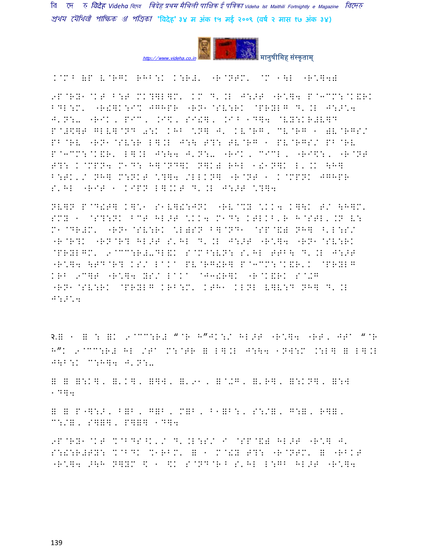

. O CONSIDERATION CONTROL CONTROL CONTROL CONTROL

9P@RY1@KT B:T MK?]L]M' KM D'.L J:>T "R\*]4 P@3CM:@K&RK BOL:M' "REAL AND "RUNE "REAL AND "REAL POINT" (AND " JP:: D'AL, O (RIK), .I. SI (PIC), .IS, SI (PICH), .IS, SI (PICH), .IS, SI (RIKH), RIKHAV POINBE BILBON WAS DRUCKED AN ILOHAN TEORA & HEORAN PP TRE CORPORATION IN THE ROOM OF THE REPORT OF THE REPORT OF THE REPORT OF THE R P@3CM:@K&R' L].L J:\4 J'N:- "RIK, CICL, "RI\$:, "R@NT TRIN COMPONE OF THO RESIDENCE DRILLE IRRELATED FIRE (1) COURFRE B:TA'/ A'/ NHAI (MAD) "RONT 1 A' MAIL (MAD) "RONT 1 AD NA A' MA' NA MA' MA' MA' MA' MA' AG MA' A' MA' MA' MA' STAN "RITH" I KIPN LANDER TO THE STANDARD OF THE STANDARD OF THE UNIVERSITY OF THE UNIVERSITY OF THE UNIVERSITY

NAND PORGER CRIM PALAGERD, MELOTE ICON CRAD EM SPAT. SMY 1 @S?:NK BCT HARD IS THE REPORT OF THE REPORT OF THE REPORT OF THE REPORT OF THE REPORT OF THE REPORT OF T M1@DR#MI "RN1@SV:RK \*L)SN BI "RN1@SV:RK \*L|)SN BI "RN1@SV:RK \*L|  $R$  . The restriction of the restriction of  $R$  is the state  $R$  such that  $R$ @PRYLGM' 9@CC:R#-DL&K S@M^:VN: S'HL TTB\ D'.L J:>T "RANG ARTISE LAW POLY FROM REAR POSTAGE CREAT OPENED KRB 9C'H "R#J#" R#J#LAKA MARA DA R#J#LAKA @J3 "RN1@SV:RK @PRYLG KRB:M' KTH1 KLNL V]V:D NH] D'.L  $\{H^1\}$ 

२.= 1 = : =K 9@CC:R# "@R H"JK:/ HL>T "R\*]4 "RT, JTa "@R H"C 3 COCHEL HE 245 TESH # EACH (4964 (2417 INEA # EACH  $H\oplus H\oplus H$  is considered as  $H\oplus H$ 

= = =:K], ='K], =]W, ='91, =@+G, ='R], =:KN], =:W  $1.94$ 

= = P"]:>, B=B, G=B, M=B, B1=B:, S:/=, G:=, R]=, C:/=, S]=], P]=] 1D]4

9P@RY1@KT %@BDS^K'/ D'.L:S/ I @SP@&) HL>T "R\*] J' STANDARDEN WORDT WAR DOOR HET FORDATING WANTED FOR THE SAFETY  $R^2$   $R^2$   $R^2$   $R^2$   $R^2$   $R^2$   $R^2$   $R^2$   $R^2$   $R^2$   $R^2$   $R^2$   $R^2$   $R^2$   $R^2$   $R^2$   $R^2$   $R^2$   $R^2$   $R^2$   $R^2$   $R^2$   $R^2$   $R^2$   $R^2$   $R^2$   $R^2$   $R^2$   $R^2$   $R^2$   $R^2$   $R^2$   $R^2$   $R^2$   $R^2$   $R^2$   $R^2$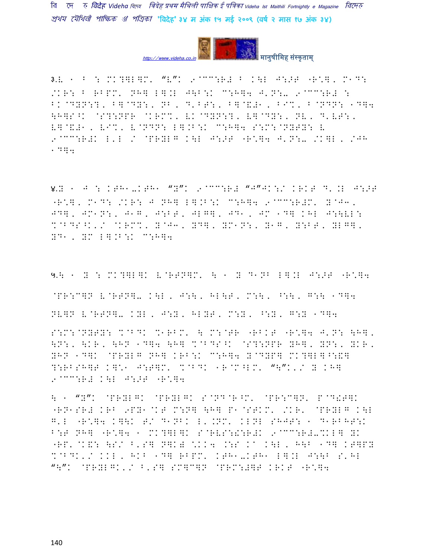

3.E + + h : MINHET, NEWI . MMY : MANAGE PORT AND A KOR HOURS IN THI /KR: B RBPM' NH] L].L J\B:K C:H]4 J'N:- 9@CC:R# : BK@DYN:?, B]@DY:, NB, D'BT:, B]@&#1, BI%, B@NDN: 1D]4 \H]S^K @S?:NPR @KRM%, VK@DYN:?, V]@DY:, NV, D'VT:, V]@&#1, VI%, V@NDN: L].B:K C:H]4 S:M:@NYTY: V 9@CC:R#K L'L / @PRYLG K\L J:>T "R\*]4 J'N:- /K]L, /JH  $1.944$ 

४.Y 1 J : KTH1-KTH1 "Y"K 9@CC:R# "J"JK:/ KRKT D'.L J:>T "R\*], M1D: /KR: J NH] L].B:K C:H]4 9@CC:R#M' Y@J3, JO JO JO JO JE JE JE JE JO JO JO JO JO JO JO JO JO JO JO JO JE JE JE JE JA VANARA NA %@BDS^K'/ @KRM%, Y@J3, YD], YM1N:, Y1G, Y:BT, YLG], YOU, YOU LEEK CONSING

 $9.4 \div 10^{-1}$   $\rm H_{\odot}$   $\sim$   $10^{-1}$   $\rm H_{\odot}$   $\rm H_{\odot}$   $\sim$   $1$   $\rm H_{\odot}$   $\rm H_{\odot}$   $\sim$   $10^{-1}$   $\rm H_{\odot}$   $\rm H_{\odot}$   $\sim$   $10^{-1}$   $\rm H_{\odot}$   $\rm H_{\odot}$   $\sim$   $10^{-1}$   $\rm H_{\odot}$   $\rm H_{\odot}$   $\sim$   $10^{-1}$   $\rm H_{\odot}$  @PR:C]N V@RTN]- K\L, J:\, HL\T, M:\, ^:\, G:\ 1D]4 NARTH A MHARRA, ISBN 1988-1981, HEBRI, ISBN 1988-1988-1988-1 SINIME SOME SOME WATERS OF THE SERIES OF THE RELEASE REPORT OF THE SERIES OF THE SERIES OF THE SERIES OF THE S  $\mathcal{H}:\mathbb{R}^n \to \mathbb{R}^n \to \mathbb{R}^n$  ,  $\mathcal{H}:\mathbb{R}^n \to \mathbb{R}^n$  ,  $\mathcal{H}:\mathbb{R}^n \to \mathbb{R}^n$  ,  $\mathcal{H}:\mathbb{R}^n \to \mathbb{R}^n$ YHN 1991 1D. HENN 1D. HENN 1D. HENN 1D. HENN 1D. HENN 1D. HENN 1D. HENN 1D. HENN 1D. HENN 1D. HENN 1 THE FURNITURE OF STRIPS IN THE REAL PROPERTY OF THE REAL PROPERTY OF THE REAL PROPERTY OF THE REAL PROPERTY OF

9. WWW. H: AND AND AND ALL AND ALL AND ALL AND ALL AND ALL AND ALL AND ALL AND ALL AND ALL AND ALL AND ALL AND

\ 1 "Y"K @PRYLGK @PRYLGK S@ND@R^M' @PR:C]N' P@D!T]K  $R$  . The state of the state of the problem is the state  $R$  state  $R$ G'L "R\*DHA" DHAD "BO"HYDED "BO"DDOO'D BDB" BHABK "KUNABERHAND B:T NH] "R\*]4 1 MK?]L]K S@RVS:!:R#K 9@CC:R#-%KL] YK "RP'D' MOBINE "BY DOOR IN THE BY NOT HANDLED IN THE 1DEPARTH. IN HARD 1D BEEN BY %@BOK'/ KKL, HKL, HTP PIEW, KEHL, LEHT-KTH1, PIEK 1968 "\"K @PRYLGK'/ BIST SMAGHE "PRYLIGHT" PRYLAGHE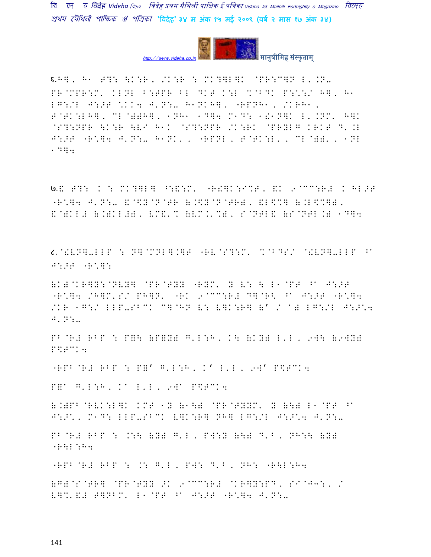

६.HE, H1 FER ANNE, /KNE N MITHER, /FENTAR E. NR. PROMPRESS CORPORATION BUSINESS ON A SERVICE RELATIONS LG:/L J:>T \*KK4 J'N:- H1NKH], "RPNH1, /KRH1, T@TK:LH], CL@))H], 1NH1 1D]4 M1D: 1!1N]K L'.NM' H]K @S?:NPR \K:R \VI H1K @S?:NPR /K:RK @PRYLG KRKT D'.L J:>T "R\*]4 J'N:- H1NK', "RPNL, T@TK:L', CL@))', 1NL  $1.99<sub>1.4</sub>$ 

७.& T?: . : MK?]L] ^:&:M' "R!]K:I%T, &K 9@CC:R# . HL>T "AFNER" AV PAL "E TRO TRIAR "BORD" PARAL "E RITH" & LE KIRE. &@)KL# (.)KL#), VM&'% (VM.'%), S@NTL& (S@NTL.) 1D]4

८.@!VN]-LLP : N]@MNL].]T "RV@S?:M' %@BDS/ @!VN]-LLP ^a J:>T "R\*]:

 $K$  and a strip  $K$  -dimension  $K$  . The strip  $K$  -dimension  $K$  is the  $K$  -dimension  $K$  and  $\mathcal{S}$   $\mathcal{S}$  are  $\mathcal{S}$  and  $\mathcal{S}$  are  $\mathcal{S}$  are  $\mathcal{S}$  are  $\mathcal{S}$  are  $\mathcal{S}$  are  $\mathcal{S}$  are  $\mathcal{S}$  are "R\*]4 /H]M'S/ PH]N' "RK 9@CC:R# D]@R< ^a J:>T "R\*]4 /KR 1G:/ LLP-SBCK C]@HN V: V]K:R] (' / a) LG:/L J:>\*4  $\mathcal{F}_1$ :  $\mathcal{F}_2$  :  $\mathcal{F}_3$ 

PB@R# RBP : P=\ (P=Y) G'L:H, K\ (KY) L'L, 9W\ (9WY) P\$TCK4

"RPB@R# RBP : P=' G'L:H, K' L'L, 9W' P\$TCK4

P=a G'L:H, Ka L'L, 9Wa P\$TCK4

(B) CHERRY (1) PB EXT 19 (20) BEAU (1) THE THOROUGH IN BEAUTOF THE CORP. J:>\*, M1D: LLP-SBCK V]K:R] NH] LG:/L J:>\*4 J'N:-

PR TRACHET : 5 . (YA) GOB, P. E., D'BAYO GHB (Y. F., OPHYA GOB.  $R\rightarrow R\rightarrow R\rightarrow R\rightarrow R\rightarrow R$ 

"RPB@R# RBP : .: G'L, PW: D'B, NH: "R\L:H4

(G)@S@TR] @PR@TYY >K 9@CC:R# @KR]Y:PD, SI@J3:, /  $X$  The Theorem (1)  $Y$  is the transferred to the transferred to the  $Y$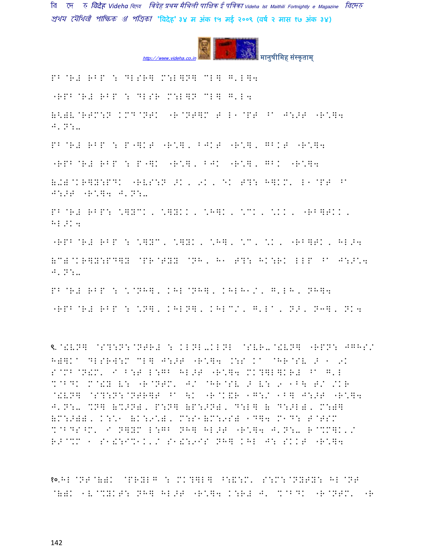

PR@R# RPP : DLSR4 M:L424 MI4 4.144

"RPB" : DLSR M: DLSR M: DLSR M: DLSR M: DLSR M: DLSR M: DLSR M: DLSR M: DLSR M: DLSR M: DLSR M: DLSR M: DLSR M

(BAGE) (BRITGIR) (CITA "DRI") (AB) (DRIRIT) (B) A JERNA "AT "AG1FB" (AB), RG  $J:V_{1,1}$ 

PROBA RRP : PORTH (ANDR) PATH (ANDR) APTH (ANDR)

"RPB@R# RBP : P"]K "R\*], BJK "R\*], GBK "R\*]4

(+)@KR]Y:PDK "RVS:N >K, 9K, EK T?: H]KM' L1@PT ^a J:>T "R\*]4 J'N:-

PB@R# RBP: \*]YCK, \*]YKK, \*H]K, \*CK, \*KK, "RB]TKK,  $H: H: H$ 

"RPB@R# RBP : \*]YC, \*]YK, \*H], \*C, \*K, "RB]TK, HL>4

(E) The CORPENSE THE RESEARCH DRIVE AND HIS CONFIDENCIAL LEFT CONTINUES.  $\mathcal{F}$  ,  $\mathcal{F}$  ,  $\mathcal{F}$ 

PB@R# RBP : \*@NH], KHL@NH], KHLH1/, G'LH, NH]4

"RPB" TRACHET : "NORB", "D'ABORE", "D'ABORI", "RUBO", "D'AD, "D'ABORI", D'ESA

९. TEEDRE | TERSORS TOREAL IS IN DEREUISE OR IN TEERU TEEDRE | FRANKLING @RPNEN HANDS MERBAND MEN ANDRE SPONGE INFORMATION FREQUEST OF SMOT CREDIT AN FINE ENERGY RESPECTED TO THE HISPE OF CHIEF. %@BDK M@!Y V: "R@NTM' J/ @HR@SV > V: 9 1B\ T/ /KR @!VN] @S?:N:@NTR]T ^a \K "R@K&R 1G:/ 1B] J:>T "R\*]4 J'N:- %N] (%>N), P:N] (P:>N), D:L] ( D:>L), M:)] (M:>)), K:\*1 (K:9\*), M:S1(M:9S) 1D]4 M1D: T@TSM %@BDS^M' I N]YM L:GB NH] HL>T "R\*]4 J'N:- R@%M]K'/ R>@%M 1 S1!:I%1K'/ S1!:9IS NH] KHL J: SKKT "R\*]4

१०.HE CRACHERS : KERRY & COURRER : PERYL : WARREN SEARCH CRACK @()K 1V@%YKT: NH] HL>T "R\*]4 K:R# J' %@BDK "R@NTM' "R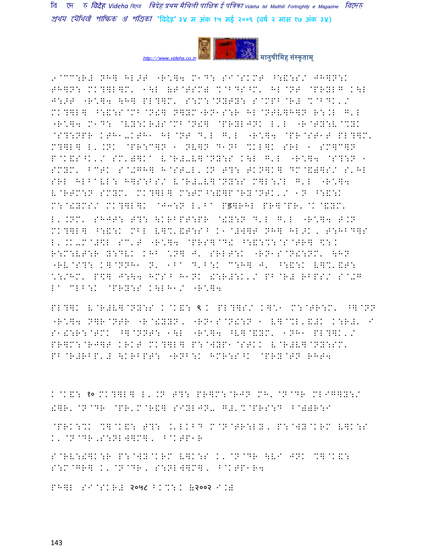

9@CC:R# NH] HL>T "R\*]4 M1D: SI@SKMT ^:&:S/ JH]N:K TH]N: MK?]L]M' 1\L (T@TSM) %@BDS^M' HL@NT @PRYLG K\L J:>T "R\*]4 \H] PL?]M' S:M:@NYTY: S@MPB@R# %@BDK'/ MK?]L] ^:&:S@MB@N!] N]YM"RN1S:R HL@NTV]H]N R:.L G'L  $R$  -property of the same property of the same property of the same property of the same property of the same property of the same property of the same property of the same property of the same property of the same propert @S?:NPR KTH1-KTH1 HL@NT D'L G'L "R\*]4 @PR@ST1T PL?]M' M?]L] L'.NK @PR:C]N 1 NV]N D1NB %KL]K SRL 1 SM]C]N P@K&S^K'/ SM')]Ka V@R#-V]@NY:S K\L G'L "R\*]4 @S?:N 1 SMYMON' BCTK SOMYHEM HOSTELI LOD (FINE ALDER BORD) NO NIHEN SOMYHE SRL HIVID: HRSPYN LSHALLTVORK VHISVI H.I. GRAH  $V$  is the small value of the small mass of the small  $\mathcal{L}^*$  ,  $\mathcal{L}^*$  ,  $\mathcal{L}^*$  ,  $\mathcal{L}^*$  ,  $\mathcal{L}^*$  ,  $\mathcal{L}^*$  ,  $\mathcal{L}^*$  ,  $\mathcal{L}^*$  ,  $\mathcal{L}^*$  ,  $\mathcal{L}^*$  ,  $\mathcal{L}^*$  ,  $\mathcal{L}^*$  ,  $\mathcal{L}^*$  , M:@:WAR: W:#H:#: MAR: WHO: PREFAIL PRESENT WORK

L'.NM' SHJT: T?: \KRBPT:PR @!Y:N D'L G'L "R\*]4 T.N MK?]L] ^:&:K MBL V]%'&T:S^ K1@#W]T NH] HL>K, T:HBD]S L'. MO LO MARE "STOLE" "ABNEB" MERSE MAD "PRENNEN "S' MERE "RIN" R:M:VT:R Y:DVK KHB \*N] J' SRLT:K "RN1S@N!:NM' \HN "RV@S?: K]@NNH1 N' 1Ba D'B:K C:H] J' ^:&:K V]%'&T: \*:/HM' P\$] J:\4 HMS^ H1NK !:R#:K'/ PB@R# RBPS/ S@+G La Claude (1983) (1984) (1984) (1984) (1984) (1984) (1984) (1984) (1984) (1984) (1984) (1984) (1984) (1984) (1

PL?]K V@R#V]@NY:S K@K&: ९ K PL?]S/ K]\*1 M:@TR:M' ^]@NN "R\*]4 N]R@NTR "R@!YYN, "RN1S@N!:N 1 V]@%L'&#K K:R#' I STA :RIS BOS CORRECTED FOR THE STANDARD CONTINUES. THE SAME PLACE IS NOT THE THROUGH IN  $\mathcal{E}$ PREDS GARA (PR)M PH RIM: PHONE CONTROL RIGHT WEST WITH PB@R#RBP'# \KRBPT: "RNB:K HMR:S^K @PRY@TN RHT4

KAMERY ROCKERER EVISE PRINTER MERY SHARING METHOD METHOD  $R$ GRA) (DR 1986) (PRANA) SIYOR GADI, A GI, D 1986169 (PRSER GAD

@PRK:%K %]@K&: T?: .'LKBD M@N@TR:LY, P:@WY@KRM V]K:S K'@NODR,S:NLWDR,S:NLWDR,S:NLWDR,S:NLWDR,S:NLWDR,S:NLWDR,S:NLWDR,S:NLWDR,S:NLWDR,

S@RV:!]K:R P:@WY@KRM V]K:S K'@N@DR \VI JNK %]@K&: S:MOR, S:MOR, S:NLW, S:NLW, S:NLW, S:NLW, S:NLW, S:NLW, S:NLW, S:NLW, S:NLW, S:NLW, S:NLW, S:NLW, S:NLW, S:NLW, S:NLW, S:NLW, S:NLW, S:NLW, S:NLW, S:NLW, S:NLW, S:NLW, S:NLW, S:NLW, S:NLW, S:NLW, S:NLW, S:NLW, S:NLW, S:NLW

 $P^1$ PH $P^2$ L Simple Band Band Book and  $P^2$  and  $P^2$  and  $P^2$  are  $P^2$  and  $P^2$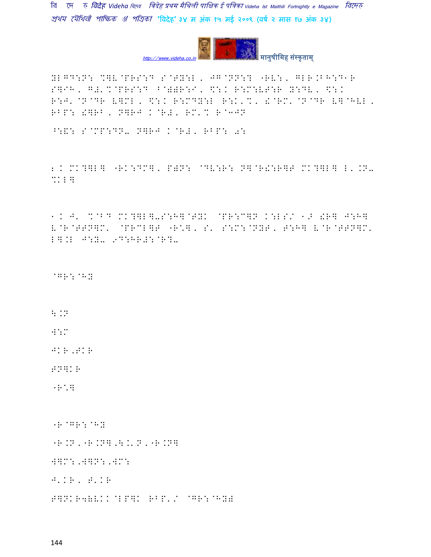

WE WANTED TO SEE THE SECOND CONTRACT CONTRACT COMPONENT ARE SERVED BY A NATURE SARTA , AG, CORAZAR (POBBANT, RN) DANCORRAN GHRE, RN) R:J'@N@DR V]ML, \$:. R:MDY:L R:K'%, !@RM'@N@DR V]@HVL, RBP: 2008 RD, RMY ROSEN

^:&: S@MP:DN- N]RJ K@R#, RBP: 0:

2. MK?]L] "RK:DM], P)N: @DV:R: N]@R!:R]T MK?]L] L'.N-  $MSE$ 

1. J' %@BD MK?]L]-S:H]@TYK @PR:C]N K:LS/ 1> !R] J:H] V@R@TTN]M' @PRCL]T "R\*], S' S:M:@NYT, T:H] V@R@TTN]M' LAN HI: PRINCIPLE

@GR:@HY

 $\ddot{\mathbf{h}}$  :  $\ddot{\mathbf{h}}$ 

W:M

JKR,TKR

**BOSH** 

 $\cdot$  R  $\cdot$  R  $\cdot$ 

 $R$  . The Hyperson problem is the Hyperson problem in the  $R$ 

"R.N,"R.N],\.'N,"R.N]

WHIM:, WHIM:

J'KR, T'KR

FARCHALLING RED. HER IN TANKER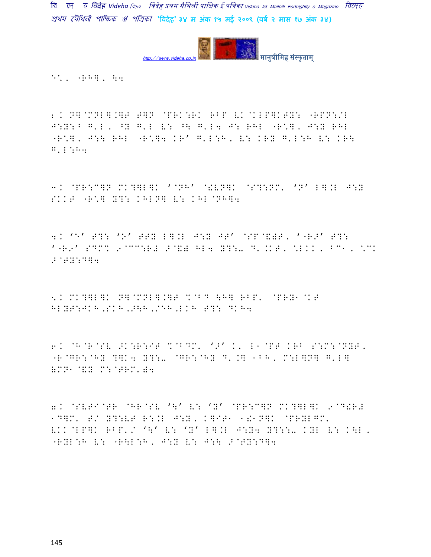

 $E_{\rm{eff}}$   $\sim$   $\frac{1}{2}$   $\frac{1}{2}$   $\frac{1}{2}$   $\frac{1}{2}$   $\frac{1}{2}$   $\frac{1}{2}$   $\frac{1}{2}$ 

2. N]@MNL].]T T]N @PRK:RK RBP VK@KLP]KTY: "RPN:/L J:Y:^ G'L, ^Y G'L V: ^\ G'L4 J: RHL "R\*], J:Y RHL "R#NHL" RNHL "R#NHHL "DEK" RUE NA L'EN CORD RUE NE L'EN CORE  $H_1$ : Hanger

3. @PR:C]N MK?]L]K '@NH' @!VN]K @S?:NM' 'N' L].L J:Y SK KT "R\*] Y: KHLN] Y: KHLN] Y: KHLN] Y: KHLN] Y: KHLN]

4. 'E' T?: 'O' TTY L].L J:Y JT' @SP@&)T, '"R>' T?: '"R9' SDM% 9@CC:R# >@&) HL4 Y?:- D'.KT, \*LKK, BC1, \*CK >@TY:D]4

 $5.1$  MM  $10.1$  H  $\pm$  100 MM  $\pm$  100 MM  $\pm$  100 MM  $\pm$  100 MM  $\pm$  100 MM  $\pm$  100 MM  $\pm$ HISPHING:DARK,SKH,ICH T?: DKH4

6. @H@R@SV >K:R:IT %@BDM' '>' K' L1@PT KRB S:M:@NYT, "R@GR:@HY ?]K4 Y?:- @GR:@HY D'.] 1BH, M:L]N] G'L] (MN1@&Y M:@TRM')4

7. @SVTI@TR @HR@SV '\' V: 'Y' @PR:C]N MK?]L]K 9@D!R# 1D]M' T/ Y?:VT R:.L J:Y, K]IT1 1!1N]K @PRYLGM' VKOLO TERREDI KERAJA KULONGAN DI MENJERI TERREDI HENGAN DI KERAJAAN DI LEGELO DI LIMBO LA JENERAL. L "RYL:H IN RHEN VIII IN RYL:H, JOHN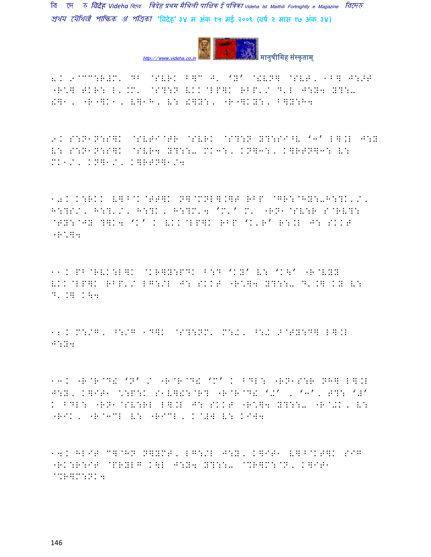

8. 8. 9@CC:R#M' DB @SVRK BIC:R#M' DB @SVRK BIC:R#M' OFFICE, APP @SVT "R\*] TKR: L'.M' @S?:N VKK@LP]K RBP'/ D'L J:Y4 Y?:- !]1, "R"]K1, V]1H, V: !]Y:, "R"]KY:, B]Y:H4

9. S:N1N:S]K @SVTI@TR @SVRK @S?:N Y?:SI^V '3' L].L J:Y  $\mathbb{R}$  : S:N11:S:N11:S:N11. S:N11. MASS (STR1) , MASS (STR1) , MASS (STR1) , MASS (STR1) , MASS (STR1) , MASS (STR1) MK1/, KN]1/, KN]1/, KN]1/, KN]1/, KN]

10. K:RKK V]^@K@TT]K N]@MNL].]T RBP @GR:@HY:-H:?K'/, H:?S/, H:?'/, H:?K, H:?M'4 'M'' M' "RN1@SV:R S@RV?: @TY:@JY ?]K4 'K' K VKK@LP]K RBP 'K'R' R:.L J: SKKT  $\cdot \vdots \cdot \vdots \cdot \cdot$ 

11. PB@RVK:L]K @KR]Y:PDK B:D 'KY' V: 'K\' "R@VYY VKK@LP]K RBP'/ LG:/L J: SKKT "R\*]4 Y?::- D'.] KY V: D. D. H.

 $12.1$  M:/G,  $12.1$  M:/G,  $12.1$  M://F,  $12.1$  M://F,  $12.1$   $12.1$   $12.1$   $12.1$   $12.1$   $12.1$  $35.94$ 

13. "R@R@D! 'N' / "R@R@D! 'M' K BDL: "RN1S:R NH] L].L J:P:N B: LITE \*:P: THE STATE THAT HE STATE IN THE STATE IN THE STATE IN THE STATE IN THE STATE IN TH K BDL: "RNN1MSPECIES" AN WOORTHAMS SENSOR "ROOM" RY "RIK, "RICH" RIK, "RICL, KOLER RIK (1984)

14. HLIT CHIT CHILITE, LOCALIT CHITI, LOCALIT CHITI "RESPECTIVE MOVING AND A SURFACE SOMETIME CONTROL @%R]M:NK4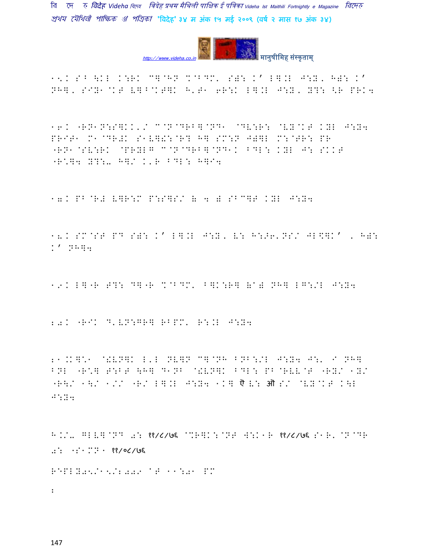

15. S^ \KL K:RK C]@HN %@BDM' S): K' L].L J:Y, H): K' NH], SIY1@KT V]^@KT]K H'T1 6R:K L].L J:Y, Y?: <R PRK4

16. "RN1N:S]KK'/ C@N@DRB]@ND1 @DV:R: @VY@KT KYL J:Y4 PRITH MITH THE ENCYCLE HER SMY HER SMY HERE IN MY THEN SPE "RN1@SV:RK @PRYLG C@N@DRB]@ND1K BDL: KYL J: SKKT "R\*]4 Y?:- H]/ K'R BDL: H]I4

17. PB YES ENERGY PRENED BOARD BOARDING CONTACT

18. SM ST POST PD SYSTEMS OF SYSTEMS (IN THE SYSTEM AND LOTEN ASSESSMENT AND LOTEN AND LOTEN AND LOTEN AND LOT  $M$   $N$   $N$   $N$   $N$   $N$   $N$   $N$ 

19. L]"R T?: D]"R %@BDM' B]K:R] (a) NH] LG:/L J:Y4

20. "RIK D'VN:GR] RBPM' R:.L J:Y4

22.K]\*21.K]\*21.HI BLE PERP TRIP FREE RIL AGIN AG. 20 PHB BNDL "R#NB" BNL "R#B" TROP "NINB BBL" FT:BT "BDL: PB@RV" RBD "R\/ 1\/ 1// "R/ L].L J:Y4 1K] ऎ V: ऒ S/ @VY@KT K\L  $J:Y_1,Y_2$ 

 $H:U_{\rm eff}$  ,  $H: E \oplus V \oplus V$  ,  $H: E \oplus V$  ,  $H: E \oplus V$  ,  $H: E \oplus V$  ,  $H: E \oplus V$  ,  $H: E \oplus V$  ,  $H: E \oplus V$  ,  $H: E \oplus V$  ,  $H: E \oplus V$  ,  $H: E \oplus V$  ,  $H: E \oplus V$  ,  $H: E \oplus V$  ,  $H: E \oplus V$  ,  $H: E \oplus V$  ,  $H: E \oplus V$  ,  $H: E \oplus V$  ,  $H: E \oplus V$  , 0: "S1MN" ११/०८/७६ REPLYNS AT 100 PM  $\ddot{\cdot}$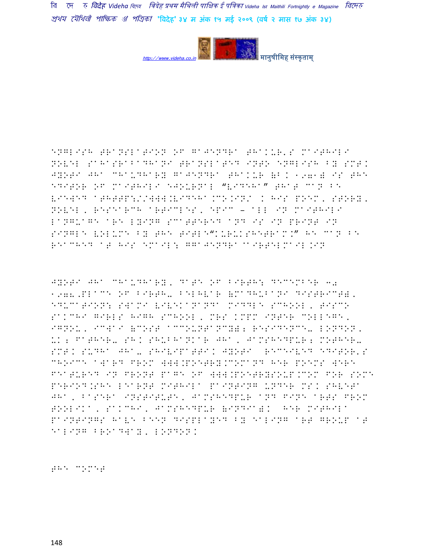THE COMET

JYOTI JHa CHaUDHaRY, DaTE OF BIRTH: DECEMBER 30 1988,PLACE OF BIRTH- BIRTH- BIRTH- BIRTH- BIRTH- BELHVAR (MADHUBANI) EDUCaTION: SWaMI VIVEKaNaNDa MIDDLE SCHOOL, TISCO SaKCHI GIRLS HIGH SCHOOL, MRS KMPM INTER COLLEGE, IGNOU, ICWaI (COST aCCOUNTaNCY); RESIDENCE- LONDON, UK; FaTHER- SH. SHUBHaNKaR JHa, JaMSHEDPUR; MOTHER-SMT. SUDHa JHa- SHIVIPaTTI. JYOTI RECEIVED EDITOR'S CHOICE aWaRD FROM WWW.POETRY.COMaND HER POEMS WERE FEaTURED IN FRONT PaGE OF WWW.POETRYSOUP.COM FOR SOME PERIOD.SHE LEaRNT MITHILa PaINTING UNDER MS. SHVETa JHa, BaSERa INSTITUTE, JaMSHEDPUR aND FINE aRTS FROM TOOLIKa, SaKCHI, JaMSHEDPUR (INDIa). HER MITHILa PaINTINGS HaVE BEEN DISPLaYED BY EaLING aRT GROUP aT EaLING BROaDWaY, LONDON.

ENGLISH TRaNSLaTION OF GaJENDRa THaKUR'S MaITHILI NOVEL SaHaSRaBaDHaNI TRaNSLaTED INTO ENGLISH BY SMT. JOOTI JA CHAUDHARY GALENDRA THAKUR (B. 1971) IS THE CHAUDHARY EDITOR OF MAINER SHELBER "VIRTUAL" (BELF) THAT CAN VIEWED aTHTTP://WWW.VIDEHa.CO.IN/ . HIS POEM, STORY, NOVEL, RESEaRCH aRTICLES, EPIC – aLL IN MaITHILI LaNGUaGE aRE LYING SCaTTERED aND IS IN PRINT IN SINGLE VOLUME BY THE TITLE"KURUKSHETRaM." HE CaN BE REaCHED aT HIS EMaIL: GGaJENDRa@aIRTELMaIL.IN



िव दिन दि विदेह Videha <sub>विष्ट</sub> विदेह प्रथम मैथिली पाक्षिक ई पत्रिका <sub>Videha</sub> Ist Maithili Fortnightly e Magazine *वि*दिन्ह õथम मैिथली पािक्षक ई पिñका **'**िवदेह**'** ३४ म अंक १५ मई २००९ (वष र् २ मास १७ अंक ३४)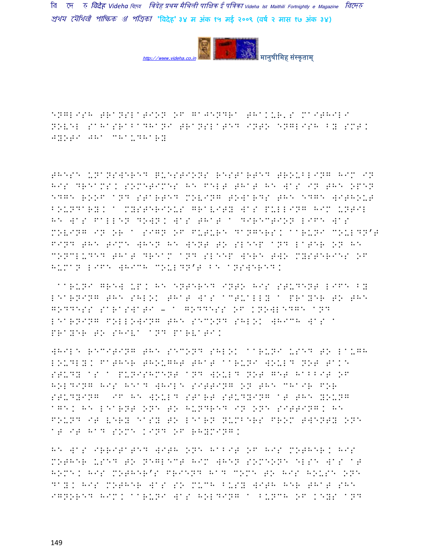HE WaS IRRITaTED WITH ONE HaBIT OF HIS MOTHER. HIS MOTHER USED TO NEGLECT HIM WHEN SOMEONE ELSE WaS aT HOME. HIS MOTHER'S FRIEND HaD COME TO HIS HOUSE ONE DaY. HIS MOTHER WaS SO MUCH BUSY WITH HER THaT SHE IGNORED HIM. aaRUNI WaS HOLDING a BUNCH OF KEYS aND

WHILE RECITING THE SECOND SHLOK aaRUNI USED TO LaUGH LOUDLY. FaTHER THOUGHT THaT aaRUNI WOULD NOT TaKE STUDY aS a PUNISHMENT aND WOULD NOT GET HaBBIT OF HOLDING HIS HEaD WHILE SITTING ON THE CHaIR FOR STUDYING IF HE WOULD STaRT STUDYING aT THE YOUNG aGE. HE LEaRNT ONE TO HUNDRED IN ONE SITTING. HE FOUND IT VERY EaSY TO LEaRN NUMBERS FROM TWENTY ONE aT IT HaD SOME KIND OF RHYMING.

GODDESS SaRaSWaTI – a GODDESS OF KNOWLEDGE aND LEaRNING FOLLOWING THE SECOND SHLOK WHICH WaS a PRaYER TO SHIVa aND PaRVaTI.

HUMaN LIFE WHICH COULDN'T BE aNSWERED. aaRuni Grew up. He entered and had provident by the LEaRNING THE SHLOK THaT WaS aCTUaLLY a PRaYER TO THE

THESE UNaNSWERED QUESTIONS RESTaRTED TROUBLING HIM IN HIS DREAMS SOMETIME HE FELT THAT HE WAS IN THE WAS INTERFER EDGE ROOF aND STaRTED MOVING TOWaRDS THE EDGE WITHOUT BOURD BOUNDARY PROVING GRAVITY WAS PULLING HIM UNIVERSED HE WAS FALLEN DOWN. WAS THAT A DIRECTION LIFE WAS THAT A DIRECTION LIFE. MOVING IN OR a SIGN OF FUTURE DaNGERS. aaRUNI COULDN'T FIND THE TIME WHEN HE WENT TO SLEEP aND LaTER ON HE CONCLUDED THaT DREaM aND SLEEP WERE TWO MYSTERIES OF

ENGLISH TRaNSLaTION OF GaJENDRa THaKUR'S MaITHILI NOVEL SaHaSRaBaDHaNI TRaNSLaTED INTO ENGLISH BY SMT. JYOTI JHA CHAUDHARY



िव दिन दि विदेह Videha <sub>विष्ट</sub> विदेह प्रथम मैथिली पाक्षिक ई पत्रिका <sub>Videha</sub> Ist Maithili Fortnightly e Magazine *विद*फ्ट õथम मैिथली पािक्षक ई पिñका **'**िवदेह**'** ३४ म अंक १५ मई २००९ (वष र् २ मास १७ अंक ३४)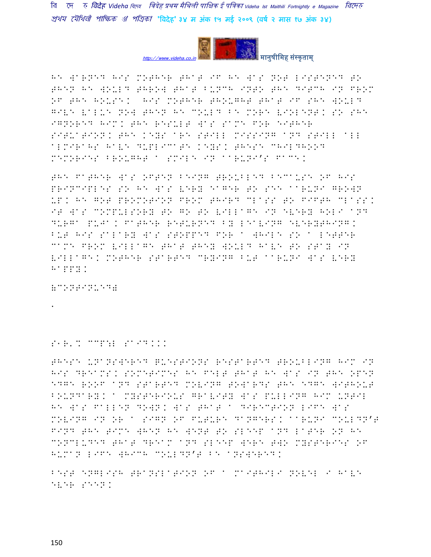BEST ENGINEERS AND TRANSLATION OF A MAITHILITY OF A MAITHILI EVER SEEN.

THESE UNaNSWERED QUESTIONS RESTaRTED TROUBLING HIM IN HIS DREaMS. SOMETIMES HE FELT THaT HE WaS IN THE OPEN EDGE ROOF aND STaRTED MOVING TOWaRDS THE EDGE WITHOUT BOUNDARY. THERMOUS GRAVITY WAS PULLING HIM UNTIL HE WaS FaLLEN DOWN. WaS THaT a DIRECTION LIFE WaS MOVING IN ORDER OF FUTURE DANGERS. AARUNI COULDN'T COULDN'T FIND THE TIME WHEN HE WENT TO SLEEP aND LaTER ON HE CONCLUDED THaT DREaM aND SLEEP WERE TWO MYSTERIES OF HUMaN LIFE WHICH COULDN'T BE aNSWERED.

S1R'% CCP:L SaID...

(CONTINUED)

 $\ddot{\phantom{0}}$ 

THE FaTHER WaS OFTEN BEING TROUBLED BECaUSE OF HIS PRINCIPLES SO HE WaS VERY EaGER TO SEE aaRUNI GROWN UP. HE GOT PROMOTION FROM THIRD CLaSS TO FIFTH CLaSS. IT WaS COMPULSORY TO GO TO VILLaGE IN EVERY HOLI aND DURGa PUJa. FaTHER RETURNED BY LEaVING EVERYTHING. BUT HIS SALARY WAS STOPPED FOR A WHILE SOME AND DESCRIPTION OF A WHILE SOME AND A WHILE SOME AND A WHILE SOME CAME FROM VIOLENCE THAT THEY WOULD HAVE TO STAY IN THE TO STAY VILLaGE. MOTHER STaRTED CRYING BUT aaRUNI WaS VERY **Happy**.

HE WaRNED HIS MOTHER THaT IF HE WaS NOT LISTENED TO THEN HE WOULD THROW THaT BUNCH INTO THE DITCH IN FROM OF THE HOUSE. HIS MOTHER THAT IF SHE WOULD GIVE VaLUE NOW THEN HE COULD BE MORE VIOLENT. SO SHE IGNORED HIM. THE RESULT WaS SaME FOR EITHER SITUaTION. THE KEYS aRE STILL MISSING aND STILL aLL aLMIRaHS HaVE DUPLICaTE KEYS. THESE CHILDHOOD MATHEMAN PENDAGE A SMILE IN AARUNIED FACE AARUNI



ৱি দে হ *বিदेह Videha ৰিদ্*হ *विदेह प्रथम मैथिली पाक्षिक ई पत्रिका Videha Ist Maithili Fortnightly e Magazine বিদেহ* õथम मैिथली पािक्षक ई पिñका **'**िवदेह**'** ३४ म अंक १५ मई २००९ (वष र् २ मास १७ अंक ३४)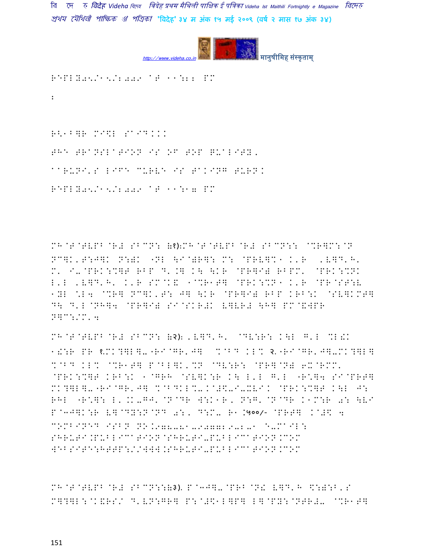ৱি দে <sup>হ</sup> <mark>विदेह Videha</mark> <sub>বিদেহ</sub> ৰিবলৈ *प्रथम मैथिली पाक्षिक ई पत्रिका Videha Ist Maithili Fortnightly e Magazine बिদে*হ õथम मैिथली पािक्षक ई पिñका **'**िवदेह**'** ३४ म अंक १५ मई २००९ (वष र् २ मास १७ अंक ३४)



REPLYNS AT 100 AT 11:22 PM

 $\ddot{\cdot}$ 

RR MISL SAID. THE TRaNSLaTION IS OF TOP QUaLITY, aaRuni's Life Curve Is Life Curve Is taking the South of the Curve Is the Curve Is the Curve Is the Curve Is t REPLYNS AT 11:17 PM AT 11:17 PM AT 11:17 PM AT 11:17 PM AT 11:17 PM AT 11:17 PM AT 11:17 PM AT 11:17 PM AT 11:

MHOTE SERIES SPECIES SBCN: (1): MHOTE SBCN: (1): MHD TO TVPB@R# SBCN: (1): @NE MISSION: OR & NEW RESIDENT SBC NCHI.JAYAH: SYAK: YA: NY'ABAY CY (TBLACY I.B) (LAAS.A. M' I-@PRK:%]T RBP D'.] K\ \KR @PR]I) RBPM' @PRK:%NK L'L E NORDERLA L'ONDER EN DISTINCTION ANNO 1995 ANNO 1996 ANNO 1996 ANNO 1996 ANNO 1996 ANNO 1997 ANNO 1997 A 1YL \*L4 @%R] NC]K'T: J] \KR @PR]I) RBP KRB:K @SV]KMT] D\ D'L@NH]4 @PR]I) SI@SKR#K V]VR# \H] PM@&WPR N]C:/M'4

MHOTATA SHE SHA SHOTATI ARD: (1997, H. COTHENHIE CAL CHI, H. C. THE 1!:R PR १.MK?]L]-"RI@GR'J] %@BD KL% २."RI@GR'J]-MK?]L] %@BD KL% @%R1T] P@BL]K'%N @DV:R: @PR]@N) 6X@RMM' @PRK:%]T KRB:K 1@GRH @SV]K:R K\ L'L G'L "R\*]4 SI@PRT] MK? BRE RIGHAM MARI (PART OF MORE TO GO CRECK LIGHT) CONTROL START (PART OF START) RHL "RENADR LI.K: LARG, NASHA GEN REN WERE NASHA NI KINAR GEORGE POSTED RECEPTS OF THE PRINCIPS ON A SERVE AND DISPOSE COMBINED ISBN NO.978-81-907-907-0-1 E-Mail: Combined ISBN 0-78-71-907-2-1 E-Mail: Combined ISBN 0-78-71-0-1 SHRUTI.PUBLICaTION@SHRUTI-PUBLICaTION.COM

MH@T@TEFF@R# SPCTVPB1080. P@34H&CPPF@NP# B#7. P@71#1F.F MAGARI B: MICHER ZO MUSICARDA PIEDE CHARS- E ARTE DE A MEDIO MORPORO (MORS BAR

WEBSITE:HTTP://WWW.SHRUTI-PUBLICaTION.COM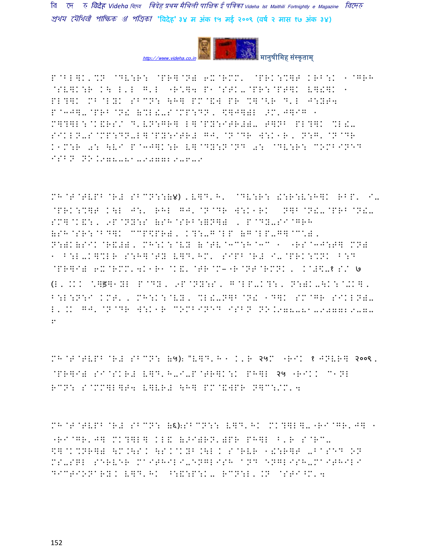http://www.videha.com<br>| www.videha.com<br>| मानुषीमिह संस्कृताम्

P@BL]K'%N @DV:R: @PR]@N) 6X@RMM' @PRK:%]T KRB:K 1@GRH  $\mathcal{N}(\mathcal{E},\mathcal{E})$  is a control of the probability of  $\mathcal{E}$  . The probability  $\mathcal{E}$  is a control of the probability of  $\mathcal{E}$ PL?]K MB@LYK SBCN: \H] PM@&W PR %]@<R D'L J:YT4 P@3J]-@PRB@N! (%L!-S@MP:DN, \$]J])L >M'J]IG 1 MARIAN MUREZO DI LEGAREA (ERUPORAZELEL GARD) (PERDO MERL) SIKLN-S@MP:DN-L]@PY:ITR# GJ'@N@DR W:K1R, N:G'@N@DR KN:R 0: COMBINED ON THE COMBINED ON DESCRIPTION OF A LICENSE OF DV: COMBINED OF D ISBN NO.978-81-907-81-907

MH@T@T@ELEPF@R# SPCNYPREE8) .EUPPLOR: (30E/HER SECHRENE ERFENSORIE @PRK:%]T K\L J:' RHL GJ'@N@DR W:K1RK N]B@N!-@PRB@N!- SMORE SMORE SMORE SMORE SMORE SMORE SMORE SMORE SMORE SMORE SMORE SMORE SMORE SMORE SMORE SMORE SMORE SMORE SMORE SMORE SMORE SMORE SMORE SMORE SMORE SMORE SMORE SMORE SMORE SMORE SMORE SMORE SMORE SMORE SMORE SMORE SMORE (SH@SR:@BD]K CCP\$PR), K?:-G@LP (G@LP-G]@C\*), N:B(B)), MH:B(), MH:K:@VK (@TV@3C:H@3C:H@3C 1 "RS@3J:T] 1 B:L-K]%LR S:H]@TY V]D'HM' SIPB@R# I-@PRK:%NK B:D @PR]I) 6X@RMM'4K1R1@K&'@TR@M–"R@NT@RMNK, .@#\$-१ S/ ७  $(1.111, 1.489)$  H  $(2.113, 2.17)$  Particle (see Fig. 1991),  $(3.113, 4.17)$  and  $(4.113, 4.17)$ B:L:N:I KMT', MH:K:@VY, %L!-N]B@N! 1D]K SM@GR SIKLN)- L'.K GJ'@N@DR W:K1R COMBINED ISBN NO.978-81-907729-7-  $\mathbf{C}^{\bullet}$ 

MH TO TO THE TO THE SACTOR OF THE SACTO AND THE SACTORY AND RELEASED ROOS. @PR]I) SI@SKR# V]D'H-I-P@TR]K:K PH]L २५ "RIKK C1NL RCN: S@MM]L]T4 V]VR# \H] PM@&WPR N]C:/M'4

MH@T@T@TEX: (800): (6):SBCN:: CORECT MARKET MARKET MARKET "RIACTRIAL ARE ON TRIER OF BOARDAGED, BEROFFIELD BOARD IN STAND \$]@K%NR]) \M.\S. \S.@KYB.\L. S@RVR 1!:R]T -BaSED ON MS-SAMBOR SERVER MAIT HILLIGE SERVER MAITHILIGE AND ENGLISHED AND ENGLISH-MAITHILIGE AND ENGLISH-MAITHILIGE AN DICTIONARY. VIOLENCE, POSSIMARY AND AN ORIGINAL CONSTRUCTION AS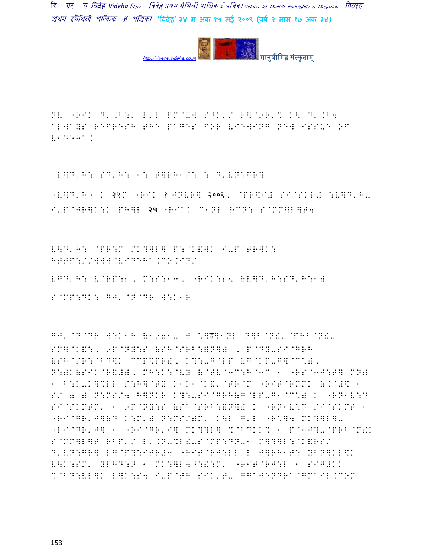

NV "RIK D'.B:K L'L PM@&W S^K'/ R]@6R'% K\ D'.B4 aLWaYS REFRESH THE PaGES FOR VIEWING NEW ISSUE OF VIDEHa.

V]D'H: SD'H: 1: T]RH1T: : D'VN:GR]

 $V$ DEF, R  $V$  of  $V$   $\mathcal{R}$   $\mathcal{R}$   $\mathcal{R}$   $\mathcal{R}$  . The same is stated in the similar similar  $\mathcal{R}$ I-PORTHAM AND PHALL 29 (RENOL TO PER ROUND SOMMARIAN)

V]D'H: @PR?M MK?]L] P:@K&]K I-P@TR]K: HTTP://WWW.VIDEHa.CO.IN/ V]D'H: V@R&:2, M:S:13, "RIK:25 (V]D'H:SD'H:1) S@MP:DK: GJ'@N@DR W:K1R

BA, 'B'ME AND'E WEYN'I A NABA'AR (PAR NAL TER NAL SM]@K&:, 9P@NY:S (SH@SRB:=N]) , P@DY-SI@GRH (SH@SR:@BD]K CCP\$PR), K?:-G@LP (G@LP-G]@C\*), N:)K(SIK@R&#), MH:K:@VY (@TV@3C:H@3C 1 "RS@3J:T] MN) 1 B:L-K]%LR S:H]@TY K1R1@K&'@TR@M "RIT@RMNK (.@#\$ 1 S/ 8 8 PHILE HERR STELL CORPORATION COLOR STAR CORPORATION SIMPLE TO A REPORT OF THE SIMPLE TO A REPORT OF THE SIMPLE TO A REPORT OF THE SIMPLE TO A REPORT OF THE SIMPLE "PIACERE, ARBAC, D'EST, BOSPESIS, CONECRE "RIBO" PENNADI SON NABERI. "RIGR'THIGH'HIGH'S "RIGHT" PIG "POSSED IN THE POSSED OF THE RIGHT OF DESCRIPTION OF DESCRIPTION OF DESCRIPTION S@MM]L]T RBP'/ L'.N-%L!-S@MP:DN-1 M]?]L:@K&RS/ D'VN:GR] L]@PY:ITR#4 "RIT@RJ:LL'L T]RH1T: YBN]KL\$K V]K:SM' YLGD:N 1 MK?]L]^:&:M' "RIT@RJ:L 1 SIG#KK %@BD:VL]K V]K:S4 I-P@TR SIK'T- GGaJENDRa@GMaIL.COM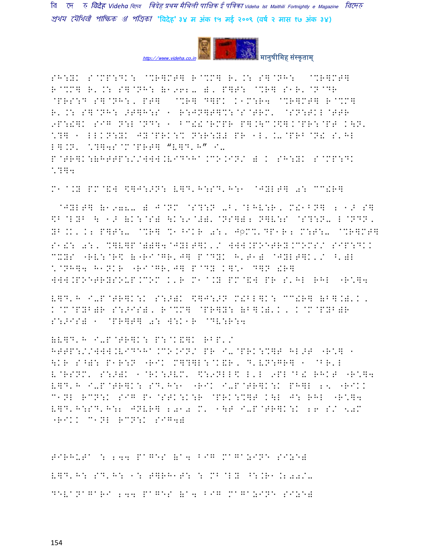

SH:YK S@MP:DK: @%R]MT] R@%M] R'.: S]@NH: @%R]MT] R@%M] R'.: S]@NH: (1962- ), P]T: @%R] S1R'@N@DR @PRS:D S]@NH:, PT] @%R] D]PK K1M:R4 @%R]MT] R@%M] R'.: S]@NH: >T]H:S 1 R:JN]T]%:@S@TRM' @SN:TKL@TTR 9P:!]K SIG N:L@ND: 1 BC!!@RMPR P].\C.\$].@PR:@PT K\N' \*?] 1 LLKN:YK JY@PRK:% N:R:Y# PR 1L'.-@PRB@N! S'HL LAND THE TURN SERVICE IN THE SERVICE IN THE SERVICE IN THE SERVICE IN THE SERVICE IN THE SERVICE IN THE SERVICE P@TR]K:(HTTP://WWW.VIDEHa.CO.IN/ ) K SH:YK S@MP:DK  $^{\prime}$ .  $^{\prime}$  :  $^{\prime}$  :  $^{\prime}$ 

MANI BOOK \$\$P\$201 \$\$P.PHOLPH: MABY \$\$P\$20. COMP

MAJE 29 GERDEEL GEVANDED METER (LA). NAARRE IS DIE PAARSE EN ASTER \$B@LYB \ 1> (K:@S) \K:9@#)'@NS]); N]V:S @S?:N- L@NDN, YB.K'.; P.F. PIRES., OTTER OTH PRICE (25), JPDTI, TEHER; DOGERS, OTTERPER STRIKT (USI), "DALAET TEEARY TROE BAD, LOV HER OOD TEER OND OVER 2019 TO DV CONSTRAINS TO REPORT OF RECORDS TO REPORT OF REAL PARTNERS IN THE ENTIRE AND INVESTIGATION OF REAL PARTNERS OF \*@NH]4 H1NKR "RI@GR'J] P@DY K]\*1 D]N !R] WWW.POETRYSOUP.COM KYR MARKET ROMAN IN DIE REIN DIE SOME DIE SOME DIE SOME DIE SOME DIE SOME DIE SOME DIE SOME

V]D'H I-P@TR]K:K S:>)K \$]J:>N M!BL]K: CC!R] (B].)'K, K@M@PYB)R S:>IS), R@%M] @PR]Y: (B].)'K, K@M@PYB)R STEPTED OF THE CONTROL OF STREET

(V]D'H I-P@TR]K: P:@K&]K RBP'/ HTTP://WWW.VIDEHA.CO.IN/ PROVIDED THE INVESTIGATION IN THE INVESTIGATION  $\sim$ \KR S^): P1R:N "RIK M]?]L:@K&R, D'VN:GR] 1 @BR'L RSHIVAT STERNO STERNOON STERNOONS LOOP IN THE TENSOR SECTION BUR, A SALE MEREL A STRIAN SSANT SALE MEREL ALS PAUL SAS SENTI C1NL RCN: RENEW PRODUCED PRODUCED A RENEW PRODUCED A RENEW PRODUCED A RENEW PRODUCED A RENEW PRODUCED A RENEW V]D'H:SD'H:2 JNVR] 2010 M' 1\T I-P@TR]K:K 26 S/ 50M  $R$ RIKK CHINE RONAL RONAL

TIRHUTa : 244 PaGES (a4 BIG MaGaZINE SIZE) BURGER SOMETIGE STRIKE SOMETIGE STRIKT SOM STRIKT SOM AN ARTISTET SOM STRIKT SOM AN ARTISTET SOM SOM ANDET SOM DEVaNaGaRI 244 PaGES (a4 BIG MaGaZINE SIZE)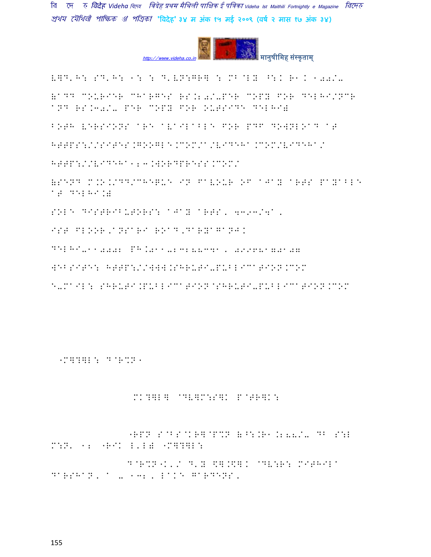

BURGER STREET : DONE COMMENT : DE TERMINE : PRINT A LANG

(aDD COURIER CHaRGES RS.20/-PER COPY FOR DELHI/NCR aND RS.30/- PER COPY FOR OUTSIDE DELHI)

BOTH VERSIONS aRE aVaILaBLE FOR PDF DOWNLOaD aT

HTTPS://SITES.GOOGLE.COM/a/VIDEHa.COM/VIDEHa/

HTTP://VIDEHa123.WORDPRESS.COM/

(SEND M.O./DD/CHEQUE IN FaVOUR OF aJaY aRTS PaYaBLE aT DELHI.)

SOLE DISTRIBUTORS: AJAY ARTS, 4493/41

IST FLOOR,aNSaRI ROaD,DaRYaGaNJ.

DELHI-110002 PH.011-23288341, 09968170107

WEBSITE: WEBSITE: WARRANT - HTTP://WWW.SHRUTI-PUBLICATION.COM

E-MaIL: SHRUTI.PUBLICaTION@SHRUTI-PUBLICaTION.COM

"M]?]L: D@R%N"

M:N: 12 "RIK L'ELIS "RIK L'ELIS

DaRSHaN, a - 132, LaKE GaRDENS,

MAKRET MAKED AN DIE STREEK WARREN IN 1999 EEN DIE SONDOORLIK POLITIEK IN DIE SONDOORLIK POLITIEK EN DIE SONDOOR

D@R%N"K'/ D'Y \$].\$]. @DV:R: MITHILa

"RPN S@BS@KR]@P%N (^:.R1.288/- DB S:L

155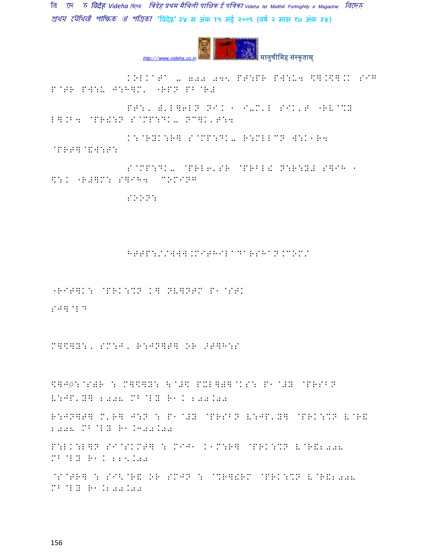

KOLKATA - 700 045 PT:PR PU:PR PU:PR PU:PR PU:PR PU:PR PU:PR PU:PR PU:PR PU:PR PU:PR PU:PR PU:PR PU:PR PU:PR PU:P PORT PRINCIPLE PRODUCED

 PT:, )'L]6LN NI. 1 I-M'L SIK'T "RV@%Y LAN SOMETIME SOMETIME SERVICE

 K:@RYK:R] S@MP:DK- R:MLLCN W:K1R4 @PRT]@&W:T:

 S@MP:DK- @PRL6'SR @PRBL! N:R:Y# S]IH 1 **\$:. "R#B:** SHAW: TRISH

SOON:

HTTP://WWW.MITHILADaRSHAN.COM/MITHILADARSHAN.COM/MITHILADARSHAN.COM/MITHILADARSHAN.COM/MITHILADARSHAN.COM/MITH<br>HTTP://WWW.MITHILADARSHAN.COM/MITHILADARSHAN.COM/MITHILADARSHAN.COM/MITHILADARSHAN.COM/MITHILADARSHAN.COM/MITH

"RIT]K: @PRK:%N K] NV]NTM P1@STK

Spirage State

M]\$]Y:, SM:J, R:JN]T] OR >T]H:S

\$]J◌़:@S)R : M]\$]Y: \@#\$ PXL])]@KS: P1@#Y @PRSBN V:JP'Y] 2008 MB@LY R1. 200.00

R:JN]T] M'R] J:N : P1@#Y @PRSBN V:JP'Y] @PRK:%N V@R& 2008 MB@LY R1.300.00

P:LK:L]N SI@SKMT] : MIJ1 K1M:R] @PRK:%N V@R&2008  $M$  R<sub>1</sub>. 225.000  $M$ 

@S@TR] : SI<@R& OR SMJN : @%R]!RM @PRK:%N V@R&2008 MB@LY R1.200.00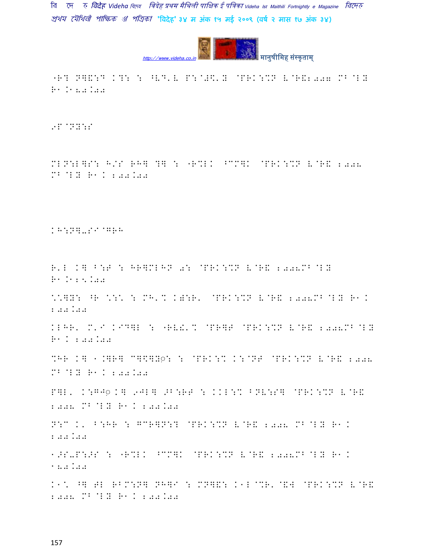

 $R$  . The contract of the contract of the contract  $R$  and  $R$  are  $R$  and  $R$  and  $R$  are  $R$  and  $R$ R1.180.00

9P@NY:S

MLPHERS: H/S RHE ?H & SPRED @PRED (PRINTS & PREDEDICAL MBCD R1. 200.000

 $t$ : Simple Simple

R'L CH'AND CHARLEY BE CHANNEL CHARL R1.125.00 \*\*]Y: ^R \*:\* : MH'% K):R' @PRK:%N V@R& 2008MB@LY R1. 200.00 KLHR' MARINE AND DER STRAKE HER DER STRAKE HER DER STRAKE HER DER STRAKE HER DER STRAKE HER DER STRAKE HER DER R1. 200.00 %HR KIN KINDEN MURUUPA A SURIAN KATUR SURIAN KIRO 2008 A MB@LY R1. 200.00 PHIL' CHHO CH'SHE SPHER'S COORD CONSERVED THIS BOOK 2008 MB@LY R1. 200.00 N:C K' B:HR : GCR]N:? @PRK:%N V@R& 2008 MB@LY R1. 200.000 in 1910. 1>S-P:>S : "R%LK ^CM]K @PRK:%N V@R& 2008MB@LY R1.

K1\* COMPARY TREES IN THE SERVE CONTROLLED AND A SERVE ASSESSED AS A MALINE CONTROLLED AND ALL RESERVE AND RESID 2008 MB@LY R1. 200.00

 $190.00000$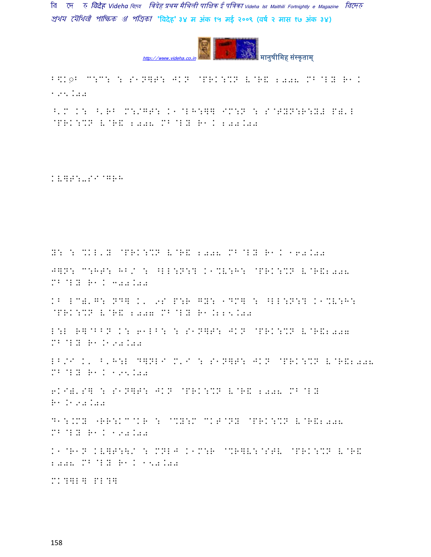

B\$K◌़B C:C: : S1N]T: JKN @PRK:%N V@R& 2008 MB@LY R1. 195.00

^'M K: ^'RB M:/GT: K1@LH:]] IM:N : S@TYN:R:Y# P)'L WESTERN ROOM CONSTRUCTS TO A 2008

KV]T:-SI@GRH

Y: : %KL'Y @PRK:%N V@R& 2008 MB@LY R1. 160.00

HER: C:HT: HE/ : HE:HR: W:H:H: C:HI:N: E BELAN.  $M$  rate in the contract

KB LC RC REVIEWS IN THE WHI POINT IN BELIEVE IN THIS WILL @PRK:%N V@R& 2007 MB@LY R1.225.00

L:L R]@BBN K: 61LB: : S1N]T: JKN @PRK:%N V@R&2007 MB@LY R1.190.00

B'HO I : BIH: DHIR I I : STEER GIF MINITED IN BELA  $M$  R<sub>1</sub>. 195.000  $M$  R<sub>1</sub>. 195.000  $M$ 

6KI)'S] : S1N]T: JKN @PRK:%N V@R& 2008 MB@LY R1.190.00

D1:.MY "RR:KC@KR : @%Y:M CKT@NY @PRK:%N V@R&2008 MB@LY R1. 190.000.000

K1@R1N KV]T:\/ : MNLJ K1M:R @%R]V:@STV @PRK:%N V@R& 2008 MB@LY R1. 150.00

**MARY PROPERTY**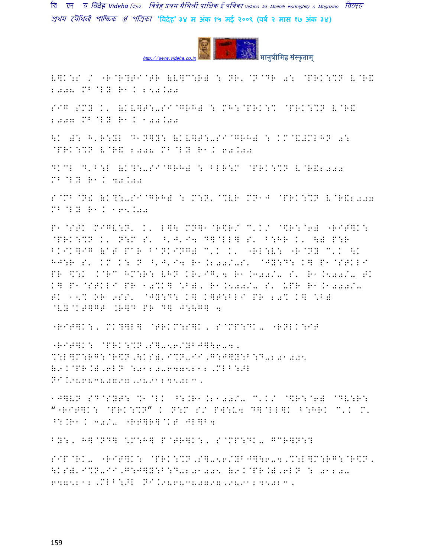

V]K:S / "R@R?TI@TR (V]C:R) : NR'@N@DR 0: @PRK:%N V@R& 2008 MB R1. 2008 MB

SIG SIG SOME KEEPS SIGNED : MH: MH: SIGNED : MH: 1008 MB R1. 100.000

 $K$  ): However, However, However, However, However, Green, Green, However, However, However, However, However, @PRK:%N V@R& 2008 MB@LY R1. 60.00

DRO DE LORIS ESTA DE RESIDIRE EN DISTRIKTO DE DE LA GREGO EN LA GREGO EN LA GREGO EN LA GREGO EN LA GREGO EN L MB@LY R1. 40.00

S. S. M. S. M. S. M. S. M. S. M. S. M. S. M. S. M. S. M. S. M. S. M. S. M. S. M. S. M. S. M. S. M. S. M. S. M. MB@LY R1. 165.00

P1@STK MIGV:N' K' L]\ MN]1@R\$R/ C'K/ @\$R:@6) "RIT]K: @PRK:%N K' N:M S' ^'J'I4 D]@LL] S' B:HR K' \) P:R BKIKIKI BKIKI TARAH PROPINSI CI AT PARA BANKING KALENDARYA DA PARA BANKING KAN ANG PARA BANKING KALENDARYA ANG HANG S' KIN KIN KERA KALAN GERALAN DI SARAH NE PA NARI PA PR \$:K .@RC HM:R: VHN KR'IG'4 R1.300/- S' R1.500/- TK K] P1@STKLI PR 10%K] \*B), R1.500/- S' UPR R1.1000/- TK 15% OR 9SS: MARY PRODUCT PROPERTY AND LOCAL CONTROL  $'$  . The discrete  $\mathbb{R}$  is the proposition of  $\mathbb{R}$  . The discrete  $\mathbb{R}$ 

"RITHERING", MCC 1983-81, MARIO DATAIL (1980) DE MONTE "RNLK: "PAPE 1984"

"RITH", "PRINTING", "STATE OF THE SERVE OF THE SERVE OF THE SERVE OF THE SERVE OF THE SERVE OF THE SERVE OF TH %:L]M:RG:@R\$N,\KS)'I%N-II,G:J]Y:B:D-201005 (9.@PR.),6LN :0120-6475212,MLB:>L NI.9868888888888888888888

1J]VN SD@SYT: %1@LK ^:.R1.2100/- C'K/ @\$R:@6) @DV:R: " "RITE: "BILLET" RITHS " "RITH" RITHS " "BILLET" RITHS " "BILLET" RITHS " "BILLET" " " " " " " " " " " " " " " ^:.R1. 30/- "RT]R]@KT JL]B4

BY:, H]@ND] \*M:H] P@TR]K:, S@MP:DK- GCR]N:?

SIP@RK- "RITHERS" (SIP ); TERC: NORTH COMPUTER REAL ACTIVE RESERVED TRACK ( \KS)'I%N-II,G:J]Y:B:D-201005 (9.@PR.),6LN : 0120- 6475212,MLB:>L NI.9868380797,9891245023,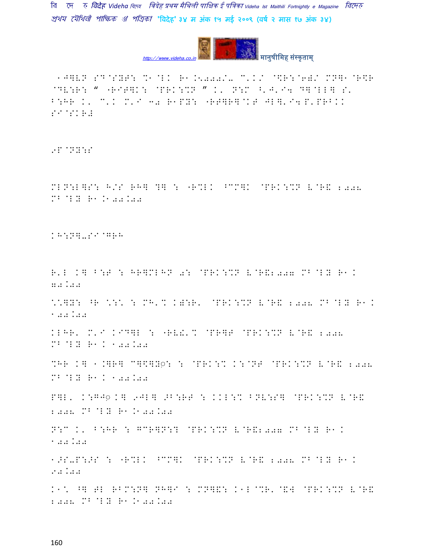

 1J]VN SD@SYT: %1@LK R1.5000/- C'K/ @\$R:@6)/ MN]1@R\$R @DV:R: " "RIT]K: @PRK:%N " K' N:M ^'J'I4 D]@LL] S' B:HR K' C'K M'I 30 R1PY: "RT]R]@KT JL]'I4 P'PRBKK SI@SKR#

9P@NY:S

MLN:L]S: H/S RH] ?] : "R%LK ^CM]K @PRK:%N V@R& 2008 MB@LY R1.100.00

KH:N]-SI@GRH

R'L K] B:T : HR]MLHN 0: @PRK:%N V@R&2007 MB@LY R1.  $\ldots$   $\ldots$ 

\*\*]Y: ^R \*:\* : MH'% K):R' @PRK:%N V@R& 2008 MB@LY R1. 100.00

KLHR' M'I KID]L : "RV!'% @PR]T @PRK:%N V@R& 2008 MB@LY R1. 100.00

WHR KIN KINDEN MUNUMPH A CONSINUE AND CAUSE CONTROLLING  $M$  rate of  $M$  rate  $M$  . The contract of  $M$ 

PALL CHRADIA SHIA SHINE N COLNIC FRENCH (PRINCR ECHE 2008 MB THE R1.100.000

N:C K' B:HR : GCREER: BOOK: BOOK: AND CHOILER ( 100.00

1>S-P:>S : "R%LK ^CM]K @PRK:%N V@R& 2008 MB@LY R1. 90.00

K1\* Y TH RBM: RITHER THAM: NO REPORT I : MORE I : MARIA I : MARIA I : MARIA I : MARIA 2008 MB R1.100.000.000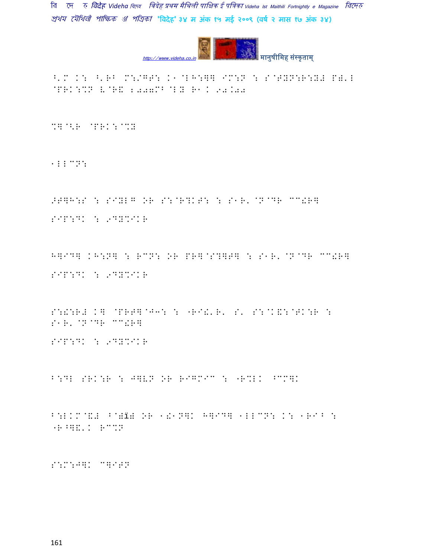

^'M K: ^'RB M:/GT: K1@LH:]] IM:N : S@TYN:R:Y# P)'L @PRK:%N V@R& 2007MB@LY R1. 90.00

%]@<R @PRK:@%Y

1LLCN:

>T]H:S : SIYLG OR S:@R?KT: : S1R'@N@DR CC!R] SIP:DK : 9DY%IKR

HANNE INSIDE S ROOM OR PRESIDENT S FIRING OF CONTROL SIP:DK : 9DY : 9DY : 9DY : 9DY : 9DY : 9DY : 9DY : 9DY : 9DY : 9DY : 9DY : 9DY : 9DY : 9DY : 9DY : 9DY : 9DY :

STEERS OF THE MAY SO HALL ENTITY CONTENTS STORY CONTROLLER

SIP:DK : 9DY : 9DY : 9DY

B:DR SRK:R : JR SRK:R SRK:R SRK:R SRK:R SRK:R SRK:R S

B:LKM@&# ^@)ï) OR 1!1N]K H]ID] 1LLCN: K: 1RI^ : "R^]&'K RC%N

S:M:W:W:W:W: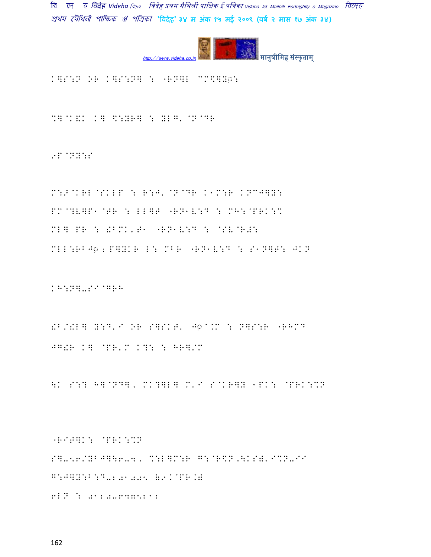

KARD OR KARDER S: "RNAL CONSTRUCT

%]@K&K K] \$:YR] : YLG'@N@DR

9P@NY:S

M:>@KRL@SKLP : R:J'@N@DR K1M:R KNCJ]Y: PM@?V]P1@TR : LL]T "RN1V:D : MH:@PRK:% ML] PR : !BMK'T1 "RN1V:D : @SV@R#: MLL:RBS: PHILE: MANUF "RNICH" (SINDER "RN

KH:N]-SI@GRH

!B/!L] Y:D'I OR S]SKT' J◌़@.M : N]S:R "RHMD JG!R K] @PR'M K?: : HR]/M

\K S:? H]@ND], MK?]L] M'I S@KR]Y 1PK: @PRK:%N

"RIT", "RIT", "PRAYER", "PRAYER", "PRAYER", "PRAYER", "PRAYER", "PRAYER", "PRAYER", "PRAYER", "PRAYER", "PRAYER S]-56/YBJ]\6-4, %:L]M:R G:@R\$N,\KS)'I%N-II G:J]Y:B:D-201005 (9.@PR.) 6LN : 0120-64752121212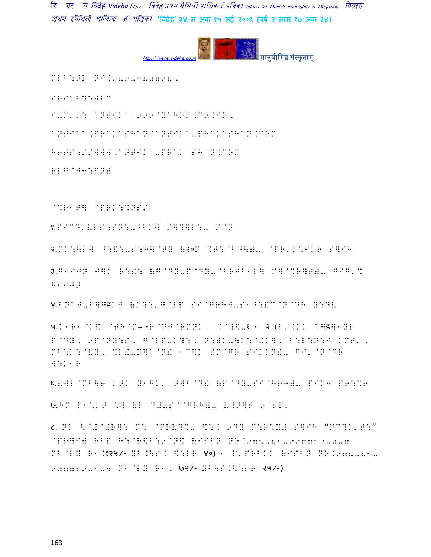

 $\mathcal{L}:\mathcal{L}:\mathcal{L}:\mathcal{L}:\mathcal{L}:\mathcal{L}:\mathcal{L}:\mathcal{L}:\mathcal{L}:\mathcal{L}:\mathcal{L}:\mathcal{L}:\mathcal{L}:\mathcal{L}:\mathcal{L}:\mathcal{L}:\mathcal{L}:\mathcal{L}:\mathcal{L}:\mathcal{L}:\mathcal{L}:\mathcal{L}:\mathcal{L}:\mathcal{L}:\mathcal{L}:\mathcal{L}:\mathcal{L}:\mathcal{L}:\mathcal{L}:\mathcal{L}:\mathcal{L}:\mathcal{L}:\mathcal{L}:\mathcal{L}:\mathcal{L}:\mathcal{L}:\mathcal{$ 9891245023 I-M'L: aNTIKa1999@YaHOO.CO.IN, an ang pagkalang pangalang pangkasang pangalang pangkasang pangalang pangkasang pangalang pangalang pangalang<br>Pangalang pangalang pangalang pangalang pangalang pangalang pangalang pangalang pangalang pangalang pangalang HAATS//WWW.anticompany.com  $H$ .  $H$   $H$   $H$   $H$   $H$   $H$   $H$   $H$ 

@%R1T] @PRK:%NS/

१.PICD'VLP:SN:-^BM] M]?]L:- MCN

२.MM 9889 9. MK? HIMA: HIMA: HIMA: HIMA: HIMA: HIMA: HIMA: HIMA: HIMA: BID)- & BECAR

३.G1IJN J]K R:!: (G@DY-P@DY-@BRJB1L] M]@%R]T)- GIG'% Halian State

४.BNKT-B]Gड़KT (K?:-G@LP SI@GRH)-S1^:&C@N@DR Y:DV

 $9.1 + i \cdot 10.01$  and the first probability  $\sim 10.01$  and  $\sim 10.01$   $\sim 10.01$ P@DY, 9P@NY:S, G@LP-K?:, N:)K-\K:@+K], B:L:N:I KMT', MH:K:@VY, %L!-N]B@N! 1D]K SM@GR SIKLN)- GJ'@N@DR W:K1R1

६.V]L@MB]T K>K Y1GM' N]B@D! (P@DY-SI@GRH)- PIKJ PR:%R

७.HM P1\*KT \*] (P@DY-SI@GRH)- V]N]T 9@TPL

 $\alpha$ : PE (B)  $R$ : PRV) - MIRES TO RIGHT  $R$  , PRV OF SPIRISH  $R$  (POSS) - MIRES SING  $R$ @PR]I) RBP H:@R\$B:9@N\$ (ISBN NO.978-81-907729-0-7  $\mathbb{P}^1$  (File B). 1889/- IB. 1820 1 RISBN 90) 1 P. FRB IC. BYPPR (Pictionalis). 907729-1-4 MB@LY R1. ७५/- YB\S.\$:LR २५/-)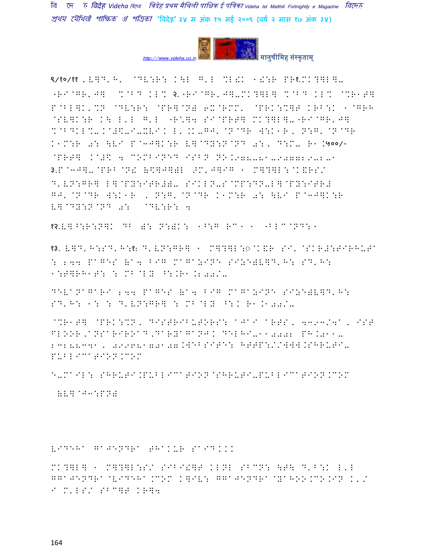

९/१०/११ : EBP, R. (19ENBN) : RECORIE (19END: RENE BR.M. GBB BL  $R$  (RIGGRESS ) was also considered by the control of the construction of  $R$  and  $R$ P@BL]K'%N @DV:R: @PR]@N) 6X@RMM' @PRK:%]T KRB:K 1@GRH MYER: NE CORTELE "ROE" (ARNHA YA MEREH DI HHEHE, ARANARE, AH % MPKL E NIL L'ABDILANDER COVED L'ON NAAR VOR MAR VAR EN DROMAN IN DR MAR WERE KN:R 0: DESCRIPT OF DESCRIPTION ON DESCRIPTION OF A REVOLUTION OF POSTAL REPORTS @PRT] .@#\$ 4 COMBINED ISBN NO.978-81-907729-2-1 ३.P@3J]-@PRB@N! (\$]J])L >M'J]IG 1 M]?]L:@K&RS/ D'VN:GR] L]@PY:ITR#)- SIKLN-S@MP:DN-L]@PY:ITR# GA, ORIGE AND FROM GREAT COMPONIES AN ABY COMPONENT ESCRIPTION AND CONDITION

१२.V]^:R:N]K DB ): N:)K: "^:G RC" 1 "BLC@ND:"

१३. ENN. PERN. PIR N. ENGHPH: < THINE EQ MEE SIY. TILPEDEVER.ET  $\alpha$  ): 244 Pages (and af Gazine Size)video size (and an anti-space)video size (and an anti-space)video size ( 1:T]RH1T: : MB@LY ^:.R1.200/-

DEVaNaGaRI 244 PaGES (a4 BIG MaGaZINE SIZE)V]D'H:  $\mathcal{S}$  : Department of the solution of the solution of the solution of the solution of the solution of the solution of the solution of the solution of the solution of the solution of the solution of the solution of the s

@%R1T] @PRK:%N, DISTRIBUTORS: aJaI aRTS, 4393/4a, IST FLOOR,aNSaRIROaD,DaRYaGaNJ. DELHI-110002 PH.011- 23388341, 09968181, 09968170107. HTTP://WWW.SHRUTI-PUBLICATION COMPANY OF THE COMPANY OF THE COMPANY OF THE COMPANY OF THE COMPANY OF THE COMPANY OF THE COMPANY OF THE COMPANY OF THE COMPANY OF THE COMPANY OF THE COMPANY OF THE COMPANY OF THE COMPANY OF THE COMPANY OF THE

E-MaIL: SHRUTI.PUBLICaTION@SHRUTI-PUBLICaTION.COM

(William) and Constitution

VIDEHa GaJENDRa THaKUR SaID...

MACRIS 1 MARSHED 1 MACRISON: SIBI 1 MARSHED 1 MARSHED 1 MARSHED 1 MARSHED 1 MARSHED 1 MARSHED 1 MARSHED 1 MARSH GGAJENDRA VIDEHAA.COM KIDEHA.COM KAN KAN KALI KAN KAN KONGO KAL F MATH SPORE CHE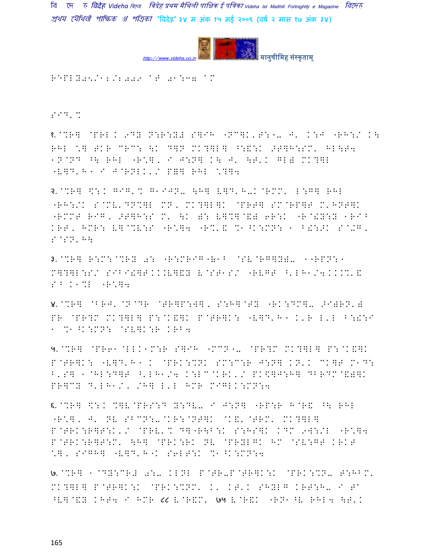

REPLYNS AT 01:37 and 01:37 and 01:37 and 01:37 and 01:37 and 01:37 am

 $\mathbb{R}^{2}$ 

१.@%R] @PRL. 9DY N:R:Y# S]IH "NC]K'T:"- J' K:J "RH:/ K\ RHL \*19 TKR CRC: NHL \*19 TKR CRCHER \*1000 AND \*1000 AND \*1000 1919 C RHL "ROOM I JO AND I RHL "RELIGION OF THE "B" I J" I J" I HE I J" I HE I HE I HE I HE

२. 719 B | RN C | BYB, N | BYD, H | GHD | LET, BLI | GHT, | ENE | BBE | BBE "RH:/K S@MV'DN%]L MN, MK?]L]K @PRT] SM@RP]T M'HNT]K "RMMT RIG, >T]H:S M' \K ): V]%]@&) 6R:K "R@!Y:Y 1RI^ KRAT, HORS, BATOLSY, RENAW, PROVINCING PROGRESS, PROVINCING SMS SNY

३.@%R] R:M:@%RY 0: "R:MRIG"(1B @SV@RG]Y)- ""RPN:" MARA SID : SY VERFOLDERDE E NIBY ID. (BERFOLDER) DE L'ANDI  $S^*$  Contracts and  $S^*$ 

४.@%R] @BRJ'@N@DR @TR]P:W], S:H]@TY "RK:DM]- >I)RN') PR @PR?M MK?]L] P:@K&]K P@TR]K: "V]D'H" K'R L'L B:!:I 1 %1^K:MN: @SV]K:R KRB4

५.@%R] @PR61@LLK1M:R S]IH "MCN"- @PR?M MK?]L] P:@K&]K P. TRIKED GOORLEVEL AND COMPATING THE CONSTRUCTION OF THE CONTROL OF THE CONTROL OF THE CONTROL OF THE CONTROL B'S] 10 HE:DREE REPORTS IN THE REPORT OF THE REPORT PR]CY D'LH1/, /H] L'L HMR MIGLK:MN:4

६.@%R] \$:. %]V@PRS:D Y:DV- I J:N] "RP:R H@R& ^\ RHL  $R$  ,  $R$  ,  $R$  ,  $R$  ,  $R$  ,  $R$  ,  $R$  ,  $R$  ,  $R$  ,  $R$  ,  $R$  ,  $R$  ,  $R$  ,  $R$  ,  $R$  ,  $R$  ,  $R$  ,  $R$  ,  $R$  ,  $R$  ,  $R$  ,  $R$  ,  $R$  ,  $R$  ,  $R$  ,  $R$  ,  $R$  ,  $R$  ,  $R$  ,  $R$  ,  $R$  ,  $R$  ,  $R$  ,  $R$  ,  $R$  ,  $R$  ,  $R$  , P@TRK:R]T:K'/ @PRV'% D]"R\B:K S:HS]K KDM 9W:/L "R\*]4 P@TRK:RPRK:RPROGRK:RK NV @PRYLGK HM @SV:GT KRKT \*], SIGH] "V]D'H"K S6LT:K %1^K:MN:4

७.@%R] 1@DY:CR# 0:- KLNL P@TR-P@TR]K:K @PRK:%N- T:HBM' MK?) MENERANG KERANG KERANG KARA PERANG KANYA KE PERANG KALI PERANG KE PERANG KE PERANG KALI PERANG KALI PERAN<br>Kara menerang karti perang kali perang karti perang karti perang karti perang karti perang karti perang karti  $V$ ARAMIS I HAR VI HMR (20 R MHR). ७५ R MHR (99 R MHR) (99 R MHR) RHL4 HHL4 (99 R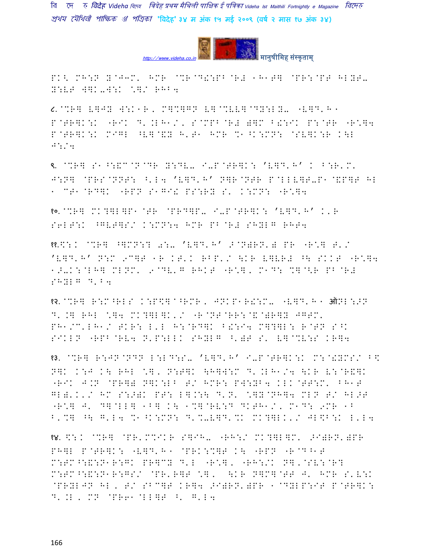

PK< MH:N Y@J3M' HMR @%R@D!:PB@R# 1H1T] @PR:@PT HLYT-Y:VT W]K-W:K \*]/ RHB4

८.@%R] V]JY W:K1R, M]%]GN V]@%VV]@DY:LY- "V]D'H" P@TR]K:K "RIK D'.LH1/, S@MPB@R# )]M B!:IK P:@TR "R\*]4 P. MARAD AD (ONCAR) AND ARREST ACTIVITY AN ANGEL AN INCONSIDERATION OF DESCRIPTION  $\mathcal{L}^{\mathcal{L}}$  $\mathcal{H}:\mathcal{F}\rightarrow\mathcal{F}$ 

९. [1784] SIX PEEM IP 198 (BEPEL) YILE TRARED EVINERT, RIVID IF EASTLIN J:N] @PRS@NNT: ^'L4 'V]D'H' N]R@NTR P@LLV]T-P1@&P]T HL 1 CT1@RD]K "RPN S1GI! PS:RY S' K:MN: "R\*]4

१०.@%R] MK?]L]P1@TR @PRD]P- I-P@TR]K: 'V]D'H' K'R S6LT:K PROGRESS SHYLG RHT4 HMR PB@R# SHYLG RHT4

११.5:1 CONTRA PROPORT GRU / ERP. PK DECPERT E TR (PROPORT) PLO  $V$ EAT. A $V$  (First variety are only state  $\mathbb{R}$  and  $\mathbb{R}$  and  $\mathbb{R}$  are  $\mathbb{R}$  in  $\mathbb{R}$  . The state  $\mathbb{R}$ 1>-K:@LH] MLNM' 9@DV'G RHKT "R\*], M1D: %]@<R PB@R# SHILLE D. P.

१९. MWR RI R:MORLS K:P\$PRR, J. R:MORLS R:MORLS (ALRIP) A.H. ऑप्स NUP D'.] RHL \*]4 MK?]L]K'/ "R@NT@RR:@&@)R]Y JGTM' PH1/C'LEATING BIBS EVEN AS TRABILITES AN OPPRESS BITHOUT SOME SIKLA PO "PERS" TELLA "PELA ALI SI STADE PO "SI GER" ST. "TILLA TULITATO DE BA

१३. @ MARIE: B-GHP (1979) E-GHP GENER, WARRY, RIK MARIE: THE WORLD BACK OF RICHARD DAIK: J GA: J K: BAEK: J R, DGAAIK, NHARAGD, M, JE AK JA, KI B, E G, DAIRER, "RIK J.N @PR]) N]K:LB T/ HMR: PW:YB4 KLK@TT:M' BH1T 'HEAL)'S' ("HO") S'YAAD ("D'A'Y) E'H DYN "MLON", "NON TO'HHA "O'EOR" A'S "HEOAR  $R$  -particles in the problem of the problems of the problems of  $R$ B'%] ^\ G'L4 %1^K:MN: D'%-V]D'%K MK?]LK'/ JL\$B:K L'L4

१४. \$:. @%R] @PR'M%IKR S]IH- "RH:/ MK?]L]M' >I)RN')PR PHIL PORRIN "VIRT, PACTRICITE ON CHPP" APOTHAI M:THO: THE THIS PROPERTY OF THE THIS CONTINUES. THE REPORT OF THE THIRD OF THE THING. M:THO: THE THOS (FIRM) THAN SHE AND THE STUDENT THAT HOW IT HOS STUDENTS. @PRYLJN HL, T/ SBC]T KR]4 >I)RN')PR 1@DYLP:IT P@TR]K: D'.L, MN @PR61@LL]T ^' G'L4